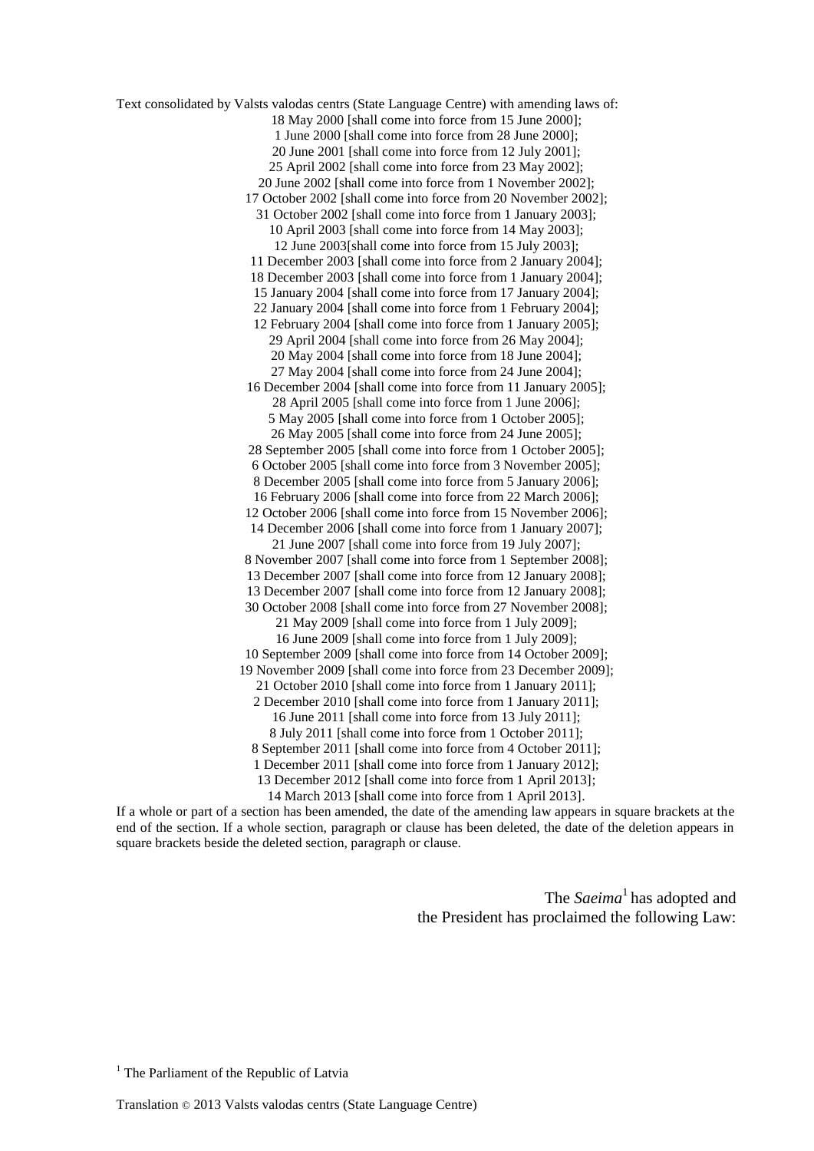Text consolidated by Valsts valodas centrs (State Language Centre) with amending laws of: 18 May 2000 [shall come into force from 15 June 2000]; 1 June 2000 [shall come into force from 28 June 2000]; 20 June 2001 [shall come into force from 12 July 2001]; 25 April 2002 [shall come into force from 23 May 2002]; 20 June 2002 [shall come into force from 1 November 2002]; 17 October 2002 [shall come into force from 20 November 2002]; 31 October 2002 [shall come into force from 1 January 2003]; 10 April 2003 [shall come into force from 14 May 2003]; 12 June 2003[shall come into force from 15 July 2003]; 11 December 2003 [shall come into force from 2 January 2004]; 18 December 2003 [shall come into force from 1 January 2004]; 15 January 2004 [shall come into force from 17 January 2004]; 22 January 2004 [shall come into force from 1 February 2004]; 12 February 2004 [shall come into force from 1 January 2005]; 29 April 2004 [shall come into force from 26 May 2004]; 20 May 2004 [shall come into force from 18 June 2004]; 27 May 2004 [shall come into force from 24 June 2004]; 16 December 2004 [shall come into force from 11 January 2005]; 28 April 2005 [shall come into force from 1 June 2006]; 5 May 2005 [shall come into force from 1 October 2005]; 26 May 2005 [shall come into force from 24 June 2005]; 28 September 2005 [shall come into force from 1 October 2005]; 6 October 2005 [shall come into force from 3 November 2005]; 8 December 2005 [shall come into force from 5 January 2006]; 16 February 2006 [shall come into force from 22 March 2006]; 12 October 2006 [shall come into force from 15 November 2006]; 14 December 2006 [shall come into force from 1 January 2007]; 21 June 2007 [shall come into force from 19 July 2007]; 8 November 2007 [shall come into force from 1 September 2008]; 13 December 2007 [shall come into force from 12 January 2008]; 13 December 2007 [shall come into force from 12 January 2008]; 30 October 2008 [shall come into force from 27 November 2008]; 21 May 2009 [shall come into force from 1 July 2009]; 16 June 2009 [shall come into force from 1 July 2009]; 10 September 2009 [shall come into force from 14 October 2009]; 19 November 2009 [shall come into force from 23 December 2009]; 21 October 2010 [shall come into force from 1 January 2011]; 2 December 2010 [shall come into force from 1 January 2011]; 16 June 2011 [shall come into force from 13 July 2011]; 8 July 2011 [shall come into force from 1 October 2011]; 8 September 2011 [shall come into force from 4 October 2011]; 1 December 2011 [shall come into force from 1 January 2012]; 13 December 2012 [shall come into force from 1 April 2013]; 14 March 2013 [shall come into force from 1 April 2013].

If a whole or part of a section has been amended, the date of the amending law appears in square brackets at the end of the section. If a whole section, paragraph or clause has been deleted, the date of the deletion appears in square brackets beside the deleted section, paragraph or clause.

> The *Saeima*<sup>1</sup> has adopted and the President has proclaimed the following Law:

 $<sup>1</sup>$  The Parliament of the Republic of Latvia</sup>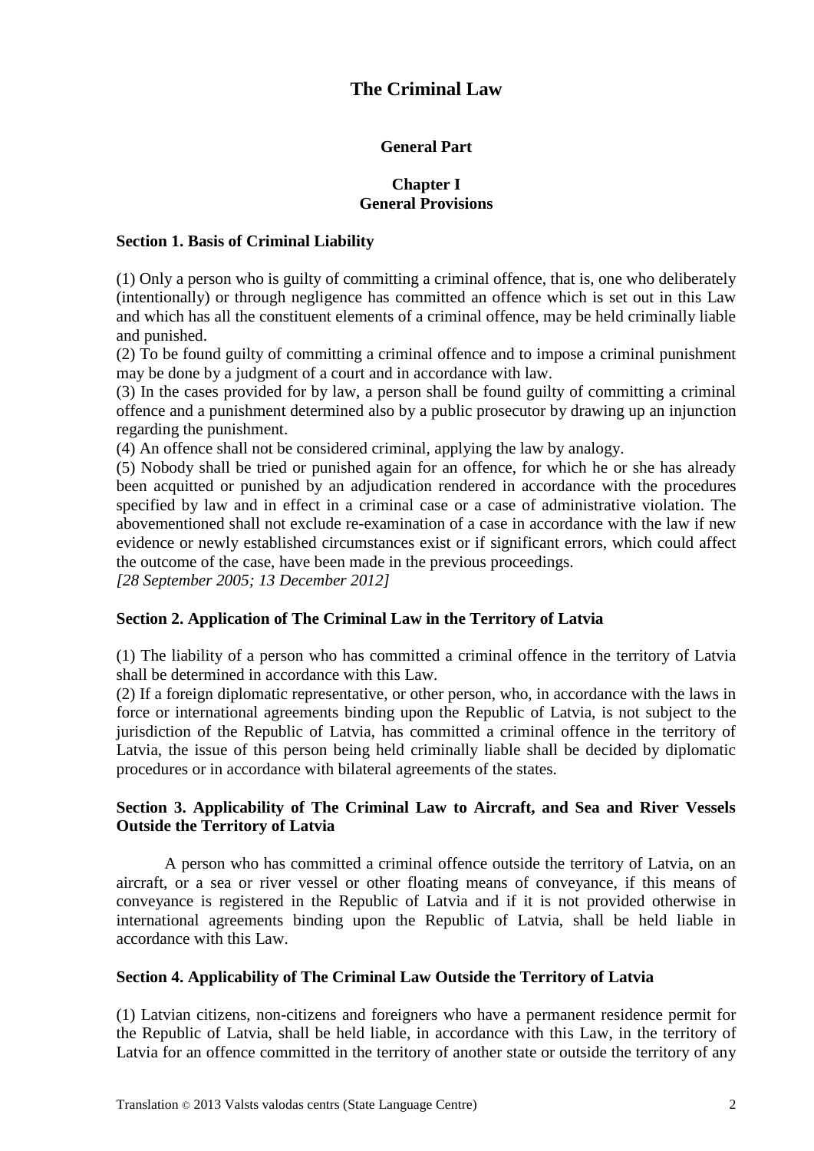# **The Criminal Law**

# **General Part**

# **Chapter I General Provisions**

# **Section 1. Basis of Criminal Liability**

(1) Only a person who is guilty of committing a criminal offence, that is, one who deliberately (intentionally) or through negligence has committed an offence which is set out in this Law and which has all the constituent elements of a criminal offence, may be held criminally liable and punished.

(2) To be found guilty of committing a criminal offence and to impose a criminal punishment may be done by a judgment of a court and in accordance with law.

(3) In the cases provided for by law, a person shall be found guilty of committing a criminal offence and a punishment determined also by a public prosecutor by drawing up an injunction regarding the punishment.

(4) An offence shall not be considered criminal, applying the law by analogy.

(5) Nobody shall be tried or punished again for an offence, for which he or she has already been acquitted or punished by an adjudication rendered in accordance with the procedures specified by law and in effect in a criminal case or a case of administrative violation. The abovementioned shall not exclude re-examination of a case in accordance with the law if new evidence or newly established circumstances exist or if significant errors, which could affect the outcome of the case, have been made in the previous proceedings.

*[28 September 2005; 13 December 2012]*

# **Section 2. Application of The Criminal Law in the Territory of Latvia**

(1) The liability of a person who has committed a criminal offence in the territory of Latvia shall be determined in accordance with this Law.

(2) If a foreign diplomatic representative, or other person, who, in accordance with the laws in force or international agreements binding upon the Republic of Latvia, is not subject to the jurisdiction of the Republic of Latvia, has committed a criminal offence in the territory of Latvia, the issue of this person being held criminally liable shall be decided by diplomatic procedures or in accordance with bilateral agreements of the states.

# **Section 3. Applicability of The Criminal Law to Aircraft, and Sea and River Vessels Outside the Territory of Latvia**

A person who has committed a criminal offence outside the territory of Latvia, on an aircraft, or a sea or river vessel or other floating means of conveyance, if this means of conveyance is registered in the Republic of Latvia and if it is not provided otherwise in international agreements binding upon the Republic of Latvia, shall be held liable in accordance with this Law.

# **Section 4. Applicability of The Criminal Law Outside the Territory of Latvia**

(1) Latvian citizens, non-citizens and foreigners who have a permanent residence permit for the Republic of Latvia, shall be held liable, in accordance with this Law, in the territory of Latvia for an offence committed in the territory of another state or outside the territory of any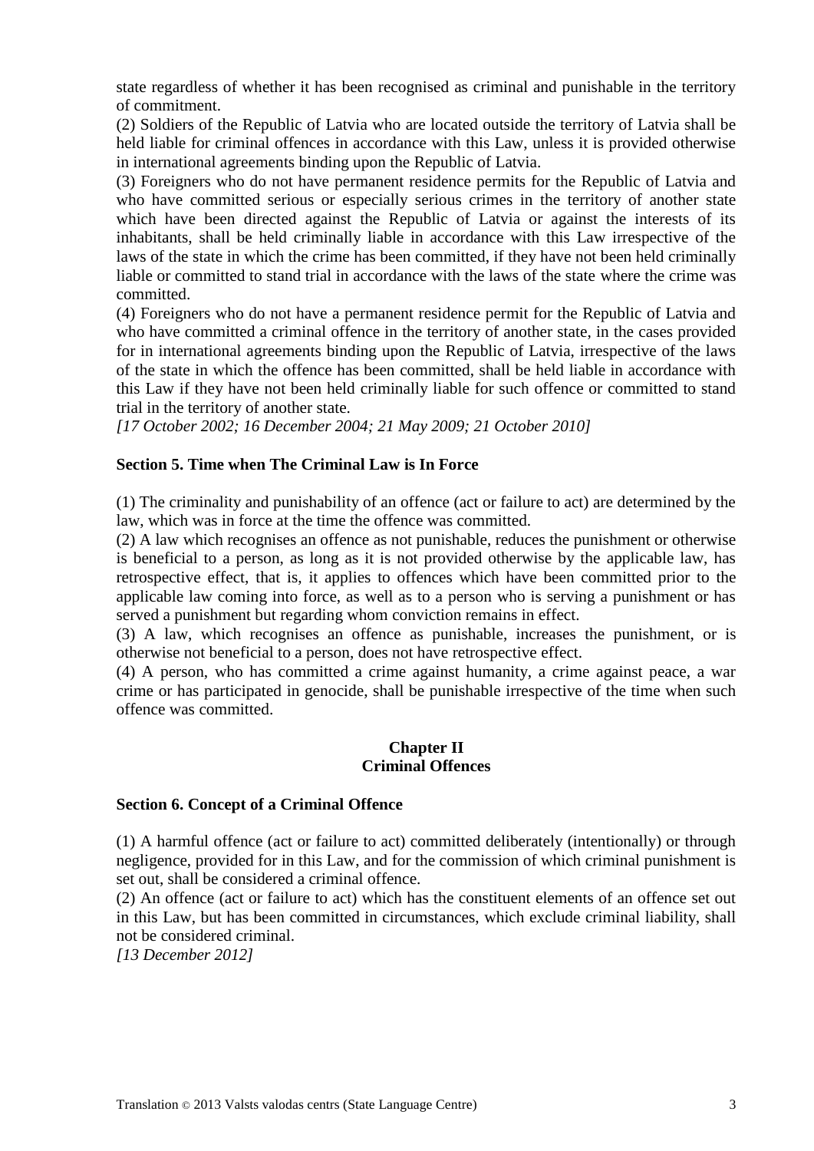state regardless of whether it has been recognised as criminal and punishable in the territory of commitment.

(2) Soldiers of the Republic of Latvia who are located outside the territory of Latvia shall be held liable for criminal offences in accordance with this Law, unless it is provided otherwise in international agreements binding upon the Republic of Latvia.

(3) Foreigners who do not have permanent residence permits for the Republic of Latvia and who have committed serious or especially serious crimes in the territory of another state which have been directed against the Republic of Latvia or against the interests of its inhabitants, shall be held criminally liable in accordance with this Law irrespective of the laws of the state in which the crime has been committed, if they have not been held criminally liable or committed to stand trial in accordance with the laws of the state where the crime was committed.

(4) Foreigners who do not have a permanent residence permit for the Republic of Latvia and who have committed a criminal offence in the territory of another state, in the cases provided for in international agreements binding upon the Republic of Latvia, irrespective of the laws of the state in which the offence has been committed, shall be held liable in accordance with this Law if they have not been held criminally liable for such offence or committed to stand trial in the territory of another state.

*[17 October 2002; 16 December 2004; 21 May 2009; 21 October 2010]*

## **Section 5. Time when The Criminal Law is In Force**

(1) The criminality and punishability of an offence (act or failure to act) are determined by the law, which was in force at the time the offence was committed.

(2) A law which recognises an offence as not punishable, reduces the punishment or otherwise is beneficial to a person, as long as it is not provided otherwise by the applicable law, has retrospective effect, that is, it applies to offences which have been committed prior to the applicable law coming into force, as well as to a person who is serving a punishment or has served a punishment but regarding whom conviction remains in effect.

(3) A law, which recognises an offence as punishable, increases the punishment, or is otherwise not beneficial to a person, does not have retrospective effect.

(4) A person, who has committed a crime against humanity, a crime against peace, a war crime or has participated in genocide, shall be punishable irrespective of the time when such offence was committed.

#### **Chapter II Criminal Offences**

#### **Section 6. Concept of a Criminal Offence**

(1) A harmful offence (act or failure to act) committed deliberately (intentionally) or through negligence, provided for in this Law, and for the commission of which criminal punishment is set out, shall be considered a criminal offence.

(2) An offence (act or failure to act) which has the constituent elements of an offence set out in this Law, but has been committed in circumstances, which exclude criminal liability, shall not be considered criminal.

*[13 December 2012]*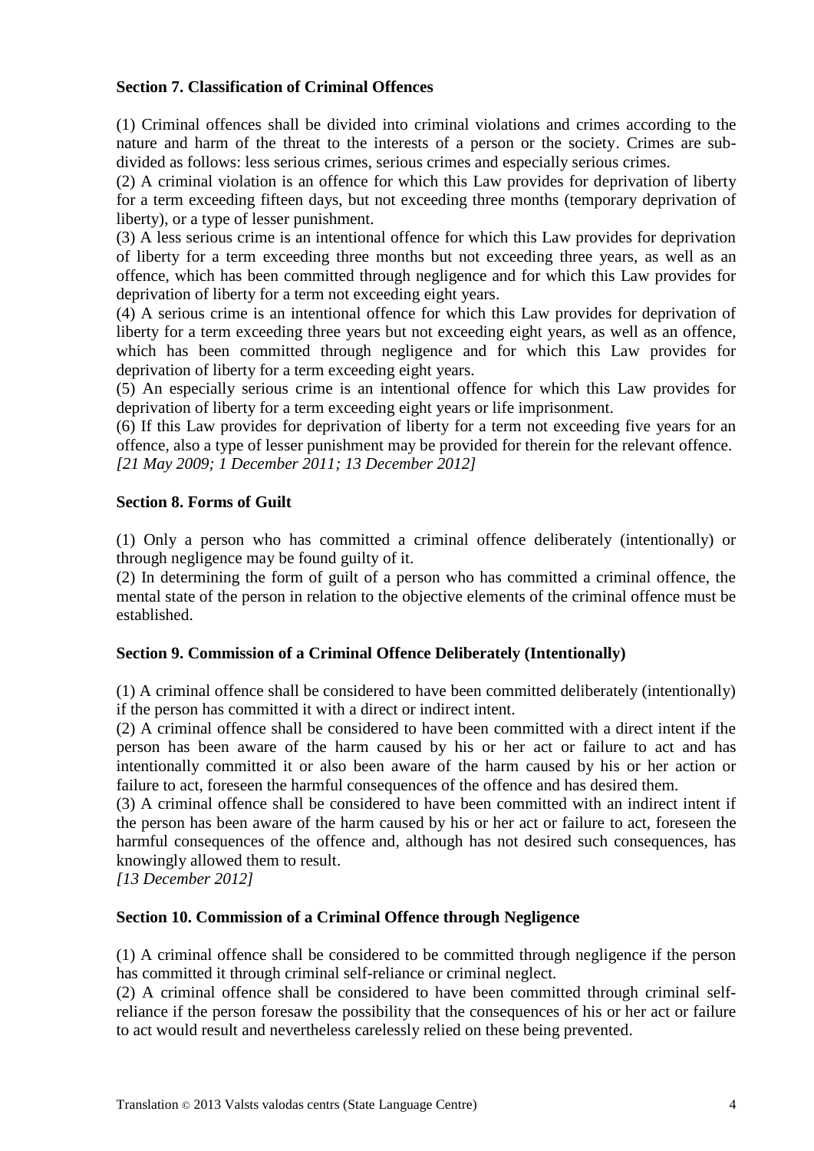# **Section 7. Classification of Criminal Offences**

(1) Criminal offences shall be divided into criminal violations and crimes according to the nature and harm of the threat to the interests of a person or the society. Crimes are subdivided as follows: less serious crimes, serious crimes and especially serious crimes.

(2) A criminal violation is an offence for which this Law provides for deprivation of liberty for a term exceeding fifteen days, but not exceeding three months (temporary deprivation of liberty), or a type of lesser punishment.

(3) A less serious crime is an intentional offence for which this Law provides for deprivation of liberty for a term exceeding three months but not exceeding three years, as well as an offence, which has been committed through negligence and for which this Law provides for deprivation of liberty for a term not exceeding eight years.

(4) A serious crime is an intentional offence for which this Law provides for deprivation of liberty for a term exceeding three years but not exceeding eight years, as well as an offence, which has been committed through negligence and for which this Law provides for deprivation of liberty for a term exceeding eight years.

(5) An especially serious crime is an intentional offence for which this Law provides for deprivation of liberty for a term exceeding eight years or life imprisonment.

(6) If this Law provides for deprivation of liberty for a term not exceeding five years for an offence, also a type of lesser punishment may be provided for therein for the relevant offence. *[21 May 2009; 1 December 2011; 13 December 2012]*

## **Section 8. Forms of Guilt**

(1) Only a person who has committed a criminal offence deliberately (intentionally) or through negligence may be found guilty of it.

(2) In determining the form of guilt of a person who has committed a criminal offence, the mental state of the person in relation to the objective elements of the criminal offence must be established.

# **Section 9. Commission of a Criminal Offence Deliberately (Intentionally)**

(1) A criminal offence shall be considered to have been committed deliberately (intentionally) if the person has committed it with a direct or indirect intent.

(2) A criminal offence shall be considered to have been committed with a direct intent if the person has been aware of the harm caused by his or her act or failure to act and has intentionally committed it or also been aware of the harm caused by his or her action or failure to act, foreseen the harmful consequences of the offence and has desired them.

(3) A criminal offence shall be considered to have been committed with an indirect intent if the person has been aware of the harm caused by his or her act or failure to act, foreseen the harmful consequences of the offence and, although has not desired such consequences, has knowingly allowed them to result.

*[13 December 2012]*

# **Section 10. Commission of a Criminal Offence through Negligence**

(1) A criminal offence shall be considered to be committed through negligence if the person has committed it through criminal self-reliance or criminal neglect.

(2) A criminal offence shall be considered to have been committed through criminal selfreliance if the person foresaw the possibility that the consequences of his or her act or failure to act would result and nevertheless carelessly relied on these being prevented.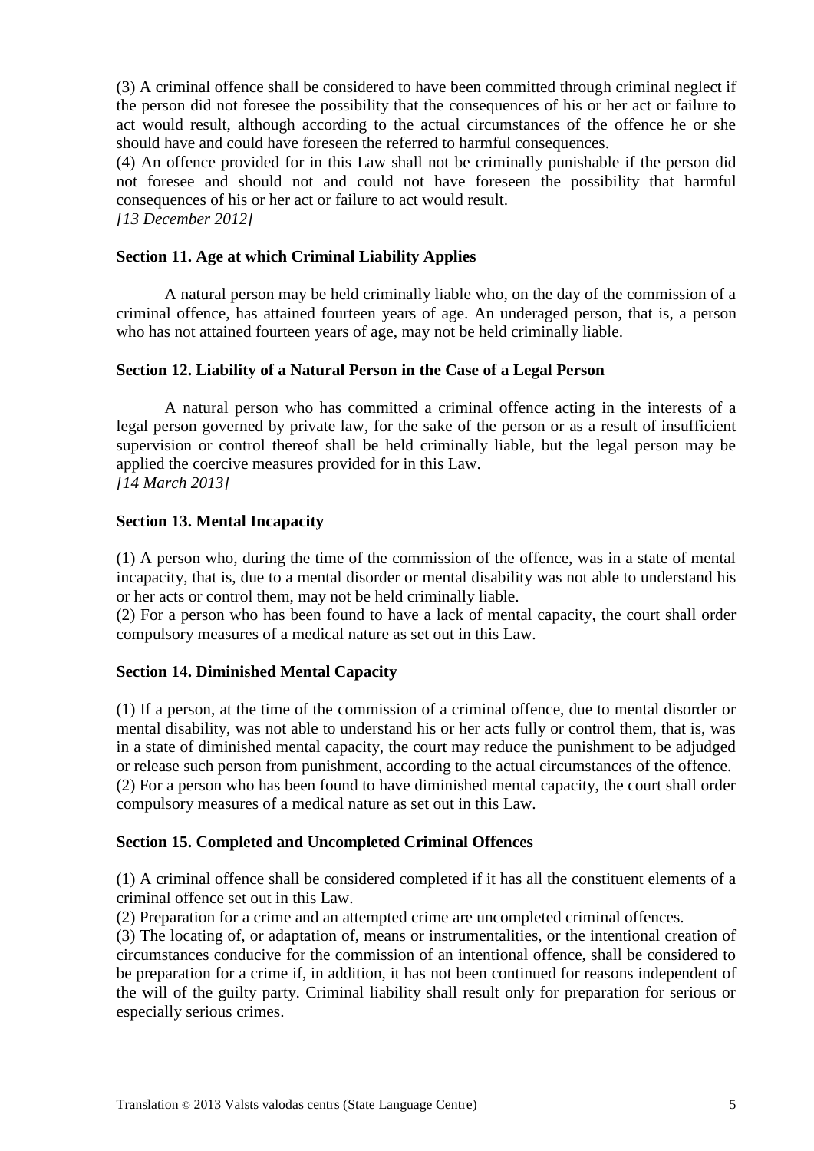(3) A criminal offence shall be considered to have been committed through criminal neglect if the person did not foresee the possibility that the consequences of his or her act or failure to act would result, although according to the actual circumstances of the offence he or she should have and could have foreseen the referred to harmful consequences.

(4) An offence provided for in this Law shall not be criminally punishable if the person did not foresee and should not and could not have foreseen the possibility that harmful consequences of his or her act or failure to act would result.

*[13 December 2012]*

## **Section 11. Age at which Criminal Liability Applies**

A natural person may be held criminally liable who, on the day of the commission of a criminal offence, has attained fourteen years of age. An underaged person, that is, a person who has not attained fourteen years of age, may not be held criminally liable.

## **Section 12. Liability of a Natural Person in the Case of a Legal Person**

A natural person who has committed a criminal offence acting in the interests of a legal person governed by private law, for the sake of the person or as a result of insufficient supervision or control thereof shall be held criminally liable, but the legal person may be applied the coercive measures provided for in this Law. *[14 March 2013]*

## **Section 13. Mental Incapacity**

(1) A person who, during the time of the commission of the offence, was in a state of mental incapacity, that is, due to a mental disorder or mental disability was not able to understand his or her acts or control them, may not be held criminally liable.

(2) For a person who has been found to have a lack of mental capacity, the court shall order compulsory measures of a medical nature as set out in this Law.

#### **Section 14. Diminished Mental Capacity**

(1) If a person, at the time of the commission of a criminal offence, due to mental disorder or mental disability, was not able to understand his or her acts fully or control them, that is, was in a state of diminished mental capacity, the court may reduce the punishment to be adjudged or release such person from punishment, according to the actual circumstances of the offence. (2) For a person who has been found to have diminished mental capacity, the court shall order compulsory measures of a medical nature as set out in this Law.

# **Section 15. Completed and Uncompleted Criminal Offences**

(1) A criminal offence shall be considered completed if it has all the constituent elements of a criminal offence set out in this Law.

(2) Preparation for a crime and an attempted crime are uncompleted criminal offences.

(3) The locating of, or adaptation of, means or instrumentalities, or the intentional creation of circumstances conducive for the commission of an intentional offence, shall be considered to be preparation for a crime if, in addition, it has not been continued for reasons independent of the will of the guilty party. Criminal liability shall result only for preparation for serious or especially serious crimes.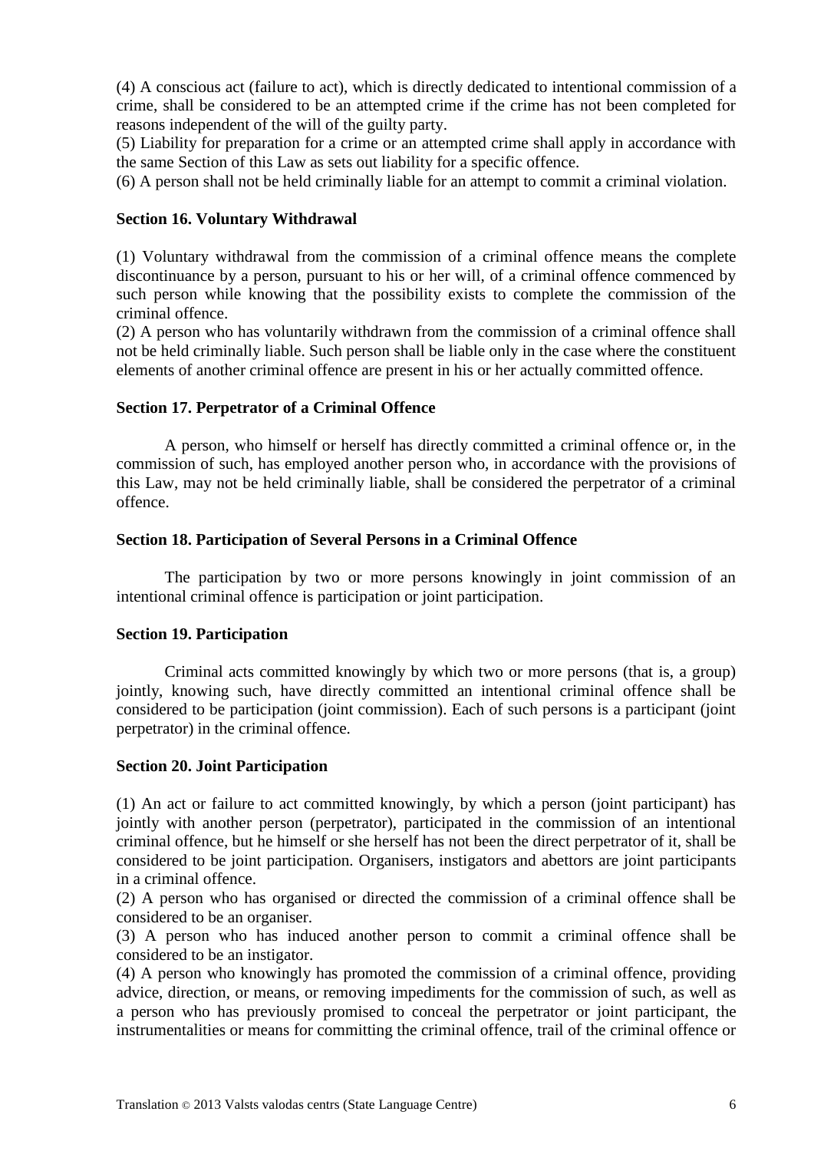(4) A conscious act (failure to act), which is directly dedicated to intentional commission of a crime, shall be considered to be an attempted crime if the crime has not been completed for reasons independent of the will of the guilty party.

(5) Liability for preparation for a crime or an attempted crime shall apply in accordance with the same Section of this Law as sets out liability for a specific offence.

(6) A person shall not be held criminally liable for an attempt to commit a criminal violation.

#### **Section 16. Voluntary Withdrawal**

(1) Voluntary withdrawal from the commission of a criminal offence means the complete discontinuance by a person, pursuant to his or her will, of a criminal offence commenced by such person while knowing that the possibility exists to complete the commission of the criminal offence.

(2) A person who has voluntarily withdrawn from the commission of a criminal offence shall not be held criminally liable. Such person shall be liable only in the case where the constituent elements of another criminal offence are present in his or her actually committed offence.

#### **Section 17. Perpetrator of a Criminal Offence**

A person, who himself or herself has directly committed a criminal offence or, in the commission of such, has employed another person who, in accordance with the provisions of this Law, may not be held criminally liable, shall be considered the perpetrator of a criminal offence.

#### **Section 18. Participation of Several Persons in a Criminal Offence**

The participation by two or more persons knowingly in joint commission of an intentional criminal offence is participation or joint participation.

#### **Section 19. Participation**

Criminal acts committed knowingly by which two or more persons (that is, a group) jointly, knowing such, have directly committed an intentional criminal offence shall be considered to be participation (joint commission). Each of such persons is a participant (joint perpetrator) in the criminal offence.

#### **Section 20. Joint Participation**

(1) An act or failure to act committed knowingly, by which a person (joint participant) has jointly with another person (perpetrator), participated in the commission of an intentional criminal offence, but he himself or she herself has not been the direct perpetrator of it, shall be considered to be joint participation. Organisers, instigators and abettors are joint participants in a criminal offence.

(2) A person who has organised or directed the commission of a criminal offence shall be considered to be an organiser.

(3) A person who has induced another person to commit a criminal offence shall be considered to be an instigator.

(4) A person who knowingly has promoted the commission of a criminal offence, providing advice, direction, or means, or removing impediments for the commission of such, as well as a person who has previously promised to conceal the perpetrator or joint participant, the instrumentalities or means for committing the criminal offence, trail of the criminal offence or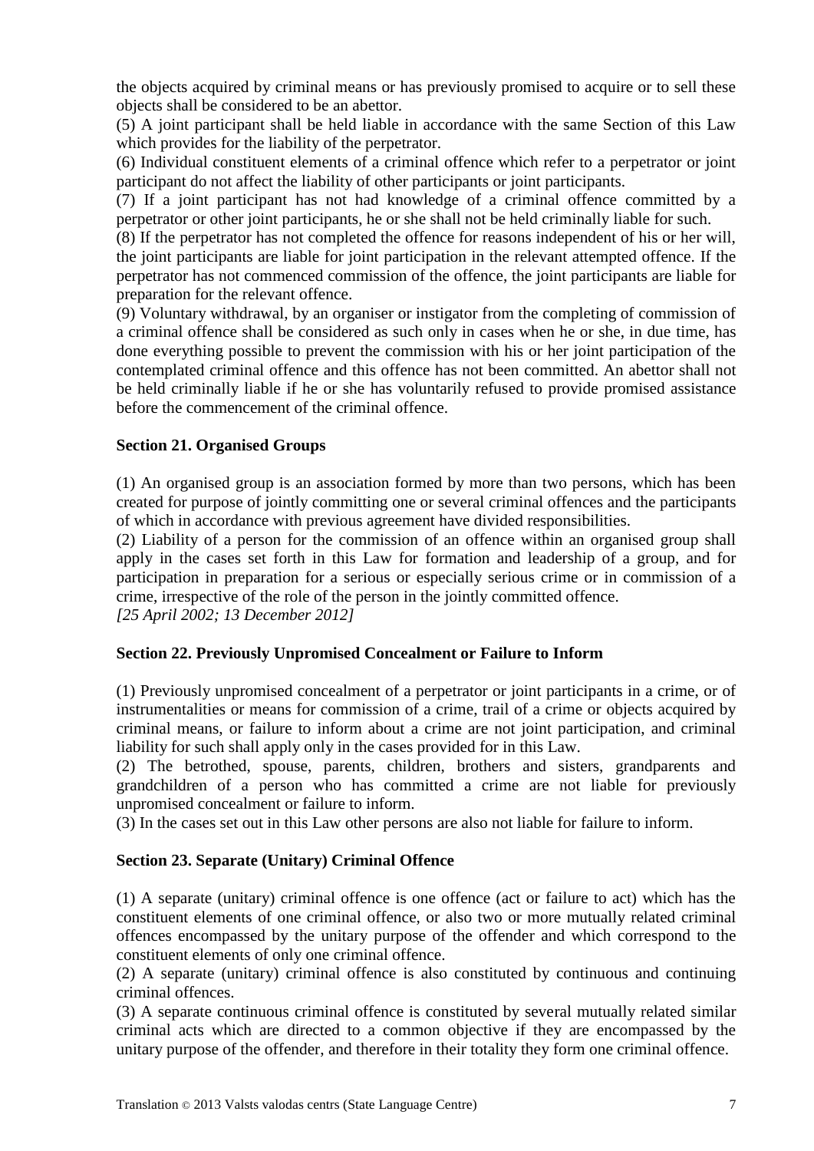the objects acquired by criminal means or has previously promised to acquire or to sell these objects shall be considered to be an abettor.

(5) A joint participant shall be held liable in accordance with the same Section of this Law which provides for the liability of the perpetrator.

(6) Individual constituent elements of a criminal offence which refer to a perpetrator or joint participant do not affect the liability of other participants or joint participants.

(7) If a joint participant has not had knowledge of a criminal offence committed by a perpetrator or other joint participants, he or she shall not be held criminally liable for such.

(8) If the perpetrator has not completed the offence for reasons independent of his or her will, the joint participants are liable for joint participation in the relevant attempted offence. If the perpetrator has not commenced commission of the offence, the joint participants are liable for preparation for the relevant offence.

(9) Voluntary withdrawal, by an organiser or instigator from the completing of commission of a criminal offence shall be considered as such only in cases when he or she, in due time, has done everything possible to prevent the commission with his or her joint participation of the contemplated criminal offence and this offence has not been committed. An abettor shall not be held criminally liable if he or she has voluntarily refused to provide promised assistance before the commencement of the criminal offence.

# **Section 21. Organised Groups**

(1) An organised group is an association formed by more than two persons, which has been created for purpose of jointly committing one or several criminal offences and the participants of which in accordance with previous agreement have divided responsibilities.

(2) Liability of a person for the commission of an offence within an organised group shall apply in the cases set forth in this Law for formation and leadership of a group, and for participation in preparation for a serious or especially serious crime or in commission of a crime, irrespective of the role of the person in the jointly committed offence.

*[25 April 2002; 13 December 2012]*

# **Section 22. Previously Unpromised Concealment or Failure to Inform**

(1) Previously unpromised concealment of a perpetrator or joint participants in a crime, or of instrumentalities or means for commission of a crime, trail of a crime or objects acquired by criminal means, or failure to inform about a crime are not joint participation, and criminal liability for such shall apply only in the cases provided for in this Law.

(2) The betrothed, spouse, parents, children, brothers and sisters, grandparents and grandchildren of a person who has committed a crime are not liable for previously unpromised concealment or failure to inform.

(3) In the cases set out in this Law other persons are also not liable for failure to inform.

# **Section 23. Separate (Unitary) Criminal Offence**

(1) A separate (unitary) criminal offence is one offence (act or failure to act) which has the constituent elements of one criminal offence, or also two or more mutually related criminal offences encompassed by the unitary purpose of the offender and which correspond to the constituent elements of only one criminal offence.

(2) A separate (unitary) criminal offence is also constituted by continuous and continuing criminal offences.

(3) A separate continuous criminal offence is constituted by several mutually related similar criminal acts which are directed to a common objective if they are encompassed by the unitary purpose of the offender, and therefore in their totality they form one criminal offence.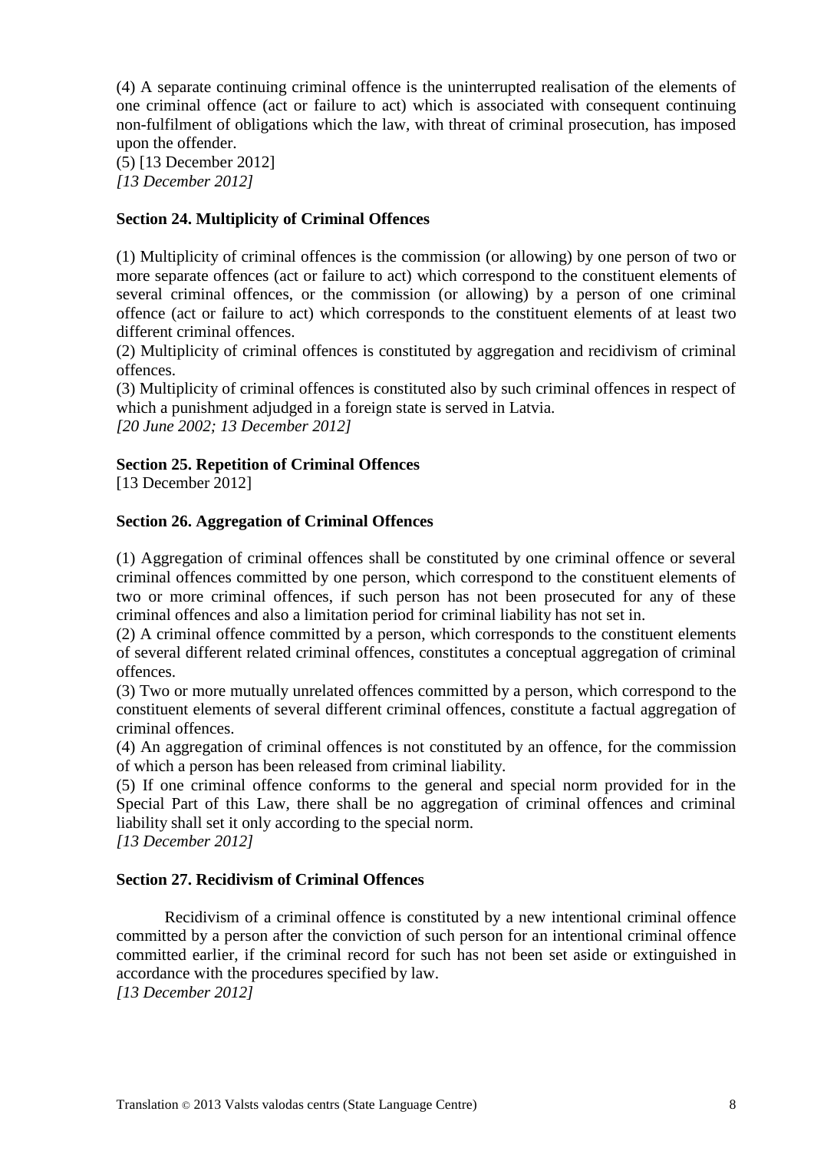(4) A separate continuing criminal offence is the uninterrupted realisation of the elements of one criminal offence (act or failure to act) which is associated with consequent continuing non-fulfilment of obligations which the law, with threat of criminal prosecution, has imposed upon the offender.

(5) [13 December 2012] *[13 December 2012]*

# **Section 24. Multiplicity of Criminal Offences**

(1) Multiplicity of criminal offences is the commission (or allowing) by one person of two or more separate offences (act or failure to act) which correspond to the constituent elements of several criminal offences, or the commission (or allowing) by a person of one criminal offence (act or failure to act) which corresponds to the constituent elements of at least two different criminal offences.

(2) Multiplicity of criminal offences is constituted by aggregation and recidivism of criminal offences.

(3) Multiplicity of criminal offences is constituted also by such criminal offences in respect of which a punishment adjudged in a foreign state is served in Latvia. *[20 June 2002; 13 December 2012]*

# **Section 25. Repetition of Criminal Offences**

[13 December 2012]

# **Section 26. Aggregation of Criminal Offences**

(1) Aggregation of criminal offences shall be constituted by one criminal offence or several criminal offences committed by one person, which correspond to the constituent elements of two or more criminal offences, if such person has not been prosecuted for any of these criminal offences and also a limitation period for criminal liability has not set in.

(2) A criminal offence committed by a person, which corresponds to the constituent elements of several different related criminal offences, constitutes a conceptual aggregation of criminal offences.

(3) Two or more mutually unrelated offences committed by a person, which correspond to the constituent elements of several different criminal offences, constitute a factual aggregation of criminal offences.

(4) An aggregation of criminal offences is not constituted by an offence, for the commission of which a person has been released from criminal liability.

(5) If one criminal offence conforms to the general and special norm provided for in the Special Part of this Law, there shall be no aggregation of criminal offences and criminal liability shall set it only according to the special norm.

*[13 December 2012]*

# **Section 27. Recidivism of Criminal Offences**

Recidivism of a criminal offence is constituted by a new intentional criminal offence committed by a person after the conviction of such person for an intentional criminal offence committed earlier, if the criminal record for such has not been set aside or extinguished in accordance with the procedures specified by law.

*[13 December 2012]*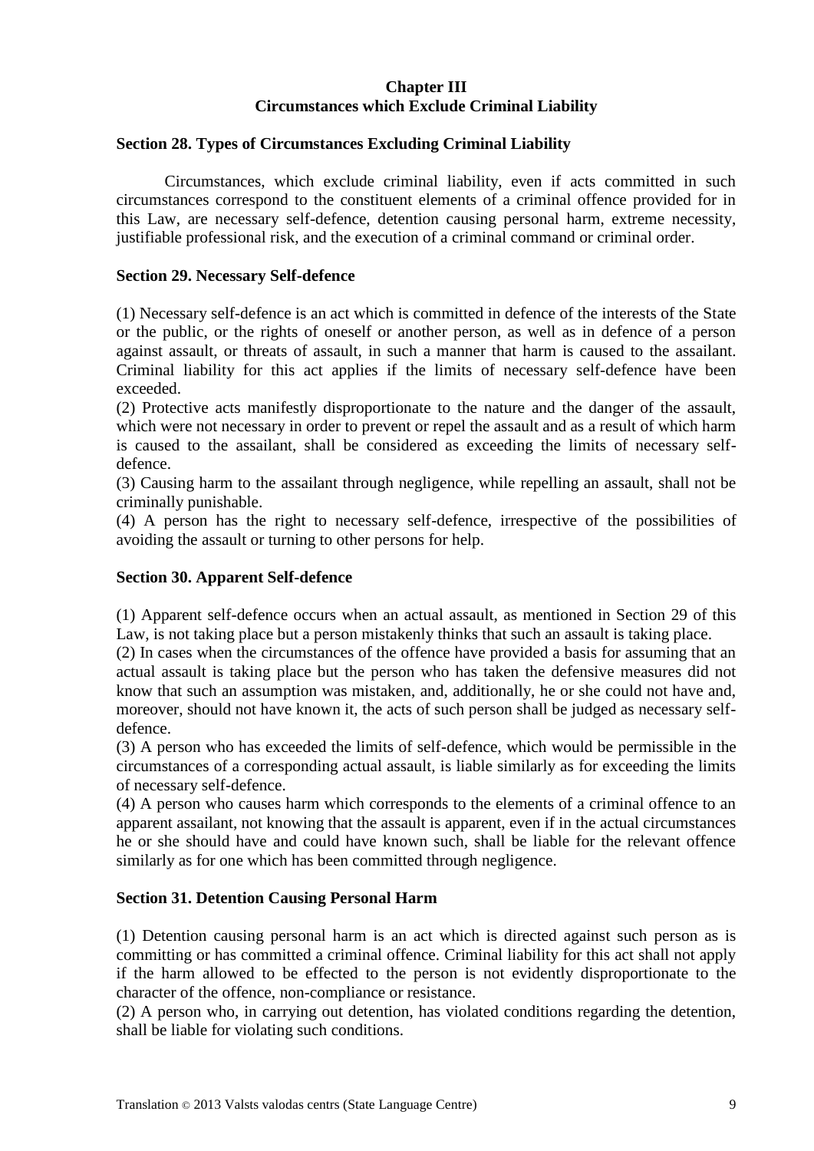# **Chapter III Circumstances which Exclude Criminal Liability**

## **Section 28. Types of Circumstances Excluding Criminal Liability**

Circumstances, which exclude criminal liability, even if acts committed in such circumstances correspond to the constituent elements of a criminal offence provided for in this Law, are necessary self-defence, detention causing personal harm, extreme necessity, justifiable professional risk, and the execution of a criminal command or criminal order.

#### **Section 29. Necessary Self-defence**

(1) Necessary self-defence is an act which is committed in defence of the interests of the State or the public, or the rights of oneself or another person, as well as in defence of a person against assault, or threats of assault, in such a manner that harm is caused to the assailant. Criminal liability for this act applies if the limits of necessary self-defence have been exceeded.

(2) Protective acts manifestly disproportionate to the nature and the danger of the assault, which were not necessary in order to prevent or repel the assault and as a result of which harm is caused to the assailant, shall be considered as exceeding the limits of necessary selfdefence.

(3) Causing harm to the assailant through negligence, while repelling an assault, shall not be criminally punishable.

(4) A person has the right to necessary self-defence, irrespective of the possibilities of avoiding the assault or turning to other persons for help.

#### **Section 30. Apparent Self-defence**

(1) Apparent self-defence occurs when an actual assault, as mentioned in Section 29 of this Law, is not taking place but a person mistakenly thinks that such an assault is taking place.

(2) In cases when the circumstances of the offence have provided a basis for assuming that an actual assault is taking place but the person who has taken the defensive measures did not know that such an assumption was mistaken, and, additionally, he or she could not have and, moreover, should not have known it, the acts of such person shall be judged as necessary selfdefence.

(3) A person who has exceeded the limits of self-defence, which would be permissible in the circumstances of a corresponding actual assault, is liable similarly as for exceeding the limits of necessary self-defence.

(4) A person who causes harm which corresponds to the elements of a criminal offence to an apparent assailant, not knowing that the assault is apparent, even if in the actual circumstances he or she should have and could have known such, shall be liable for the relevant offence similarly as for one which has been committed through negligence.

#### **Section 31. Detention Causing Personal Harm**

(1) Detention causing personal harm is an act which is directed against such person as is committing or has committed a criminal offence. Criminal liability for this act shall not apply if the harm allowed to be effected to the person is not evidently disproportionate to the character of the offence, non-compliance or resistance.

(2) A person who, in carrying out detention, has violated conditions regarding the detention, shall be liable for violating such conditions.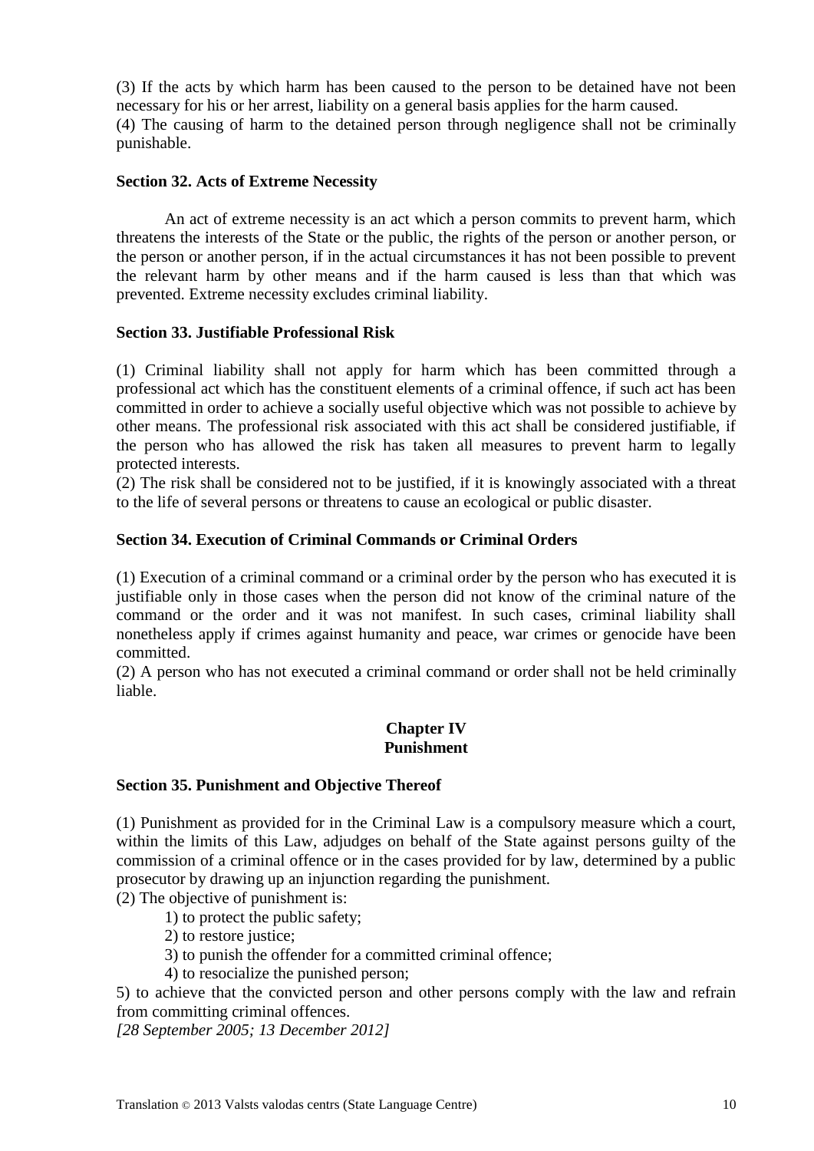(3) If the acts by which harm has been caused to the person to be detained have not been necessary for his or her arrest, liability on a general basis applies for the harm caused. (4) The causing of harm to the detained person through negligence shall not be criminally punishable.

#### **Section 32. Acts of Extreme Necessity**

An act of extreme necessity is an act which a person commits to prevent harm, which threatens the interests of the State or the public, the rights of the person or another person, or the person or another person, if in the actual circumstances it has not been possible to prevent the relevant harm by other means and if the harm caused is less than that which was prevented. Extreme necessity excludes criminal liability.

#### **Section 33. Justifiable Professional Risk**

(1) Criminal liability shall not apply for harm which has been committed through a professional act which has the constituent elements of a criminal offence, if such act has been committed in order to achieve a socially useful objective which was not possible to achieve by other means. The professional risk associated with this act shall be considered justifiable, if the person who has allowed the risk has taken all measures to prevent harm to legally protected interests.

(2) The risk shall be considered not to be justified, if it is knowingly associated with a threat to the life of several persons or threatens to cause an ecological or public disaster.

#### **Section 34. Execution of Criminal Commands or Criminal Orders**

(1) Execution of a criminal command or a criminal order by the person who has executed it is justifiable only in those cases when the person did not know of the criminal nature of the command or the order and it was not manifest. In such cases, criminal liability shall nonetheless apply if crimes against humanity and peace, war crimes or genocide have been committed.

(2) A person who has not executed a criminal command or order shall not be held criminally liable.

## **Chapter IV Punishment**

#### **Section 35. Punishment and Objective Thereof**

(1) Punishment as provided for in the Criminal Law is a compulsory measure which a court, within the limits of this Law, adjudges on behalf of the State against persons guilty of the commission of a criminal offence or in the cases provided for by law, determined by a public prosecutor by drawing up an injunction regarding the punishment.

(2) The objective of punishment is:

1) to protect the public safety;

2) to restore justice;

3) to punish the offender for a committed criminal offence;

4) to resocialize the punished person;

5) to achieve that the convicted person and other persons comply with the law and refrain from committing criminal offences.

*[28 September 2005; 13 December 2012]*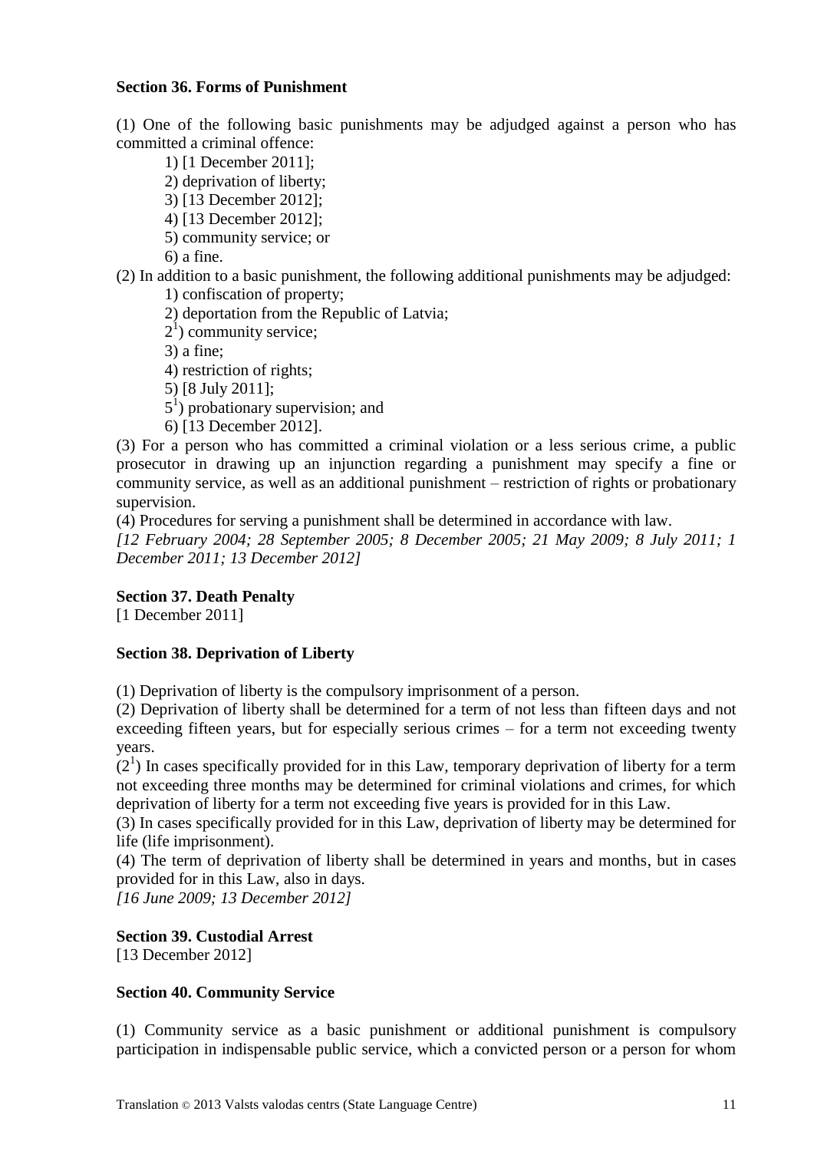### **Section 36. Forms of Punishment**

(1) One of the following basic punishments may be adjudged against a person who has committed a criminal offence:

1) [1 December 2011];

- 2) deprivation of liberty;
- 3) [13 December 2012];
- 4) [13 December 2012];
- 5) community service; or

6) a fine.

(2) In addition to a basic punishment, the following additional punishments may be adjudged: 1) confiscation of property;

- 2) deportation from the Republic of Latvia;
- $2<sup>1</sup>$ ) community service;

3) a fine;

- 4) restriction of rights;
- 5) [8 July 2011];
- $5<sup>1</sup>$ ) probationary supervision; and

6) [13 December 2012].

(3) For a person who has committed a criminal violation or a less serious crime, a public prosecutor in drawing up an injunction regarding a punishment may specify a fine or community service, as well as an additional punishment – restriction of rights or probationary supervision.

(4) Procedures for serving a punishment shall be determined in accordance with law.

*[12 February 2004; 28 September 2005; 8 December 2005; 21 May 2009; 8 July 2011; 1 December 2011; 13 December 2012]*

# **Section 37. Death Penalty**

[1 December 2011]

# **Section 38. Deprivation of Liberty**

(1) Deprivation of liberty is the compulsory imprisonment of a person.

(2) Deprivation of liberty shall be determined for a term of not less than fifteen days and not exceeding fifteen years, but for especially serious crimes – for a term not exceeding twenty years.

 $(2<sup>1</sup>)$  In cases specifically provided for in this Law, temporary deprivation of liberty for a term not exceeding three months may be determined for criminal violations and crimes, for which deprivation of liberty for a term not exceeding five years is provided for in this Law.

(3) In cases specifically provided for in this Law, deprivation of liberty may be determined for life (life imprisonment).

(4) The term of deprivation of liberty shall be determined in years and months, but in cases provided for in this Law, also in days.

*[16 June 2009; 13 December 2012]*

# **Section 39. Custodial Arrest**

[13 December 2012]

# **Section 40. Community Service**

(1) Community service as a basic punishment or additional punishment is compulsory participation in indispensable public service, which a convicted person or a person for whom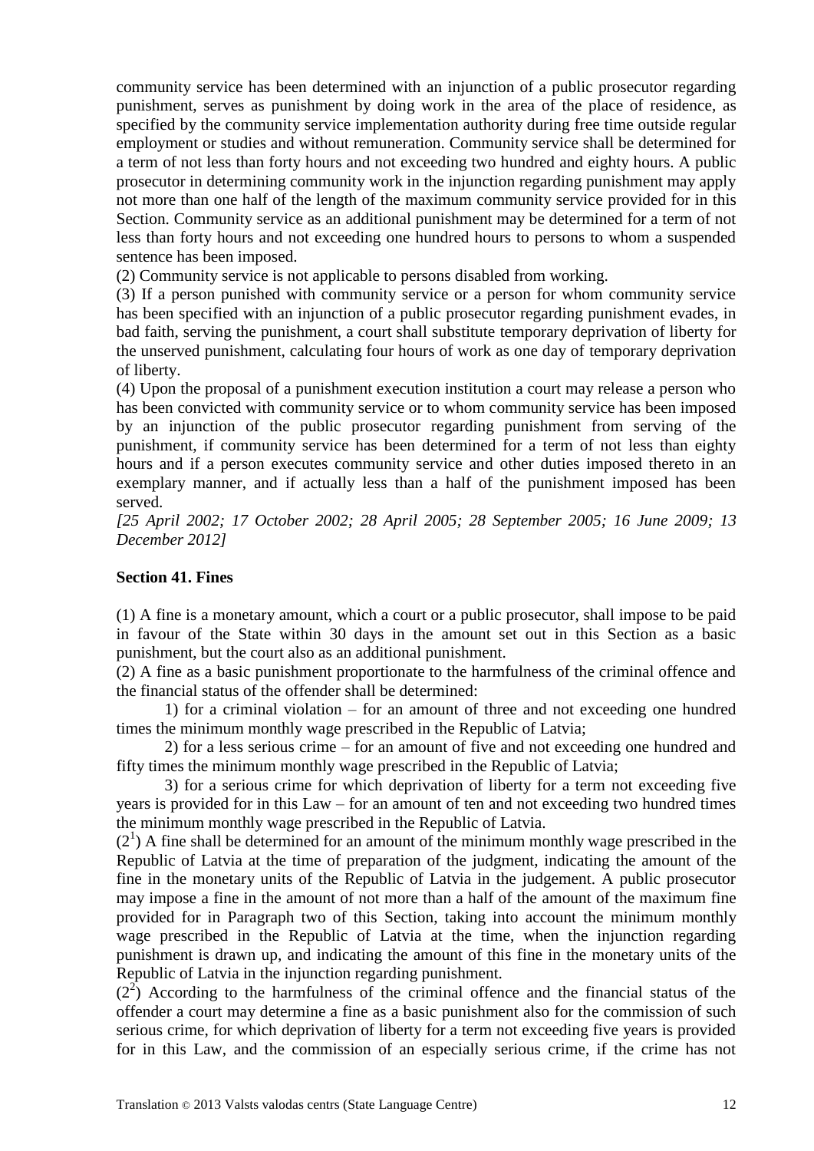community service has been determined with an injunction of a public prosecutor regarding punishment, serves as punishment by doing work in the area of the place of residence, as specified by the community service implementation authority during free time outside regular employment or studies and without remuneration. Community service shall be determined for a term of not less than forty hours and not exceeding two hundred and eighty hours. A public prosecutor in determining community work in the injunction regarding punishment may apply not more than one half of the length of the maximum community service provided for in this Section. Community service as an additional punishment may be determined for a term of not less than forty hours and not exceeding one hundred hours to persons to whom a suspended sentence has been imposed.

(2) Community service is not applicable to persons disabled from working.

(3) If a person punished with community service or a person for whom community service has been specified with an injunction of a public prosecutor regarding punishment evades, in bad faith, serving the punishment, a court shall substitute temporary deprivation of liberty for the unserved punishment, calculating four hours of work as one day of temporary deprivation of liberty.

(4) Upon the proposal of a punishment execution institution a court may release a person who has been convicted with community service or to whom community service has been imposed by an injunction of the public prosecutor regarding punishment from serving of the punishment, if community service has been determined for a term of not less than eighty hours and if a person executes community service and other duties imposed thereto in an exemplary manner, and if actually less than a half of the punishment imposed has been served.

*[25 April 2002; 17 October 2002; 28 April 2005; 28 September 2005; 16 June 2009; 13 December 2012]*

#### **Section 41. Fines**

(1) A fine is a monetary amount, which a court or a public prosecutor, shall impose to be paid in favour of the State within 30 days in the amount set out in this Section as a basic punishment, but the court also as an additional punishment.

(2) A fine as a basic punishment proportionate to the harmfulness of the criminal offence and the financial status of the offender shall be determined:

1) for a criminal violation – for an amount of three and not exceeding one hundred times the minimum monthly wage prescribed in the Republic of Latvia;

2) for a less serious crime – for an amount of five and not exceeding one hundred and fifty times the minimum monthly wage prescribed in the Republic of Latvia;

3) for a serious crime for which deprivation of liberty for a term not exceeding five years is provided for in this Law – for an amount of ten and not exceeding two hundred times the minimum monthly wage prescribed in the Republic of Latvia.

 $(2<sup>1</sup>)$  A fine shall be determined for an amount of the minimum monthly wage prescribed in the Republic of Latvia at the time of preparation of the judgment, indicating the amount of the fine in the monetary units of the Republic of Latvia in the judgement. A public prosecutor may impose a fine in the amount of not more than a half of the amount of the maximum fine provided for in Paragraph two of this Section, taking into account the minimum monthly wage prescribed in the Republic of Latvia at the time, when the injunction regarding punishment is drawn up, and indicating the amount of this fine in the monetary units of the Republic of Latvia in the injunction regarding punishment.

 $(2^2)$  According to the harmfulness of the criminal offence and the financial status of the offender a court may determine a fine as a basic punishment also for the commission of such serious crime, for which deprivation of liberty for a term not exceeding five years is provided for in this Law, and the commission of an especially serious crime, if the crime has not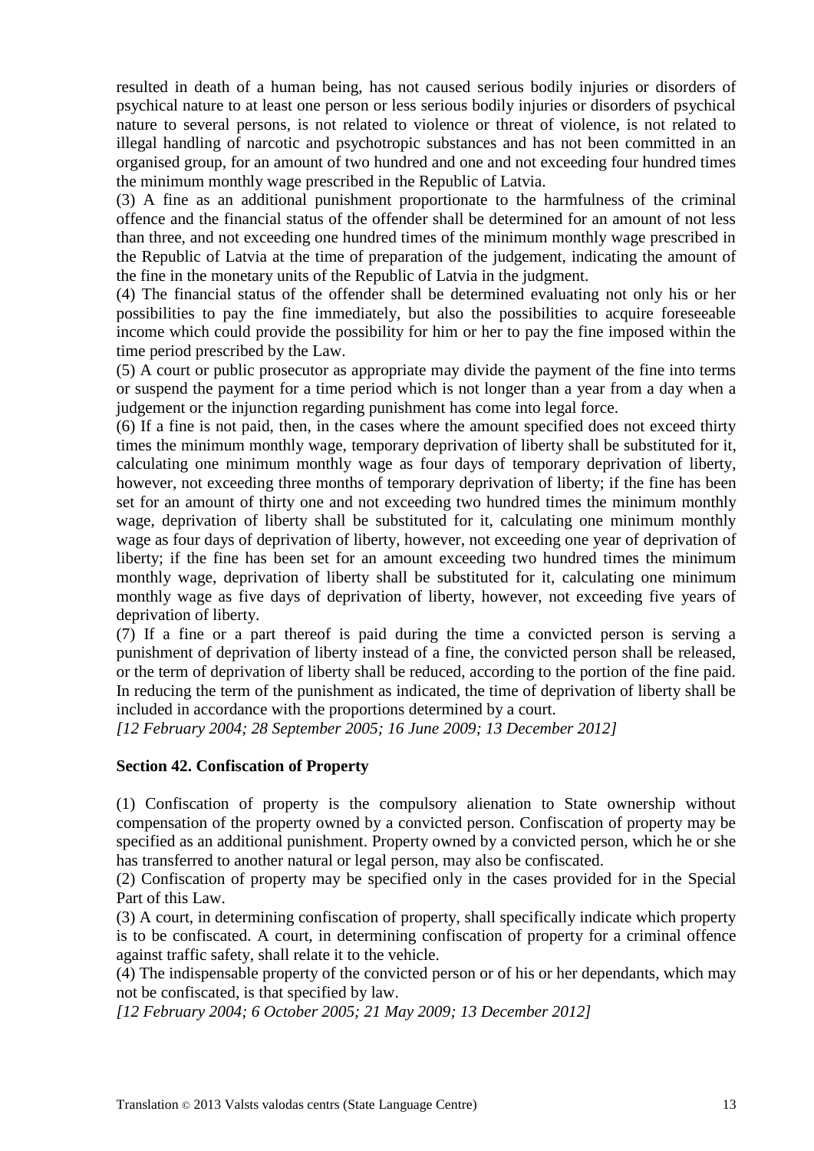resulted in death of a human being, has not caused serious bodily injuries or disorders of psychical nature to at least one person or less serious bodily injuries or disorders of psychical nature to several persons, is not related to violence or threat of violence, is not related to illegal handling of narcotic and psychotropic substances and has not been committed in an organised group, for an amount of two hundred and one and not exceeding four hundred times the minimum monthly wage prescribed in the Republic of Latvia.

(3) A fine as an additional punishment proportionate to the harmfulness of the criminal offence and the financial status of the offender shall be determined for an amount of not less than three, and not exceeding one hundred times of the minimum monthly wage prescribed in the Republic of Latvia at the time of preparation of the judgement, indicating the amount of the fine in the monetary units of the Republic of Latvia in the judgment.

(4) The financial status of the offender shall be determined evaluating not only his or her possibilities to pay the fine immediately, but also the possibilities to acquire foreseeable income which could provide the possibility for him or her to pay the fine imposed within the time period prescribed by the Law.

(5) A court or public prosecutor as appropriate may divide the payment of the fine into terms or suspend the payment for a time period which is not longer than a year from a day when a judgement or the injunction regarding punishment has come into legal force.

(6) If a fine is not paid, then, in the cases where the amount specified does not exceed thirty times the minimum monthly wage, temporary deprivation of liberty shall be substituted for it, calculating one minimum monthly wage as four days of temporary deprivation of liberty, however, not exceeding three months of temporary deprivation of liberty; if the fine has been set for an amount of thirty one and not exceeding two hundred times the minimum monthly wage, deprivation of liberty shall be substituted for it, calculating one minimum monthly wage as four days of deprivation of liberty, however, not exceeding one year of deprivation of liberty; if the fine has been set for an amount exceeding two hundred times the minimum monthly wage, deprivation of liberty shall be substituted for it, calculating one minimum monthly wage as five days of deprivation of liberty, however, not exceeding five years of deprivation of liberty.

(7) If a fine or a part thereof is paid during the time a convicted person is serving a punishment of deprivation of liberty instead of a fine, the convicted person shall be released, or the term of deprivation of liberty shall be reduced, according to the portion of the fine paid. In reducing the term of the punishment as indicated, the time of deprivation of liberty shall be included in accordance with the proportions determined by a court.

*[12 February 2004; 28 September 2005; 16 June 2009; 13 December 2012]*

# **Section 42. Confiscation of Property**

(1) Confiscation of property is the compulsory alienation to State ownership without compensation of the property owned by a convicted person. Confiscation of property may be specified as an additional punishment. Property owned by a convicted person, which he or she has transferred to another natural or legal person, may also be confiscated.

(2) Confiscation of property may be specified only in the cases provided for in the Special Part of this Law.

(3) A court, in determining confiscation of property, shall specifically indicate which property is to be confiscated. A court, in determining confiscation of property for a criminal offence against traffic safety, shall relate it to the vehicle.

(4) The indispensable property of the convicted person or of his or her dependants, which may not be confiscated, is that specified by law.

*[12 February 2004; 6 October 2005; 21 May 2009; 13 December 2012]*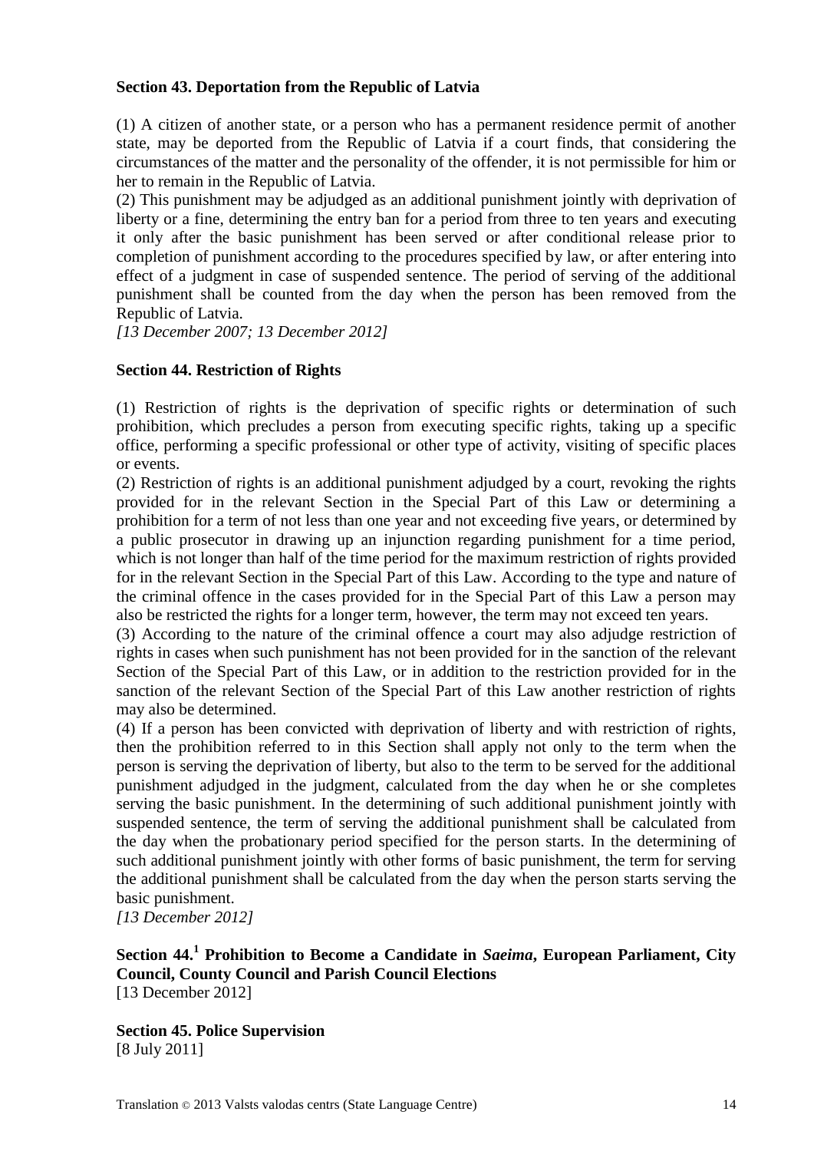# **Section 43. Deportation from the Republic of Latvia**

(1) A citizen of another state, or a person who has a permanent residence permit of another state, may be deported from the Republic of Latvia if a court finds, that considering the circumstances of the matter and the personality of the offender, it is not permissible for him or her to remain in the Republic of Latvia.

(2) This punishment may be adjudged as an additional punishment jointly with deprivation of liberty or a fine, determining the entry ban for a period from three to ten years and executing it only after the basic punishment has been served or after conditional release prior to completion of punishment according to the procedures specified by law, or after entering into effect of a judgment in case of suspended sentence. The period of serving of the additional punishment shall be counted from the day when the person has been removed from the Republic of Latvia.

*[13 December 2007; 13 December 2012]*

## **Section 44. Restriction of Rights**

(1) Restriction of rights is the deprivation of specific rights or determination of such prohibition, which precludes a person from executing specific rights, taking up a specific office, performing a specific professional or other type of activity, visiting of specific places or events.

(2) Restriction of rights is an additional punishment adjudged by a court, revoking the rights provided for in the relevant Section in the Special Part of this Law or determining a prohibition for a term of not less than one year and not exceeding five years, or determined by a public prosecutor in drawing up an injunction regarding punishment for a time period, which is not longer than half of the time period for the maximum restriction of rights provided for in the relevant Section in the Special Part of this Law. According to the type and nature of the criminal offence in the cases provided for in the Special Part of this Law a person may also be restricted the rights for a longer term, however, the term may not exceed ten years.

(3) According to the nature of the criminal offence a court may also adjudge restriction of rights in cases when such punishment has not been provided for in the sanction of the relevant Section of the Special Part of this Law, or in addition to the restriction provided for in the sanction of the relevant Section of the Special Part of this Law another restriction of rights may also be determined.

(4) If a person has been convicted with deprivation of liberty and with restriction of rights, then the prohibition referred to in this Section shall apply not only to the term when the person is serving the deprivation of liberty, but also to the term to be served for the additional punishment adjudged in the judgment, calculated from the day when he or she completes serving the basic punishment. In the determining of such additional punishment jointly with suspended sentence, the term of serving the additional punishment shall be calculated from the day when the probationary period specified for the person starts. In the determining of such additional punishment jointly with other forms of basic punishment, the term for serving the additional punishment shall be calculated from the day when the person starts serving the basic punishment.

*[13 December 2012]*

# **Section 44.<sup>1</sup> Prohibition to Become a Candidate in** *Saeima***, European Parliament, City Council, County Council and Parish Council Elections** [13 December 2012]

**Section 45. Police Supervision** [8 July 2011]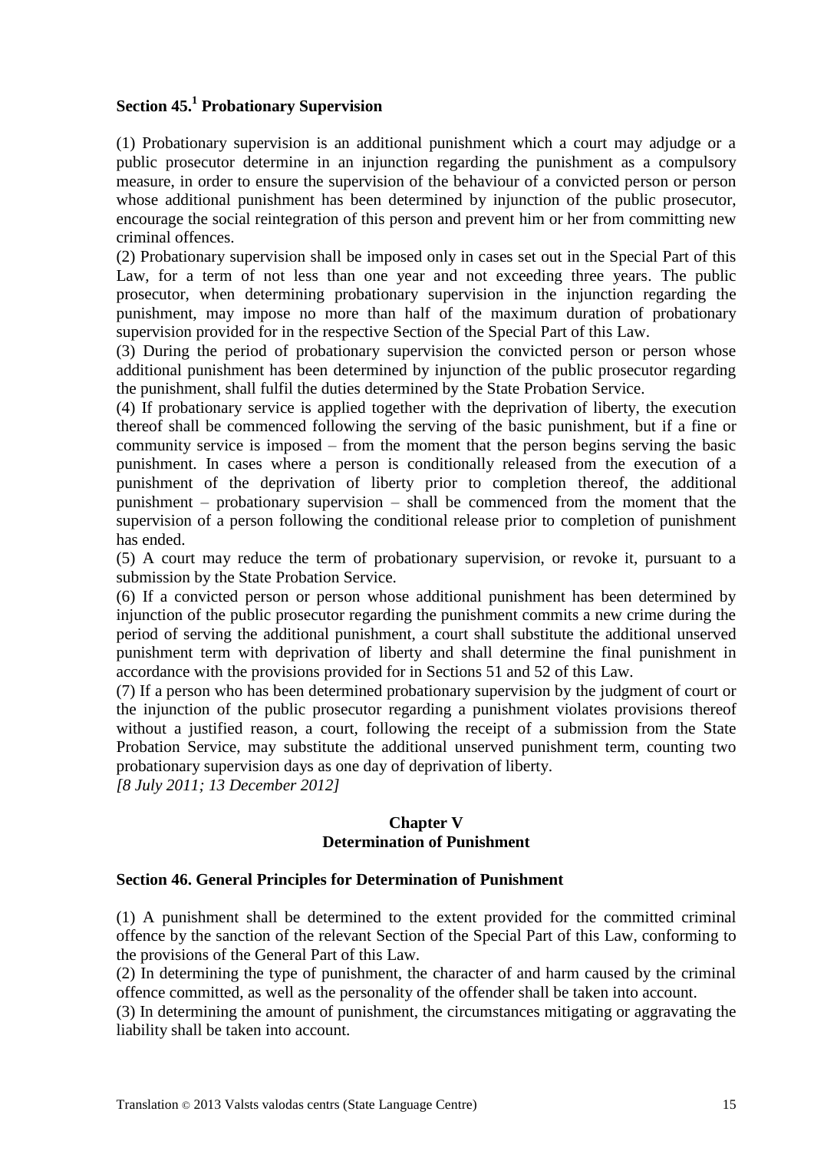# **Section 45. 1 Probationary Supervision**

(1) Probationary supervision is an additional punishment which a court may adjudge or a public prosecutor determine in an injunction regarding the punishment as a compulsory measure, in order to ensure the supervision of the behaviour of a convicted person or person whose additional punishment has been determined by injunction of the public prosecutor, encourage the social reintegration of this person and prevent him or her from committing new criminal offences.

(2) Probationary supervision shall be imposed only in cases set out in the Special Part of this Law, for a term of not less than one year and not exceeding three years. The public prosecutor, when determining probationary supervision in the injunction regarding the punishment, may impose no more than half of the maximum duration of probationary supervision provided for in the respective Section of the Special Part of this Law.

(3) During the period of probationary supervision the convicted person or person whose additional punishment has been determined by injunction of the public prosecutor regarding the punishment, shall fulfil the duties determined by the State Probation Service.

(4) If probationary service is applied together with the deprivation of liberty, the execution thereof shall be commenced following the serving of the basic punishment, but if a fine or community service is imposed – from the moment that the person begins serving the basic punishment. In cases where a person is conditionally released from the execution of a punishment of the deprivation of liberty prior to completion thereof, the additional punishment – probationary supervision – shall be commenced from the moment that the supervision of a person following the conditional release prior to completion of punishment has ended.

(5) A court may reduce the term of probationary supervision, or revoke it, pursuant to a submission by the State Probation Service.

(6) If a convicted person or person whose additional punishment has been determined by injunction of the public prosecutor regarding the punishment commits a new crime during the period of serving the additional punishment, a court shall substitute the additional unserved punishment term with deprivation of liberty and shall determine the final punishment in accordance with the provisions provided for in Sections 51 and 52 of this Law.

(7) If a person who has been determined probationary supervision by the judgment of court or the injunction of the public prosecutor regarding a punishment violates provisions thereof without a justified reason, a court, following the receipt of a submission from the State Probation Service, may substitute the additional unserved punishment term, counting two probationary supervision days as one day of deprivation of liberty.

*[8 July 2011; 13 December 2012]*

## **Chapter V Determination of Punishment**

#### **Section 46. General Principles for Determination of Punishment**

(1) A punishment shall be determined to the extent provided for the committed criminal offence by the sanction of the relevant Section of the Special Part of this Law, conforming to the provisions of the General Part of this Law.

(2) In determining the type of punishment, the character of and harm caused by the criminal offence committed, as well as the personality of the offender shall be taken into account.

(3) In determining the amount of punishment, the circumstances mitigating or aggravating the liability shall be taken into account.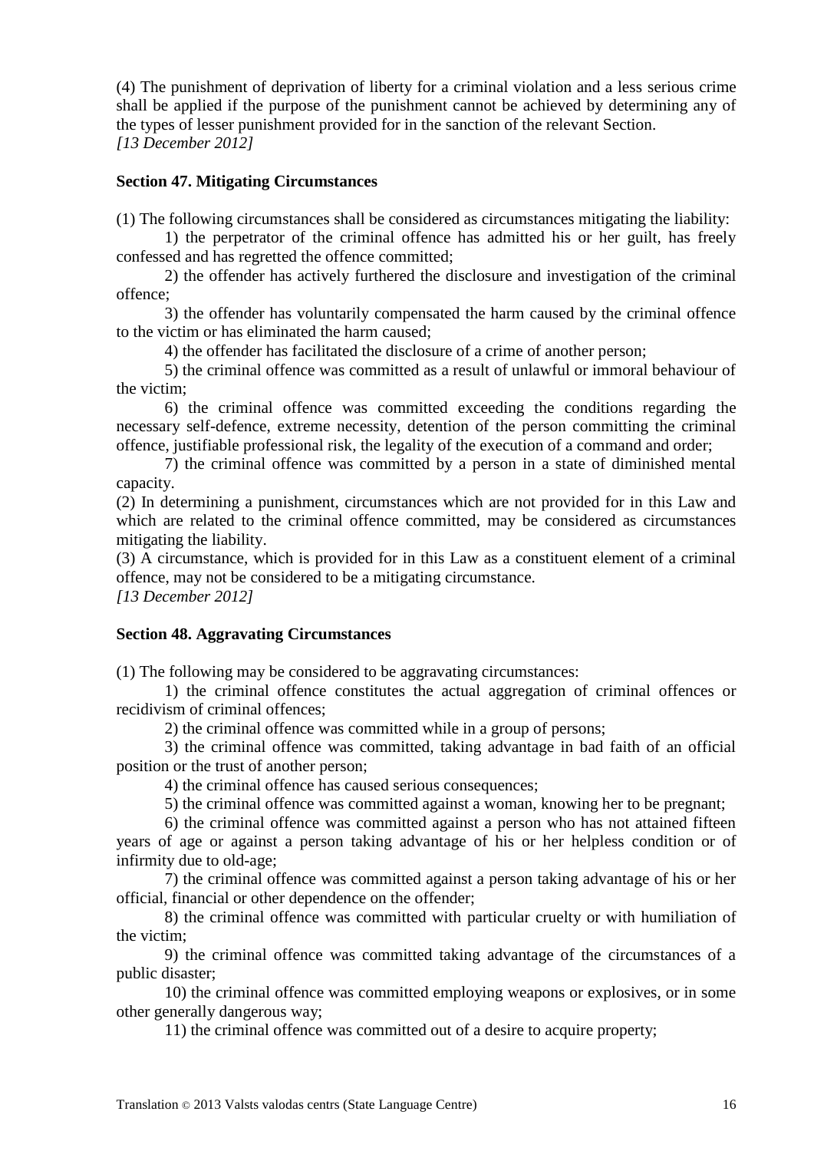(4) The punishment of deprivation of liberty for a criminal violation and a less serious crime shall be applied if the purpose of the punishment cannot be achieved by determining any of the types of lesser punishment provided for in the sanction of the relevant Section. *[13 December 2012]*

# **Section 47. Mitigating Circumstances**

(1) The following circumstances shall be considered as circumstances mitigating the liability:

1) the perpetrator of the criminal offence has admitted his or her guilt, has freely confessed and has regretted the offence committed;

2) the offender has actively furthered the disclosure and investigation of the criminal offence;

3) the offender has voluntarily compensated the harm caused by the criminal offence to the victim or has eliminated the harm caused;

4) the offender has facilitated the disclosure of a crime of another person;

5) the criminal offence was committed as a result of unlawful or immoral behaviour of the victim;

6) the criminal offence was committed exceeding the conditions regarding the necessary self-defence, extreme necessity, detention of the person committing the criminal offence, justifiable professional risk, the legality of the execution of a command and order;

7) the criminal offence was committed by a person in a state of diminished mental capacity.

(2) In determining a punishment, circumstances which are not provided for in this Law and which are related to the criminal offence committed, may be considered as circumstances mitigating the liability.

(3) A circumstance, which is provided for in this Law as a constituent element of a criminal offence, may not be considered to be a mitigating circumstance.

*[13 December 2012]*

#### **Section 48. Aggravating Circumstances**

(1) The following may be considered to be aggravating circumstances:

1) the criminal offence constitutes the actual aggregation of criminal offences or recidivism of criminal offences;

2) the criminal offence was committed while in a group of persons;

3) the criminal offence was committed, taking advantage in bad faith of an official position or the trust of another person;

4) the criminal offence has caused serious consequences;

5) the criminal offence was committed against a woman, knowing her to be pregnant;

6) the criminal offence was committed against a person who has not attained fifteen years of age or against a person taking advantage of his or her helpless condition or of infirmity due to old-age;

7) the criminal offence was committed against a person taking advantage of his or her official, financial or other dependence on the offender;

8) the criminal offence was committed with particular cruelty or with humiliation of the victim;

9) the criminal offence was committed taking advantage of the circumstances of a public disaster;

10) the criminal offence was committed employing weapons or explosives, or in some other generally dangerous way;

11) the criminal offence was committed out of a desire to acquire property;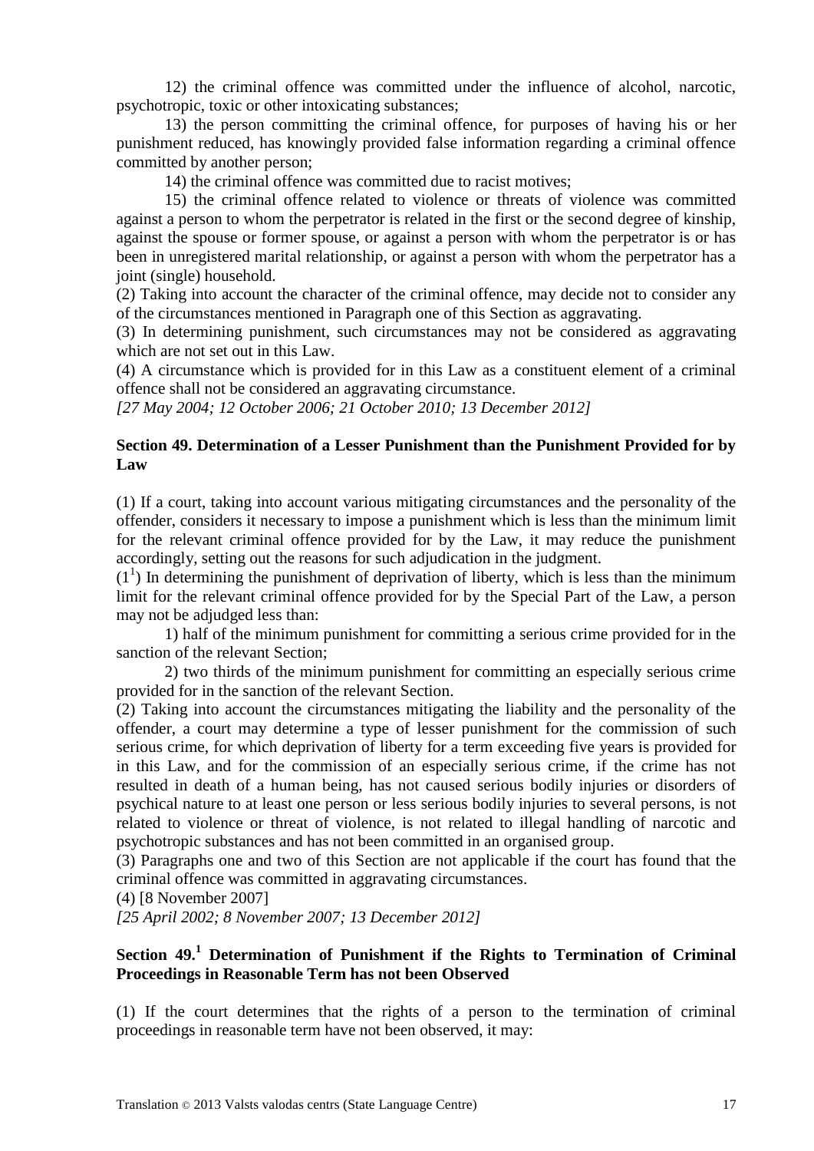12) the criminal offence was committed under the influence of alcohol, narcotic, psychotropic, toxic or other intoxicating substances;

13) the person committing the criminal offence, for purposes of having his or her punishment reduced, has knowingly provided false information regarding a criminal offence committed by another person;

14) the criminal offence was committed due to racist motives;

15) the criminal offence related to violence or threats of violence was committed against a person to whom the perpetrator is related in the first or the second degree of kinship, against the spouse or former spouse, or against a person with whom the perpetrator is or has been in unregistered marital relationship, or against a person with whom the perpetrator has a joint (single) household.

(2) Taking into account the character of the criminal offence, may decide not to consider any of the circumstances mentioned in Paragraph one of this Section as aggravating.

(3) In determining punishment, such circumstances may not be considered as aggravating which are not set out in this Law.

(4) A circumstance which is provided for in this Law as a constituent element of a criminal offence shall not be considered an aggravating circumstance.

*[27 May 2004; 12 October 2006; 21 October 2010; 13 December 2012]*

### **Section 49. Determination of a Lesser Punishment than the Punishment Provided for by Law**

(1) If a court, taking into account various mitigating circumstances and the personality of the offender, considers it necessary to impose a punishment which is less than the minimum limit for the relevant criminal offence provided for by the Law, it may reduce the punishment accordingly, setting out the reasons for such adjudication in the judgment.

 $(1<sup>1</sup>)$  In determining the punishment of deprivation of liberty, which is less than the minimum limit for the relevant criminal offence provided for by the Special Part of the Law, a person may not be adjudged less than:

1) half of the minimum punishment for committing a serious crime provided for in the sanction of the relevant Section;

2) two thirds of the minimum punishment for committing an especially serious crime provided for in the sanction of the relevant Section.

(2) Taking into account the circumstances mitigating the liability and the personality of the offender, a court may determine a type of lesser punishment for the commission of such serious crime, for which deprivation of liberty for a term exceeding five years is provided for in this Law, and for the commission of an especially serious crime, if the crime has not resulted in death of a human being, has not caused serious bodily injuries or disorders of psychical nature to at least one person or less serious bodily injuries to several persons, is not related to violence or threat of violence, is not related to illegal handling of narcotic and psychotropic substances and has not been committed in an organised group.

(3) Paragraphs one and two of this Section are not applicable if the court has found that the criminal offence was committed in aggravating circumstances.

(4) [8 November 2007]

*[25 April 2002; 8 November 2007; 13 December 2012]*

# **Section 49.<sup>1</sup> Determination of Punishment if the Rights to Termination of Criminal Proceedings in Reasonable Term has not been Observed**

(1) If the court determines that the rights of a person to the termination of criminal proceedings in reasonable term have not been observed, it may: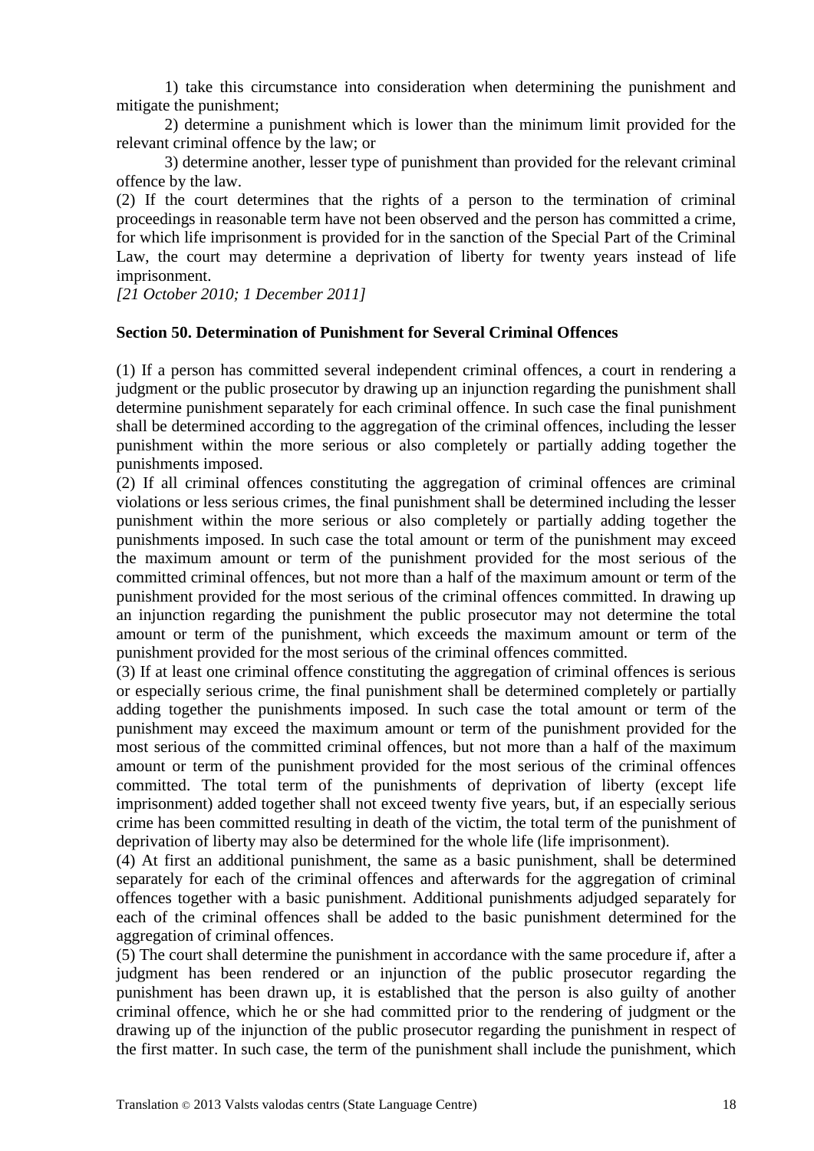1) take this circumstance into consideration when determining the punishment and mitigate the punishment;

2) determine a punishment which is lower than the minimum limit provided for the relevant criminal offence by the law; or

3) determine another, lesser type of punishment than provided for the relevant criminal offence by the law.

(2) If the court determines that the rights of a person to the termination of criminal proceedings in reasonable term have not been observed and the person has committed a crime, for which life imprisonment is provided for in the sanction of the Special Part of the Criminal Law, the court may determine a deprivation of liberty for twenty years instead of life imprisonment.

*[21 October 2010; 1 December 2011]*

#### **Section 50. Determination of Punishment for Several Criminal Offences**

(1) If a person has committed several independent criminal offences, a court in rendering a judgment or the public prosecutor by drawing up an injunction regarding the punishment shall determine punishment separately for each criminal offence. In such case the final punishment shall be determined according to the aggregation of the criminal offences, including the lesser punishment within the more serious or also completely or partially adding together the punishments imposed.

(2) If all criminal offences constituting the aggregation of criminal offences are criminal violations or less serious crimes, the final punishment shall be determined including the lesser punishment within the more serious or also completely or partially adding together the punishments imposed. In such case the total amount or term of the punishment may exceed the maximum amount or term of the punishment provided for the most serious of the committed criminal offences, but not more than a half of the maximum amount or term of the punishment provided for the most serious of the criminal offences committed. In drawing up an injunction regarding the punishment the public prosecutor may not determine the total amount or term of the punishment, which exceeds the maximum amount or term of the punishment provided for the most serious of the criminal offences committed.

(3) If at least one criminal offence constituting the aggregation of criminal offences is serious or especially serious crime, the final punishment shall be determined completely or partially adding together the punishments imposed. In such case the total amount or term of the punishment may exceed the maximum amount or term of the punishment provided for the most serious of the committed criminal offences, but not more than a half of the maximum amount or term of the punishment provided for the most serious of the criminal offences committed. The total term of the punishments of deprivation of liberty (except life imprisonment) added together shall not exceed twenty five years, but, if an especially serious crime has been committed resulting in death of the victim, the total term of the punishment of deprivation of liberty may also be determined for the whole life (life imprisonment).

(4) At first an additional punishment, the same as a basic punishment, shall be determined separately for each of the criminal offences and afterwards for the aggregation of criminal offences together with a basic punishment. Additional punishments adjudged separately for each of the criminal offences shall be added to the basic punishment determined for the aggregation of criminal offences.

(5) The court shall determine the punishment in accordance with the same procedure if, after a judgment has been rendered or an injunction of the public prosecutor regarding the punishment has been drawn up, it is established that the person is also guilty of another criminal offence, which he or she had committed prior to the rendering of judgment or the drawing up of the injunction of the public prosecutor regarding the punishment in respect of the first matter. In such case, the term of the punishment shall include the punishment, which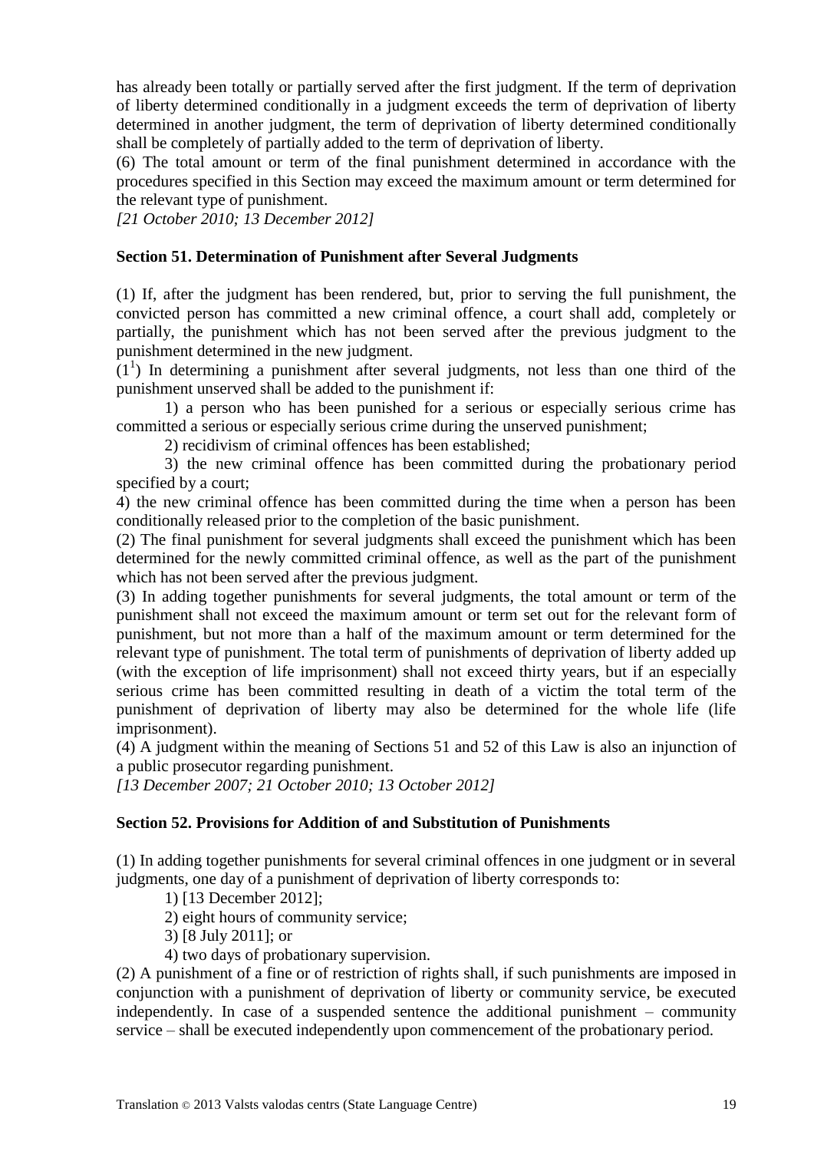has already been totally or partially served after the first judgment. If the term of deprivation of liberty determined conditionally in a judgment exceeds the term of deprivation of liberty determined in another judgment, the term of deprivation of liberty determined conditionally shall be completely of partially added to the term of deprivation of liberty.

(6) The total amount or term of the final punishment determined in accordance with the procedures specified in this Section may exceed the maximum amount or term determined for the relevant type of punishment.

*[21 October 2010; 13 December 2012]*

# **Section 51. Determination of Punishment after Several Judgments**

(1) If, after the judgment has been rendered, but, prior to serving the full punishment, the convicted person has committed a new criminal offence, a court shall add, completely or partially, the punishment which has not been served after the previous judgment to the punishment determined in the new judgment.

 $(1<sup>1</sup>)$  In determining a punishment after several judgments, not less than one third of the punishment unserved shall be added to the punishment if:

1) a person who has been punished for a serious or especially serious crime has committed a serious or especially serious crime during the unserved punishment;

2) recidivism of criminal offences has been established;

3) the new criminal offence has been committed during the probationary period specified by a court;

4) the new criminal offence has been committed during the time when a person has been conditionally released prior to the completion of the basic punishment.

(2) The final punishment for several judgments shall exceed the punishment which has been determined for the newly committed criminal offence, as well as the part of the punishment which has not been served after the previous judgment.

(3) In adding together punishments for several judgments, the total amount or term of the punishment shall not exceed the maximum amount or term set out for the relevant form of punishment, but not more than a half of the maximum amount or term determined for the relevant type of punishment. The total term of punishments of deprivation of liberty added up (with the exception of life imprisonment) shall not exceed thirty years, but if an especially serious crime has been committed resulting in death of a victim the total term of the punishment of deprivation of liberty may also be determined for the whole life (life imprisonment).

(4) A judgment within the meaning of Sections 51 and 52 of this Law is also an injunction of a public prosecutor regarding punishment.

*[13 December 2007; 21 October 2010; 13 October 2012]*

# **Section 52. Provisions for Addition of and Substitution of Punishments**

(1) In adding together punishments for several criminal offences in one judgment or in several judgments, one day of a punishment of deprivation of liberty corresponds to:

1) [13 December 2012];

2) eight hours of community service;

3) [8 July 2011]; or

4) two days of probationary supervision.

(2) A punishment of a fine or of restriction of rights shall, if such punishments are imposed in conjunction with a punishment of deprivation of liberty or community service, be executed independently. In case of a suspended sentence the additional punishment – community service – shall be executed independently upon commencement of the probationary period.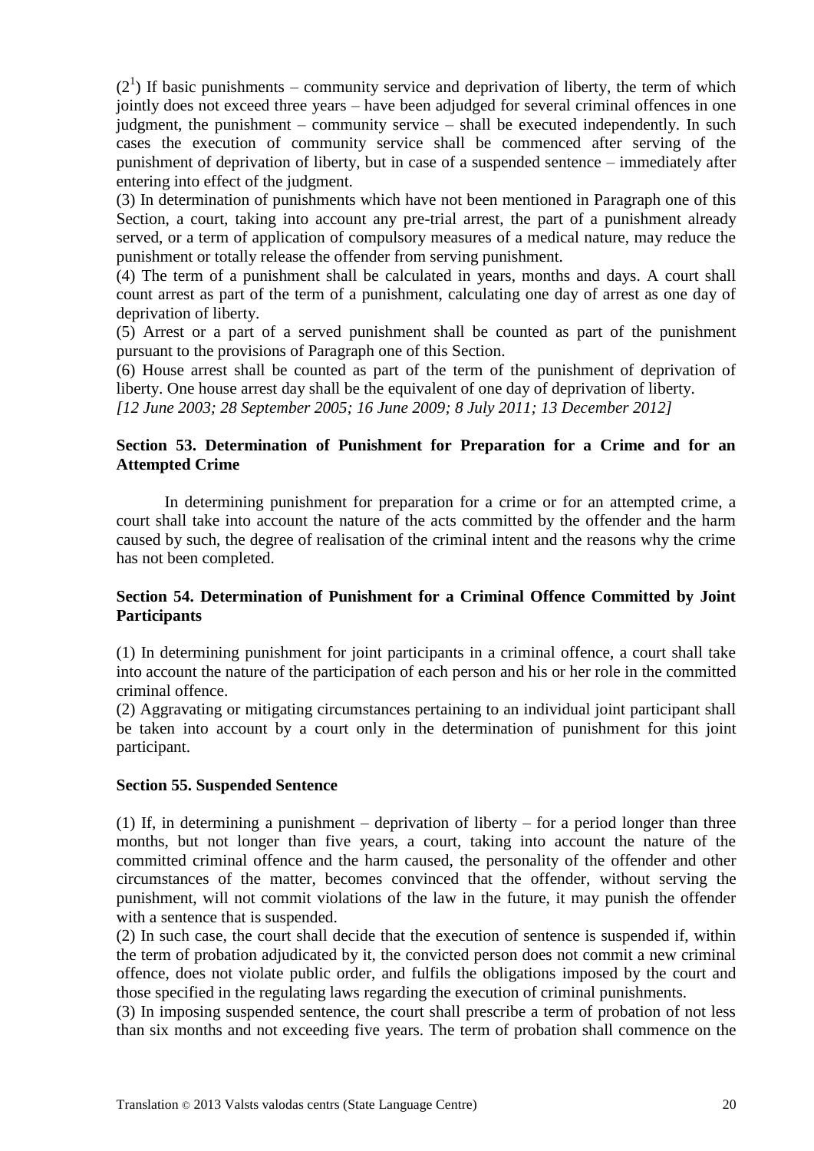$(2<sup>1</sup>)$  If basic punishments – community service and deprivation of liberty, the term of which jointly does not exceed three years – have been adjudged for several criminal offences in one judgment, the punishment – community service – shall be executed independently. In such cases the execution of community service shall be commenced after serving of the punishment of deprivation of liberty, but in case of a suspended sentence – immediately after entering into effect of the judgment.

(3) In determination of punishments which have not been mentioned in Paragraph one of this Section, a court, taking into account any pre-trial arrest, the part of a punishment already served, or a term of application of compulsory measures of a medical nature, may reduce the punishment or totally release the offender from serving punishment.

(4) The term of a punishment shall be calculated in years, months and days. A court shall count arrest as part of the term of a punishment, calculating one day of arrest as one day of deprivation of liberty.

(5) Arrest or a part of a served punishment shall be counted as part of the punishment pursuant to the provisions of Paragraph one of this Section.

(6) House arrest shall be counted as part of the term of the punishment of deprivation of liberty. One house arrest day shall be the equivalent of one day of deprivation of liberty.

*[12 June 2003; 28 September 2005; 16 June 2009; 8 July 2011; 13 December 2012]* 

## **Section 53. Determination of Punishment for Preparation for a Crime and for an Attempted Crime**

In determining punishment for preparation for a crime or for an attempted crime, a court shall take into account the nature of the acts committed by the offender and the harm caused by such, the degree of realisation of the criminal intent and the reasons why the crime has not been completed.

# **Section 54. Determination of Punishment for a Criminal Offence Committed by Joint Participants**

(1) In determining punishment for joint participants in a criminal offence, a court shall take into account the nature of the participation of each person and his or her role in the committed criminal offence.

(2) Aggravating or mitigating circumstances pertaining to an individual joint participant shall be taken into account by a court only in the determination of punishment for this joint participant.

#### **Section 55. Suspended Sentence**

(1) If, in determining a punishment – deprivation of liberty – for a period longer than three months, but not longer than five years, a court, taking into account the nature of the committed criminal offence and the harm caused, the personality of the offender and other circumstances of the matter, becomes convinced that the offender, without serving the punishment, will not commit violations of the law in the future, it may punish the offender with a sentence that is suspended.

(2) In such case, the court shall decide that the execution of sentence is suspended if, within the term of probation adjudicated by it, the convicted person does not commit a new criminal offence, does not violate public order, and fulfils the obligations imposed by the court and those specified in the regulating laws regarding the execution of criminal punishments.

(3) In imposing suspended sentence, the court shall prescribe a term of probation of not less than six months and not exceeding five years. The term of probation shall commence on the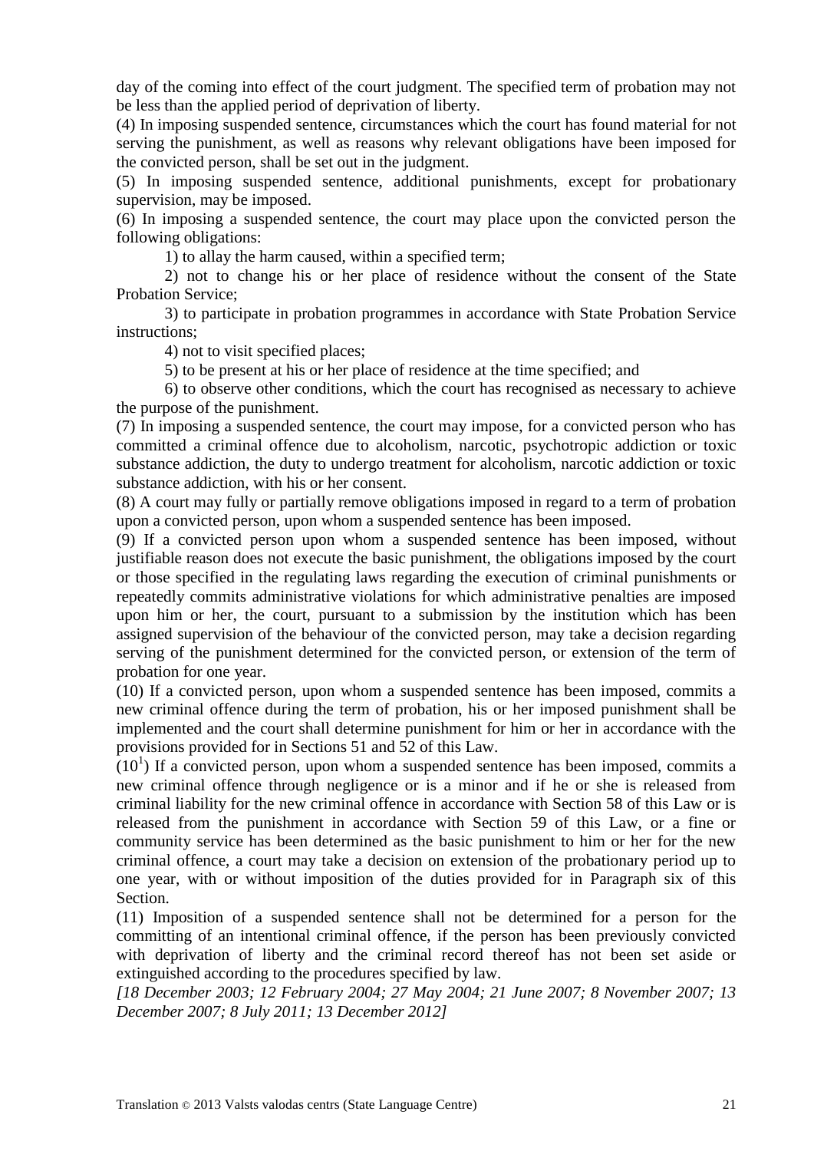day of the coming into effect of the court judgment. The specified term of probation may not be less than the applied period of deprivation of liberty.

(4) In imposing suspended sentence, circumstances which the court has found material for not serving the punishment, as well as reasons why relevant obligations have been imposed for the convicted person, shall be set out in the judgment.

(5) In imposing suspended sentence, additional punishments, except for probationary supervision, may be imposed.

(6) In imposing a suspended sentence, the court may place upon the convicted person the following obligations:

1) to allay the harm caused, within a specified term;

2) not to change his or her place of residence without the consent of the State Probation Service;

3) to participate in probation programmes in accordance with State Probation Service instructions;

4) not to visit specified places;

5) to be present at his or her place of residence at the time specified; and

6) to observe other conditions, which the court has recognised as necessary to achieve the purpose of the punishment.

(7) In imposing a suspended sentence, the court may impose, for a convicted person who has committed a criminal offence due to alcoholism, narcotic, psychotropic addiction or toxic substance addiction, the duty to undergo treatment for alcoholism, narcotic addiction or toxic substance addiction, with his or her consent.

(8) A court may fully or partially remove obligations imposed in regard to a term of probation upon a convicted person, upon whom a suspended sentence has been imposed.

(9) If a convicted person upon whom a suspended sentence has been imposed, without justifiable reason does not execute the basic punishment, the obligations imposed by the court or those specified in the regulating laws regarding the execution of criminal punishments or repeatedly commits administrative violations for which administrative penalties are imposed upon him or her, the court, pursuant to a submission by the institution which has been assigned supervision of the behaviour of the convicted person, may take a decision regarding serving of the punishment determined for the convicted person, or extension of the term of probation for one year.

(10) If a convicted person, upon whom a suspended sentence has been imposed, commits a new criminal offence during the term of probation, his or her imposed punishment shall be implemented and the court shall determine punishment for him or her in accordance with the provisions provided for in Sections 51 and 52 of this Law.

 $(10<sup>1</sup>)$  If a convicted person, upon whom a suspended sentence has been imposed, commits a new criminal offence through negligence or is a minor and if he or she is released from criminal liability for the new criminal offence in accordance with Section 58 of this Law or is released from the punishment in accordance with Section 59 of this Law, or a fine or community service has been determined as the basic punishment to him or her for the new criminal offence, a court may take a decision on extension of the probationary period up to one year, with or without imposition of the duties provided for in Paragraph six of this Section.

(11) Imposition of a suspended sentence shall not be determined for a person for the committing of an intentional criminal offence, if the person has been previously convicted with deprivation of liberty and the criminal record thereof has not been set aside or extinguished according to the procedures specified by law.

*[18 December 2003; 12 February 2004; 27 May 2004; 21 June 2007; 8 November 2007; 13 December 2007; 8 July 2011; 13 December 2012]*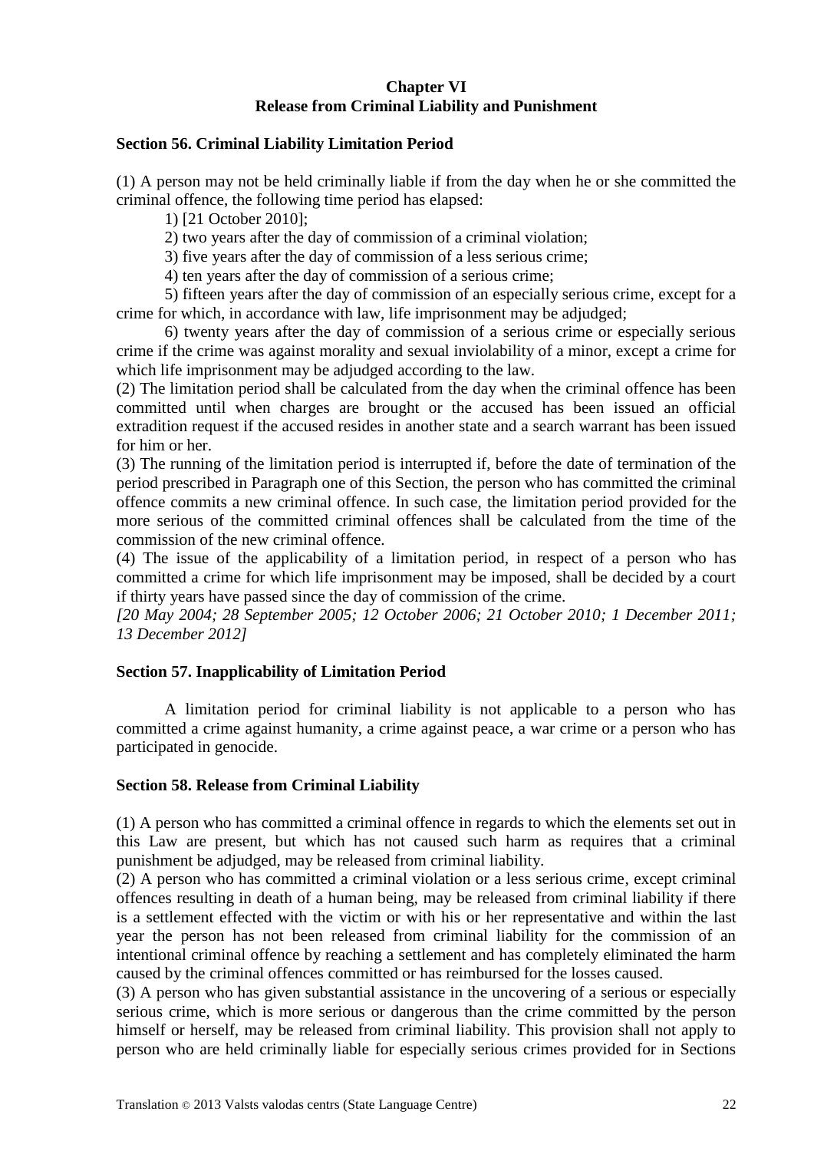# **Chapter VI Release from Criminal Liability and Punishment**

#### **Section 56. Criminal Liability Limitation Period**

(1) A person may not be held criminally liable if from the day when he or she committed the criminal offence, the following time period has elapsed:

1) [21 October 2010];

2) two years after the day of commission of a criminal violation;

3) five years after the day of commission of a less serious crime;

4) ten years after the day of commission of a serious crime;

5) fifteen years after the day of commission of an especially serious crime, except for a crime for which, in accordance with law, life imprisonment may be adjudged;

6) twenty years after the day of commission of a serious crime or especially serious crime if the crime was against morality and sexual inviolability of a minor, except a crime for which life imprisonment may be adjudged according to the law.

(2) The limitation period shall be calculated from the day when the criminal offence has been committed until when charges are brought or the accused has been issued an official extradition request if the accused resides in another state and a search warrant has been issued for him or her.

(3) The running of the limitation period is interrupted if, before the date of termination of the period prescribed in Paragraph one of this Section, the person who has committed the criminal offence commits a new criminal offence. In such case, the limitation period provided for the more serious of the committed criminal offences shall be calculated from the time of the commission of the new criminal offence.

(4) The issue of the applicability of a limitation period, in respect of a person who has committed a crime for which life imprisonment may be imposed, shall be decided by a court if thirty years have passed since the day of commission of the crime.

*[20 May 2004; 28 September 2005; 12 October 2006; 21 October 2010; 1 December 2011; 13 December 2012]*

# **Section 57. Inapplicability of Limitation Period**

A limitation period for criminal liability is not applicable to a person who has committed a crime against humanity, a crime against peace, a war crime or a person who has participated in genocide.

#### **Section 58. Release from Criminal Liability**

(1) A person who has committed a criminal offence in regards to which the elements set out in this Law are present, but which has not caused such harm as requires that a criminal punishment be adjudged, may be released from criminal liability.

(2) A person who has committed a criminal violation or a less serious crime, except criminal offences resulting in death of a human being, may be released from criminal liability if there is a settlement effected with the victim or with his or her representative and within the last year the person has not been released from criminal liability for the commission of an intentional criminal offence by reaching a settlement and has completely eliminated the harm caused by the criminal offences committed or has reimbursed for the losses caused.

(3) A person who has given substantial assistance in the uncovering of a serious or especially serious crime, which is more serious or dangerous than the crime committed by the person himself or herself, may be released from criminal liability. This provision shall not apply to person who are held criminally liable for especially serious crimes provided for in Sections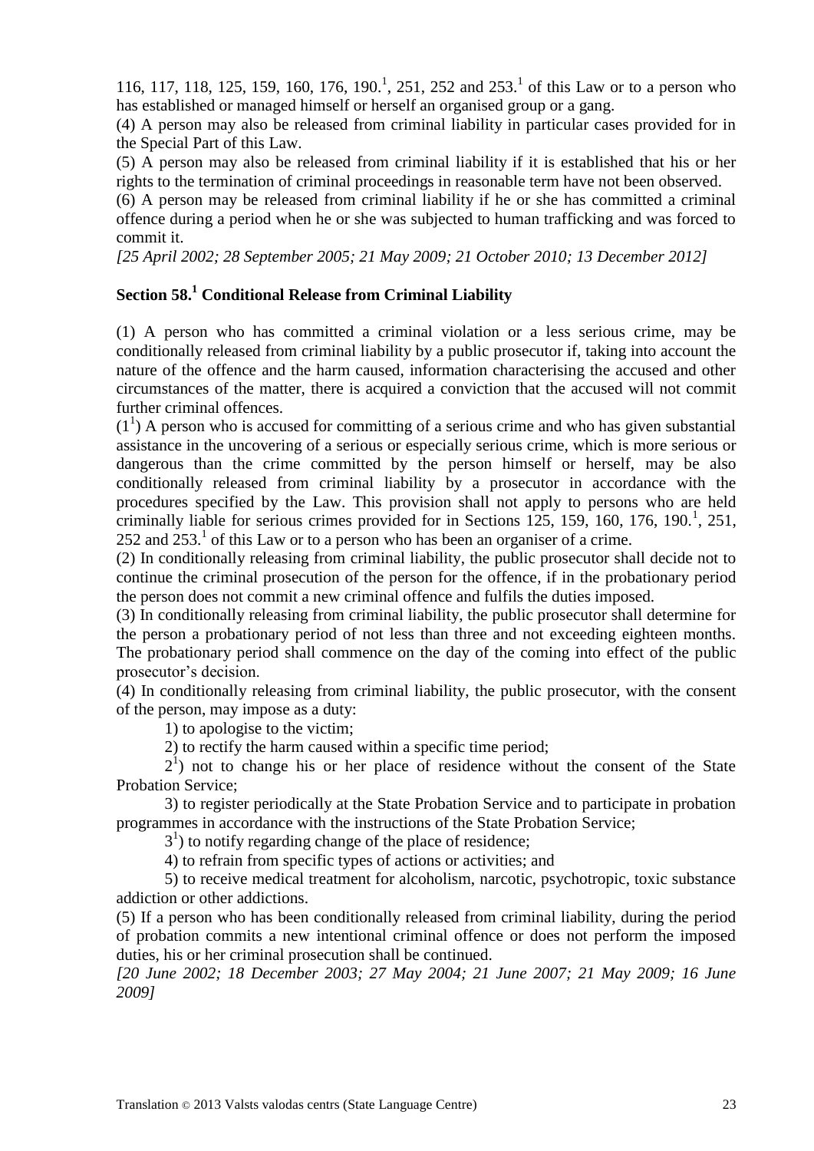116, 117, 118, 125, 159, 160, 176, 190.<sup>1</sup>, 251, 252 and 253.<sup>1</sup> of this Law or to a person who has established or managed himself or herself an organised group or a gang.

(4) A person may also be released from criminal liability in particular cases provided for in the Special Part of this Law.

(5) A person may also be released from criminal liability if it is established that his or her rights to the termination of criminal proceedings in reasonable term have not been observed.

(6) A person may be released from criminal liability if he or she has committed a criminal offence during a period when he or she was subjected to human trafficking and was forced to commit it.

*[25 April 2002; 28 September 2005; 21 May 2009; 21 October 2010; 13 December 2012]*

# **Section 58.<sup>1</sup> Conditional Release from Criminal Liability**

(1) A person who has committed a criminal violation or a less serious crime, may be conditionally released from criminal liability by a public prosecutor if, taking into account the nature of the offence and the harm caused, information characterising the accused and other circumstances of the matter, there is acquired a conviction that the accused will not commit further criminal offences.

 $(1<sup>1</sup>)$  A person who is accused for committing of a serious crime and who has given substantial assistance in the uncovering of a serious or especially serious crime, which is more serious or dangerous than the crime committed by the person himself or herself, may be also conditionally released from criminal liability by a prosecutor in accordance with the procedures specified by the Law. This provision shall not apply to persons who are held criminally liable for serious crimes provided for in Sections  $\overline{125}$ , 159, 160, 176, 190.<sup>1</sup>, 251, 252 and  $253<sup>1</sup>$  of this Law or to a person who has been an organiser of a crime.

(2) In conditionally releasing from criminal liability, the public prosecutor shall decide not to continue the criminal prosecution of the person for the offence, if in the probationary period the person does not commit a new criminal offence and fulfils the duties imposed.

(3) In conditionally releasing from criminal liability, the public prosecutor shall determine for the person a probationary period of not less than three and not exceeding eighteen months. The probationary period shall commence on the day of the coming into effect of the public prosecutor's decision.

(4) In conditionally releasing from criminal liability, the public prosecutor, with the consent of the person, may impose as a duty:

1) to apologise to the victim;

2) to rectify the harm caused within a specific time period;

 $2<sup>1</sup>$ ) not to change his or her place of residence without the consent of the State Probation Service;

3) to register periodically at the State Probation Service and to participate in probation programmes in accordance with the instructions of the State Probation Service;

 $3<sup>1</sup>$ ) to notify regarding change of the place of residence;

4) to refrain from specific types of actions or activities; and

5) to receive medical treatment for alcoholism, narcotic, psychotropic, toxic substance addiction or other addictions.

(5) If a person who has been conditionally released from criminal liability, during the period of probation commits a new intentional criminal offence or does not perform the imposed duties, his or her criminal prosecution shall be continued.

*[20 June 2002; 18 December 2003; 27 May 2004; 21 June 2007; 21 May 2009; 16 June 2009]*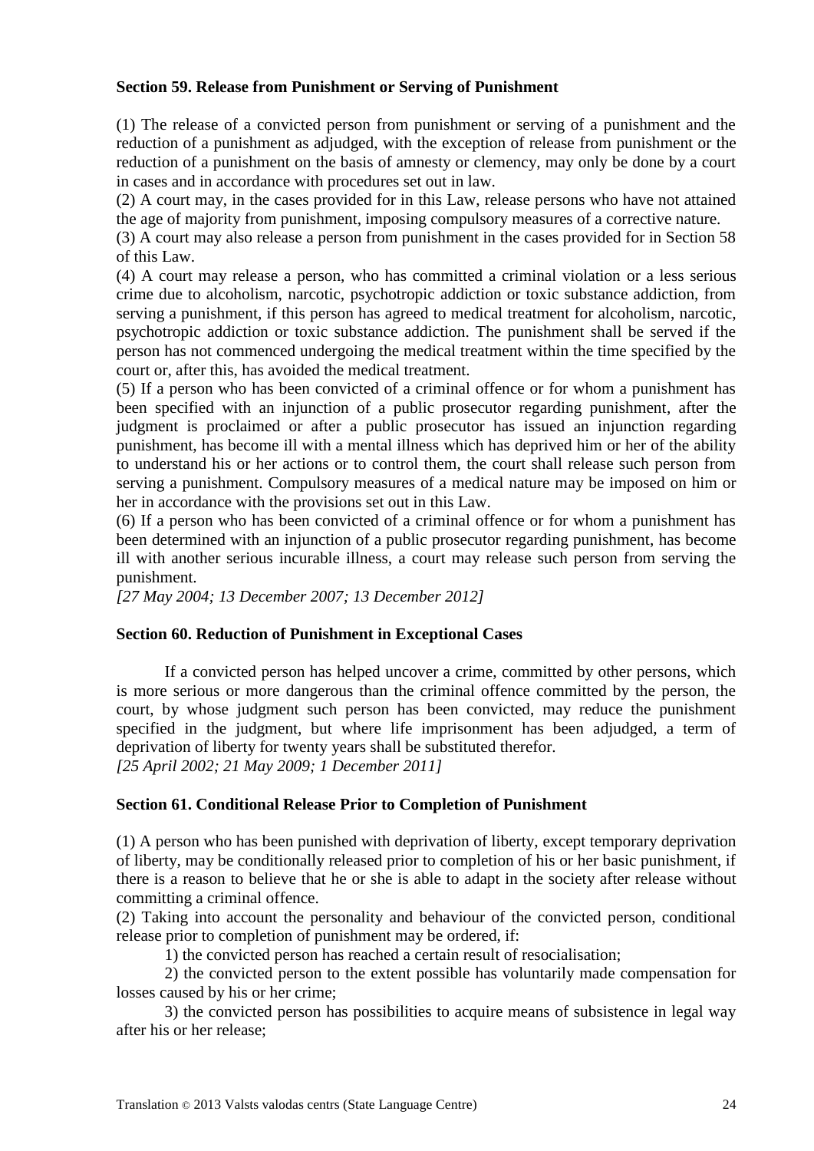## **Section 59. Release from Punishment or Serving of Punishment**

(1) The release of a convicted person from punishment or serving of a punishment and the reduction of a punishment as adjudged, with the exception of release from punishment or the reduction of a punishment on the basis of amnesty or clemency, may only be done by a court in cases and in accordance with procedures set out in law.

(2) A court may, in the cases provided for in this Law, release persons who have not attained the age of majority from punishment, imposing compulsory measures of a corrective nature.

(3) A court may also release a person from punishment in the cases provided for in Section 58 of this Law.

(4) A court may release a person, who has committed a criminal violation or a less serious crime due to alcoholism, narcotic, psychotropic addiction or toxic substance addiction, from serving a punishment, if this person has agreed to medical treatment for alcoholism, narcotic, psychotropic addiction or toxic substance addiction. The punishment shall be served if the person has not commenced undergoing the medical treatment within the time specified by the court or, after this, has avoided the medical treatment.

(5) If a person who has been convicted of a criminal offence or for whom a punishment has been specified with an injunction of a public prosecutor regarding punishment, after the judgment is proclaimed or after a public prosecutor has issued an injunction regarding punishment, has become ill with a mental illness which has deprived him or her of the ability to understand his or her actions or to control them, the court shall release such person from serving a punishment. Compulsory measures of a medical nature may be imposed on him or her in accordance with the provisions set out in this Law.

(6) If a person who has been convicted of a criminal offence or for whom a punishment has been determined with an injunction of a public prosecutor regarding punishment, has become ill with another serious incurable illness, a court may release such person from serving the punishment.

*[27 May 2004; 13 December 2007; 13 December 2012]*

# **Section 60. Reduction of Punishment in Exceptional Cases**

If a convicted person has helped uncover a crime, committed by other persons, which is more serious or more dangerous than the criminal offence committed by the person, the court, by whose judgment such person has been convicted, may reduce the punishment specified in the judgment, but where life imprisonment has been adjudged, a term of deprivation of liberty for twenty years shall be substituted therefor. *[25 April 2002; 21 May 2009; 1 December 2011]*

#### **Section 61. Conditional Release Prior to Completion of Punishment**

(1) A person who has been punished with deprivation of liberty, except temporary deprivation of liberty, may be conditionally released prior to completion of his or her basic punishment, if there is a reason to believe that he or she is able to adapt in the society after release without committing a criminal offence.

(2) Taking into account the personality and behaviour of the convicted person, conditional release prior to completion of punishment may be ordered, if:

1) the convicted person has reached a certain result of resocialisation;

2) the convicted person to the extent possible has voluntarily made compensation for losses caused by his or her crime;

3) the convicted person has possibilities to acquire means of subsistence in legal way after his or her release;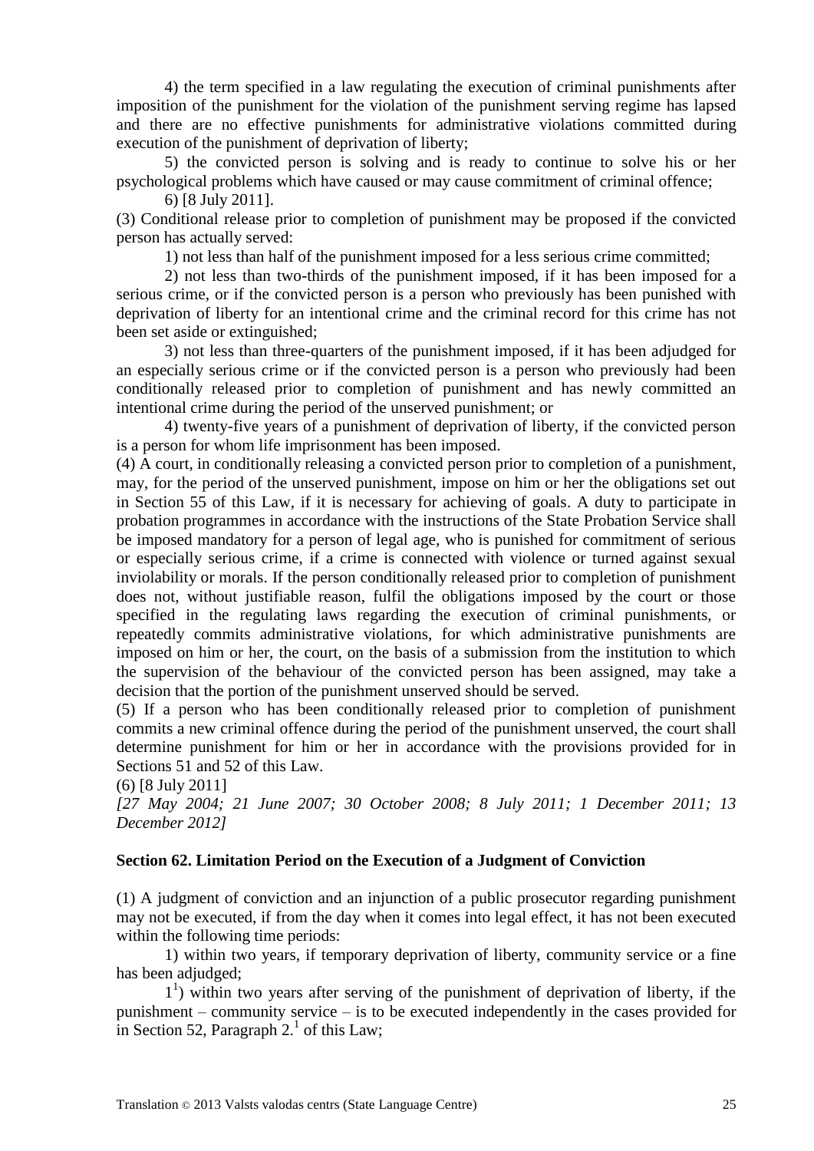4) the term specified in a law regulating the execution of criminal punishments after imposition of the punishment for the violation of the punishment serving regime has lapsed and there are no effective punishments for administrative violations committed during execution of the punishment of deprivation of liberty;

5) the convicted person is solving and is ready to continue to solve his or her psychological problems which have caused or may cause commitment of criminal offence;

6) [8 July 2011].

(3) Conditional release prior to completion of punishment may be proposed if the convicted person has actually served:

1) not less than half of the punishment imposed for a less serious crime committed;

2) not less than two-thirds of the punishment imposed, if it has been imposed for a serious crime, or if the convicted person is a person who previously has been punished with deprivation of liberty for an intentional crime and the criminal record for this crime has not been set aside or extinguished;

3) not less than three-quarters of the punishment imposed, if it has been adjudged for an especially serious crime or if the convicted person is a person who previously had been conditionally released prior to completion of punishment and has newly committed an intentional crime during the period of the unserved punishment; or

4) twenty-five years of a punishment of deprivation of liberty, if the convicted person is a person for whom life imprisonment has been imposed.

(4) A court, in conditionally releasing a convicted person prior to completion of a punishment, may, for the period of the unserved punishment, impose on him or her the obligations set out in Section 55 of this Law, if it is necessary for achieving of goals. A duty to participate in probation programmes in accordance with the instructions of the State Probation Service shall be imposed mandatory for a person of legal age, who is punished for commitment of serious or especially serious crime, if a crime is connected with violence or turned against sexual inviolability or morals. If the person conditionally released prior to completion of punishment does not, without justifiable reason, fulfil the obligations imposed by the court or those specified in the regulating laws regarding the execution of criminal punishments, or repeatedly commits administrative violations, for which administrative punishments are imposed on him or her, the court, on the basis of a submission from the institution to which the supervision of the behaviour of the convicted person has been assigned, may take a decision that the portion of the punishment unserved should be served.

(5) If a person who has been conditionally released prior to completion of punishment commits a new criminal offence during the period of the punishment unserved, the court shall determine punishment for him or her in accordance with the provisions provided for in Sections 51 and 52 of this Law.

(6) [8 July 2011]

*[27 May 2004; 21 June 2007; 30 October 2008; 8 July 2011; 1 December 2011; 13 December 2012]*

#### **Section 62. Limitation Period on the Execution of a Judgment of Conviction**

(1) A judgment of conviction and an injunction of a public prosecutor regarding punishment may not be executed, if from the day when it comes into legal effect, it has not been executed within the following time periods:

1) within two years, if temporary deprivation of liberty, community service or a fine has been adjudged;

1 1 ) within two years after serving of the punishment of deprivation of liberty, if the punishment – community service – is to be executed independently in the cases provided for in Section 52, Paragraph  $2<sup>1</sup>$  of this Law;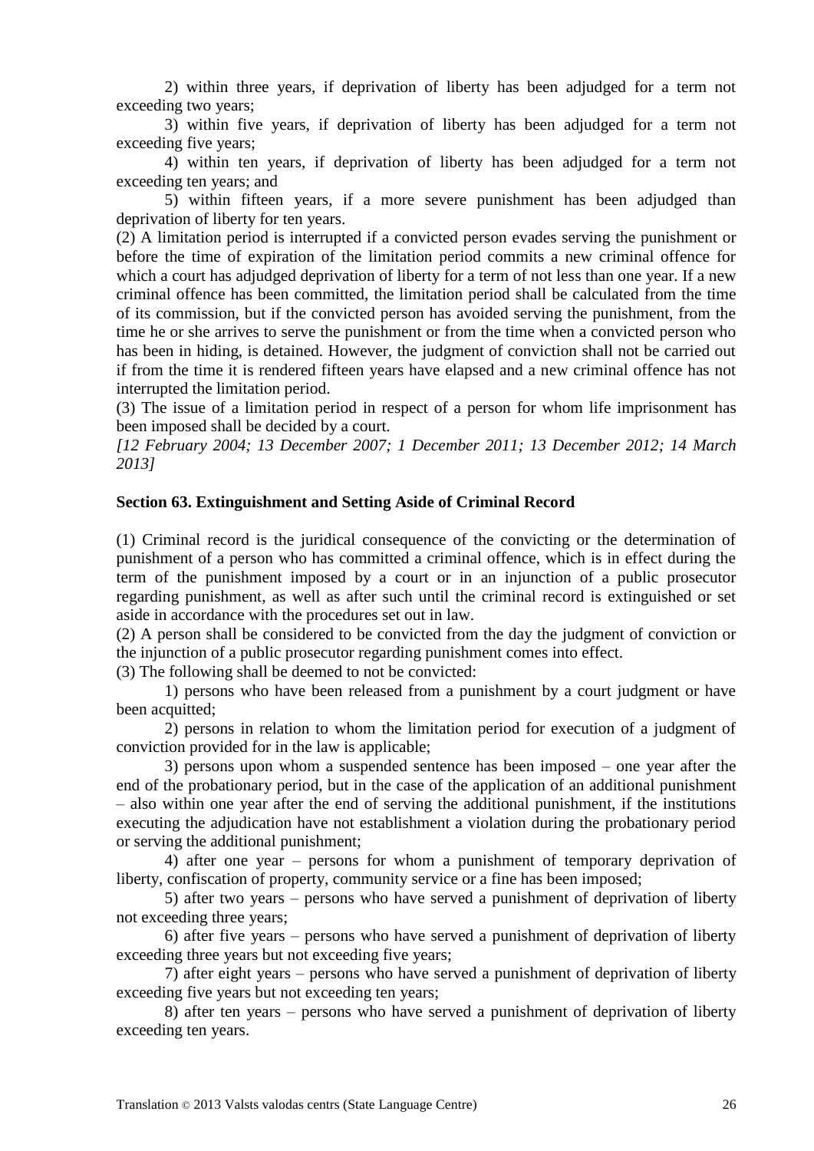2) within three years, if deprivation of liberty has been adjudged for a term not exceeding two years;

3) within five years, if deprivation of liberty has been adjudged for a term not exceeding five years;

4) within ten years, if deprivation of liberty has been adjudged for a term not exceeding ten years; and

5) within fifteen years, if a more severe punishment has been adjudged than deprivation of liberty for ten years.

(2) A limitation period is interrupted if a convicted person evades serving the punishment or before the time of expiration of the limitation period commits a new criminal offence for which a court has adjudged deprivation of liberty for a term of not less than one year. If a new criminal offence has been committed, the limitation period shall be calculated from the time of its commission, but if the convicted person has avoided serving the punishment, from the time he or she arrives to serve the punishment or from the time when a convicted person who has been in hiding, is detained. However, the judgment of conviction shall not be carried out if from the time it is rendered fifteen years have elapsed and a new criminal offence has not interrupted the limitation period.

(3) The issue of a limitation period in respect of a person for whom life imprisonment has been imposed shall be decided by a court.

*[12 February 2004; 13 December 2007; 1 December 2011; 13 December 2012; 14 March 2013]*

#### **Section 63. Extinguishment and Setting Aside of Criminal Record**

(1) Criminal record is the juridical consequence of the convicting or the determination of punishment of a person who has committed a criminal offence, which is in effect during the term of the punishment imposed by a court or in an injunction of a public prosecutor regarding punishment, as well as after such until the criminal record is extinguished or set aside in accordance with the procedures set out in law.

(2) A person shall be considered to be convicted from the day the judgment of conviction or the injunction of a public prosecutor regarding punishment comes into effect.

(3) The following shall be deemed to not be convicted:

1) persons who have been released from a punishment by a court judgment or have been acquitted;

2) persons in relation to whom the limitation period for execution of a judgment of conviction provided for in the law is applicable;

3) persons upon whom a suspended sentence has been imposed – one year after the end of the probationary period, but in the case of the application of an additional punishment – also within one year after the end of serving the additional punishment, if the institutions executing the adjudication have not establishment a violation during the probationary period or serving the additional punishment;

4) after one year – persons for whom a punishment of temporary deprivation of liberty, confiscation of property, community service or a fine has been imposed;

5) after two years – persons who have served a punishment of deprivation of liberty not exceeding three years;

6) after five years – persons who have served a punishment of deprivation of liberty exceeding three years but not exceeding five years;

7) after eight years – persons who have served a punishment of deprivation of liberty exceeding five years but not exceeding ten years;

8) after ten years – persons who have served a punishment of deprivation of liberty exceeding ten years.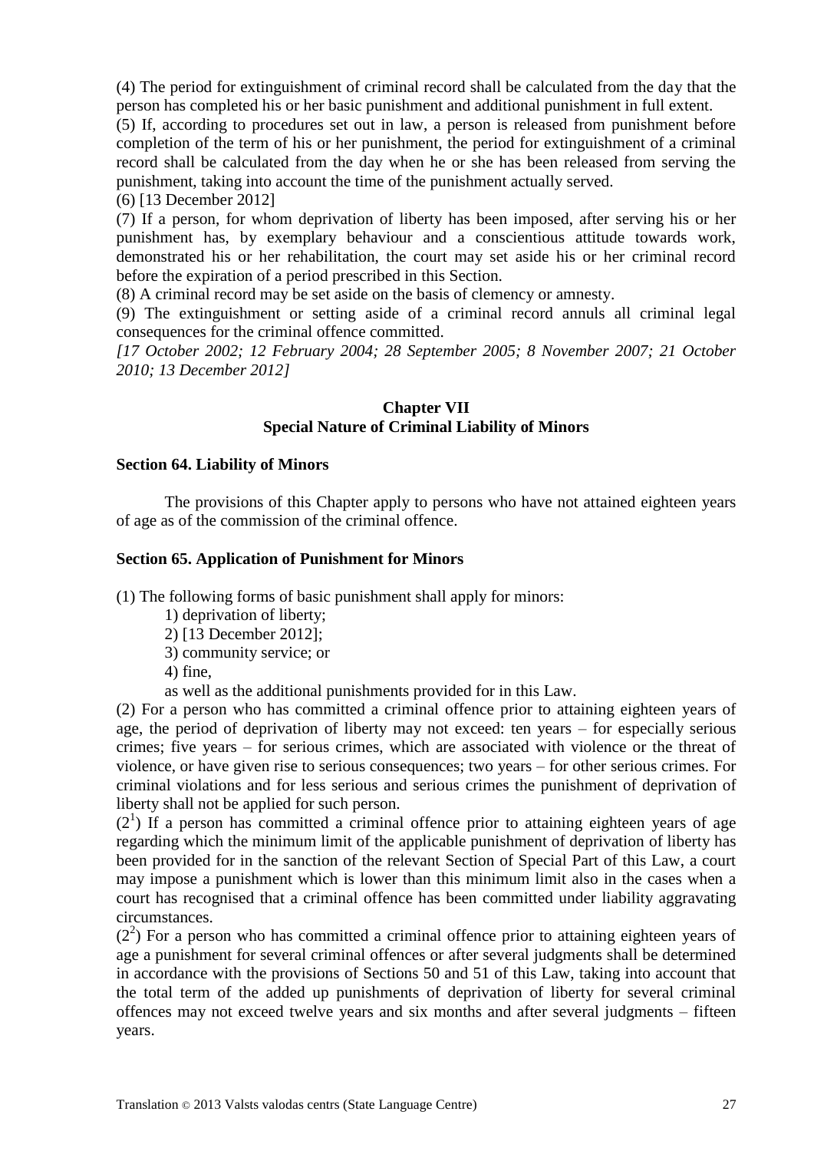(4) The period for extinguishment of criminal record shall be calculated from the day that the person has completed his or her basic punishment and additional punishment in full extent.

(5) If, according to procedures set out in law, a person is released from punishment before completion of the term of his or her punishment, the period for extinguishment of a criminal record shall be calculated from the day when he or she has been released from serving the punishment, taking into account the time of the punishment actually served.

(6) [13 December 2012]

(7) If a person, for whom deprivation of liberty has been imposed, after serving his or her punishment has, by exemplary behaviour and a conscientious attitude towards work, demonstrated his or her rehabilitation, the court may set aside his or her criminal record before the expiration of a period prescribed in this Section.

(8) A criminal record may be set aside on the basis of clemency or amnesty.

(9) The extinguishment or setting aside of a criminal record annuls all criminal legal consequences for the criminal offence committed.

*[17 October 2002; 12 February 2004; 28 September 2005; 8 November 2007; 21 October 2010; 13 December 2012]*

# **Chapter VII Special Nature of Criminal Liability of Minors**

#### **Section 64. Liability of Minors**

The provisions of this Chapter apply to persons who have not attained eighteen years of age as of the commission of the criminal offence.

#### **Section 65. Application of Punishment for Minors**

(1) The following forms of basic punishment shall apply for minors:

- 1) deprivation of liberty;
- 2) [13 December 2012];
- 3) community service; or
- 4) fine,
- as well as the additional punishments provided for in this Law.

(2) For a person who has committed a criminal offence prior to attaining eighteen years of age, the period of deprivation of liberty may not exceed: ten years – for especially serious crimes; five years – for serious crimes, which are associated with violence or the threat of violence, or have given rise to serious consequences; two years – for other serious crimes. For criminal violations and for less serious and serious crimes the punishment of deprivation of liberty shall not be applied for such person.

 $(2<sup>1</sup>)$  If a person has committed a criminal offence prior to attaining eighteen years of age regarding which the minimum limit of the applicable punishment of deprivation of liberty has been provided for in the sanction of the relevant Section of Special Part of this Law, a court may impose a punishment which is lower than this minimum limit also in the cases when a court has recognised that a criminal offence has been committed under liability aggravating circumstances.

 $(2<sup>2</sup>)$  For a person who has committed a criminal offence prior to attaining eighteen years of age a punishment for several criminal offences or after several judgments shall be determined in accordance with the provisions of Sections 50 and 51 of this Law, taking into account that the total term of the added up punishments of deprivation of liberty for several criminal offences may not exceed twelve years and six months and after several judgments – fifteen years.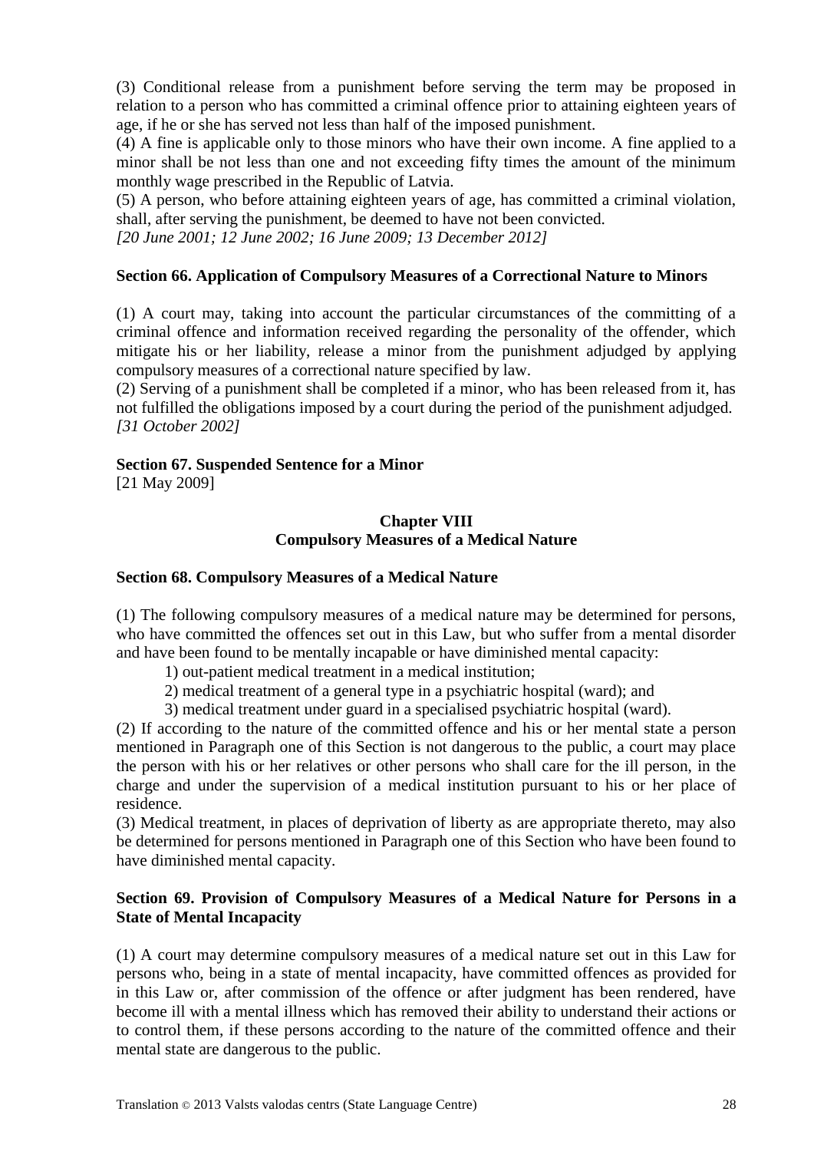(3) Conditional release from a punishment before serving the term may be proposed in relation to a person who has committed a criminal offence prior to attaining eighteen years of age, if he or she has served not less than half of the imposed punishment.

(4) A fine is applicable only to those minors who have their own income. A fine applied to a minor shall be not less than one and not exceeding fifty times the amount of the minimum monthly wage prescribed in the Republic of Latvia.

(5) A person, who before attaining eighteen years of age, has committed a criminal violation, shall, after serving the punishment, be deemed to have not been convicted.

*[20 June 2001; 12 June 2002; 16 June 2009; 13 December 2012]*

# **Section 66. Application of Compulsory Measures of a Correctional Nature to Minors**

(1) A court may, taking into account the particular circumstances of the committing of a criminal offence and information received regarding the personality of the offender, which mitigate his or her liability, release a minor from the punishment adjudged by applying compulsory measures of a correctional nature specified by law.

(2) Serving of a punishment shall be completed if a minor, who has been released from it, has not fulfilled the obligations imposed by a court during the period of the punishment adjudged. *[31 October 2002]*

## **Section 67. Suspended Sentence for a Minor**

[21 May 2009]

### **Chapter VIII Compulsory Measures of a Medical Nature**

### **Section 68. Compulsory Measures of a Medical Nature**

(1) The following compulsory measures of a medical nature may be determined for persons, who have committed the offences set out in this Law, but who suffer from a mental disorder and have been found to be mentally incapable or have diminished mental capacity:

- 1) out-patient medical treatment in a medical institution;
- 2) medical treatment of a general type in a psychiatric hospital (ward); and
- 3) medical treatment under guard in a specialised psychiatric hospital (ward).

(2) If according to the nature of the committed offence and his or her mental state a person mentioned in Paragraph one of this Section is not dangerous to the public, a court may place the person with his or her relatives or other persons who shall care for the ill person, in the charge and under the supervision of a medical institution pursuant to his or her place of residence.

(3) Medical treatment, in places of deprivation of liberty as are appropriate thereto, may also be determined for persons mentioned in Paragraph one of this Section who have been found to have diminished mental capacity.

## **Section 69. Provision of Compulsory Measures of a Medical Nature for Persons in a State of Mental Incapacity**

(1) A court may determine compulsory measures of a medical nature set out in this Law for persons who, being in a state of mental incapacity, have committed offences as provided for in this Law or, after commission of the offence or after judgment has been rendered, have become ill with a mental illness which has removed their ability to understand their actions or to control them, if these persons according to the nature of the committed offence and their mental state are dangerous to the public.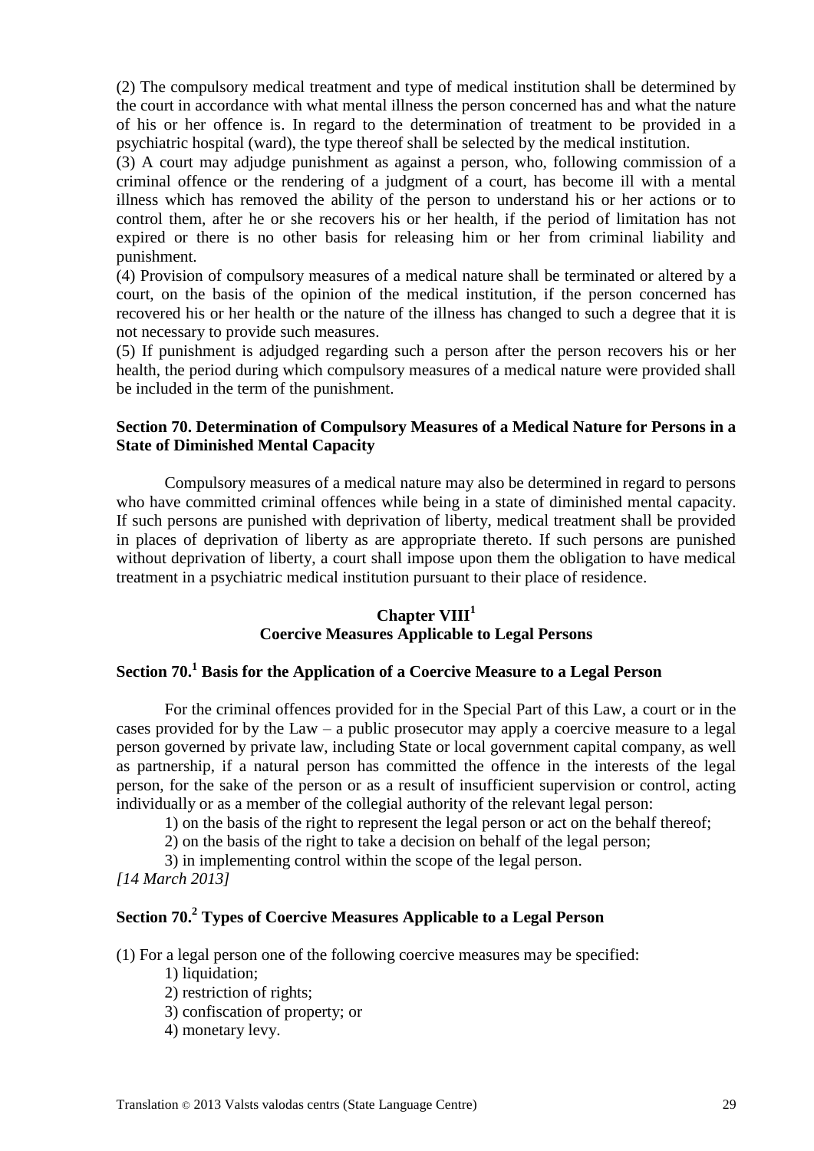(2) The compulsory medical treatment and type of medical institution shall be determined by the court in accordance with what mental illness the person concerned has and what the nature of his or her offence is. In regard to the determination of treatment to be provided in a psychiatric hospital (ward), the type thereof shall be selected by the medical institution.

(3) A court may adjudge punishment as against a person, who, following commission of a criminal offence or the rendering of a judgment of a court, has become ill with a mental illness which has removed the ability of the person to understand his or her actions or to control them, after he or she recovers his or her health, if the period of limitation has not expired or there is no other basis for releasing him or her from criminal liability and punishment.

(4) Provision of compulsory measures of a medical nature shall be terminated or altered by a court, on the basis of the opinion of the medical institution, if the person concerned has recovered his or her health or the nature of the illness has changed to such a degree that it is not necessary to provide such measures.

(5) If punishment is adjudged regarding such a person after the person recovers his or her health, the period during which compulsory measures of a medical nature were provided shall be included in the term of the punishment.

## **Section 70. Determination of Compulsory Measures of a Medical Nature for Persons in a State of Diminished Mental Capacity**

Compulsory measures of a medical nature may also be determined in regard to persons who have committed criminal offences while being in a state of diminished mental capacity. If such persons are punished with deprivation of liberty, medical treatment shall be provided in places of deprivation of liberty as are appropriate thereto. If such persons are punished without deprivation of liberty, a court shall impose upon them the obligation to have medical treatment in a psychiatric medical institution pursuant to their place of residence.

# **Chapter VIII<sup>1</sup> Coercive Measures Applicable to Legal Persons**

# **Section 70.<sup>1</sup> Basis for the Application of a Coercive Measure to a Legal Person**

For the criminal offences provided for in the Special Part of this Law, a court or in the cases provided for by the Law – a public prosecutor may apply a coercive measure to a legal person governed by private law, including State or local government capital company, as well as partnership, if a natural person has committed the offence in the interests of the legal person, for the sake of the person or as a result of insufficient supervision or control, acting individually or as a member of the collegial authority of the relevant legal person:

1) on the basis of the right to represent the legal person or act on the behalf thereof;

2) on the basis of the right to take a decision on behalf of the legal person;

3) in implementing control within the scope of the legal person.

*[14 March 2013]*

# **Section 70.<sup>2</sup> Types of Coercive Measures Applicable to a Legal Person**

(1) For a legal person one of the following coercive measures may be specified:

- 1) liquidation;
- 2) restriction of rights;
- 3) confiscation of property; or
- 4) monetary levy.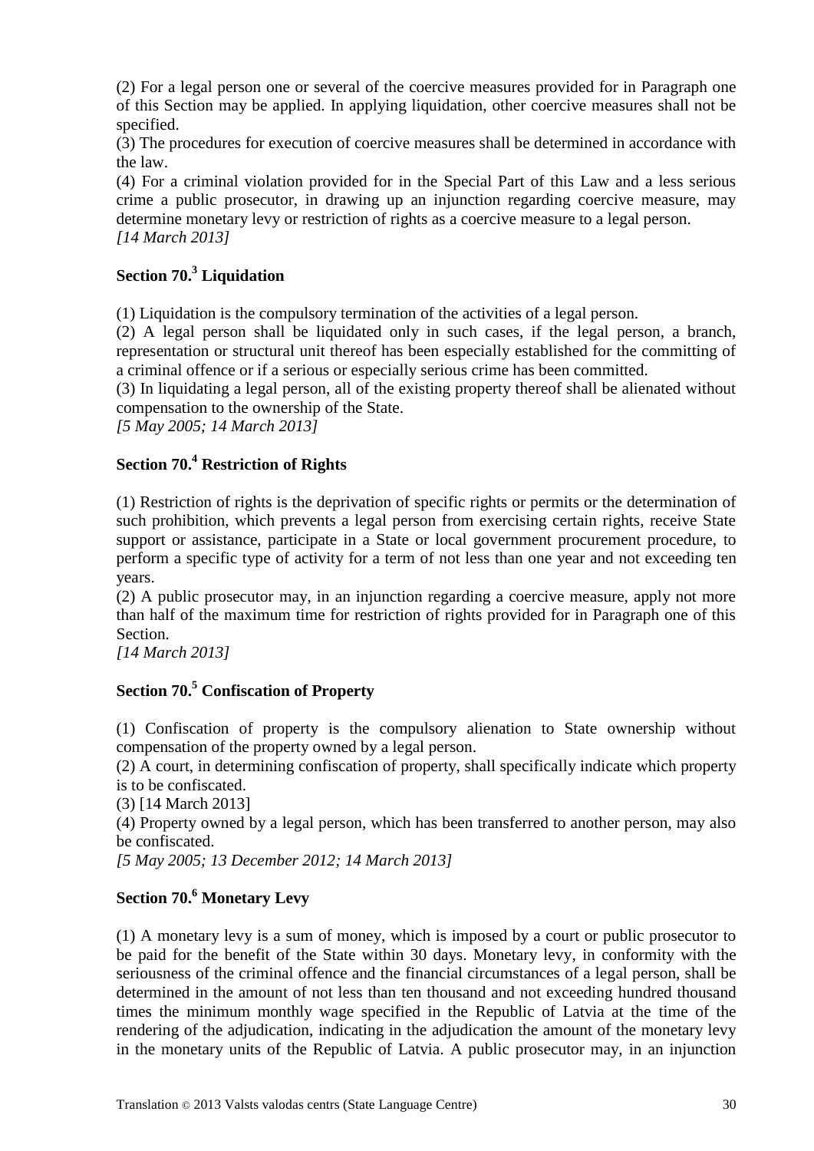(2) For a legal person one or several of the coercive measures provided for in Paragraph one of this Section may be applied. In applying liquidation, other coercive measures shall not be specified.

(3) The procedures for execution of coercive measures shall be determined in accordance with the law.

(4) For a criminal violation provided for in the Special Part of this Law and a less serious crime a public prosecutor, in drawing up an injunction regarding coercive measure, may determine monetary levy or restriction of rights as a coercive measure to a legal person. *[14 March 2013]*

# **Section 70.<sup>3</sup> Liquidation**

(1) Liquidation is the compulsory termination of the activities of a legal person.

(2) A legal person shall be liquidated only in such cases, if the legal person, a branch, representation or structural unit thereof has been especially established for the committing of a criminal offence or if a serious or especially serious crime has been committed.

(3) In liquidating a legal person, all of the existing property thereof shall be alienated without compensation to the ownership of the State.

*[5 May 2005; 14 March 2013]*

# **Section 70.<sup>4</sup> Restriction of Rights**

(1) Restriction of rights is the deprivation of specific rights or permits or the determination of such prohibition, which prevents a legal person from exercising certain rights, receive State support or assistance, participate in a State or local government procurement procedure, to perform a specific type of activity for a term of not less than one year and not exceeding ten years.

(2) A public prosecutor may, in an injunction regarding a coercive measure, apply not more than half of the maximum time for restriction of rights provided for in Paragraph one of this Section.

*[14 March 2013]*

# **Section 70.<sup>5</sup> Confiscation of Property**

(1) Confiscation of property is the compulsory alienation to State ownership without compensation of the property owned by a legal person.

(2) A court, in determining confiscation of property, shall specifically indicate which property is to be confiscated.

(3) [14 March 2013]

(4) Property owned by a legal person, which has been transferred to another person, may also be confiscated.

*[5 May 2005; 13 December 2012; 14 March 2013]*

# **Section 70.<sup>6</sup> Monetary Levy**

(1) A monetary levy is a sum of money, which is imposed by a court or public prosecutor to be paid for the benefit of the State within 30 days. Monetary levy, in conformity with the seriousness of the criminal offence and the financial circumstances of a legal person, shall be determined in the amount of not less than ten thousand and not exceeding hundred thousand times the minimum monthly wage specified in the Republic of Latvia at the time of the rendering of the adjudication, indicating in the adjudication the amount of the monetary levy in the monetary units of the Republic of Latvia. A public prosecutor may, in an injunction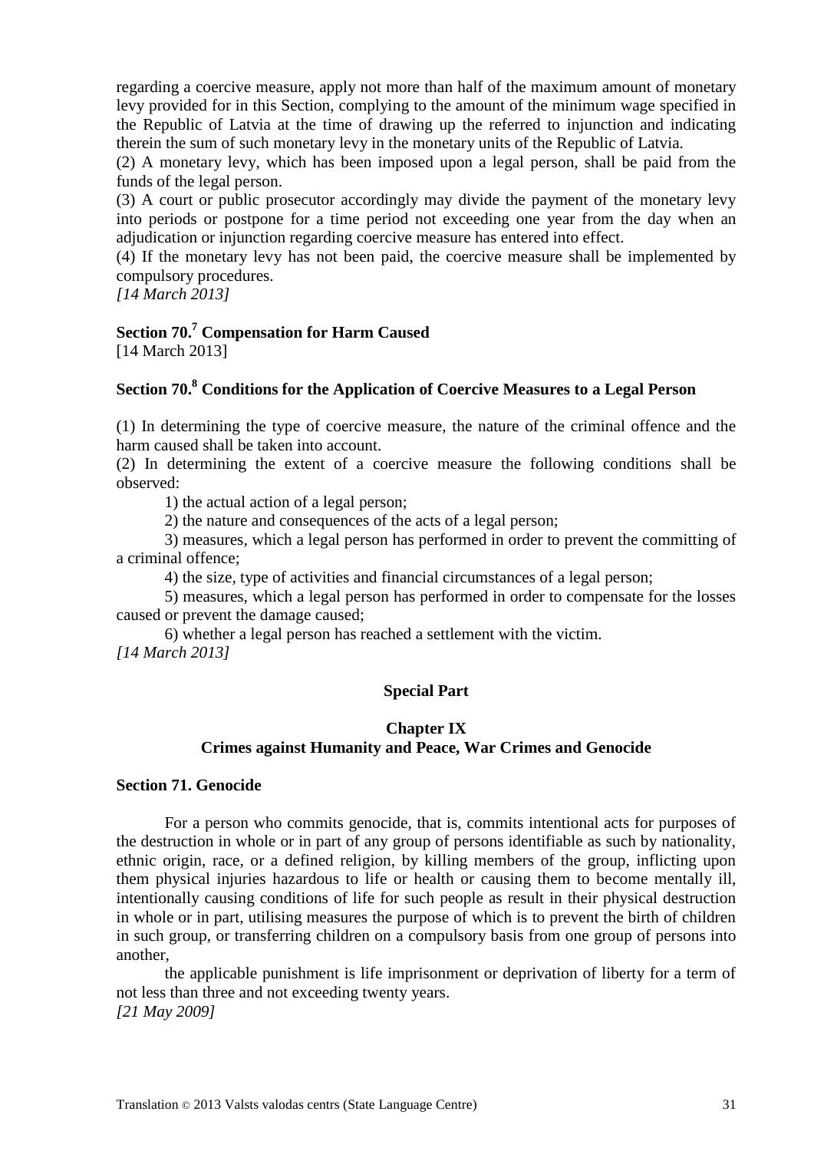regarding a coercive measure, apply not more than half of the maximum amount of monetary levy provided for in this Section, complying to the amount of the minimum wage specified in the Republic of Latvia at the time of drawing up the referred to injunction and indicating therein the sum of such monetary levy in the monetary units of the Republic of Latvia.

(2) A monetary levy, which has been imposed upon a legal person, shall be paid from the funds of the legal person.

(3) A court or public prosecutor accordingly may divide the payment of the monetary levy into periods or postpone for a time period not exceeding one year from the day when an adjudication or injunction regarding coercive measure has entered into effect.

(4) If the monetary levy has not been paid, the coercive measure shall be implemented by compulsory procedures.

*[14 March 2013]*

# **Section 70.<sup>7</sup> Compensation for Harm Caused**

[14 March 2013]

# **Section 70.<sup>8</sup> Conditions for the Application of Coercive Measures to a Legal Person**

(1) In determining the type of coercive measure, the nature of the criminal offence and the harm caused shall be taken into account.

(2) In determining the extent of a coercive measure the following conditions shall be observed:

1) the actual action of a legal person;

2) the nature and consequences of the acts of a legal person;

3) measures, which a legal person has performed in order to prevent the committing of a criminal offence;

4) the size, type of activities and financial circumstances of a legal person;

5) measures, which a legal person has performed in order to compensate for the losses caused or prevent the damage caused;

6) whether a legal person has reached a settlement with the victim. *[14 March 2013]*

# **Special Part**

#### **Chapter IX**

# **Crimes against Humanity and Peace, War Crimes and Genocide**

#### **Section 71. Genocide**

For a person who commits genocide, that is, commits intentional acts for purposes of the destruction in whole or in part of any group of persons identifiable as such by nationality, ethnic origin, race, or a defined religion, by killing members of the group, inflicting upon them physical injuries hazardous to life or health or causing them to become mentally ill, intentionally causing conditions of life for such people as result in their physical destruction in whole or in part, utilising measures the purpose of which is to prevent the birth of children in such group, or transferring children on a compulsory basis from one group of persons into another,

the applicable punishment is life imprisonment or deprivation of liberty for a term of not less than three and not exceeding twenty years. *[21 May 2009]*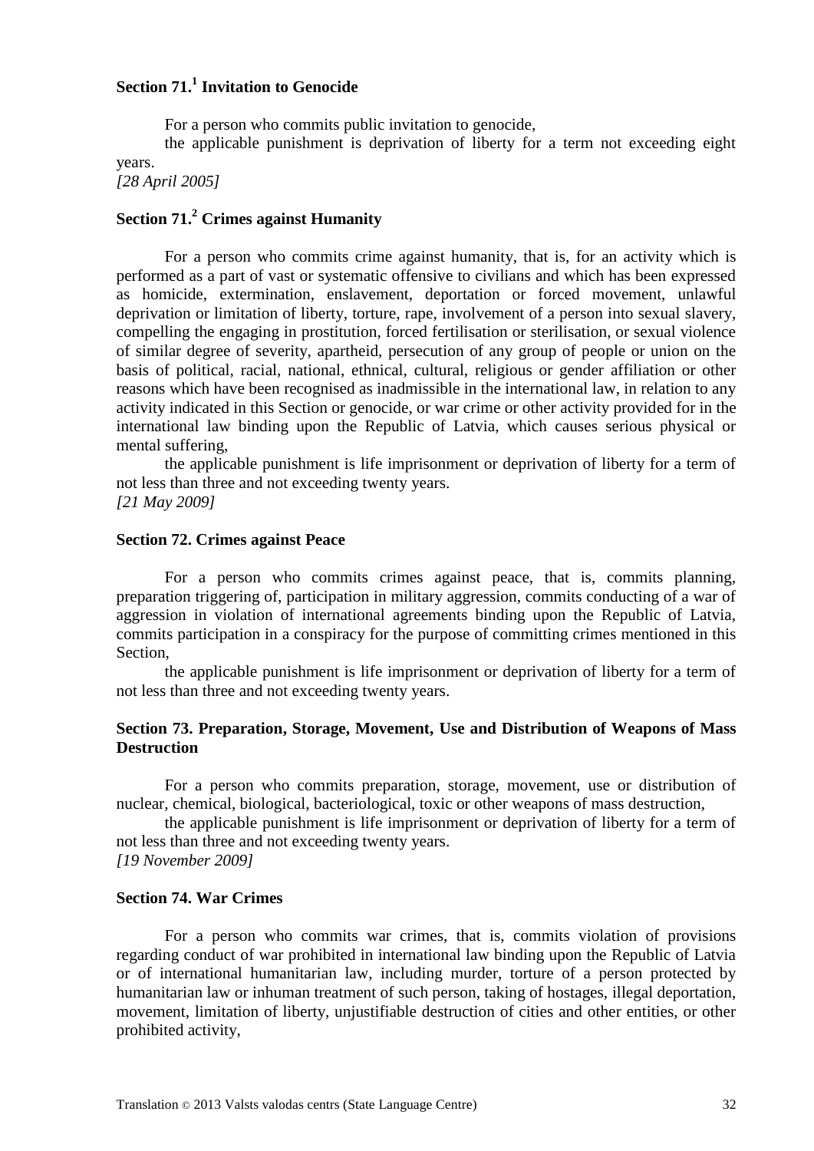# **Section 71.<sup>1</sup> Invitation to Genocide**

For a person who commits public invitation to genocide,

the applicable punishment is deprivation of liberty for a term not exceeding eight years.

*[28 April 2005]*

# **Section 71.<sup>2</sup> Crimes against Humanity**

For a person who commits crime against humanity, that is, for an activity which is performed as a part of vast or systematic offensive to civilians and which has been expressed as homicide, extermination, enslavement, deportation or forced movement, unlawful deprivation or limitation of liberty, torture, rape, involvement of a person into sexual slavery, compelling the engaging in prostitution, forced fertilisation or sterilisation, or sexual violence of similar degree of severity, apartheid, persecution of any group of people or union on the basis of political, racial, national, ethnical, cultural, religious or gender affiliation or other reasons which have been recognised as inadmissible in the international law, in relation to any activity indicated in this Section or genocide, or war crime or other activity provided for in the international law binding upon the Republic of Latvia, which causes serious physical or mental suffering,

the applicable punishment is life imprisonment or deprivation of liberty for a term of not less than three and not exceeding twenty years. *[21 May 2009]*

#### **Section 72. Crimes against Peace**

For a person who commits crimes against peace, that is, commits planning, preparation triggering of, participation in military aggression, commits conducting of a war of aggression in violation of international agreements binding upon the Republic of Latvia, commits participation in a conspiracy for the purpose of committing crimes mentioned in this Section,

the applicable punishment is life imprisonment or deprivation of liberty for a term of not less than three and not exceeding twenty years.

#### **Section 73. Preparation, Storage, Movement, Use and Distribution of Weapons of Mass Destruction**

For a person who commits preparation, storage, movement, use or distribution of nuclear, chemical, biological, bacteriological, toxic or other weapons of mass destruction,

the applicable punishment is life imprisonment or deprivation of liberty for a term of not less than three and not exceeding twenty years. *[19 November 2009]*

#### **Section 74. War Crimes**

For a person who commits war crimes, that is, commits violation of provisions regarding conduct of war prohibited in international law binding upon the Republic of Latvia or of international humanitarian law, including murder, torture of a person protected by humanitarian law or inhuman treatment of such person, taking of hostages, illegal deportation, movement, limitation of liberty, unjustifiable destruction of cities and other entities, or other prohibited activity,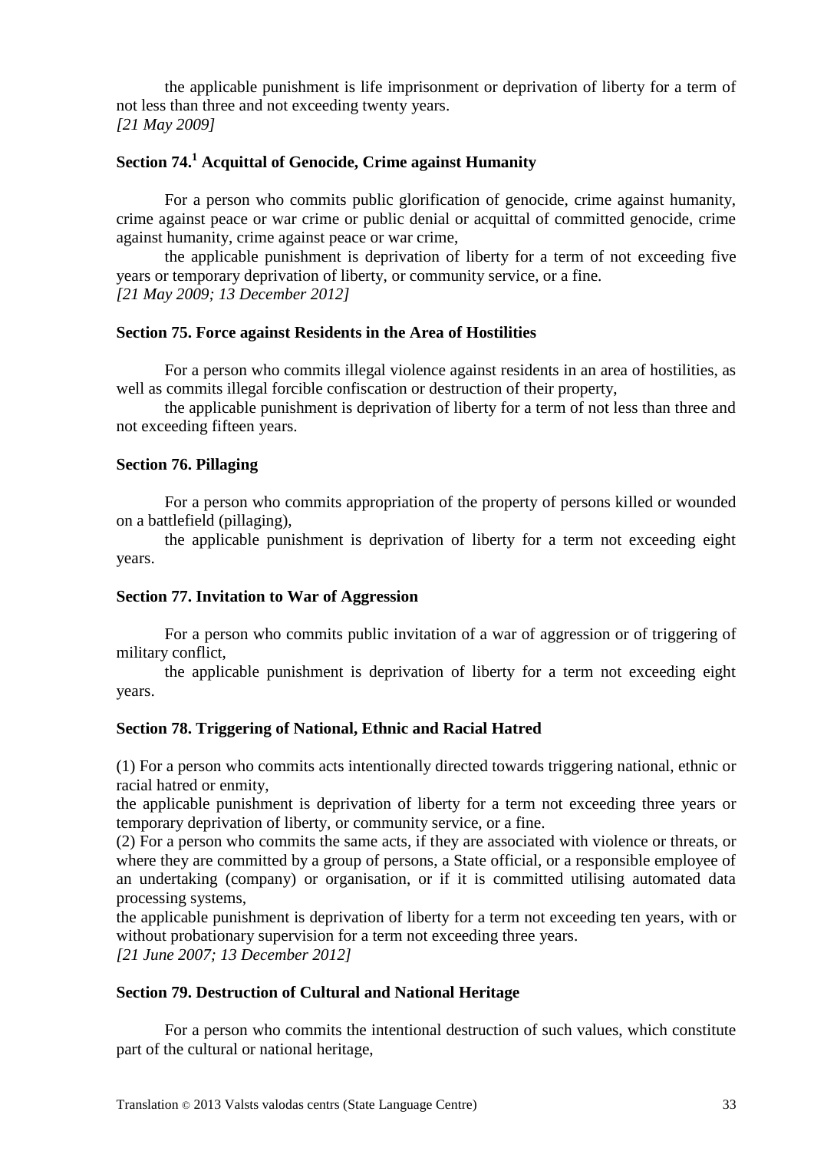the applicable punishment is life imprisonment or deprivation of liberty for a term of not less than three and not exceeding twenty years. *[21 May 2009]*

# **Section 74.<sup>1</sup> Acquittal of Genocide, Crime against Humanity**

For a person who commits public glorification of genocide, crime against humanity, crime against peace or war crime or public denial or acquittal of committed genocide, crime against humanity, crime against peace or war crime,

the applicable punishment is deprivation of liberty for a term of not exceeding five years or temporary deprivation of liberty, or community service, or a fine. *[21 May 2009; 13 December 2012]*

#### **Section 75. Force against Residents in the Area of Hostilities**

For a person who commits illegal violence against residents in an area of hostilities, as well as commits illegal forcible confiscation or destruction of their property,

the applicable punishment is deprivation of liberty for a term of not less than three and not exceeding fifteen years.

#### **Section 76. Pillaging**

For a person who commits appropriation of the property of persons killed or wounded on a battlefield (pillaging),

the applicable punishment is deprivation of liberty for a term not exceeding eight years.

#### **Section 77. Invitation to War of Aggression**

For a person who commits public invitation of a war of aggression or of triggering of military conflict,

the applicable punishment is deprivation of liberty for a term not exceeding eight years.

#### **Section 78. Triggering of National, Ethnic and Racial Hatred**

(1) For a person who commits acts intentionally directed towards triggering national, ethnic or racial hatred or enmity,

the applicable punishment is deprivation of liberty for a term not exceeding three years or temporary deprivation of liberty, or community service, or a fine.

(2) For a person who commits the same acts, if they are associated with violence or threats, or where they are committed by a group of persons, a State official, or a responsible employee of an undertaking (company) or organisation, or if it is committed utilising automated data processing systems,

the applicable punishment is deprivation of liberty for a term not exceeding ten years, with or without probationary supervision for a term not exceeding three years.

*[21 June 2007; 13 December 2012]*

#### **Section 79. Destruction of Cultural and National Heritage**

For a person who commits the intentional destruction of such values, which constitute part of the cultural or national heritage,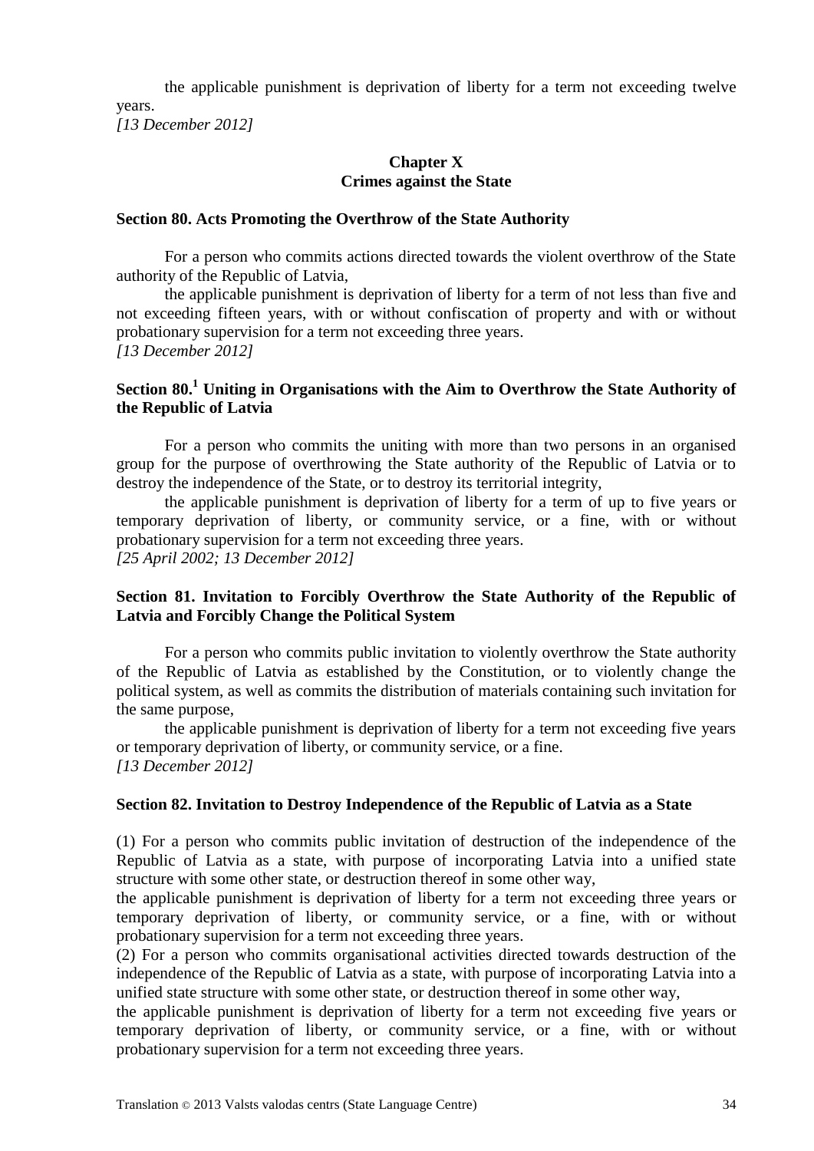the applicable punishment is deprivation of liberty for a term not exceeding twelve years.

*[13 December 2012]*

# **Chapter X Crimes against the State**

### **Section 80. Acts Promoting the Overthrow of the State Authority**

For a person who commits actions directed towards the violent overthrow of the State authority of the Republic of Latvia,

the applicable punishment is deprivation of liberty for a term of not less than five and not exceeding fifteen years, with or without confiscation of property and with or without probationary supervision for a term not exceeding three years. *[13 December 2012]*

## **Section 80.<sup>1</sup> Uniting in Organisations with the Aim to Overthrow the State Authority of the Republic of Latvia**

For a person who commits the uniting with more than two persons in an organised group for the purpose of overthrowing the State authority of the Republic of Latvia or to destroy the independence of the State, or to destroy its territorial integrity,

the applicable punishment is deprivation of liberty for a term of up to five years or temporary deprivation of liberty, or community service, or a fine, with or without probationary supervision for a term not exceeding three years. *[25 April 2002; 13 December 2012]*

# **Section 81. Invitation to Forcibly Overthrow the State Authority of the Republic of Latvia and Forcibly Change the Political System**

For a person who commits public invitation to violently overthrow the State authority of the Republic of Latvia as established by the Constitution, or to violently change the political system, as well as commits the distribution of materials containing such invitation for the same purpose,

the applicable punishment is deprivation of liberty for a term not exceeding five years or temporary deprivation of liberty, or community service, or a fine. *[13 December 2012]*

#### **Section 82. Invitation to Destroy Independence of the Republic of Latvia as a State**

(1) For a person who commits public invitation of destruction of the independence of the Republic of Latvia as a state, with purpose of incorporating Latvia into a unified state structure with some other state, or destruction thereof in some other way,

the applicable punishment is deprivation of liberty for a term not exceeding three years or temporary deprivation of liberty, or community service, or a fine, with or without probationary supervision for a term not exceeding three years.

(2) For a person who commits organisational activities directed towards destruction of the independence of the Republic of Latvia as a state, with purpose of incorporating Latvia into a unified state structure with some other state, or destruction thereof in some other way,

the applicable punishment is deprivation of liberty for a term not exceeding five years or temporary deprivation of liberty, or community service, or a fine, with or without probationary supervision for a term not exceeding three years.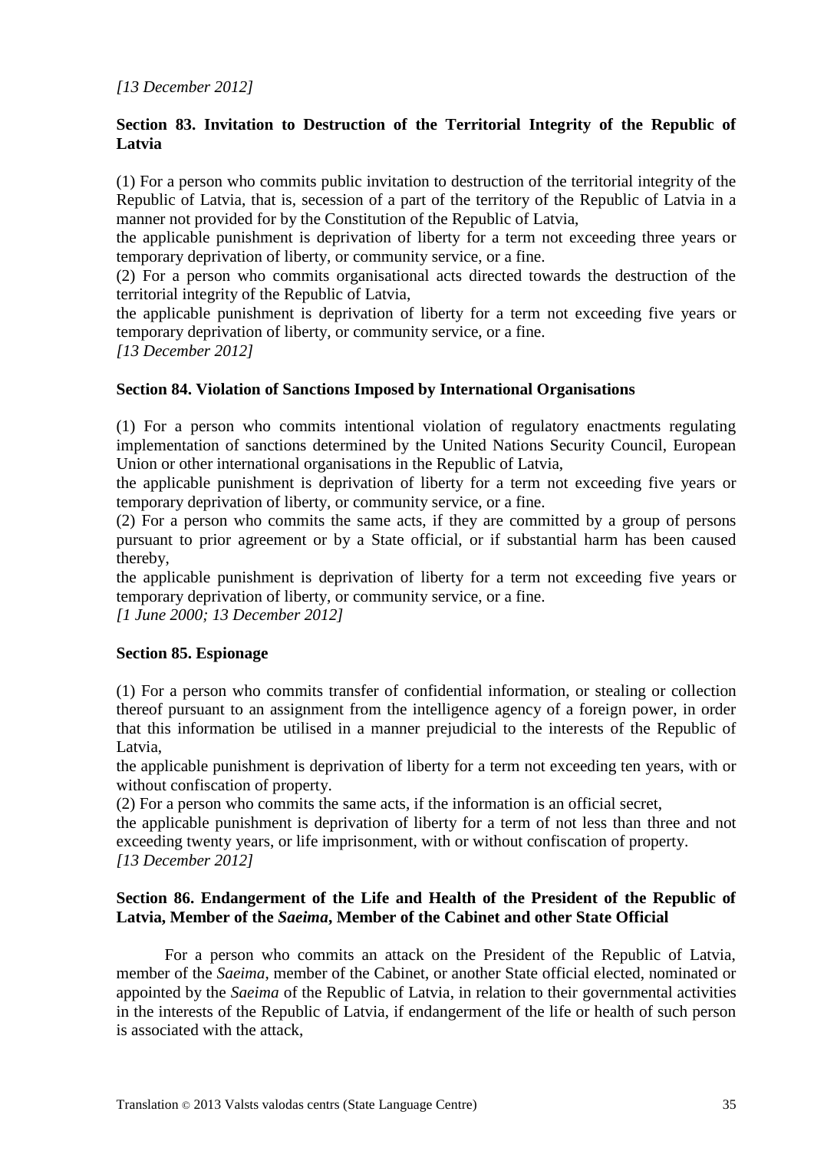# **Section 83. Invitation to Destruction of the Territorial Integrity of the Republic of Latvia**

(1) For a person who commits public invitation to destruction of the territorial integrity of the Republic of Latvia, that is, secession of a part of the territory of the Republic of Latvia in a manner not provided for by the Constitution of the Republic of Latvia.

the applicable punishment is deprivation of liberty for a term not exceeding three years or temporary deprivation of liberty, or community service, or a fine.

(2) For a person who commits organisational acts directed towards the destruction of the territorial integrity of the Republic of Latvia,

the applicable punishment is deprivation of liberty for a term not exceeding five years or temporary deprivation of liberty, or community service, or a fine.

*[13 December 2012]*

## **Section 84. Violation of Sanctions Imposed by International Organisations**

(1) For a person who commits intentional violation of regulatory enactments regulating implementation of sanctions determined by the United Nations Security Council, European Union or other international organisations in the Republic of Latvia,

the applicable punishment is deprivation of liberty for a term not exceeding five years or temporary deprivation of liberty, or community service, or a fine.

(2) For a person who commits the same acts, if they are committed by a group of persons pursuant to prior agreement or by a State official, or if substantial harm has been caused thereby,

the applicable punishment is deprivation of liberty for a term not exceeding five years or temporary deprivation of liberty, or community service, or a fine.

*[1 June 2000; 13 December 2012]*

# **Section 85. Espionage**

(1) For a person who commits transfer of confidential information, or stealing or collection thereof pursuant to an assignment from the intelligence agency of a foreign power, in order that this information be utilised in a manner prejudicial to the interests of the Republic of Latvia,

the applicable punishment is deprivation of liberty for a term not exceeding ten years, with or without confiscation of property.

(2) For a person who commits the same acts, if the information is an official secret,

the applicable punishment is deprivation of liberty for a term of not less than three and not exceeding twenty years, or life imprisonment, with or without confiscation of property. *[13 December 2012]*

## **Section 86. Endangerment of the Life and Health of the President of the Republic of Latvia, Member of the** *Saeima***, Member of the Cabinet and other State Official**

For a person who commits an attack on the President of the Republic of Latvia, member of the *Saeima*, member of the Cabinet, or another State official elected, nominated or appointed by the *Saeima* of the Republic of Latvia, in relation to their governmental activities in the interests of the Republic of Latvia, if endangerment of the life or health of such person is associated with the attack,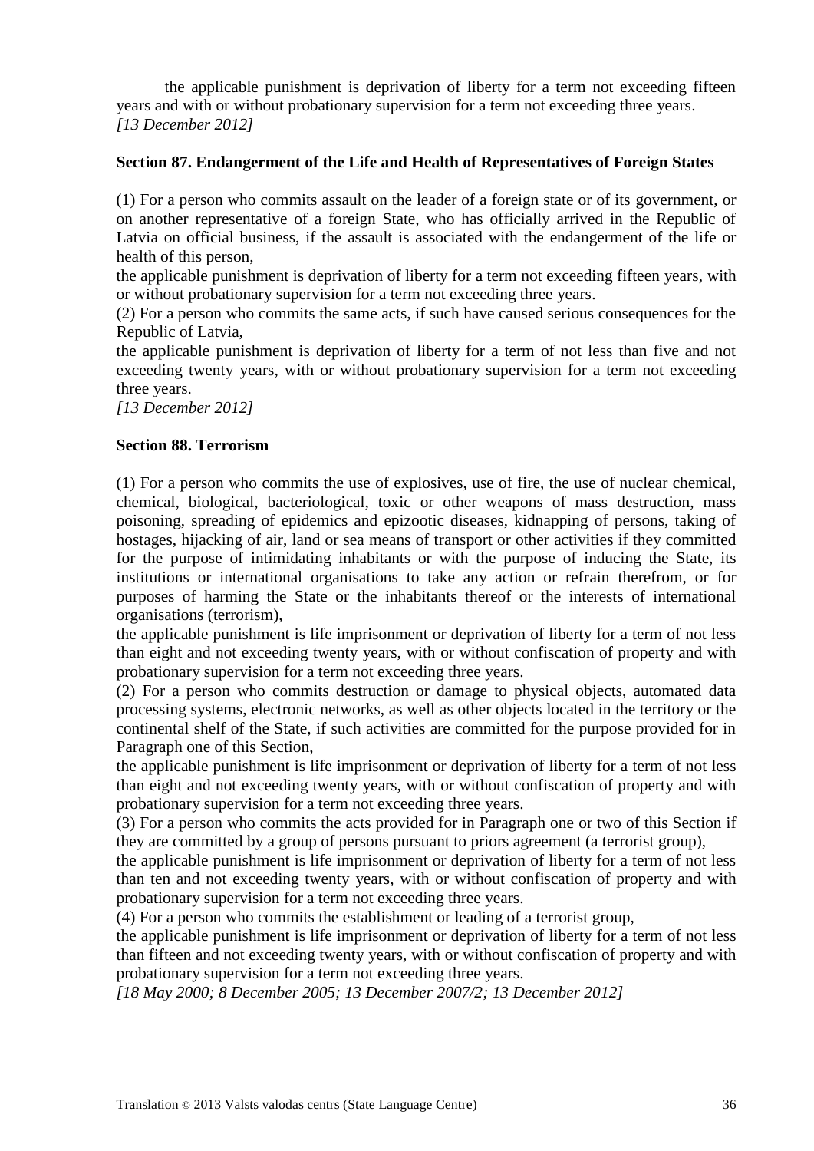the applicable punishment is deprivation of liberty for a term not exceeding fifteen years and with or without probationary supervision for a term not exceeding three years. *[13 December 2012]*

### **Section 87. Endangerment of the Life and Health of Representatives of Foreign States**

(1) For a person who commits assault on the leader of a foreign state or of its government, or on another representative of a foreign State, who has officially arrived in the Republic of Latvia on official business, if the assault is associated with the endangerment of the life or health of this person,

the applicable punishment is deprivation of liberty for a term not exceeding fifteen years, with or without probationary supervision for a term not exceeding three years.

(2) For a person who commits the same acts, if such have caused serious consequences for the Republic of Latvia,

the applicable punishment is deprivation of liberty for a term of not less than five and not exceeding twenty years, with or without probationary supervision for a term not exceeding three years.

*[13 December 2012]*

# **Section 88. Terrorism**

(1) For a person who commits the use of explosives, use of fire, the use of nuclear chemical, chemical, biological, bacteriological, toxic or other weapons of mass destruction, mass poisoning, spreading of epidemics and epizootic diseases, kidnapping of persons, taking of hostages, hijacking of air, land or sea means of transport or other activities if they committed for the purpose of intimidating inhabitants or with the purpose of inducing the State, its institutions or international organisations to take any action or refrain therefrom, or for purposes of harming the State or the inhabitants thereof or the interests of international organisations (terrorism),

the applicable punishment is life imprisonment or deprivation of liberty for a term of not less than eight and not exceeding twenty years, with or without confiscation of property and with probationary supervision for a term not exceeding three years.

(2) For a person who commits destruction or damage to physical objects, automated data processing systems, electronic networks, as well as other objects located in the territory or the continental shelf of the State, if such activities are committed for the purpose provided for in Paragraph one of this Section,

the applicable punishment is life imprisonment or deprivation of liberty for a term of not less than eight and not exceeding twenty years, with or without confiscation of property and with probationary supervision for a term not exceeding three years.

(3) For a person who commits the acts provided for in Paragraph one or two of this Section if they are committed by a group of persons pursuant to priors agreement (a terrorist group),

the applicable punishment is life imprisonment or deprivation of liberty for a term of not less than ten and not exceeding twenty years, with or without confiscation of property and with probationary supervision for a term not exceeding three years.

(4) For a person who commits the establishment or leading of a terrorist group,

the applicable punishment is life imprisonment or deprivation of liberty for a term of not less than fifteen and not exceeding twenty years, with or without confiscation of property and with probationary supervision for a term not exceeding three years.

*[18 May 2000; 8 December 2005; 13 December 2007/2; 13 December 2012]*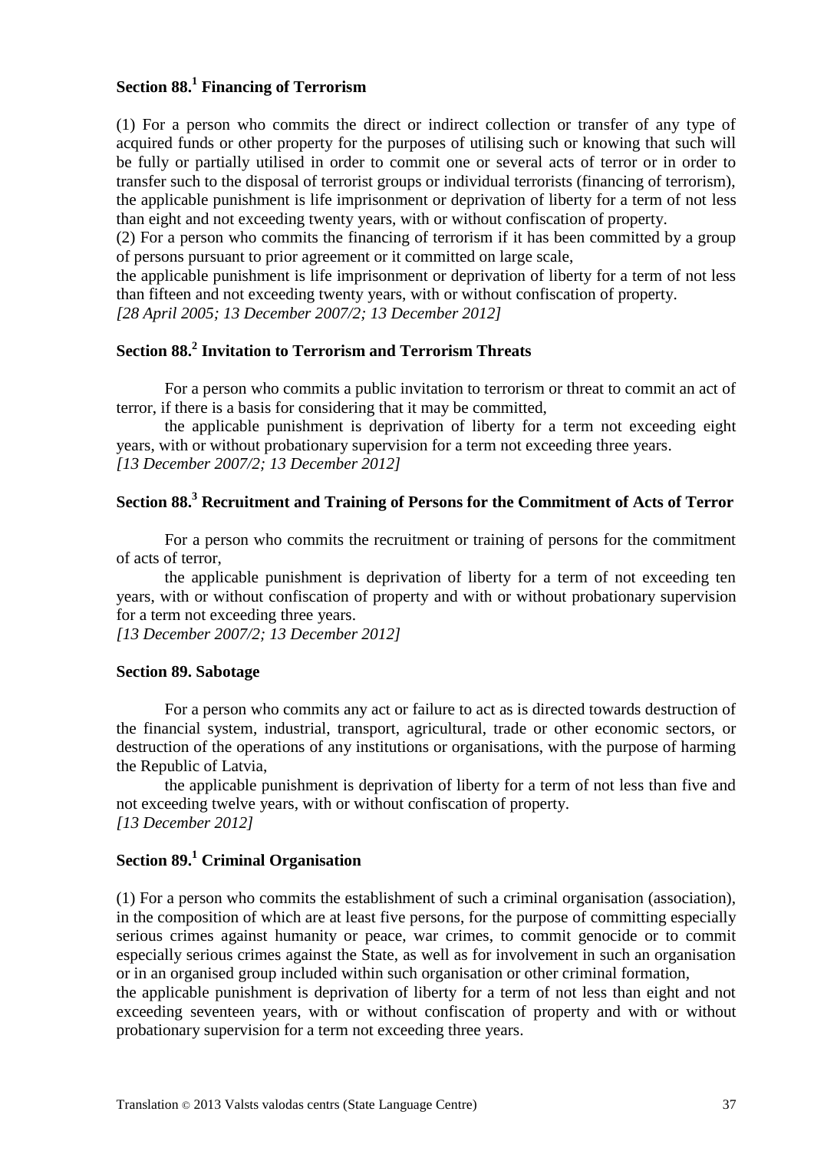# **Section 88.<sup>1</sup> Financing of Terrorism**

(1) For a person who commits the direct or indirect collection or transfer of any type of acquired funds or other property for the purposes of utilising such or knowing that such will be fully or partially utilised in order to commit one or several acts of terror or in order to transfer such to the disposal of terrorist groups or individual terrorists (financing of terrorism), the applicable punishment is life imprisonment or deprivation of liberty for a term of not less than eight and not exceeding twenty years, with or without confiscation of property.

(2) For a person who commits the financing of terrorism if it has been committed by a group of persons pursuant to prior agreement or it committed on large scale,

the applicable punishment is life imprisonment or deprivation of liberty for a term of not less than fifteen and not exceeding twenty years, with or without confiscation of property.

*[28 April 2005; 13 December 2007/2; 13 December 2012]*

# **Section 88.<sup>2</sup> Invitation to Terrorism and Terrorism Threats**

For a person who commits a public invitation to terrorism or threat to commit an act of terror, if there is a basis for considering that it may be committed,

the applicable punishment is deprivation of liberty for a term not exceeding eight years, with or without probationary supervision for a term not exceeding three years. *[13 December 2007/2; 13 December 2012]*

# **Section 88.<sup>3</sup> Recruitment and Training of Persons for the Commitment of Acts of Terror**

For a person who commits the recruitment or training of persons for the commitment of acts of terror,

the applicable punishment is deprivation of liberty for a term of not exceeding ten years, with or without confiscation of property and with or without probationary supervision for a term not exceeding three years.

*[13 December 2007/2; 13 December 2012]*

#### **Section 89. Sabotage**

For a person who commits any act or failure to act as is directed towards destruction of the financial system, industrial, transport, agricultural, trade or other economic sectors, or destruction of the operations of any institutions or organisations, with the purpose of harming the Republic of Latvia,

the applicable punishment is deprivation of liberty for a term of not less than five and not exceeding twelve years, with or without confiscation of property. *[13 December 2012]*

### **Section 89.<sup>1</sup> Criminal Organisation**

(1) For a person who commits the establishment of such a criminal organisation (association), in the composition of which are at least five persons, for the purpose of committing especially serious crimes against humanity or peace, war crimes, to commit genocide or to commit especially serious crimes against the State, as well as for involvement in such an organisation or in an organised group included within such organisation or other criminal formation,

the applicable punishment is deprivation of liberty for a term of not less than eight and not exceeding seventeen years, with or without confiscation of property and with or without probationary supervision for a term not exceeding three years.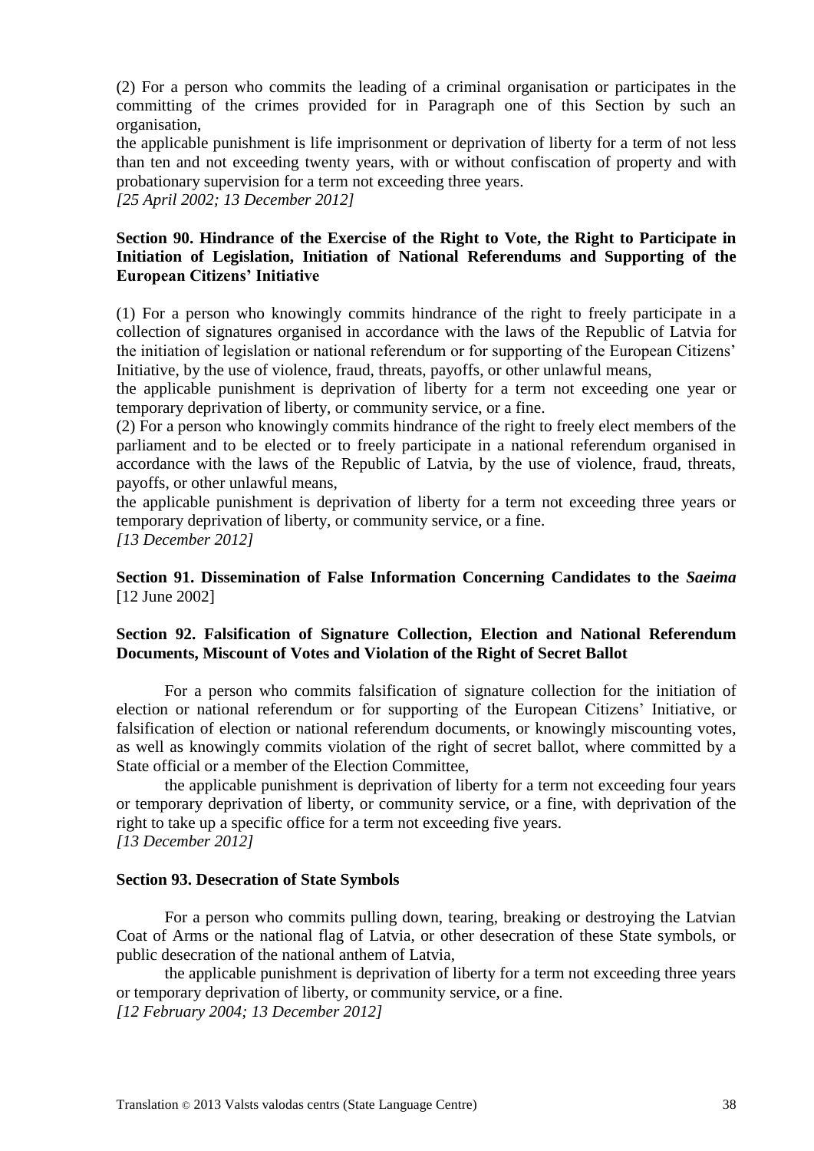(2) For a person who commits the leading of a criminal organisation or participates in the committing of the crimes provided for in Paragraph one of this Section by such an organisation,

the applicable punishment is life imprisonment or deprivation of liberty for a term of not less than ten and not exceeding twenty years, with or without confiscation of property and with probationary supervision for a term not exceeding three years.

*[25 April 2002; 13 December 2012]*

## **Section 90. Hindrance of the Exercise of the Right to Vote, the Right to Participate in Initiation of Legislation, Initiation of National Referendums and Supporting of the European Citizens' Initiative**

(1) For a person who knowingly commits hindrance of the right to freely participate in a collection of signatures organised in accordance with the laws of the Republic of Latvia for the initiation of legislation or national referendum or for supporting of the European Citizens' Initiative, by the use of violence, fraud, threats, payoffs, or other unlawful means,

the applicable punishment is deprivation of liberty for a term not exceeding one year or temporary deprivation of liberty, or community service, or a fine.

(2) For a person who knowingly commits hindrance of the right to freely elect members of the parliament and to be elected or to freely participate in a national referendum organised in accordance with the laws of the Republic of Latvia, by the use of violence, fraud, threats, payoffs, or other unlawful means,

the applicable punishment is deprivation of liberty for a term not exceeding three years or temporary deprivation of liberty, or community service, or a fine.

*[13 December 2012]*

**Section 91. Dissemination of False Information Concerning Candidates to the** *Saeima* [12 June 2002]

# **Section 92. Falsification of Signature Collection, Election and National Referendum Documents, Miscount of Votes and Violation of the Right of Secret Ballot**

For a person who commits falsification of signature collection for the initiation of election or national referendum or for supporting of the European Citizens' Initiative, or falsification of election or national referendum documents, or knowingly miscounting votes, as well as knowingly commits violation of the right of secret ballot, where committed by a State official or a member of the Election Committee,

the applicable punishment is deprivation of liberty for a term not exceeding four years or temporary deprivation of liberty, or community service, or a fine, with deprivation of the right to take up a specific office for a term not exceeding five years. *[13 December 2012]*

## **Section 93. Desecration of State Symbols**

For a person who commits pulling down, tearing, breaking or destroying the Latvian Coat of Arms or the national flag of Latvia, or other desecration of these State symbols, or public desecration of the national anthem of Latvia,

the applicable punishment is deprivation of liberty for a term not exceeding three years or temporary deprivation of liberty, or community service, or a fine. *[12 February 2004; 13 December 2012]*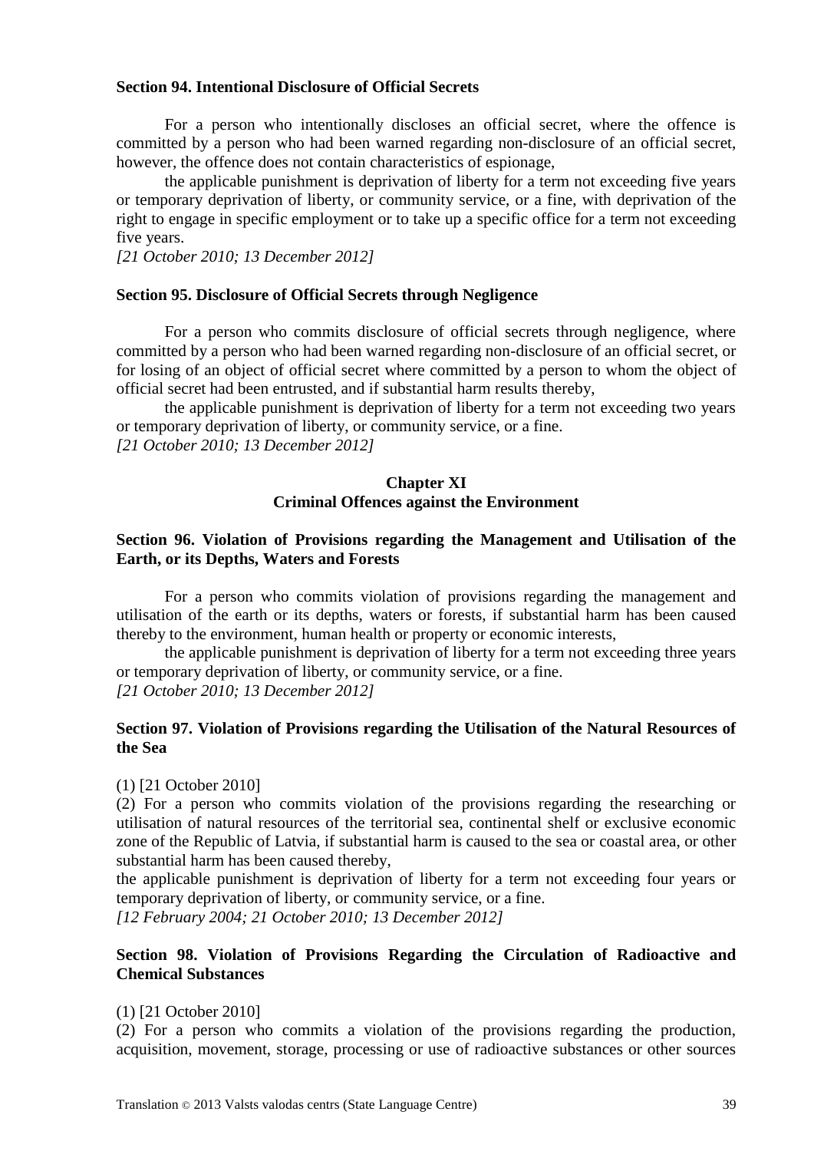#### **Section 94. Intentional Disclosure of Official Secrets**

For a person who intentionally discloses an official secret, where the offence is committed by a person who had been warned regarding non-disclosure of an official secret, however, the offence does not contain characteristics of espionage,

the applicable punishment is deprivation of liberty for a term not exceeding five years or temporary deprivation of liberty, or community service, or a fine, with deprivation of the right to engage in specific employment or to take up a specific office for a term not exceeding five years.

*[21 October 2010; 13 December 2012]*

#### **Section 95. Disclosure of Official Secrets through Negligence**

For a person who commits disclosure of official secrets through negligence, where committed by a person who had been warned regarding non-disclosure of an official secret, or for losing of an object of official secret where committed by a person to whom the object of official secret had been entrusted, and if substantial harm results thereby,

the applicable punishment is deprivation of liberty for a term not exceeding two years or temporary deprivation of liberty, or community service, or a fine.

*[21 October 2010; 13 December 2012]*

#### **Chapter XI Criminal Offences against the Environment**

### **Section 96. Violation of Provisions regarding the Management and Utilisation of the Earth, or its Depths, Waters and Forests**

For a person who commits violation of provisions regarding the management and utilisation of the earth or its depths, waters or forests, if substantial harm has been caused thereby to the environment, human health or property or economic interests,

the applicable punishment is deprivation of liberty for a term not exceeding three years or temporary deprivation of liberty, or community service, or a fine. *[21 October 2010; 13 December 2012]*

### **Section 97. Violation of Provisions regarding the Utilisation of the Natural Resources of the Sea**

#### (1) [21 October 2010]

(2) For a person who commits violation of the provisions regarding the researching or utilisation of natural resources of the territorial sea, continental shelf or exclusive economic zone of the Republic of Latvia, if substantial harm is caused to the sea or coastal area, or other substantial harm has been caused thereby,

the applicable punishment is deprivation of liberty for a term not exceeding four years or temporary deprivation of liberty, or community service, or a fine.

*[12 February 2004; 21 October 2010; 13 December 2012]*

### **Section 98. Violation of Provisions Regarding the Circulation of Radioactive and Chemical Substances**

#### (1) [21 October 2010]

(2) For a person who commits a violation of the provisions regarding the production, acquisition, movement, storage, processing or use of radioactive substances or other sources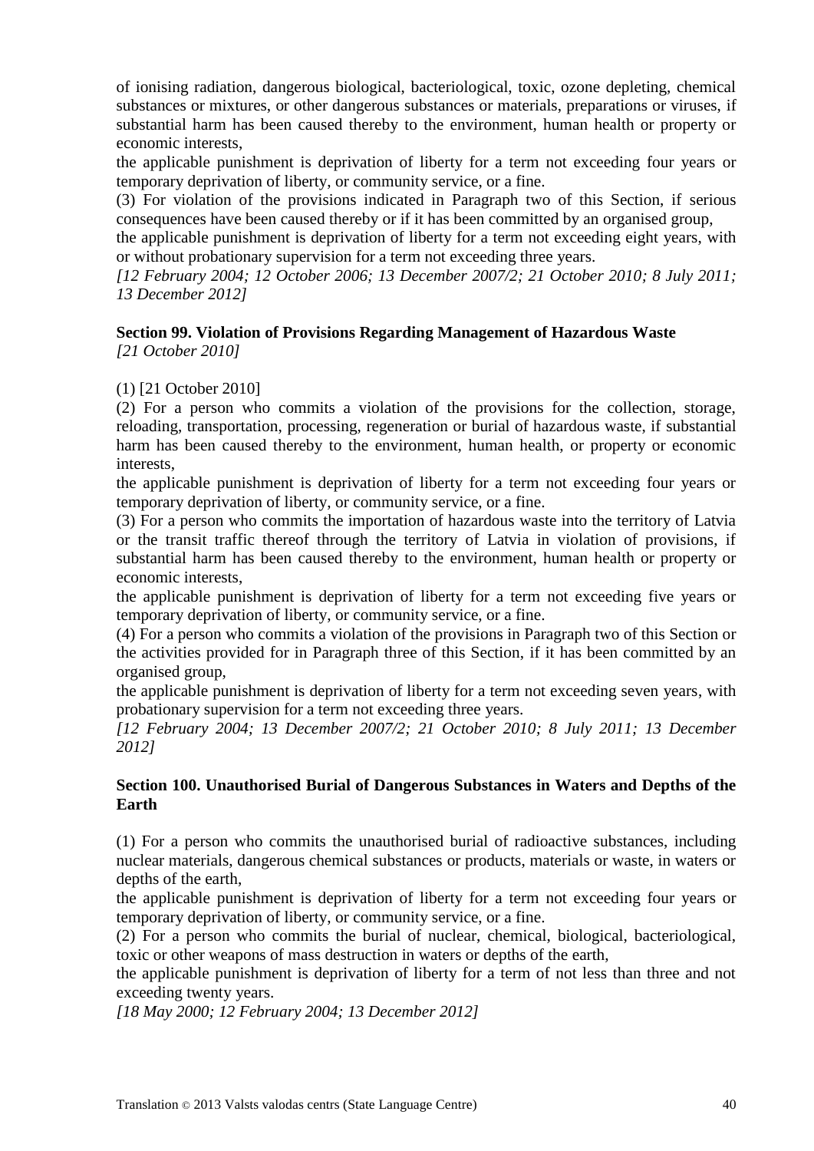of ionising radiation, dangerous biological, bacteriological, toxic, ozone depleting, chemical substances or mixtures, or other dangerous substances or materials, preparations or viruses, if substantial harm has been caused thereby to the environment, human health or property or economic interests,

the applicable punishment is deprivation of liberty for a term not exceeding four years or temporary deprivation of liberty, or community service, or a fine.

(3) For violation of the provisions indicated in Paragraph two of this Section, if serious consequences have been caused thereby or if it has been committed by an organised group,

the applicable punishment is deprivation of liberty for a term not exceeding eight years, with or without probationary supervision for a term not exceeding three years.

*[12 February 2004; 12 October 2006; 13 December 2007/2; 21 October 2010; 8 July 2011; 13 December 2012]*

#### **Section 99. Violation of Provisions Regarding Management of Hazardous Waste** *[21 October 2010]*

(1) [21 October 2010]

(2) For a person who commits a violation of the provisions for the collection, storage, reloading, transportation, processing, regeneration or burial of hazardous waste, if substantial harm has been caused thereby to the environment, human health, or property or economic interests,

the applicable punishment is deprivation of liberty for a term not exceeding four years or temporary deprivation of liberty, or community service, or a fine.

(3) For a person who commits the importation of hazardous waste into the territory of Latvia or the transit traffic thereof through the territory of Latvia in violation of provisions, if substantial harm has been caused thereby to the environment, human health or property or economic interests,

the applicable punishment is deprivation of liberty for a term not exceeding five years or temporary deprivation of liberty, or community service, or a fine.

(4) For a person who commits a violation of the provisions in Paragraph two of this Section or the activities provided for in Paragraph three of this Section, if it has been committed by an organised group,

the applicable punishment is deprivation of liberty for a term not exceeding seven years, with probationary supervision for a term not exceeding three years.

*[12 February 2004; 13 December 2007/2; 21 October 2010; 8 July 2011; 13 December 2012]*

## **Section 100. Unauthorised Burial of Dangerous Substances in Waters and Depths of the Earth**

(1) For a person who commits the unauthorised burial of radioactive substances, including nuclear materials, dangerous chemical substances or products, materials or waste, in waters or depths of the earth,

the applicable punishment is deprivation of liberty for a term not exceeding four years or temporary deprivation of liberty, or community service, or a fine.

(2) For a person who commits the burial of nuclear, chemical, biological, bacteriological, toxic or other weapons of mass destruction in waters or depths of the earth,

the applicable punishment is deprivation of liberty for a term of not less than three and not exceeding twenty years.

*[18 May 2000; 12 February 2004; 13 December 2012]*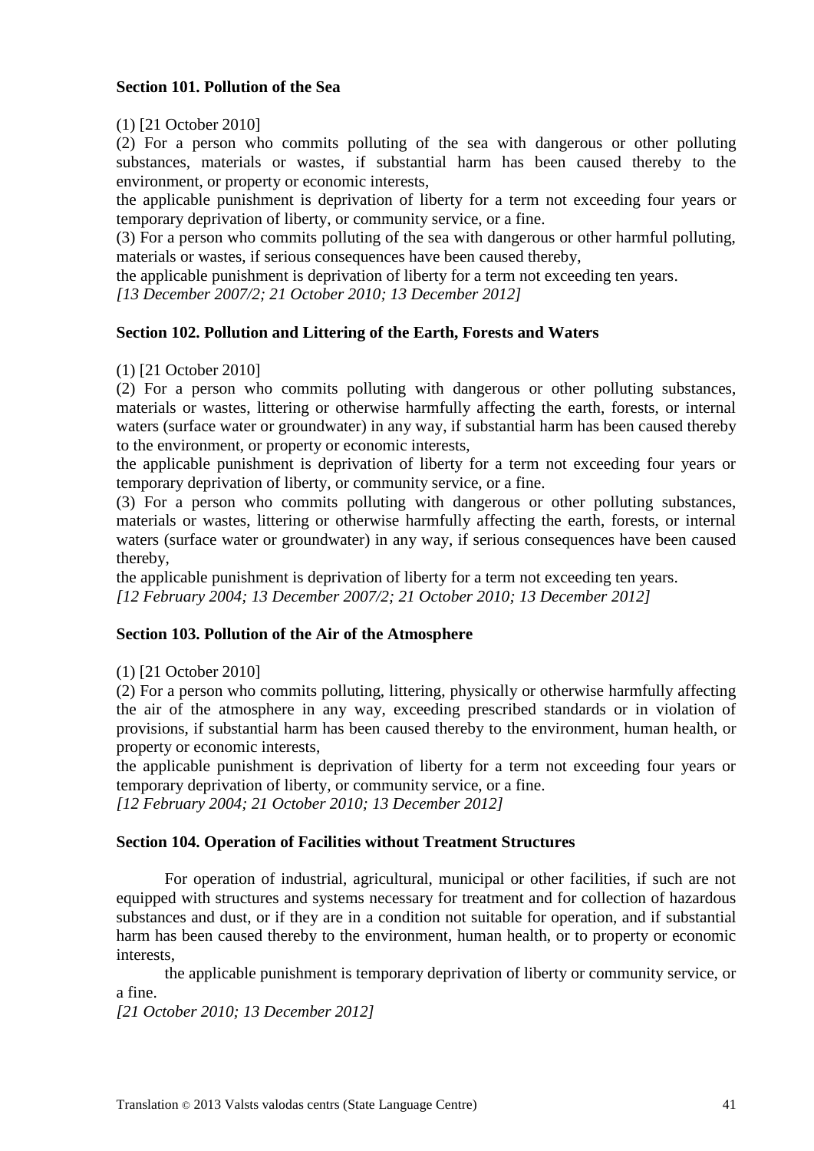### **Section 101. Pollution of the Sea**

#### (1) [21 October 2010]

(2) For a person who commits polluting of the sea with dangerous or other polluting substances, materials or wastes, if substantial harm has been caused thereby to the environment, or property or economic interests,

the applicable punishment is deprivation of liberty for a term not exceeding four years or temporary deprivation of liberty, or community service, or a fine.

(3) For a person who commits polluting of the sea with dangerous or other harmful polluting, materials or wastes, if serious consequences have been caused thereby,

the applicable punishment is deprivation of liberty for a term not exceeding ten years.

*[13 December 2007/2; 21 October 2010; 13 December 2012]*

### **Section 102. Pollution and Littering of the Earth, Forests and Waters**

#### (1) [21 October 2010]

(2) For a person who commits polluting with dangerous or other polluting substances, materials or wastes, littering or otherwise harmfully affecting the earth, forests, or internal waters (surface water or groundwater) in any way, if substantial harm has been caused thereby to the environment, or property or economic interests,

the applicable punishment is deprivation of liberty for a term not exceeding four years or temporary deprivation of liberty, or community service, or a fine.

(3) For a person who commits polluting with dangerous or other polluting substances, materials or wastes, littering or otherwise harmfully affecting the earth, forests, or internal waters (surface water or groundwater) in any way, if serious consequences have been caused thereby,

the applicable punishment is deprivation of liberty for a term not exceeding ten years. *[12 February 2004; 13 December 2007/2; 21 October 2010; 13 December 2012]*

#### **Section 103. Pollution of the Air of the Atmosphere**

(1) [21 October 2010]

(2) For a person who commits polluting, littering, physically or otherwise harmfully affecting the air of the atmosphere in any way, exceeding prescribed standards or in violation of provisions, if substantial harm has been caused thereby to the environment, human health, or property or economic interests,

the applicable punishment is deprivation of liberty for a term not exceeding four years or temporary deprivation of liberty, or community service, or a fine.

*[12 February 2004; 21 October 2010; 13 December 2012]*

#### **Section 104. Operation of Facilities without Treatment Structures**

For operation of industrial, agricultural, municipal or other facilities, if such are not equipped with structures and systems necessary for treatment and for collection of hazardous substances and dust, or if they are in a condition not suitable for operation, and if substantial harm has been caused thereby to the environment, human health, or to property or economic interests,

the applicable punishment is temporary deprivation of liberty or community service, or a fine.

*[21 October 2010; 13 December 2012]*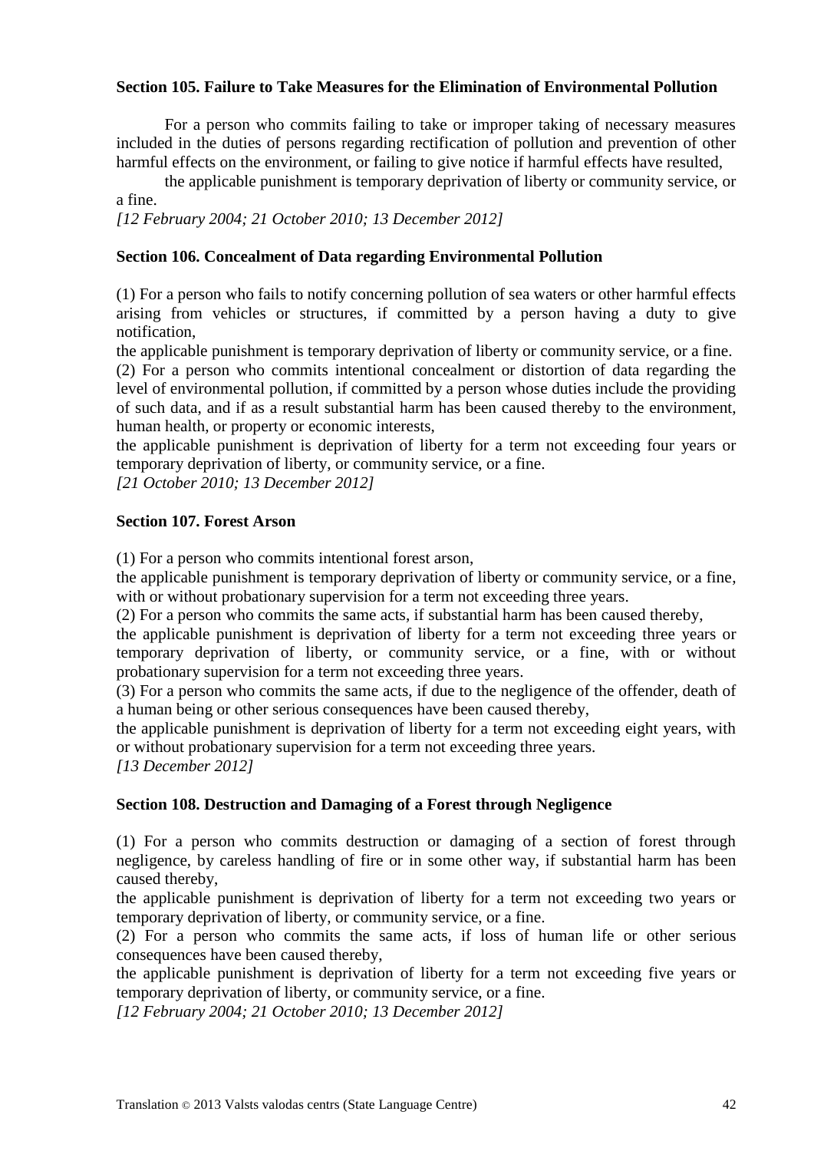### **Section 105. Failure to Take Measures for the Elimination of Environmental Pollution**

For a person who commits failing to take or improper taking of necessary measures included in the duties of persons regarding rectification of pollution and prevention of other harmful effects on the environment, or failing to give notice if harmful effects have resulted,

the applicable punishment is temporary deprivation of liberty or community service, or a fine.

*[12 February 2004; 21 October 2010; 13 December 2012]*

### **Section 106. Concealment of Data regarding Environmental Pollution**

(1) For a person who fails to notify concerning pollution of sea waters or other harmful effects arising from vehicles or structures, if committed by a person having a duty to give notification,

the applicable punishment is temporary deprivation of liberty or community service, or a fine.

(2) For a person who commits intentional concealment or distortion of data regarding the level of environmental pollution, if committed by a person whose duties include the providing of such data, and if as a result substantial harm has been caused thereby to the environment, human health, or property or economic interests,

the applicable punishment is deprivation of liberty for a term not exceeding four years or temporary deprivation of liberty, or community service, or a fine.

*[21 October 2010; 13 December 2012]*

# **Section 107. Forest Arson**

(1) For a person who commits intentional forest arson,

the applicable punishment is temporary deprivation of liberty or community service, or a fine, with or without probationary supervision for a term not exceeding three years.

(2) For a person who commits the same acts, if substantial harm has been caused thereby,

the applicable punishment is deprivation of liberty for a term not exceeding three years or temporary deprivation of liberty, or community service, or a fine, with or without probationary supervision for a term not exceeding three years.

(3) For a person who commits the same acts, if due to the negligence of the offender, death of a human being or other serious consequences have been caused thereby,

the applicable punishment is deprivation of liberty for a term not exceeding eight years, with or without probationary supervision for a term not exceeding three years.

*[13 December 2012]*

#### **Section 108. Destruction and Damaging of a Forest through Negligence**

(1) For a person who commits destruction or damaging of a section of forest through negligence, by careless handling of fire or in some other way, if substantial harm has been caused thereby,

the applicable punishment is deprivation of liberty for a term not exceeding two years or temporary deprivation of liberty, or community service, or a fine.

(2) For a person who commits the same acts, if loss of human life or other serious consequences have been caused thereby,

the applicable punishment is deprivation of liberty for a term not exceeding five years or temporary deprivation of liberty, or community service, or a fine.

*[12 February 2004; 21 October 2010; 13 December 2012]*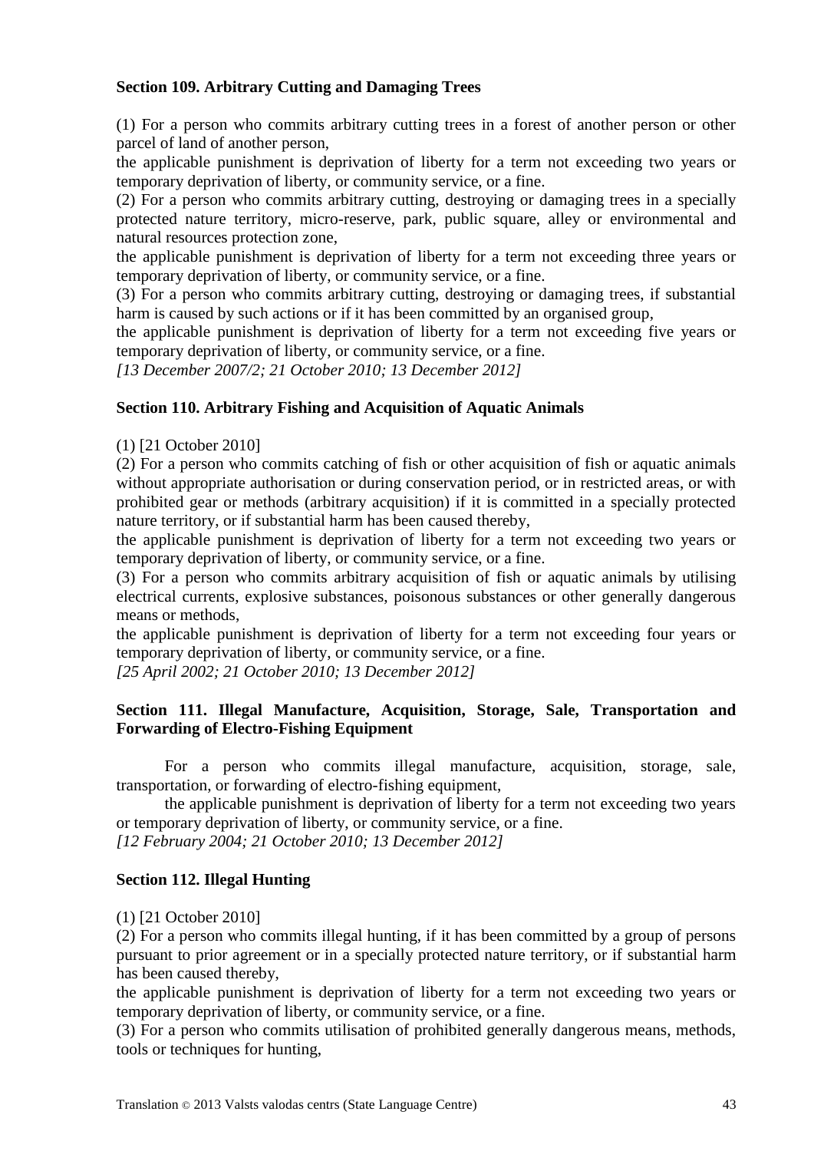### **Section 109. Arbitrary Cutting and Damaging Trees**

(1) For a person who commits arbitrary cutting trees in a forest of another person or other parcel of land of another person,

the applicable punishment is deprivation of liberty for a term not exceeding two years or temporary deprivation of liberty, or community service, or a fine.

(2) For a person who commits arbitrary cutting, destroying or damaging trees in a specially protected nature territory, micro-reserve, park, public square, alley or environmental and natural resources protection zone,

the applicable punishment is deprivation of liberty for a term not exceeding three years or temporary deprivation of liberty, or community service, or a fine.

(3) For a person who commits arbitrary cutting, destroying or damaging trees, if substantial harm is caused by such actions or if it has been committed by an organised group,

the applicable punishment is deprivation of liberty for a term not exceeding five years or temporary deprivation of liberty, or community service, or a fine.

*[13 December 2007/2; 21 October 2010; 13 December 2012]*

#### **Section 110. Arbitrary Fishing and Acquisition of Aquatic Animals**

(1) [21 October 2010]

(2) For a person who commits catching of fish or other acquisition of fish or aquatic animals without appropriate authorisation or during conservation period, or in restricted areas, or with prohibited gear or methods (arbitrary acquisition) if it is committed in a specially protected nature territory, or if substantial harm has been caused thereby,

the applicable punishment is deprivation of liberty for a term not exceeding two years or temporary deprivation of liberty, or community service, or a fine.

(3) For a person who commits arbitrary acquisition of fish or aquatic animals by utilising electrical currents, explosive substances, poisonous substances or other generally dangerous means or methods,

the applicable punishment is deprivation of liberty for a term not exceeding four years or temporary deprivation of liberty, or community service, or a fine.

*[25 April 2002; 21 October 2010; 13 December 2012]*

### **Section 111. Illegal Manufacture, Acquisition, Storage, Sale, Transportation and Forwarding of Electro-Fishing Equipment**

For a person who commits illegal manufacture, acquisition, storage, sale, transportation, or forwarding of electro-fishing equipment,

the applicable punishment is deprivation of liberty for a term not exceeding two years or temporary deprivation of liberty, or community service, or a fine.

*[12 February 2004; 21 October 2010; 13 December 2012]*

#### **Section 112. Illegal Hunting**

(1) [21 October 2010]

(2) For a person who commits illegal hunting, if it has been committed by a group of persons pursuant to prior agreement or in a specially protected nature territory, or if substantial harm has been caused thereby,

the applicable punishment is deprivation of liberty for a term not exceeding two years or temporary deprivation of liberty, or community service, or a fine.

(3) For a person who commits utilisation of prohibited generally dangerous means, methods, tools or techniques for hunting,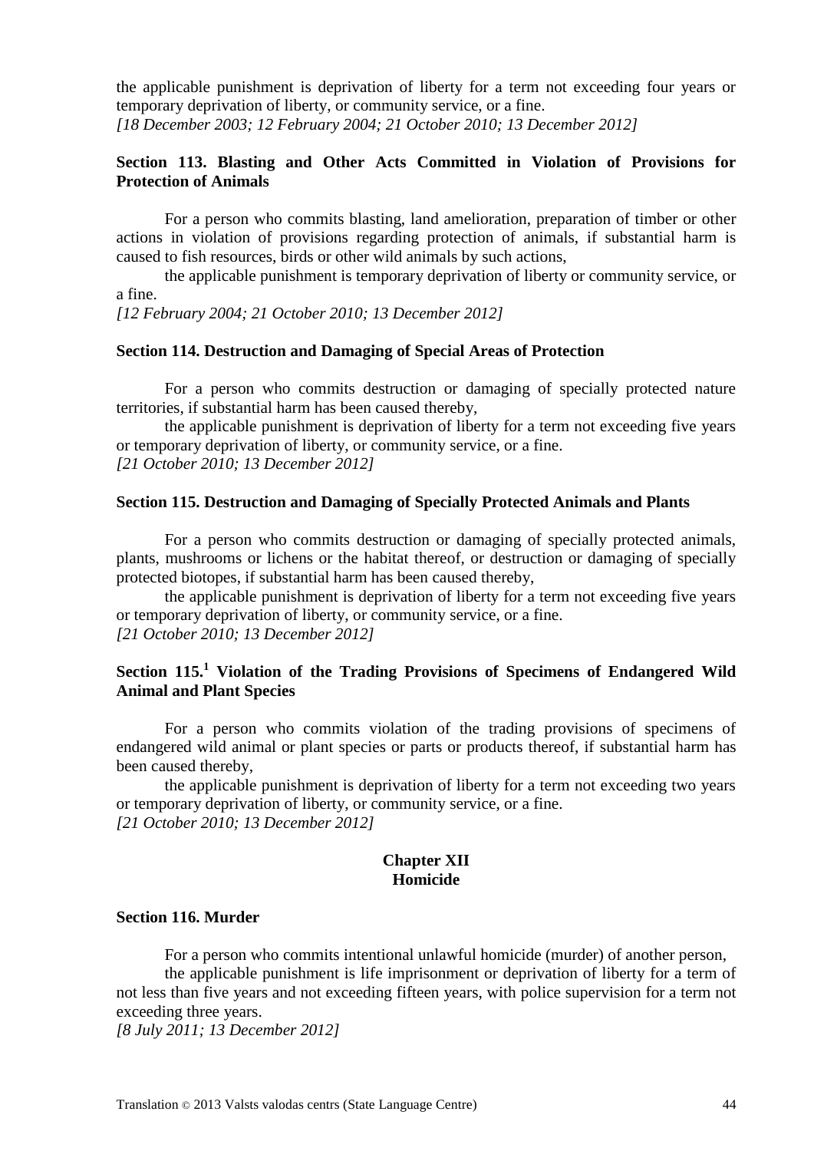the applicable punishment is deprivation of liberty for a term not exceeding four years or temporary deprivation of liberty, or community service, or a fine. *[18 December 2003; 12 February 2004; 21 October 2010; 13 December 2012]*

#### **Section 113. Blasting and Other Acts Committed in Violation of Provisions for Protection of Animals**

For a person who commits blasting, land amelioration, preparation of timber or other actions in violation of provisions regarding protection of animals, if substantial harm is caused to fish resources, birds or other wild animals by such actions,

the applicable punishment is temporary deprivation of liberty or community service, or a fine.

*[12 February 2004; 21 October 2010; 13 December 2012]*

#### **Section 114. Destruction and Damaging of Special Areas of Protection**

For a person who commits destruction or damaging of specially protected nature territories, if substantial harm has been caused thereby,

the applicable punishment is deprivation of liberty for a term not exceeding five years or temporary deprivation of liberty, or community service, or a fine. *[21 October 2010; 13 December 2012]*

#### **Section 115. Destruction and Damaging of Specially Protected Animals and Plants**

For a person who commits destruction or damaging of specially protected animals, plants, mushrooms or lichens or the habitat thereof, or destruction or damaging of specially protected biotopes, if substantial harm has been caused thereby,

the applicable punishment is deprivation of liberty for a term not exceeding five years or temporary deprivation of liberty, or community service, or a fine. *[21 October 2010; 13 December 2012]*

### **Section 115.<sup>1</sup> Violation of the Trading Provisions of Specimens of Endangered Wild Animal and Plant Species**

For a person who commits violation of the trading provisions of specimens of endangered wild animal or plant species or parts or products thereof, if substantial harm has been caused thereby,

the applicable punishment is deprivation of liberty for a term not exceeding two years or temporary deprivation of liberty, or community service, or a fine. *[21 October 2010; 13 December 2012]*

#### **Chapter XII Homicide**

#### **Section 116. Murder**

For a person who commits intentional unlawful homicide (murder) of another person,

the applicable punishment is life imprisonment or deprivation of liberty for a term of not less than five years and not exceeding fifteen years, with police supervision for a term not exceeding three years.

*[8 July 2011; 13 December 2012]*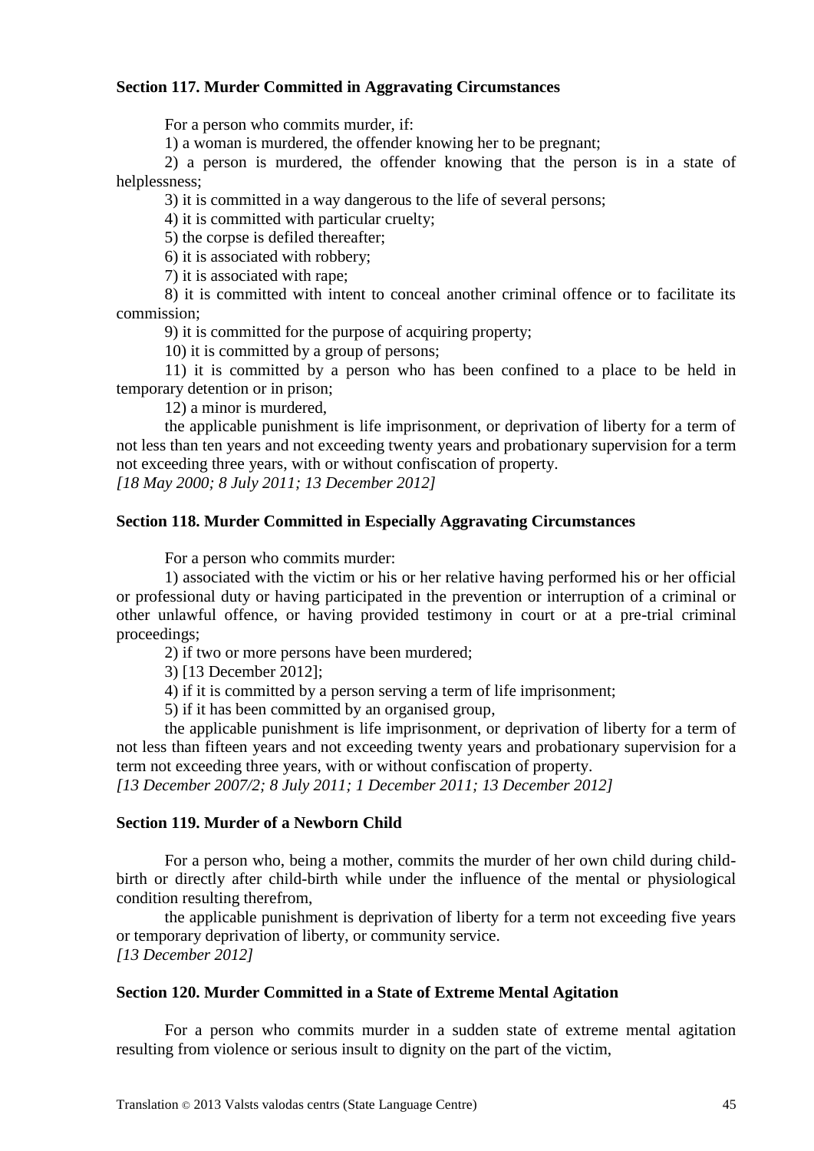#### **Section 117. Murder Committed in Aggravating Circumstances**

For a person who commits murder, if:

1) a woman is murdered, the offender knowing her to be pregnant;

2) a person is murdered, the offender knowing that the person is in a state of helplessness;

3) it is committed in a way dangerous to the life of several persons;

4) it is committed with particular cruelty;

5) the corpse is defiled thereafter;

6) it is associated with robbery;

7) it is associated with rape;

8) it is committed with intent to conceal another criminal offence or to facilitate its commission;

9) it is committed for the purpose of acquiring property;

10) it is committed by a group of persons;

11) it is committed by a person who has been confined to a place to be held in temporary detention or in prison;

12) a minor is murdered,

the applicable punishment is life imprisonment, or deprivation of liberty for a term of not less than ten years and not exceeding twenty years and probationary supervision for a term not exceeding three years, with or without confiscation of property.

*[18 May 2000; 8 July 2011; 13 December 2012]*

#### **Section 118. Murder Committed in Especially Aggravating Circumstances**

For a person who commits murder:

1) associated with the victim or his or her relative having performed his or her official or professional duty or having participated in the prevention or interruption of a criminal or other unlawful offence, or having provided testimony in court or at a pre-trial criminal proceedings;

2) if two or more persons have been murdered;

3) [13 December 2012];

4) if it is committed by a person serving a term of life imprisonment;

5) if it has been committed by an organised group,

the applicable punishment is life imprisonment, or deprivation of liberty for a term of not less than fifteen years and not exceeding twenty years and probationary supervision for a term not exceeding three years, with or without confiscation of property.

*[13 December 2007/2; 8 July 2011; 1 December 2011; 13 December 2012]*

#### **Section 119. Murder of a Newborn Child**

For a person who, being a mother, commits the murder of her own child during childbirth or directly after child-birth while under the influence of the mental or physiological condition resulting therefrom,

the applicable punishment is deprivation of liberty for a term not exceeding five years or temporary deprivation of liberty, or community service. *[13 December 2012]*

#### **Section 120. Murder Committed in a State of Extreme Mental Agitation**

For a person who commits murder in a sudden state of extreme mental agitation resulting from violence or serious insult to dignity on the part of the victim,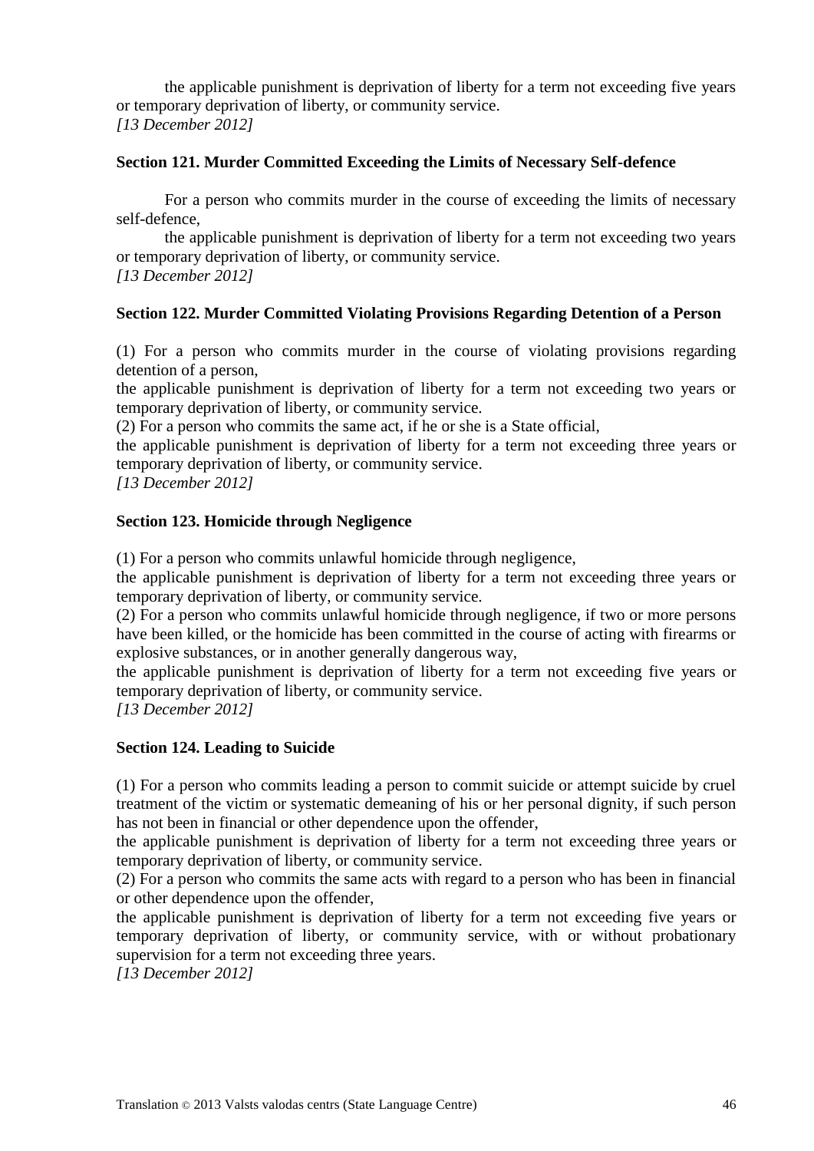the applicable punishment is deprivation of liberty for a term not exceeding five years or temporary deprivation of liberty, or community service. *[13 December 2012]*

### **Section 121. Murder Committed Exceeding the Limits of Necessary Self-defence**

For a person who commits murder in the course of exceeding the limits of necessary self-defence,

the applicable punishment is deprivation of liberty for a term not exceeding two years or temporary deprivation of liberty, or community service. *[13 December 2012]*

## **Section 122. Murder Committed Violating Provisions Regarding Detention of a Person**

(1) For a person who commits murder in the course of violating provisions regarding detention of a person,

the applicable punishment is deprivation of liberty for a term not exceeding two years or temporary deprivation of liberty, or community service.

(2) For a person who commits the same act, if he or she is a State official,

the applicable punishment is deprivation of liberty for a term not exceeding three years or temporary deprivation of liberty, or community service.

*[13 December 2012]*

#### **Section 123. Homicide through Negligence**

(1) For a person who commits unlawful homicide through negligence,

the applicable punishment is deprivation of liberty for a term not exceeding three years or temporary deprivation of liberty, or community service.

(2) For a person who commits unlawful homicide through negligence, if two or more persons have been killed, or the homicide has been committed in the course of acting with firearms or explosive substances, or in another generally dangerous way,

the applicable punishment is deprivation of liberty for a term not exceeding five years or temporary deprivation of liberty, or community service.

*[13 December 2012]*

#### **Section 124. Leading to Suicide**

(1) For a person who commits leading a person to commit suicide or attempt suicide by cruel treatment of the victim or systematic demeaning of his or her personal dignity, if such person has not been in financial or other dependence upon the offender,

the applicable punishment is deprivation of liberty for a term not exceeding three years or temporary deprivation of liberty, or community service.

(2) For a person who commits the same acts with regard to a person who has been in financial or other dependence upon the offender,

the applicable punishment is deprivation of liberty for a term not exceeding five years or temporary deprivation of liberty, or community service, with or without probationary supervision for a term not exceeding three years.

*[13 December 2012]*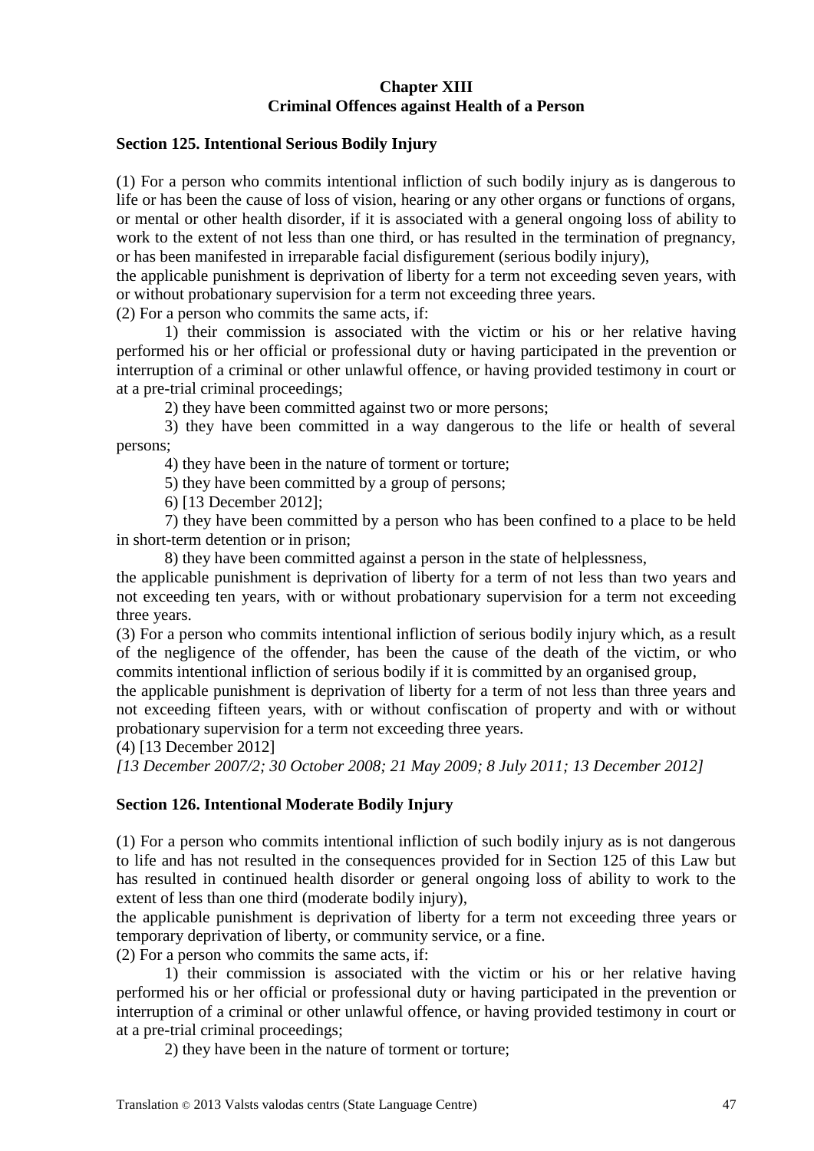### **Chapter XIII Criminal Offences against Health of a Person**

#### **Section 125. Intentional Serious Bodily Injury**

(1) For a person who commits intentional infliction of such bodily injury as is dangerous to life or has been the cause of loss of vision, hearing or any other organs or functions of organs, or mental or other health disorder, if it is associated with a general ongoing loss of ability to work to the extent of not less than one third, or has resulted in the termination of pregnancy, or has been manifested in irreparable facial disfigurement (serious bodily injury),

the applicable punishment is deprivation of liberty for a term not exceeding seven years, with or without probationary supervision for a term not exceeding three years.

(2) For a person who commits the same acts, if:

1) their commission is associated with the victim or his or her relative having performed his or her official or professional duty or having participated in the prevention or interruption of a criminal or other unlawful offence, or having provided testimony in court or at a pre-trial criminal proceedings;

2) they have been committed against two or more persons;

3) they have been committed in a way dangerous to the life or health of several persons;

4) they have been in the nature of torment or torture;

5) they have been committed by a group of persons;

6) [13 December 2012];

7) they have been committed by a person who has been confined to a place to be held in short-term detention or in prison;

8) they have been committed against a person in the state of helplessness,

the applicable punishment is deprivation of liberty for a term of not less than two years and not exceeding ten years, with or without probationary supervision for a term not exceeding three years.

(3) For a person who commits intentional infliction of serious bodily injury which, as a result of the negligence of the offender, has been the cause of the death of the victim, or who commits intentional infliction of serious bodily if it is committed by an organised group,

the applicable punishment is deprivation of liberty for a term of not less than three years and not exceeding fifteen years, with or without confiscation of property and with or without probationary supervision for a term not exceeding three years.

(4) [13 December 2012]

*[13 December 2007/2; 30 October 2008; 21 May 2009; 8 July 2011; 13 December 2012]*

#### **Section 126. Intentional Moderate Bodily Injury**

(1) For a person who commits intentional infliction of such bodily injury as is not dangerous to life and has not resulted in the consequences provided for in Section 125 of this Law but has resulted in continued health disorder or general ongoing loss of ability to work to the extent of less than one third (moderate bodily injury),

the applicable punishment is deprivation of liberty for a term not exceeding three years or temporary deprivation of liberty, or community service, or a fine.

(2) For a person who commits the same acts, if:

1) their commission is associated with the victim or his or her relative having performed his or her official or professional duty or having participated in the prevention or interruption of a criminal or other unlawful offence, or having provided testimony in court or at a pre-trial criminal proceedings;

2) they have been in the nature of torment or torture;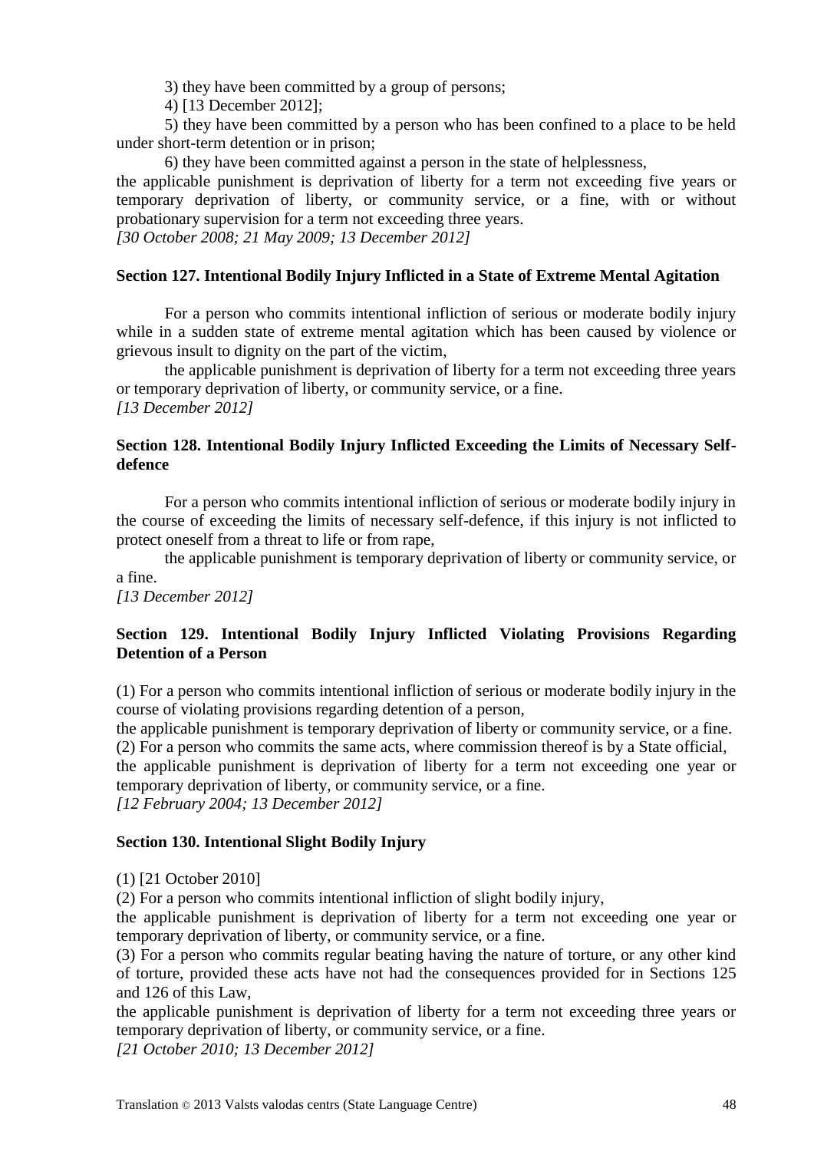3) they have been committed by a group of persons;

4) [13 December 2012];

5) they have been committed by a person who has been confined to a place to be held under short-term detention or in prison;

6) they have been committed against a person in the state of helplessness,

the applicable punishment is deprivation of liberty for a term not exceeding five years or temporary deprivation of liberty, or community service, or a fine, with or without probationary supervision for a term not exceeding three years.

*[30 October 2008; 21 May 2009; 13 December 2012]*

### **Section 127. Intentional Bodily Injury Inflicted in a State of Extreme Mental Agitation**

For a person who commits intentional infliction of serious or moderate bodily injury while in a sudden state of extreme mental agitation which has been caused by violence or grievous insult to dignity on the part of the victim,

the applicable punishment is deprivation of liberty for a term not exceeding three years or temporary deprivation of liberty, or community service, or a fine. *[13 December 2012]*

### **Section 128. Intentional Bodily Injury Inflicted Exceeding the Limits of Necessary Selfdefence**

For a person who commits intentional infliction of serious or moderate bodily injury in the course of exceeding the limits of necessary self-defence, if this injury is not inflicted to protect oneself from a threat to life or from rape,

the applicable punishment is temporary deprivation of liberty or community service, or a fine.

*[13 December 2012]*

# **Section 129. Intentional Bodily Injury Inflicted Violating Provisions Regarding Detention of a Person**

(1) For a person who commits intentional infliction of serious or moderate bodily injury in the course of violating provisions regarding detention of a person,

the applicable punishment is temporary deprivation of liberty or community service, or a fine. (2) For a person who commits the same acts, where commission thereof is by a State official,

the applicable punishment is deprivation of liberty for a term not exceeding one year or temporary deprivation of liberty, or community service, or a fine.

*[12 February 2004; 13 December 2012]*

#### **Section 130. Intentional Slight Bodily Injury**

(1) [21 October 2010]

(2) For a person who commits intentional infliction of slight bodily injury,

the applicable punishment is deprivation of liberty for a term not exceeding one year or temporary deprivation of liberty, or community service, or a fine.

(3) For a person who commits regular beating having the nature of torture, or any other kind of torture, provided these acts have not had the consequences provided for in Sections 125 and 126 of this Law,

the applicable punishment is deprivation of liberty for a term not exceeding three years or temporary deprivation of liberty, or community service, or a fine.

*[21 October 2010; 13 December 2012]*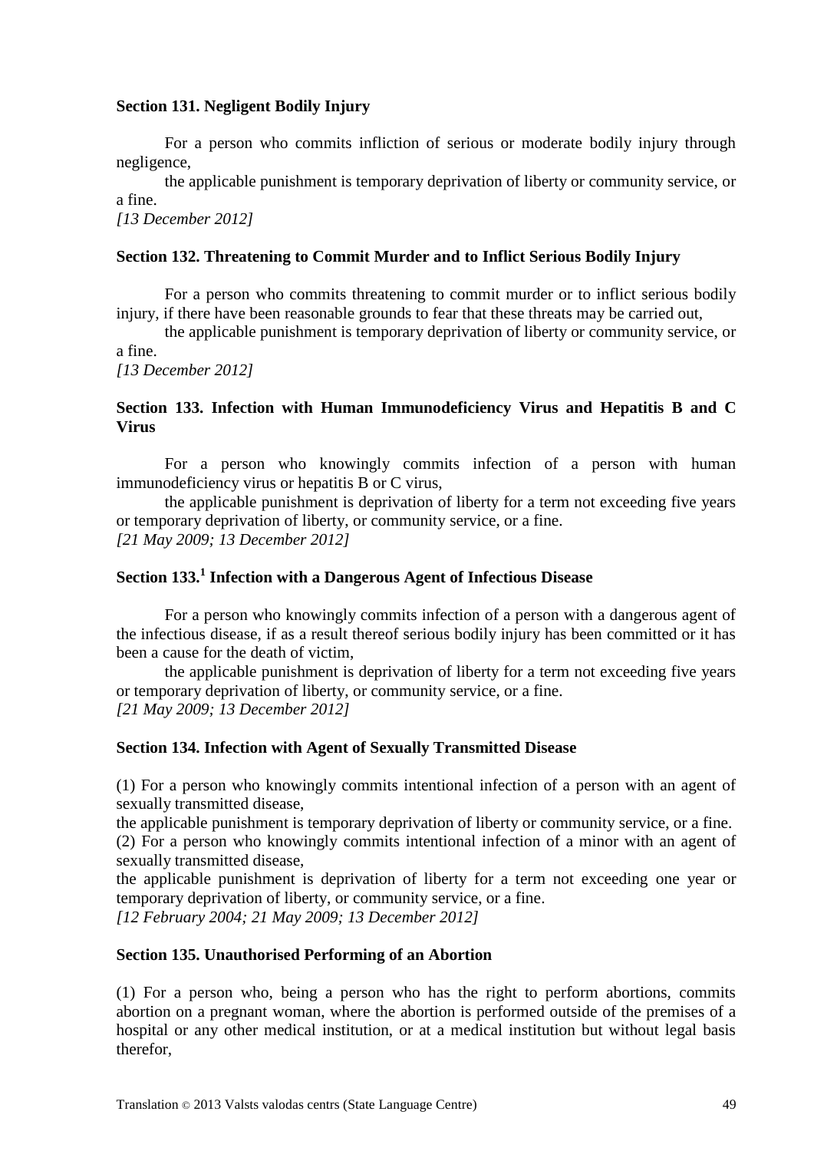#### **Section 131. Negligent Bodily Injury**

For a person who commits infliction of serious or moderate bodily injury through negligence,

the applicable punishment is temporary deprivation of liberty or community service, or a fine.

*[13 December 2012]*

#### **Section 132. Threatening to Commit Murder and to Inflict Serious Bodily Injury**

For a person who commits threatening to commit murder or to inflict serious bodily injury, if there have been reasonable grounds to fear that these threats may be carried out,

the applicable punishment is temporary deprivation of liberty or community service, or a fine.

*[13 December 2012]*

### **Section 133. Infection with Human Immunodeficiency Virus and Hepatitis B and C Virus**

For a person who knowingly commits infection of a person with human immunodeficiency virus or hepatitis B or C virus,

the applicable punishment is deprivation of liberty for a term not exceeding five years or temporary deprivation of liberty, or community service, or a fine. *[21 May 2009; 13 December 2012]*

# **Section 133.<sup>1</sup> Infection with a Dangerous Agent of Infectious Disease**

For a person who knowingly commits infection of a person with a dangerous agent of the infectious disease, if as a result thereof serious bodily injury has been committed or it has been a cause for the death of victim,

the applicable punishment is deprivation of liberty for a term not exceeding five years or temporary deprivation of liberty, or community service, or a fine. *[21 May 2009; 13 December 2012]*

#### **Section 134. Infection with Agent of Sexually Transmitted Disease**

(1) For a person who knowingly commits intentional infection of a person with an agent of sexually transmitted disease,

the applicable punishment is temporary deprivation of liberty or community service, or a fine. (2) For a person who knowingly commits intentional infection of a minor with an agent of

sexually transmitted disease,

the applicable punishment is deprivation of liberty for a term not exceeding one year or temporary deprivation of liberty, or community service, or a fine.

*[12 February 2004; 21 May 2009; 13 December 2012]*

#### **Section 135. Unauthorised Performing of an Abortion**

(1) For a person who, being a person who has the right to perform abortions, commits abortion on a pregnant woman, where the abortion is performed outside of the premises of a hospital or any other medical institution, or at a medical institution but without legal basis therefor,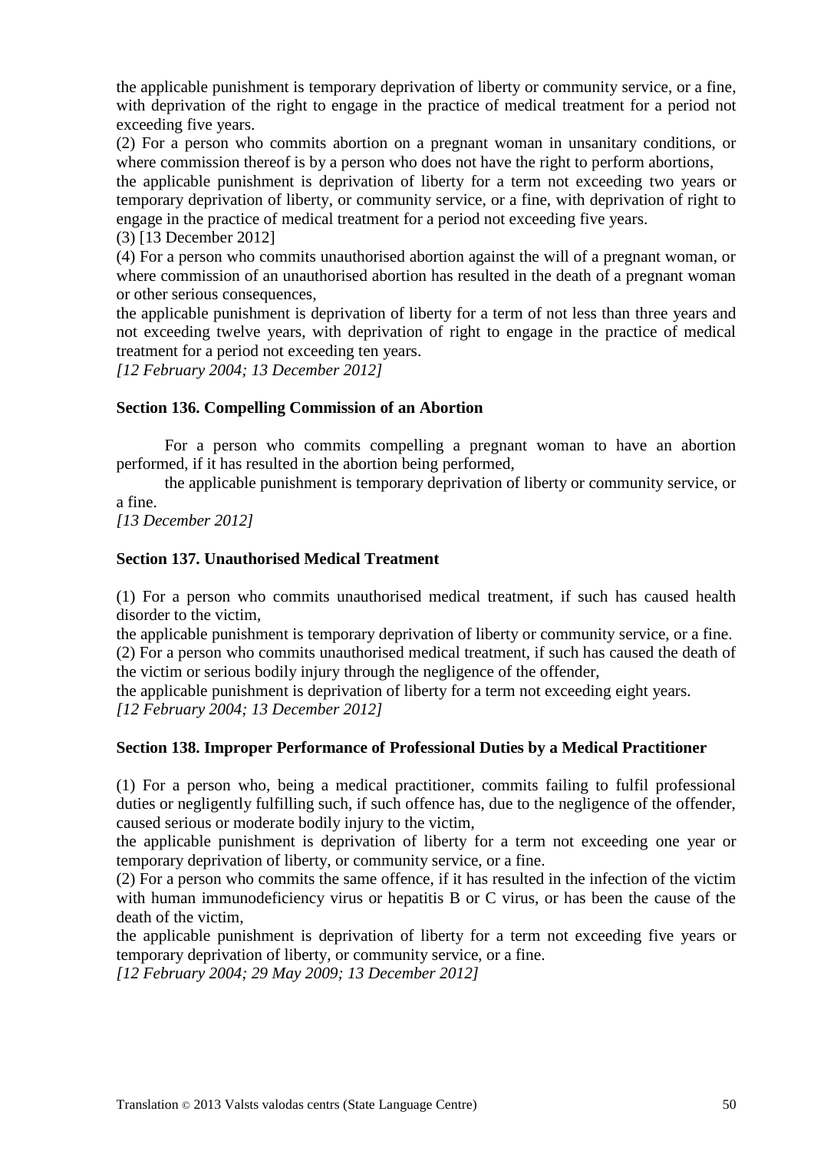the applicable punishment is temporary deprivation of liberty or community service, or a fine, with deprivation of the right to engage in the practice of medical treatment for a period not exceeding five years.

(2) For a person who commits abortion on a pregnant woman in unsanitary conditions, or where commission thereof is by a person who does not have the right to perform abortions,

the applicable punishment is deprivation of liberty for a term not exceeding two years or temporary deprivation of liberty, or community service, or a fine, with deprivation of right to engage in the practice of medical treatment for a period not exceeding five years.

(3) [13 December 2012]

(4) For a person who commits unauthorised abortion against the will of a pregnant woman, or where commission of an unauthorised abortion has resulted in the death of a pregnant woman or other serious consequences,

the applicable punishment is deprivation of liberty for a term of not less than three years and not exceeding twelve years, with deprivation of right to engage in the practice of medical treatment for a period not exceeding ten years.

*[12 February 2004; 13 December 2012]*

## **Section 136. Compelling Commission of an Abortion**

For a person who commits compelling a pregnant woman to have an abortion performed, if it has resulted in the abortion being performed,

the applicable punishment is temporary deprivation of liberty or community service, or a fine.

*[13 December 2012]*

## **Section 137. Unauthorised Medical Treatment**

(1) For a person who commits unauthorised medical treatment, if such has caused health disorder to the victim,

the applicable punishment is temporary deprivation of liberty or community service, or a fine. (2) For a person who commits unauthorised medical treatment, if such has caused the death of the victim or serious bodily injury through the negligence of the offender,

the applicable punishment is deprivation of liberty for a term not exceeding eight years. *[12 February 2004; 13 December 2012]*

## **Section 138. Improper Performance of Professional Duties by a Medical Practitioner**

(1) For a person who, being a medical practitioner, commits failing to fulfil professional duties or negligently fulfilling such, if such offence has, due to the negligence of the offender, caused serious or moderate bodily injury to the victim,

the applicable punishment is deprivation of liberty for a term not exceeding one year or temporary deprivation of liberty, or community service, or a fine.

(2) For a person who commits the same offence, if it has resulted in the infection of the victim with human immunodeficiency virus or hepatitis B or C virus, or has been the cause of the death of the victim,

the applicable punishment is deprivation of liberty for a term not exceeding five years or temporary deprivation of liberty, or community service, or a fine.

*[12 February 2004; 29 May 2009; 13 December 2012]*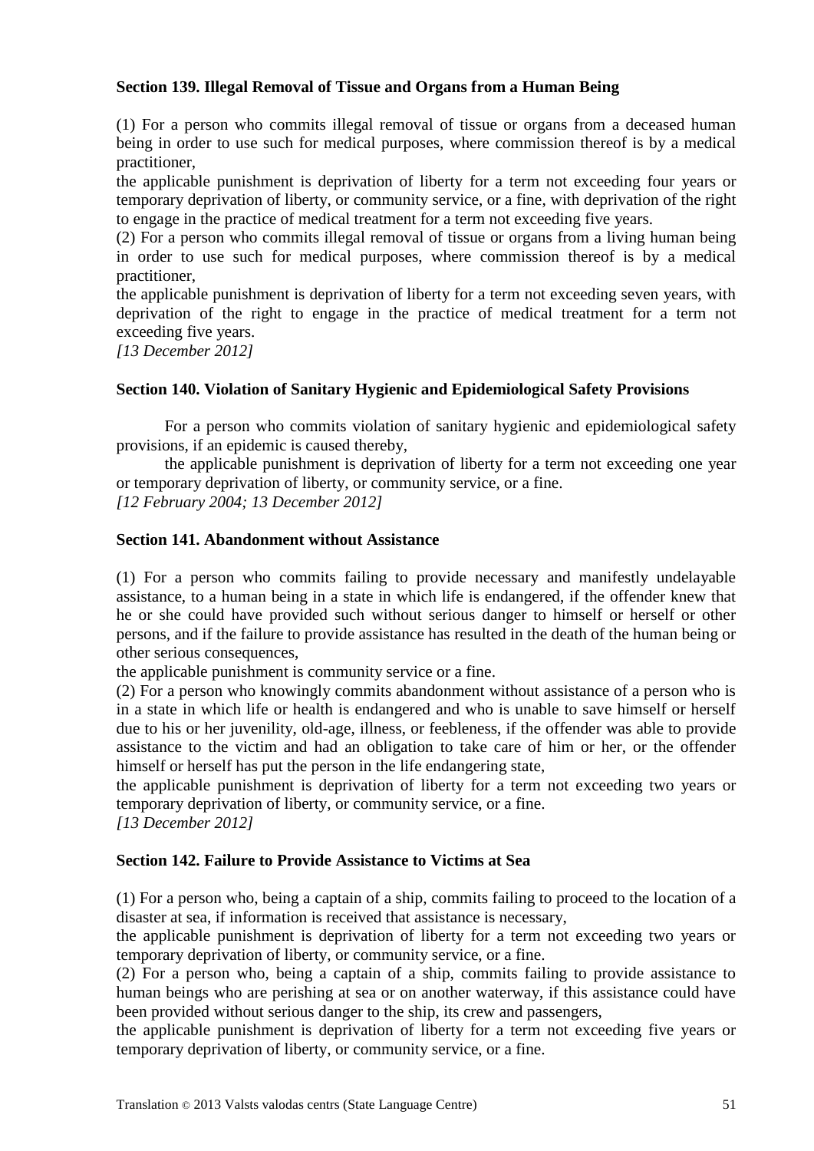### **Section 139. Illegal Removal of Tissue and Organs from a Human Being**

(1) For a person who commits illegal removal of tissue or organs from a deceased human being in order to use such for medical purposes, where commission thereof is by a medical practitioner,

the applicable punishment is deprivation of liberty for a term not exceeding four years or temporary deprivation of liberty, or community service, or a fine, with deprivation of the right to engage in the practice of medical treatment for a term not exceeding five years.

(2) For a person who commits illegal removal of tissue or organs from a living human being in order to use such for medical purposes, where commission thereof is by a medical practitioner,

the applicable punishment is deprivation of liberty for a term not exceeding seven years, with deprivation of the right to engage in the practice of medical treatment for a term not exceeding five years.

*[13 December 2012]*

#### **Section 140. Violation of Sanitary Hygienic and Epidemiological Safety Provisions**

For a person who commits violation of sanitary hygienic and epidemiological safety provisions, if an epidemic is caused thereby,

the applicable punishment is deprivation of liberty for a term not exceeding one year or temporary deprivation of liberty, or community service, or a fine. *[12 February 2004; 13 December 2012]*

#### **Section 141. Abandonment without Assistance**

(1) For a person who commits failing to provide necessary and manifestly undelayable assistance, to a human being in a state in which life is endangered, if the offender knew that he or she could have provided such without serious danger to himself or herself or other persons, and if the failure to provide assistance has resulted in the death of the human being or other serious consequences,

the applicable punishment is community service or a fine.

(2) For a person who knowingly commits abandonment without assistance of a person who is in a state in which life or health is endangered and who is unable to save himself or herself due to his or her juvenility, old-age, illness, or feebleness, if the offender was able to provide assistance to the victim and had an obligation to take care of him or her, or the offender himself or herself has put the person in the life endangering state,

the applicable punishment is deprivation of liberty for a term not exceeding two years or temporary deprivation of liberty, or community service, or a fine.

*[13 December 2012]*

### **Section 142. Failure to Provide Assistance to Victims at Sea**

(1) For a person who, being a captain of a ship, commits failing to proceed to the location of a disaster at sea, if information is received that assistance is necessary,

the applicable punishment is deprivation of liberty for a term not exceeding two years or temporary deprivation of liberty, or community service, or a fine.

(2) For a person who, being a captain of a ship, commits failing to provide assistance to human beings who are perishing at sea or on another waterway, if this assistance could have been provided without serious danger to the ship, its crew and passengers,

the applicable punishment is deprivation of liberty for a term not exceeding five years or temporary deprivation of liberty, or community service, or a fine.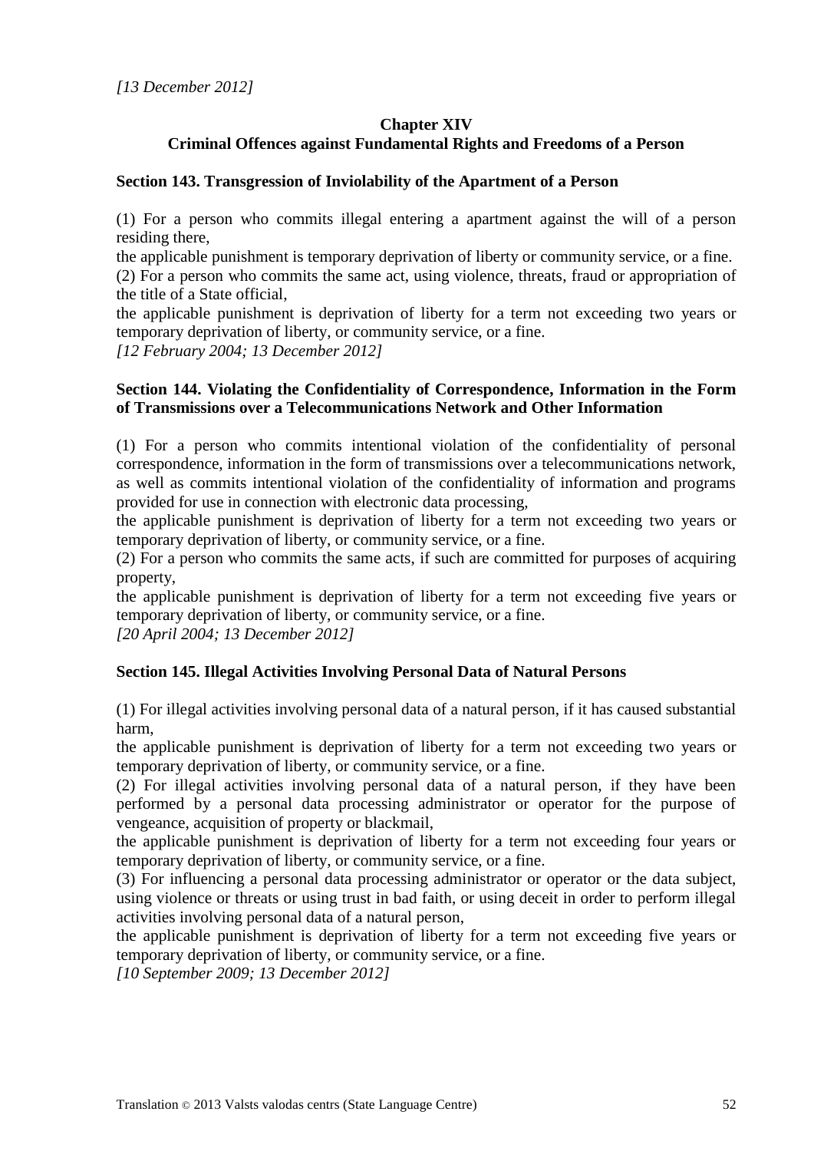# **Chapter XIV Criminal Offences against Fundamental Rights and Freedoms of a Person**

### **Section 143. Transgression of Inviolability of the Apartment of a Person**

(1) For a person who commits illegal entering a apartment against the will of a person residing there,

the applicable punishment is temporary deprivation of liberty or community service, or a fine. (2) For a person who commits the same act, using violence, threats, fraud or appropriation of the title of a State official,

the applicable punishment is deprivation of liberty for a term not exceeding two years or temporary deprivation of liberty, or community service, or a fine.

*[12 February 2004; 13 December 2012]*

### **Section 144. Violating the Confidentiality of Correspondence, Information in the Form of Transmissions over a Telecommunications Network and Other Information**

(1) For a person who commits intentional violation of the confidentiality of personal correspondence, information in the form of transmissions over a telecommunications network, as well as commits intentional violation of the confidentiality of information and programs provided for use in connection with electronic data processing,

the applicable punishment is deprivation of liberty for a term not exceeding two years or temporary deprivation of liberty, or community service, or a fine.

(2) For a person who commits the same acts, if such are committed for purposes of acquiring property,

the applicable punishment is deprivation of liberty for a term not exceeding five years or temporary deprivation of liberty, or community service, or a fine.

*[20 April 2004; 13 December 2012]*

## **Section 145. Illegal Activities Involving Personal Data of Natural Persons**

(1) For illegal activities involving personal data of a natural person, if it has caused substantial harm,

the applicable punishment is deprivation of liberty for a term not exceeding two years or temporary deprivation of liberty, or community service, or a fine.

(2) For illegal activities involving personal data of a natural person, if they have been performed by a personal data processing administrator or operator for the purpose of vengeance, acquisition of property or blackmail,

the applicable punishment is deprivation of liberty for a term not exceeding four years or temporary deprivation of liberty, or community service, or a fine.

(3) For influencing a personal data processing administrator or operator or the data subject, using violence or threats or using trust in bad faith, or using deceit in order to perform illegal activities involving personal data of a natural person,

the applicable punishment is deprivation of liberty for a term not exceeding five years or temporary deprivation of liberty, or community service, or a fine.

*[10 September 2009; 13 December 2012]*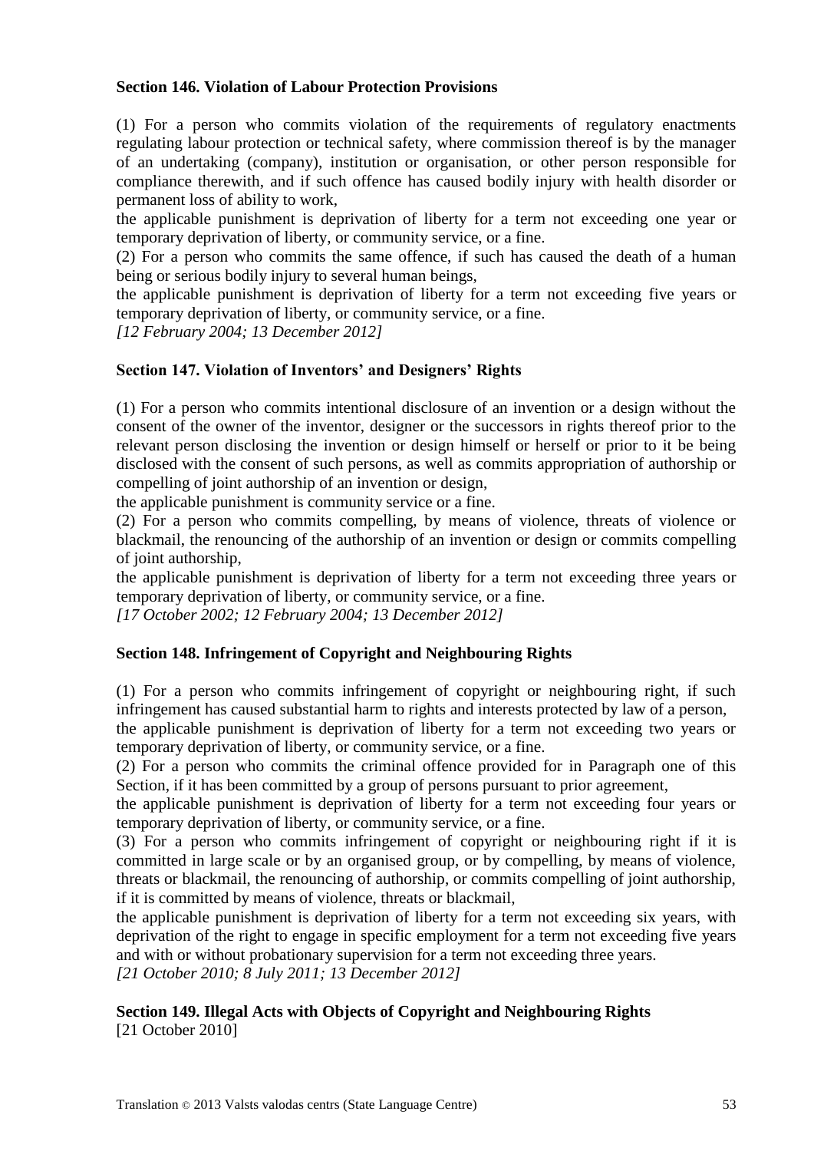### **Section 146. Violation of Labour Protection Provisions**

(1) For a person who commits violation of the requirements of regulatory enactments regulating labour protection or technical safety, where commission thereof is by the manager of an undertaking (company), institution or organisation, or other person responsible for compliance therewith, and if such offence has caused bodily injury with health disorder or permanent loss of ability to work,

the applicable punishment is deprivation of liberty for a term not exceeding one year or temporary deprivation of liberty, or community service, or a fine.

(2) For a person who commits the same offence, if such has caused the death of a human being or serious bodily injury to several human beings,

the applicable punishment is deprivation of liberty for a term not exceeding five years or temporary deprivation of liberty, or community service, or a fine.

*[12 February 2004; 13 December 2012]*

### **Section 147. Violation of Inventors' and Designers' Rights**

(1) For a person who commits intentional disclosure of an invention or a design without the consent of the owner of the inventor, designer or the successors in rights thereof prior to the relevant person disclosing the invention or design himself or herself or prior to it be being disclosed with the consent of such persons, as well as commits appropriation of authorship or compelling of joint authorship of an invention or design,

the applicable punishment is community service or a fine.

(2) For a person who commits compelling, by means of violence, threats of violence or blackmail, the renouncing of the authorship of an invention or design or commits compelling of joint authorship,

the applicable punishment is deprivation of liberty for a term not exceeding three years or temporary deprivation of liberty, or community service, or a fine.

*[17 October 2002; 12 February 2004; 13 December 2012]*

## **Section 148. Infringement of Copyright and Neighbouring Rights**

(1) For a person who commits infringement of copyright or neighbouring right, if such infringement has caused substantial harm to rights and interests protected by law of a person,

the applicable punishment is deprivation of liberty for a term not exceeding two years or temporary deprivation of liberty, or community service, or a fine.

(2) For a person who commits the criminal offence provided for in Paragraph one of this Section, if it has been committed by a group of persons pursuant to prior agreement,

the applicable punishment is deprivation of liberty for a term not exceeding four years or temporary deprivation of liberty, or community service, or a fine.

(3) For a person who commits infringement of copyright or neighbouring right if it is committed in large scale or by an organised group, or by compelling, by means of violence, threats or blackmail, the renouncing of authorship, or commits compelling of joint authorship, if it is committed by means of violence, threats or blackmail,

the applicable punishment is deprivation of liberty for a term not exceeding six years, with deprivation of the right to engage in specific employment for a term not exceeding five years and with or without probationary supervision for a term not exceeding three years.

*[21 October 2010; 8 July 2011; 13 December 2012]*

### **Section 149. Illegal Acts with Objects of Copyright and Neighbouring Rights** [21 October 2010]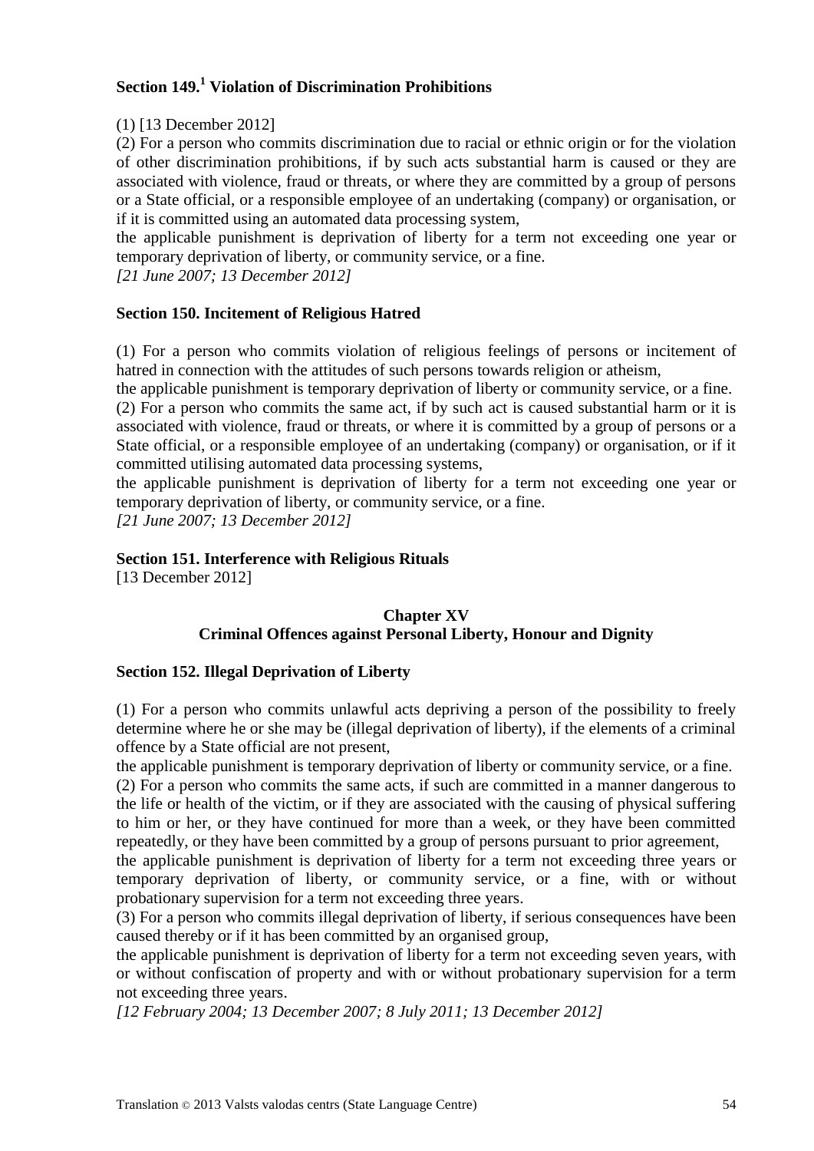# **Section 149.<sup>1</sup> Violation of Discrimination Prohibitions**

# (1) [13 December 2012]

(2) For a person who commits discrimination due to racial or ethnic origin or for the violation of other discrimination prohibitions, if by such acts substantial harm is caused or they are associated with violence, fraud or threats, or where they are committed by a group of persons or a State official, or a responsible employee of an undertaking (company) or organisation, or if it is committed using an automated data processing system,

the applicable punishment is deprivation of liberty for a term not exceeding one year or temporary deprivation of liberty, or community service, or a fine.

*[21 June 2007; 13 December 2012]*

## **Section 150. Incitement of Religious Hatred**

(1) For a person who commits violation of religious feelings of persons or incitement of hatred in connection with the attitudes of such persons towards religion or atheism,

the applicable punishment is temporary deprivation of liberty or community service, or a fine. (2) For a person who commits the same act, if by such act is caused substantial harm or it is associated with violence, fraud or threats, or where it is committed by a group of persons or a State official, or a responsible employee of an undertaking (company) or organisation, or if it committed utilising automated data processing systems,

the applicable punishment is deprivation of liberty for a term not exceeding one year or temporary deprivation of liberty, or community service, or a fine.

*[21 June 2007; 13 December 2012]*

## **Section 151. Interference with Religious Rituals**

[13 December 2012]

## **Chapter XV Criminal Offences against Personal Liberty, Honour and Dignity**

## **Section 152. Illegal Deprivation of Liberty**

(1) For a person who commits unlawful acts depriving a person of the possibility to freely determine where he or she may be (illegal deprivation of liberty), if the elements of a criminal offence by a State official are not present,

the applicable punishment is temporary deprivation of liberty or community service, or a fine. (2) For a person who commits the same acts, if such are committed in a manner dangerous to the life or health of the victim, or if they are associated with the causing of physical suffering to him or her, or they have continued for more than a week, or they have been committed repeatedly, or they have been committed by a group of persons pursuant to prior agreement,

the applicable punishment is deprivation of liberty for a term not exceeding three years or temporary deprivation of liberty, or community service, or a fine, with or without probationary supervision for a term not exceeding three years.

(3) For a person who commits illegal deprivation of liberty, if serious consequences have been caused thereby or if it has been committed by an organised group,

the applicable punishment is deprivation of liberty for a term not exceeding seven years, with or without confiscation of property and with or without probationary supervision for a term not exceeding three years.

*[12 February 2004; 13 December 2007; 8 July 2011; 13 December 2012]*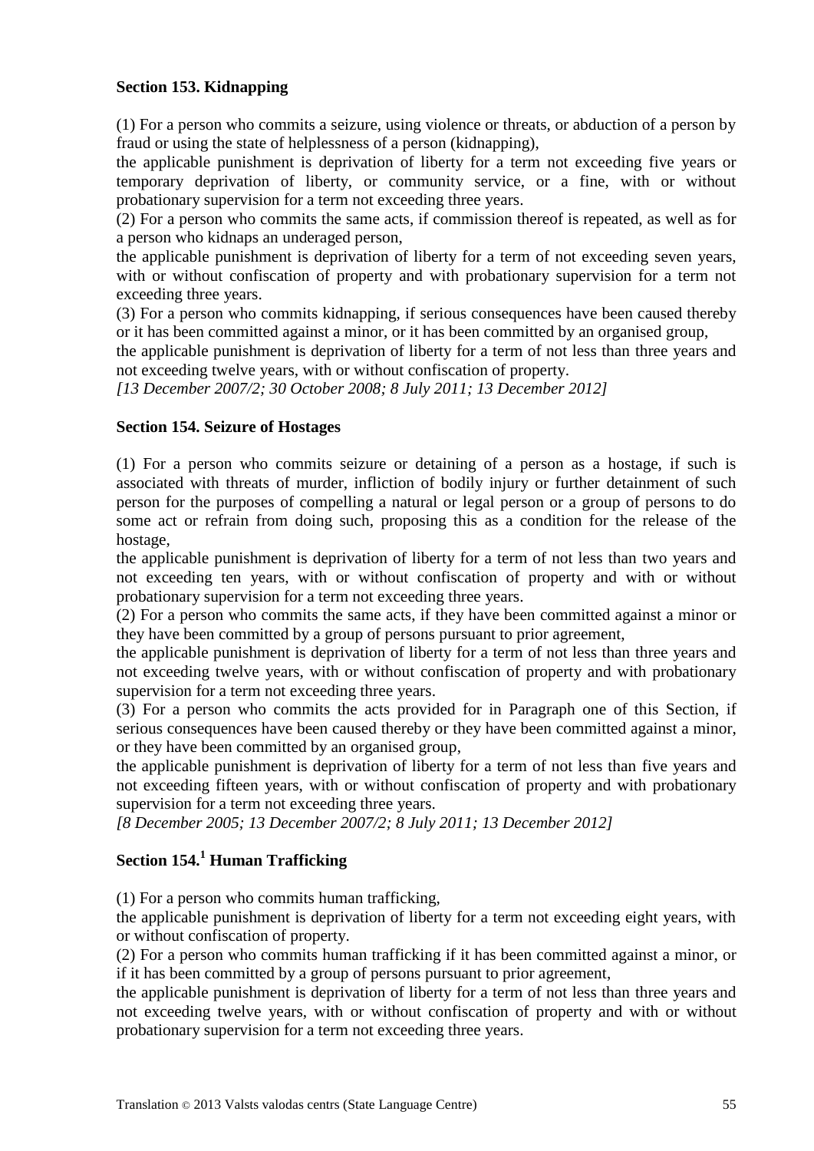### **Section 153. Kidnapping**

(1) For a person who commits a seizure, using violence or threats, or abduction of a person by fraud or using the state of helplessness of a person (kidnapping),

the applicable punishment is deprivation of liberty for a term not exceeding five years or temporary deprivation of liberty, or community service, or a fine, with or without probationary supervision for a term not exceeding three years.

(2) For a person who commits the same acts, if commission thereof is repeated, as well as for a person who kidnaps an underaged person,

the applicable punishment is deprivation of liberty for a term of not exceeding seven years, with or without confiscation of property and with probationary supervision for a term not exceeding three years.

(3) For a person who commits kidnapping, if serious consequences have been caused thereby or it has been committed against a minor, or it has been committed by an organised group,

the applicable punishment is deprivation of liberty for a term of not less than three years and not exceeding twelve years, with or without confiscation of property.

*[13 December 2007/2; 30 October 2008; 8 July 2011; 13 December 2012]*

### **Section 154. Seizure of Hostages**

(1) For a person who commits seizure or detaining of a person as a hostage, if such is associated with threats of murder, infliction of bodily injury or further detainment of such person for the purposes of compelling a natural or legal person or a group of persons to do some act or refrain from doing such, proposing this as a condition for the release of the hostage,

the applicable punishment is deprivation of liberty for a term of not less than two years and not exceeding ten years, with or without confiscation of property and with or without probationary supervision for a term not exceeding three years.

(2) For a person who commits the same acts, if they have been committed against a minor or they have been committed by a group of persons pursuant to prior agreement,

the applicable punishment is deprivation of liberty for a term of not less than three years and not exceeding twelve years, with or without confiscation of property and with probationary supervision for a term not exceeding three years.

(3) For a person who commits the acts provided for in Paragraph one of this Section, if serious consequences have been caused thereby or they have been committed against a minor, or they have been committed by an organised group,

the applicable punishment is deprivation of liberty for a term of not less than five years and not exceeding fifteen years, with or without confiscation of property and with probationary supervision for a term not exceeding three years.

*[8 December 2005; 13 December 2007/2; 8 July 2011; 13 December 2012]*

# **Section 154.<sup>1</sup> Human Trafficking**

(1) For a person who commits human trafficking,

the applicable punishment is deprivation of liberty for a term not exceeding eight years, with or without confiscation of property.

(2) For a person who commits human trafficking if it has been committed against a minor, or if it has been committed by a group of persons pursuant to prior agreement,

the applicable punishment is deprivation of liberty for a term of not less than three years and not exceeding twelve years, with or without confiscation of property and with or without probationary supervision for a term not exceeding three years.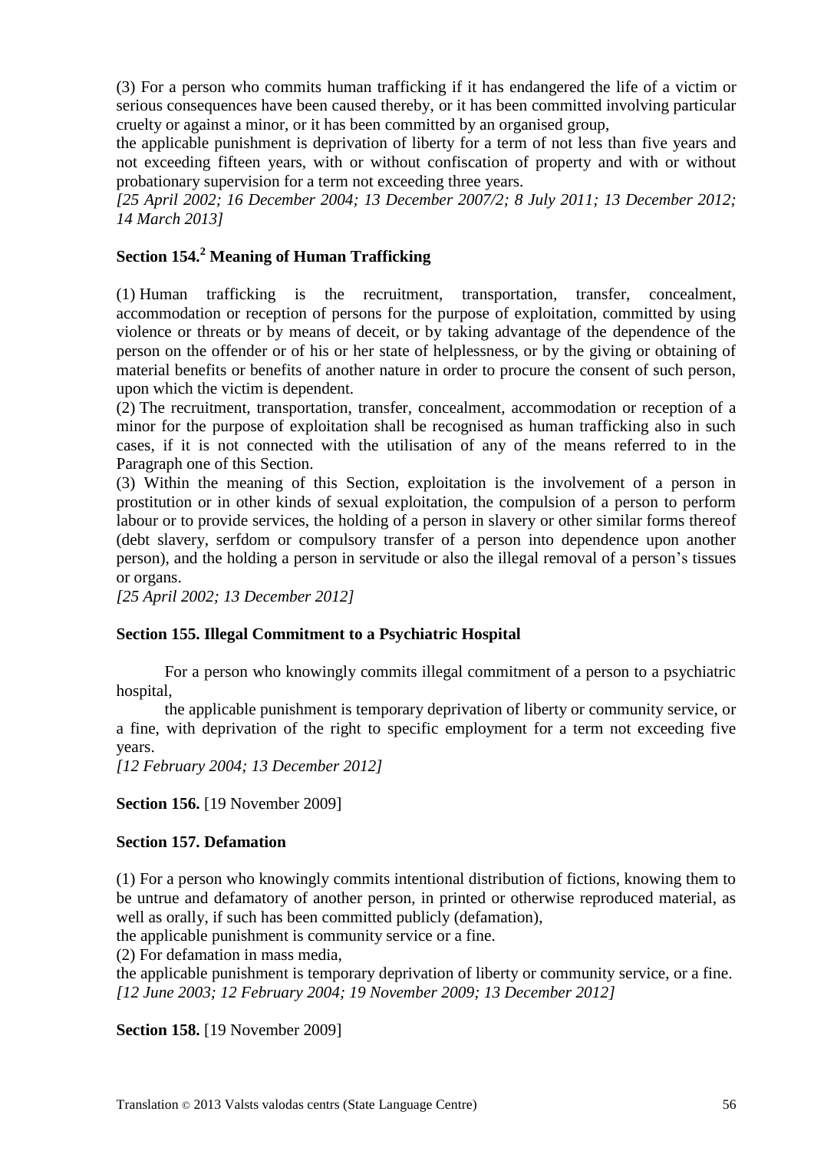(3) For a person who commits human trafficking if it has endangered the life of a victim or serious consequences have been caused thereby, or it has been committed involving particular cruelty or against a minor, or it has been committed by an organised group,

the applicable punishment is deprivation of liberty for a term of not less than five years and not exceeding fifteen years, with or without confiscation of property and with or without probationary supervision for a term not exceeding three years.

*[25 April 2002; 16 December 2004; 13 December 2007/2; 8 July 2011; 13 December 2012; 14 March 2013]*

# **Section 154.<sup>2</sup> Meaning of Human Trafficking**

(1) Human trafficking is the recruitment, transportation, transfer, concealment, accommodation or reception of persons for the purpose of exploitation, committed by using violence or threats or by means of deceit, or by taking advantage of the dependence of the person on the offender or of his or her state of helplessness, or by the giving or obtaining of material benefits or benefits of another nature in order to procure the consent of such person, upon which the victim is dependent.

(2) The recruitment, transportation, transfer, concealment, accommodation or reception of a minor for the purpose of exploitation shall be recognised as human trafficking also in such cases, if it is not connected with the utilisation of any of the means referred to in the Paragraph one of this Section.

(3) Within the meaning of this Section, exploitation is the involvement of a person in prostitution or in other kinds of sexual exploitation, the compulsion of a person to perform labour or to provide services, the holding of a person in slavery or other similar forms thereof (debt slavery, serfdom or compulsory transfer of a person into dependence upon another person), and the holding a person in servitude or also the illegal removal of a person's tissues or organs.

*[25 April 2002; 13 December 2012]*

## **Section 155. Illegal Commitment to a Psychiatric Hospital**

For a person who knowingly commits illegal commitment of a person to a psychiatric hospital,

the applicable punishment is temporary deprivation of liberty or community service, or a fine, with deprivation of the right to specific employment for a term not exceeding five years.

*[12 February 2004; 13 December 2012]*

**Section 156.** [19 November 2009]

## **Section 157. Defamation**

(1) For a person who knowingly commits intentional distribution of fictions, knowing them to be untrue and defamatory of another person, in printed or otherwise reproduced material, as well as orally, if such has been committed publicly (defamation),

the applicable punishment is community service or a fine.

(2) For defamation in mass media,

the applicable punishment is temporary deprivation of liberty or community service, or a fine. *[12 June 2003; 12 February 2004; 19 November 2009; 13 December 2012]*

**Section 158.** [19 November 2009]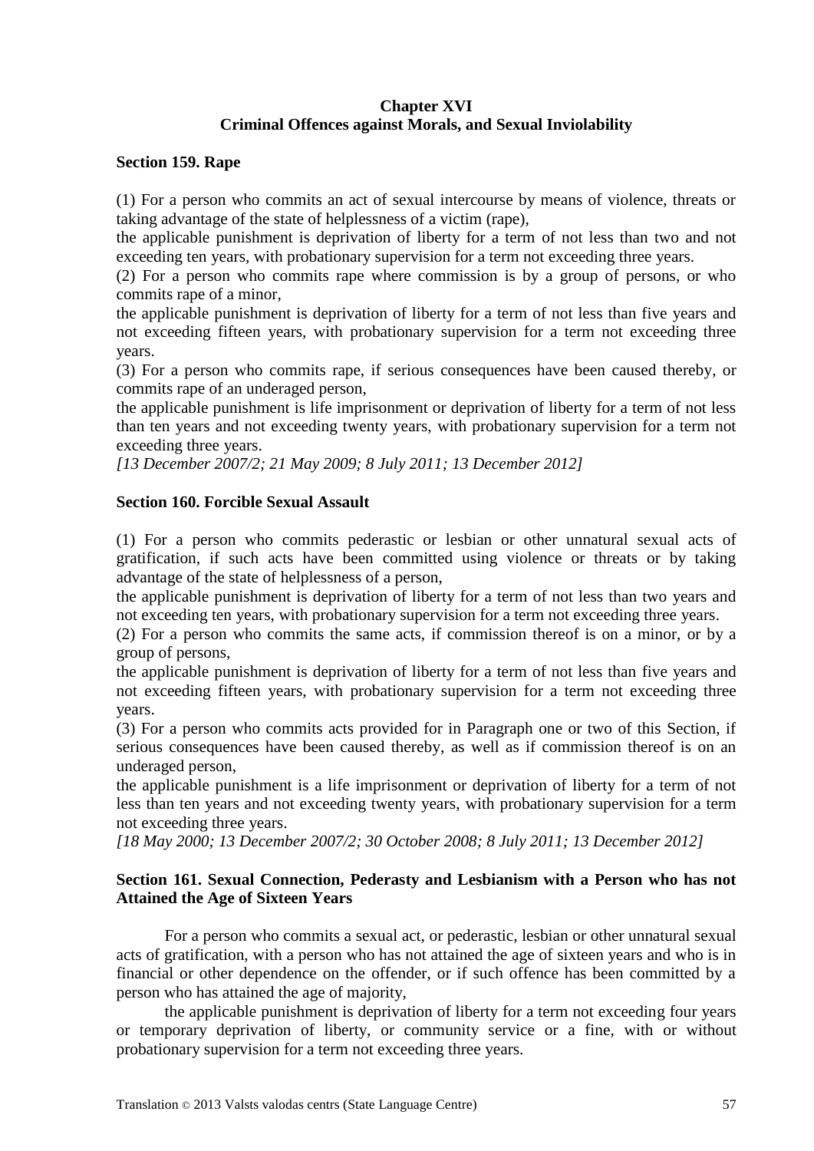### **Chapter XVI Criminal Offences against Morals, and Sexual Inviolability**

#### **Section 159. Rape**

(1) For a person who commits an act of sexual intercourse by means of violence, threats or taking advantage of the state of helplessness of a victim (rape),

the applicable punishment is deprivation of liberty for a term of not less than two and not exceeding ten years, with probationary supervision for a term not exceeding three years.

(2) For a person who commits rape where commission is by a group of persons, or who commits rape of a minor,

the applicable punishment is deprivation of liberty for a term of not less than five years and not exceeding fifteen years, with probationary supervision for a term not exceeding three years.

(3) For a person who commits rape, if serious consequences have been caused thereby, or commits rape of an underaged person,

the applicable punishment is life imprisonment or deprivation of liberty for a term of not less than ten years and not exceeding twenty years, with probationary supervision for a term not exceeding three years.

*[13 December 2007/2; 21 May 2009; 8 July 2011; 13 December 2012]*

#### **Section 160. Forcible Sexual Assault**

(1) For a person who commits pederastic or lesbian or other unnatural sexual acts of gratification, if such acts have been committed using violence or threats or by taking advantage of the state of helplessness of a person,

the applicable punishment is deprivation of liberty for a term of not less than two years and not exceeding ten years, with probationary supervision for a term not exceeding three years.

(2) For a person who commits the same acts, if commission thereof is on a minor, or by a group of persons,

the applicable punishment is deprivation of liberty for a term of not less than five years and not exceeding fifteen years, with probationary supervision for a term not exceeding three years.

(3) For a person who commits acts provided for in Paragraph one or two of this Section, if serious consequences have been caused thereby, as well as if commission thereof is on an underaged person,

the applicable punishment is a life imprisonment or deprivation of liberty for a term of not less than ten years and not exceeding twenty years, with probationary supervision for a term not exceeding three years.

*[18 May 2000; 13 December 2007/2; 30 October 2008; 8 July 2011; 13 December 2012]*

### **Section 161. Sexual Connection, Pederasty and Lesbianism with a Person who has not Attained the Age of Sixteen Years**

For a person who commits a sexual act, or pederastic, lesbian or other unnatural sexual acts of gratification, with a person who has not attained the age of sixteen years and who is in financial or other dependence on the offender, or if such offence has been committed by a person who has attained the age of majority,

the applicable punishment is deprivation of liberty for a term not exceeding four years or temporary deprivation of liberty, or community service or a fine, with or without probationary supervision for a term not exceeding three years.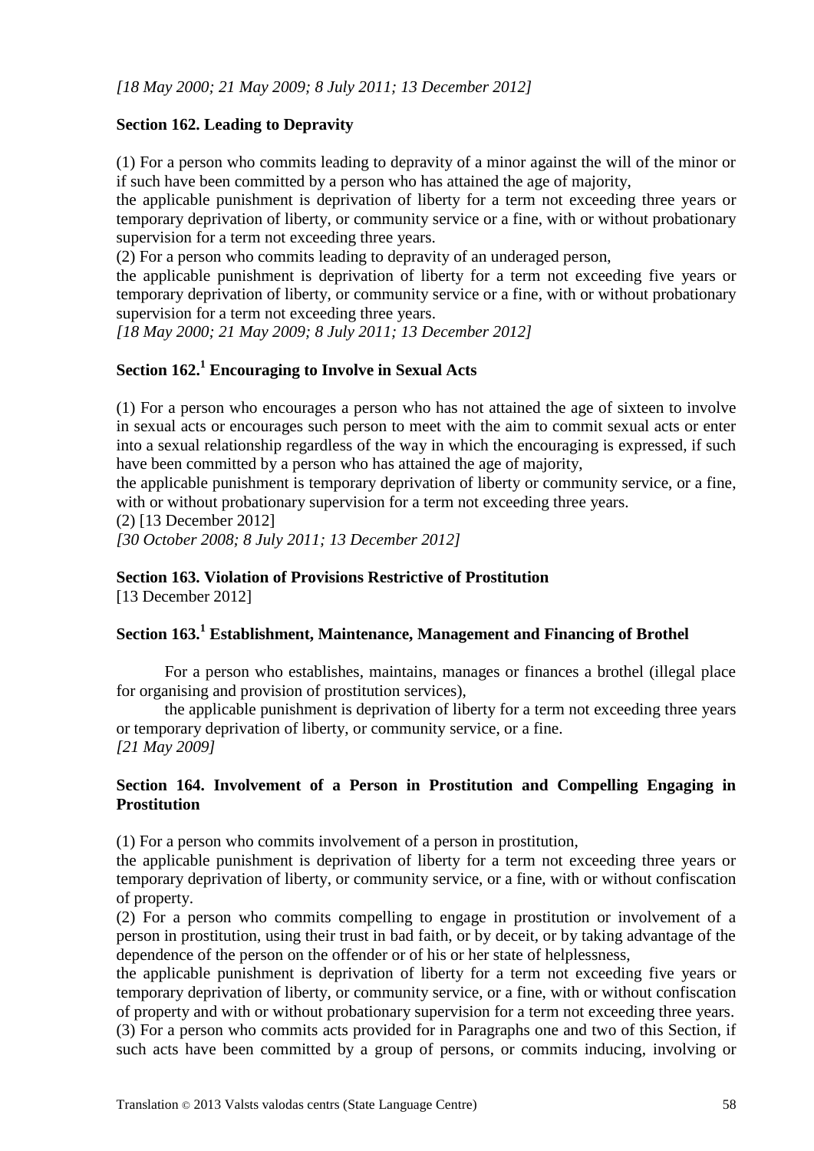## **Section 162. Leading to Depravity**

(1) For a person who commits leading to depravity of a minor against the will of the minor or if such have been committed by a person who has attained the age of majority,

the applicable punishment is deprivation of liberty for a term not exceeding three years or temporary deprivation of liberty, or community service or a fine, with or without probationary supervision for a term not exceeding three years.

(2) For a person who commits leading to depravity of an underaged person,

the applicable punishment is deprivation of liberty for a term not exceeding five years or temporary deprivation of liberty, or community service or a fine, with or without probationary supervision for a term not exceeding three years.

*[18 May 2000; 21 May 2009; 8 July 2011; 13 December 2012]*

# **Section 162. <sup>1</sup> Encouraging to Involve in Sexual Acts**

(1) For a person who encourages a person who has not attained the age of sixteen to involve in sexual acts or encourages such person to meet with the aim to commit sexual acts or enter into a sexual relationship regardless of the way in which the encouraging is expressed, if such have been committed by a person who has attained the age of majority,

the applicable punishment is temporary deprivation of liberty or community service, or a fine, with or without probationary supervision for a term not exceeding three years.

(2) [13 December 2012]

*[30 October 2008; 8 July 2011; 13 December 2012]*

#### **Section 163. Violation of Provisions Restrictive of Prostitution**

[13 December 2012]

#### **Section 163.<sup>1</sup> Establishment, Maintenance, Management and Financing of Brothel**

For a person who establishes, maintains, manages or finances a brothel (illegal place for organising and provision of prostitution services),

the applicable punishment is deprivation of liberty for a term not exceeding three years or temporary deprivation of liberty, or community service, or a fine. *[21 May 2009]*

### **Section 164. Involvement of a Person in Prostitution and Compelling Engaging in Prostitution**

(1) For a person who commits involvement of a person in prostitution,

the applicable punishment is deprivation of liberty for a term not exceeding three years or temporary deprivation of liberty, or community service, or a fine, with or without confiscation of property.

(2) For a person who commits compelling to engage in prostitution or involvement of a person in prostitution, using their trust in bad faith, or by deceit, or by taking advantage of the dependence of the person on the offender or of his or her state of helplessness,

the applicable punishment is deprivation of liberty for a term not exceeding five years or temporary deprivation of liberty, or community service, or a fine, with or without confiscation of property and with or without probationary supervision for a term not exceeding three years.

(3) For a person who commits acts provided for in Paragraphs one and two of this Section, if such acts have been committed by a group of persons, or commits inducing, involving or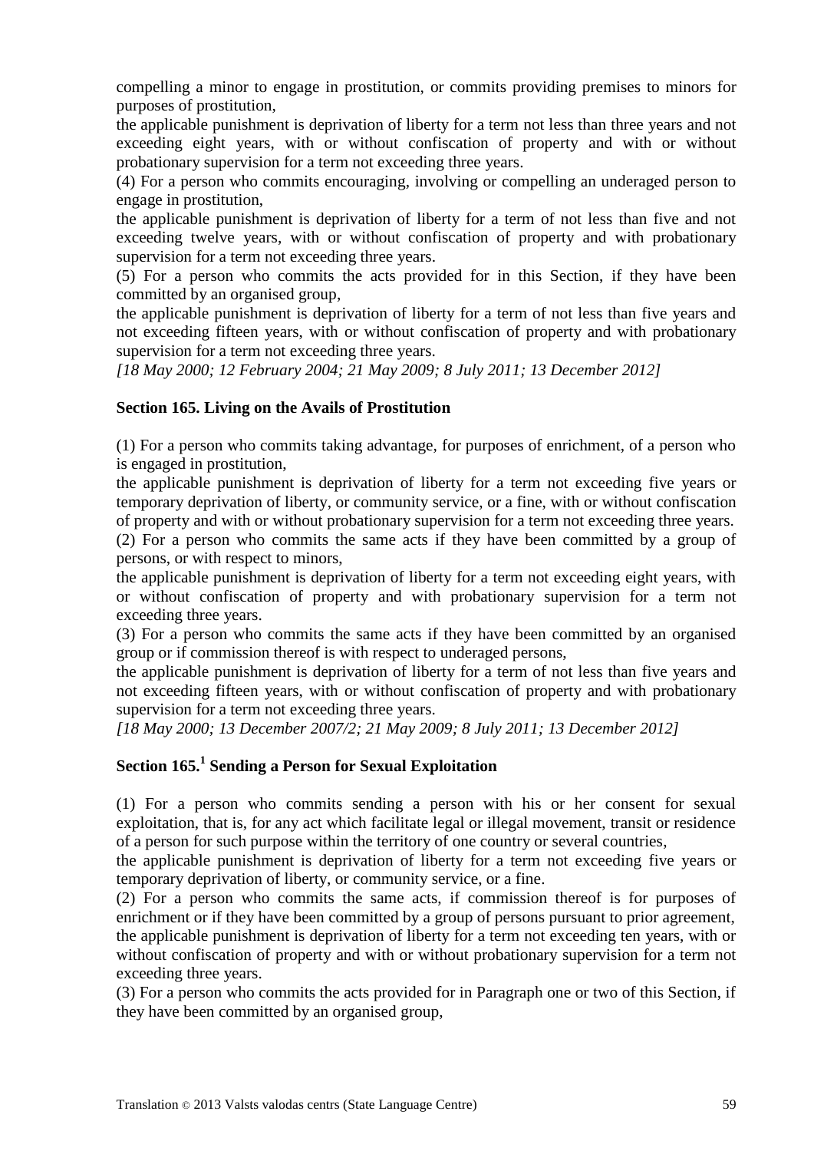compelling a minor to engage in prostitution, or commits providing premises to minors for purposes of prostitution,

the applicable punishment is deprivation of liberty for a term not less than three years and not exceeding eight years, with or without confiscation of property and with or without probationary supervision for a term not exceeding three years.

(4) For a person who commits encouraging, involving or compelling an underaged person to engage in prostitution,

the applicable punishment is deprivation of liberty for a term of not less than five and not exceeding twelve years, with or without confiscation of property and with probationary supervision for a term not exceeding three years.

(5) For a person who commits the acts provided for in this Section, if they have been committed by an organised group,

the applicable punishment is deprivation of liberty for a term of not less than five years and not exceeding fifteen years, with or without confiscation of property and with probationary supervision for a term not exceeding three years.

*[18 May 2000; 12 February 2004; 21 May 2009; 8 July 2011; 13 December 2012]*

### **Section 165. Living on the Avails of Prostitution**

(1) For a person who commits taking advantage, for purposes of enrichment, of a person who is engaged in prostitution,

the applicable punishment is deprivation of liberty for a term not exceeding five years or temporary deprivation of liberty, or community service, or a fine, with or without confiscation of property and with or without probationary supervision for a term not exceeding three years.

(2) For a person who commits the same acts if they have been committed by a group of persons, or with respect to minors,

the applicable punishment is deprivation of liberty for a term not exceeding eight years, with or without confiscation of property and with probationary supervision for a term not exceeding three years.

(3) For a person who commits the same acts if they have been committed by an organised group or if commission thereof is with respect to underaged persons,

the applicable punishment is deprivation of liberty for a term of not less than five years and not exceeding fifteen years, with or without confiscation of property and with probationary supervision for a term not exceeding three years.

*[18 May 2000; 13 December 2007/2; 21 May 2009; 8 July 2011; 13 December 2012]*

# **Section 165.<sup>1</sup> Sending a Person for Sexual Exploitation**

(1) For a person who commits sending a person with his or her consent for sexual exploitation, that is, for any act which facilitate legal or illegal movement, transit or residence of a person for such purpose within the territory of one country or several countries,

the applicable punishment is deprivation of liberty for a term not exceeding five years or temporary deprivation of liberty, or community service, or a fine.

(2) For a person who commits the same acts, if commission thereof is for purposes of enrichment or if they have been committed by a group of persons pursuant to prior agreement, the applicable punishment is deprivation of liberty for a term not exceeding ten years, with or without confiscation of property and with or without probationary supervision for a term not exceeding three years.

(3) For a person who commits the acts provided for in Paragraph one or two of this Section, if they have been committed by an organised group,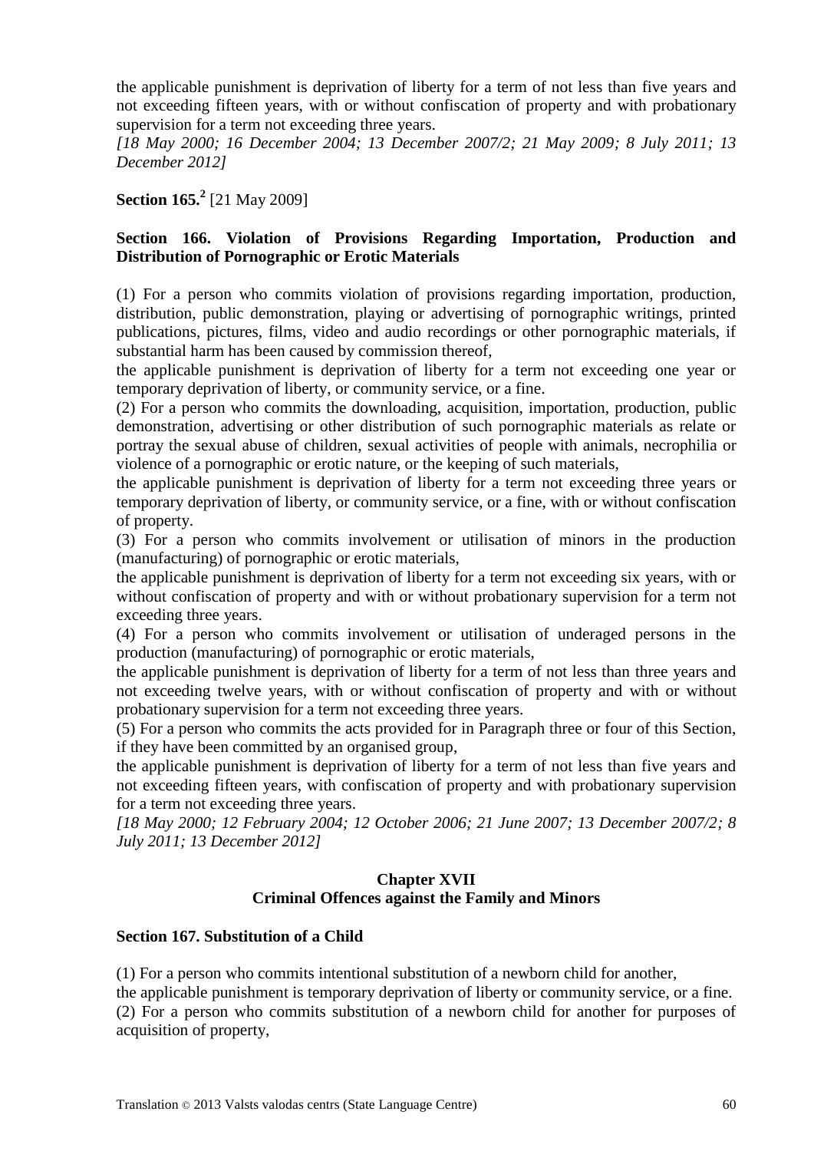the applicable punishment is deprivation of liberty for a term of not less than five years and not exceeding fifteen years, with or without confiscation of property and with probationary supervision for a term not exceeding three years.

*[18 May 2000; 16 December 2004; 13 December 2007/2; 21 May 2009; 8 July 2011; 13 December 2012]*

**Section 165.<sup>2</sup>** [21 May 2009]

## **Section 166. Violation of Provisions Regarding Importation, Production and Distribution of Pornographic or Erotic Materials**

(1) For a person who commits violation of provisions regarding importation, production, distribution, public demonstration, playing or advertising of pornographic writings, printed publications, pictures, films, video and audio recordings or other pornographic materials, if substantial harm has been caused by commission thereof,

the applicable punishment is deprivation of liberty for a term not exceeding one year or temporary deprivation of liberty, or community service, or a fine.

(2) For a person who commits the downloading, acquisition, importation, production, public demonstration, advertising or other distribution of such pornographic materials as relate or portray the sexual abuse of children, sexual activities of people with animals, necrophilia or violence of a pornographic or erotic nature, or the keeping of such materials,

the applicable punishment is deprivation of liberty for a term not exceeding three years or temporary deprivation of liberty, or community service, or a fine, with or without confiscation of property.

(3) For a person who commits involvement or utilisation of minors in the production (manufacturing) of pornographic or erotic materials,

the applicable punishment is deprivation of liberty for a term not exceeding six years, with or without confiscation of property and with or without probationary supervision for a term not exceeding three years.

(4) For a person who commits involvement or utilisation of underaged persons in the production (manufacturing) of pornographic or erotic materials,

the applicable punishment is deprivation of liberty for a term of not less than three years and not exceeding twelve years, with or without confiscation of property and with or without probationary supervision for a term not exceeding three years.

(5) For a person who commits the acts provided for in Paragraph three or four of this Section, if they have been committed by an organised group,

the applicable punishment is deprivation of liberty for a term of not less than five years and not exceeding fifteen years, with confiscation of property and with probationary supervision for a term not exceeding three years.

*[18 May 2000; 12 February 2004; 12 October 2006; 21 June 2007; 13 December 2007/2; 8 July 2011; 13 December 2012]*

## **Chapter XVII Criminal Offences against the Family and Minors**

## **Section 167. Substitution of a Child**

(1) For a person who commits intentional substitution of a newborn child for another,

the applicable punishment is temporary deprivation of liberty or community service, or a fine. (2) For a person who commits substitution of a newborn child for another for purposes of acquisition of property,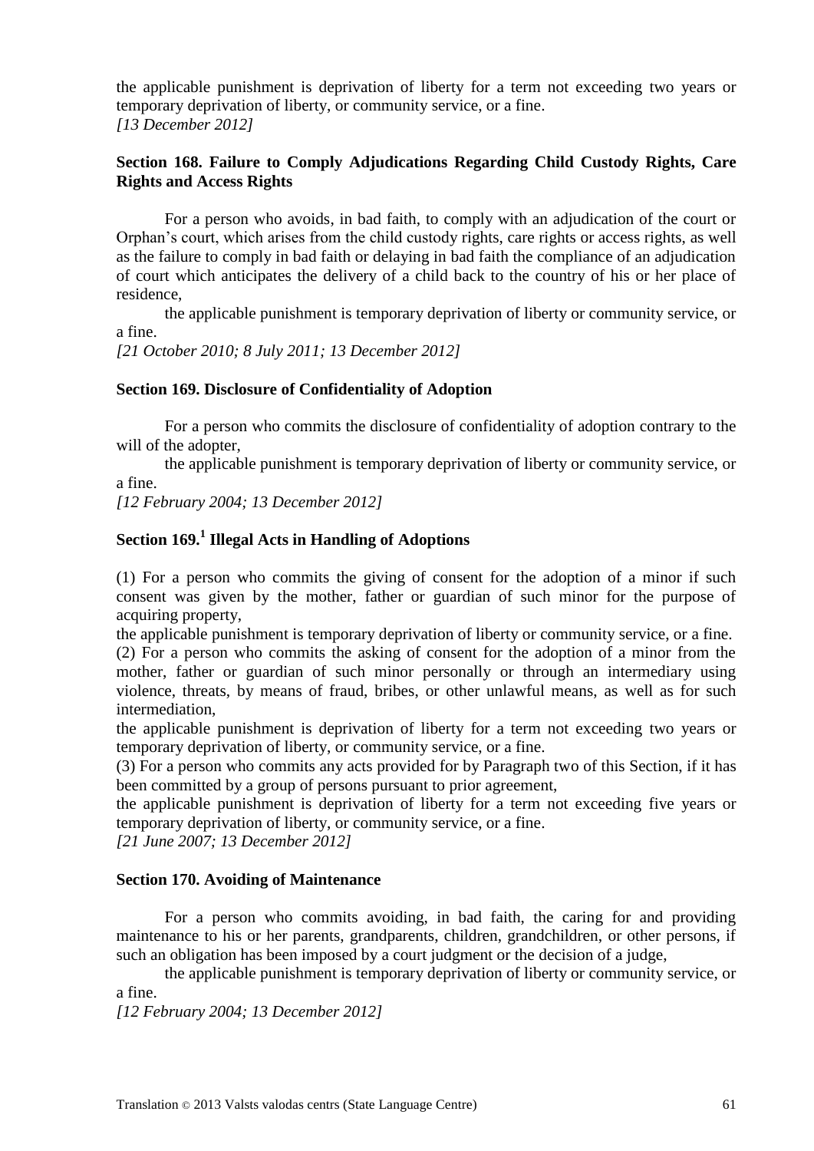the applicable punishment is deprivation of liberty for a term not exceeding two years or temporary deprivation of liberty, or community service, or a fine. *[13 December 2012]*

### **Section 168. Failure to Comply Adjudications Regarding Child Custody Rights, Care Rights and Access Rights**

For a person who avoids, in bad faith, to comply with an adjudication of the court or Orphan's court, which arises from the child custody rights, care rights or access rights, as well as the failure to comply in bad faith or delaying in bad faith the compliance of an adjudication of court which anticipates the delivery of a child back to the country of his or her place of residence,

the applicable punishment is temporary deprivation of liberty or community service, or a fine.

*[21 October 2010; 8 July 2011; 13 December 2012]*

#### **Section 169. Disclosure of Confidentiality of Adoption**

For a person who commits the disclosure of confidentiality of adoption contrary to the will of the adopter,

the applicable punishment is temporary deprivation of liberty or community service, or a fine.

*[12 February 2004; 13 December 2012]*

# **Section 169.<sup>1</sup> Illegal Acts in Handling of Adoptions**

(1) For a person who commits the giving of consent for the adoption of a minor if such consent was given by the mother, father or guardian of such minor for the purpose of acquiring property,

the applicable punishment is temporary deprivation of liberty or community service, or a fine. (2) For a person who commits the asking of consent for the adoption of a minor from the mother, father or guardian of such minor personally or through an intermediary using violence, threats, by means of fraud, bribes, or other unlawful means, as well as for such intermediation,

the applicable punishment is deprivation of liberty for a term not exceeding two years or temporary deprivation of liberty, or community service, or a fine.

(3) For a person who commits any acts provided for by Paragraph two of this Section, if it has been committed by a group of persons pursuant to prior agreement,

the applicable punishment is deprivation of liberty for a term not exceeding five years or temporary deprivation of liberty, or community service, or a fine.

*[21 June 2007; 13 December 2012]*

#### **Section 170. Avoiding of Maintenance**

For a person who commits avoiding, in bad faith, the caring for and providing maintenance to his or her parents, grandparents, children, grandchildren, or other persons, if such an obligation has been imposed by a court judgment or the decision of a judge,

the applicable punishment is temporary deprivation of liberty or community service, or a fine.

*[12 February 2004; 13 December 2012]*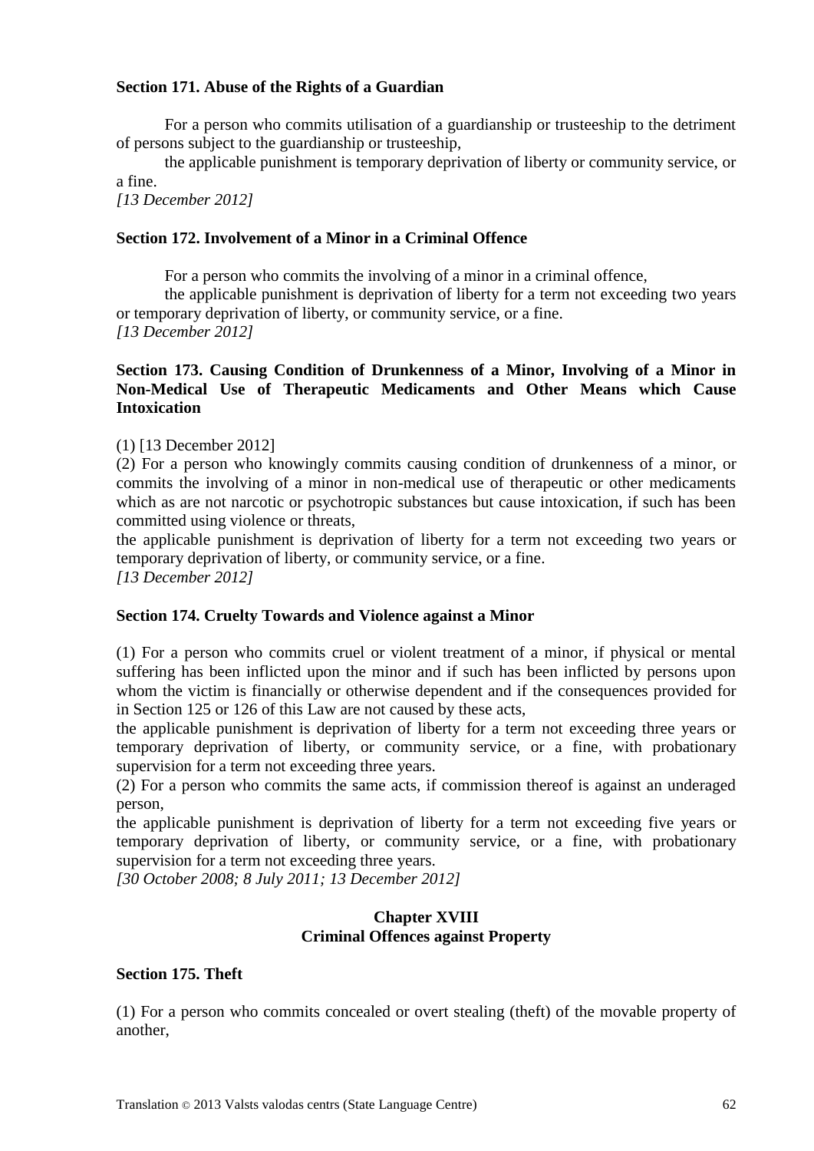### **Section 171. Abuse of the Rights of a Guardian**

For a person who commits utilisation of a guardianship or trusteeship to the detriment of persons subject to the guardianship or trusteeship,

the applicable punishment is temporary deprivation of liberty or community service, or a fine.

*[13 December 2012]*

### **Section 172. Involvement of a Minor in a Criminal Offence**

For a person who commits the involving of a minor in a criminal offence,

the applicable punishment is deprivation of liberty for a term not exceeding two years or temporary deprivation of liberty, or community service, or a fine. *[13 December 2012]*

### **Section 173. Causing Condition of Drunkenness of a Minor, Involving of a Minor in Non-Medical Use of Therapeutic Medicaments and Other Means which Cause Intoxication**

(1) [13 December 2012]

(2) For a person who knowingly commits causing condition of drunkenness of a minor, or commits the involving of a minor in non-medical use of therapeutic or other medicaments which as are not narcotic or psychotropic substances but cause intoxication, if such has been committed using violence or threats,

the applicable punishment is deprivation of liberty for a term not exceeding two years or temporary deprivation of liberty, or community service, or a fine. *[13 December 2012]*

#### **Section 174. Cruelty Towards and Violence against a Minor**

(1) For a person who commits cruel or violent treatment of a minor, if physical or mental suffering has been inflicted upon the minor and if such has been inflicted by persons upon whom the victim is financially or otherwise dependent and if the consequences provided for in Section 125 or 126 of this Law are not caused by these acts,

the applicable punishment is deprivation of liberty for a term not exceeding three years or temporary deprivation of liberty, or community service, or a fine, with probationary supervision for a term not exceeding three years.

(2) For a person who commits the same acts, if commission thereof is against an underaged person,

the applicable punishment is deprivation of liberty for a term not exceeding five years or temporary deprivation of liberty, or community service, or a fine, with probationary supervision for a term not exceeding three years.

*[30 October 2008; 8 July 2011; 13 December 2012]*

### **Chapter XVIII Criminal Offences against Property**

#### **Section 175. Theft**

(1) For a person who commits concealed or overt stealing (theft) of the movable property of another,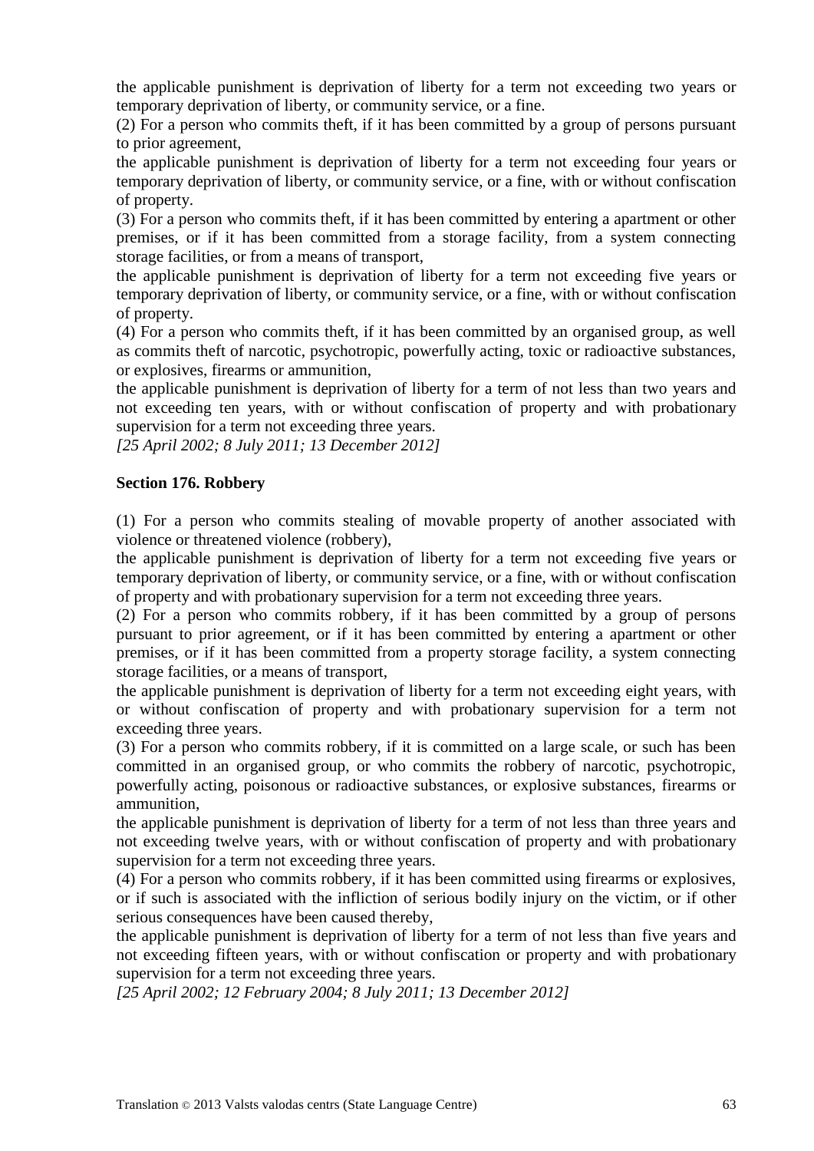the applicable punishment is deprivation of liberty for a term not exceeding two years or temporary deprivation of liberty, or community service, or a fine.

(2) For a person who commits theft, if it has been committed by a group of persons pursuant to prior agreement,

the applicable punishment is deprivation of liberty for a term not exceeding four years or temporary deprivation of liberty, or community service, or a fine, with or without confiscation of property.

(3) For a person who commits theft, if it has been committed by entering a apartment or other premises, or if it has been committed from a storage facility, from a system connecting storage facilities, or from a means of transport,

the applicable punishment is deprivation of liberty for a term not exceeding five years or temporary deprivation of liberty, or community service, or a fine, with or without confiscation of property.

(4) For a person who commits theft, if it has been committed by an organised group, as well as commits theft of narcotic, psychotropic, powerfully acting, toxic or radioactive substances, or explosives, firearms or ammunition,

the applicable punishment is deprivation of liberty for a term of not less than two years and not exceeding ten years, with or without confiscation of property and with probationary supervision for a term not exceeding three years.

*[25 April 2002; 8 July 2011; 13 December 2012]*

### **Section 176. Robbery**

(1) For a person who commits stealing of movable property of another associated with violence or threatened violence (robbery),

the applicable punishment is deprivation of liberty for a term not exceeding five years or temporary deprivation of liberty, or community service, or a fine, with or without confiscation of property and with probationary supervision for a term not exceeding three years.

(2) For a person who commits robbery, if it has been committed by a group of persons pursuant to prior agreement, or if it has been committed by entering a apartment or other premises, or if it has been committed from a property storage facility, a system connecting storage facilities, or a means of transport,

the applicable punishment is deprivation of liberty for a term not exceeding eight years, with or without confiscation of property and with probationary supervision for a term not exceeding three years.

(3) For a person who commits robbery, if it is committed on a large scale, or such has been committed in an organised group, or who commits the robbery of narcotic, psychotropic, powerfully acting, poisonous or radioactive substances, or explosive substances, firearms or ammunition,

the applicable punishment is deprivation of liberty for a term of not less than three years and not exceeding twelve years, with or without confiscation of property and with probationary supervision for a term not exceeding three years.

(4) For a person who commits robbery, if it has been committed using firearms or explosives, or if such is associated with the infliction of serious bodily injury on the victim, or if other serious consequences have been caused thereby,

the applicable punishment is deprivation of liberty for a term of not less than five years and not exceeding fifteen years, with or without confiscation or property and with probationary supervision for a term not exceeding three years.

*[25 April 2002; 12 February 2004; 8 July 2011; 13 December 2012]*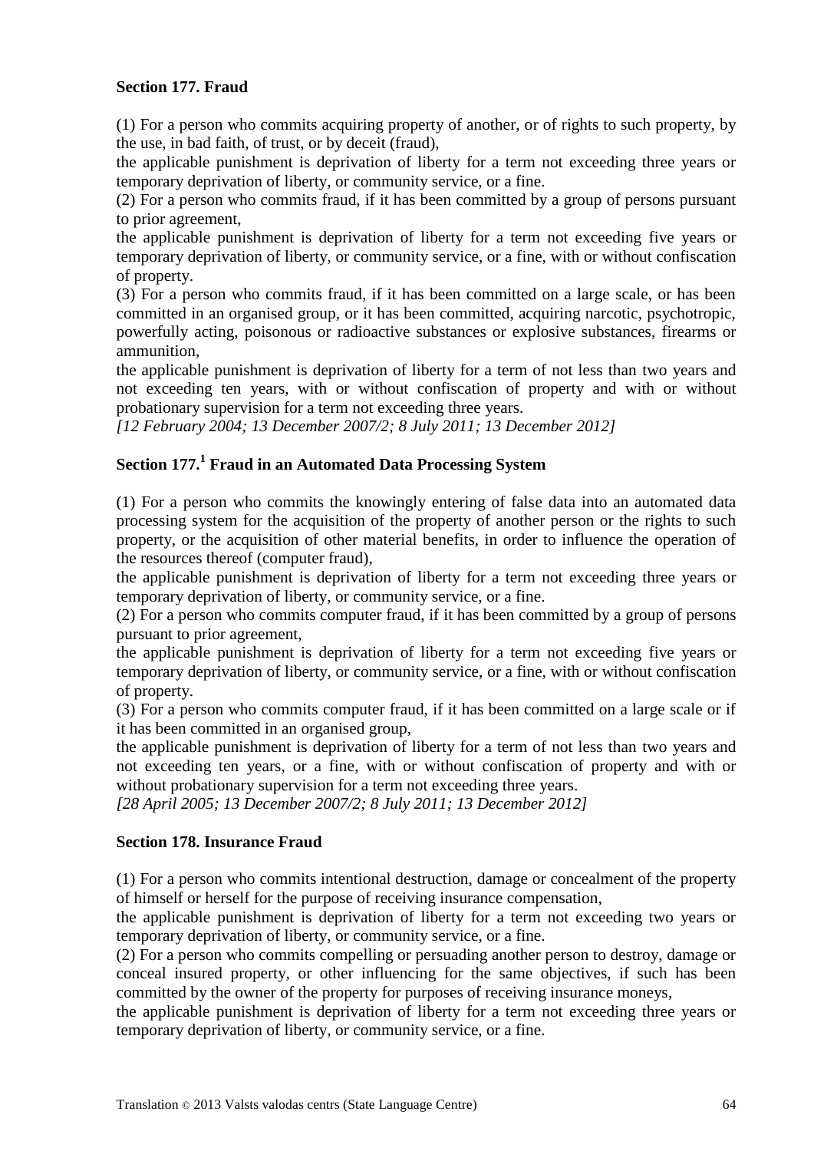### **Section 177. Fraud**

(1) For a person who commits acquiring property of another, or of rights to such property, by the use, in bad faith, of trust, or by deceit (fraud),

the applicable punishment is deprivation of liberty for a term not exceeding three years or temporary deprivation of liberty, or community service, or a fine.

(2) For a person who commits fraud, if it has been committed by a group of persons pursuant to prior agreement,

the applicable punishment is deprivation of liberty for a term not exceeding five years or temporary deprivation of liberty, or community service, or a fine, with or without confiscation of property.

(3) For a person who commits fraud, if it has been committed on a large scale, or has been committed in an organised group, or it has been committed, acquiring narcotic, psychotropic, powerfully acting, poisonous or radioactive substances or explosive substances, firearms or ammunition,

the applicable punishment is deprivation of liberty for a term of not less than two years and not exceeding ten years, with or without confiscation of property and with or without probationary supervision for a term not exceeding three years.

*[12 February 2004; 13 December 2007/2; 8 July 2011; 13 December 2012]*

# **Section 177.<sup>1</sup> Fraud in an Automated Data Processing System**

(1) For a person who commits the knowingly entering of false data into an automated data processing system for the acquisition of the property of another person or the rights to such property, or the acquisition of other material benefits, in order to influence the operation of the resources thereof (computer fraud),

the applicable punishment is deprivation of liberty for a term not exceeding three years or temporary deprivation of liberty, or community service, or a fine.

(2) For a person who commits computer fraud, if it has been committed by a group of persons pursuant to prior agreement,

the applicable punishment is deprivation of liberty for a term not exceeding five years or temporary deprivation of liberty, or community service, or a fine, with or without confiscation of property.

(3) For a person who commits computer fraud, if it has been committed on a large scale or if it has been committed in an organised group,

the applicable punishment is deprivation of liberty for a term of not less than two years and not exceeding ten years, or a fine, with or without confiscation of property and with or without probationary supervision for a term not exceeding three years.

*[28 April 2005; 13 December 2007/2; 8 July 2011; 13 December 2012]*

#### **Section 178. Insurance Fraud**

(1) For a person who commits intentional destruction, damage or concealment of the property of himself or herself for the purpose of receiving insurance compensation,

the applicable punishment is deprivation of liberty for a term not exceeding two years or temporary deprivation of liberty, or community service, or a fine.

(2) For a person who commits compelling or persuading another person to destroy, damage or conceal insured property, or other influencing for the same objectives, if such has been committed by the owner of the property for purposes of receiving insurance moneys,

the applicable punishment is deprivation of liberty for a term not exceeding three years or temporary deprivation of liberty, or community service, or a fine.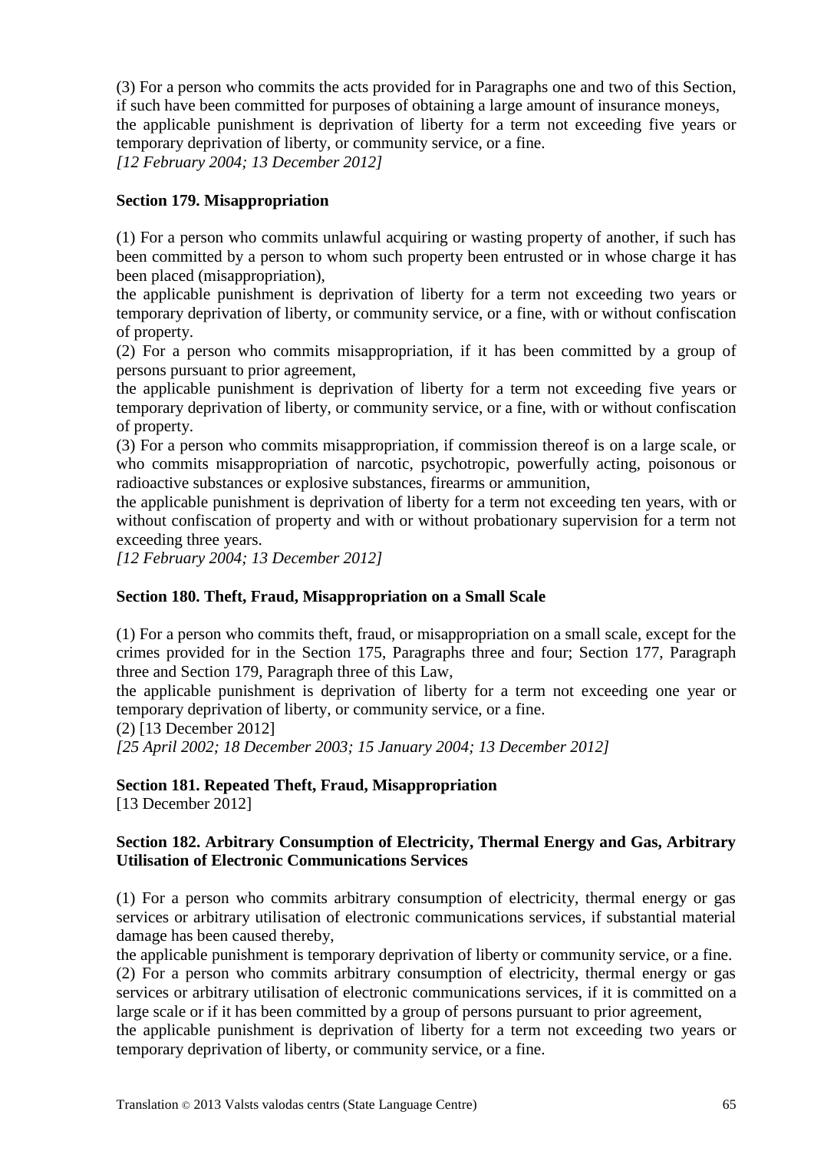(3) For a person who commits the acts provided for in Paragraphs one and two of this Section, if such have been committed for purposes of obtaining a large amount of insurance moneys, the applicable punishment is deprivation of liberty for a term not exceeding five years or temporary deprivation of liberty, or community service, or a fine.

*[12 February 2004; 13 December 2012]*

### **Section 179. Misappropriation**

(1) For a person who commits unlawful acquiring or wasting property of another, if such has been committed by a person to whom such property been entrusted or in whose charge it has been placed (misappropriation),

the applicable punishment is deprivation of liberty for a term not exceeding two years or temporary deprivation of liberty, or community service, or a fine, with or without confiscation of property.

(2) For a person who commits misappropriation, if it has been committed by a group of persons pursuant to prior agreement,

the applicable punishment is deprivation of liberty for a term not exceeding five years or temporary deprivation of liberty, or community service, or a fine, with or without confiscation of property.

(3) For a person who commits misappropriation, if commission thereof is on a large scale, or who commits misappropriation of narcotic, psychotropic, powerfully acting, poisonous or radioactive substances or explosive substances, firearms or ammunition,

the applicable punishment is deprivation of liberty for a term not exceeding ten years, with or without confiscation of property and with or without probationary supervision for a term not exceeding three years.

*[12 February 2004; 13 December 2012]*

## **Section 180. Theft, Fraud, Misappropriation on a Small Scale**

(1) For a person who commits theft, fraud, or misappropriation on a small scale, except for the crimes provided for in the Section 175, Paragraphs three and four; Section 177, Paragraph three and Section 179, Paragraph three of this Law,

the applicable punishment is deprivation of liberty for a term not exceeding one year or temporary deprivation of liberty, or community service, or a fine.

(2) [13 December 2012]

*[25 April 2002; 18 December 2003; 15 January 2004; 13 December 2012]*

## **Section 181. Repeated Theft, Fraud, Misappropriation**

[13 December 2012]

### **Section 182. Arbitrary Consumption of Electricity, Thermal Energy and Gas, Arbitrary Utilisation of Electronic Communications Services**

(1) For a person who commits arbitrary consumption of electricity, thermal energy or gas services or arbitrary utilisation of electronic communications services, if substantial material damage has been caused thereby,

the applicable punishment is temporary deprivation of liberty or community service, or a fine. (2) For a person who commits arbitrary consumption of electricity, thermal energy or gas services or arbitrary utilisation of electronic communications services, if it is committed on a large scale or if it has been committed by a group of persons pursuant to prior agreement,

the applicable punishment is deprivation of liberty for a term not exceeding two years or temporary deprivation of liberty, or community service, or a fine.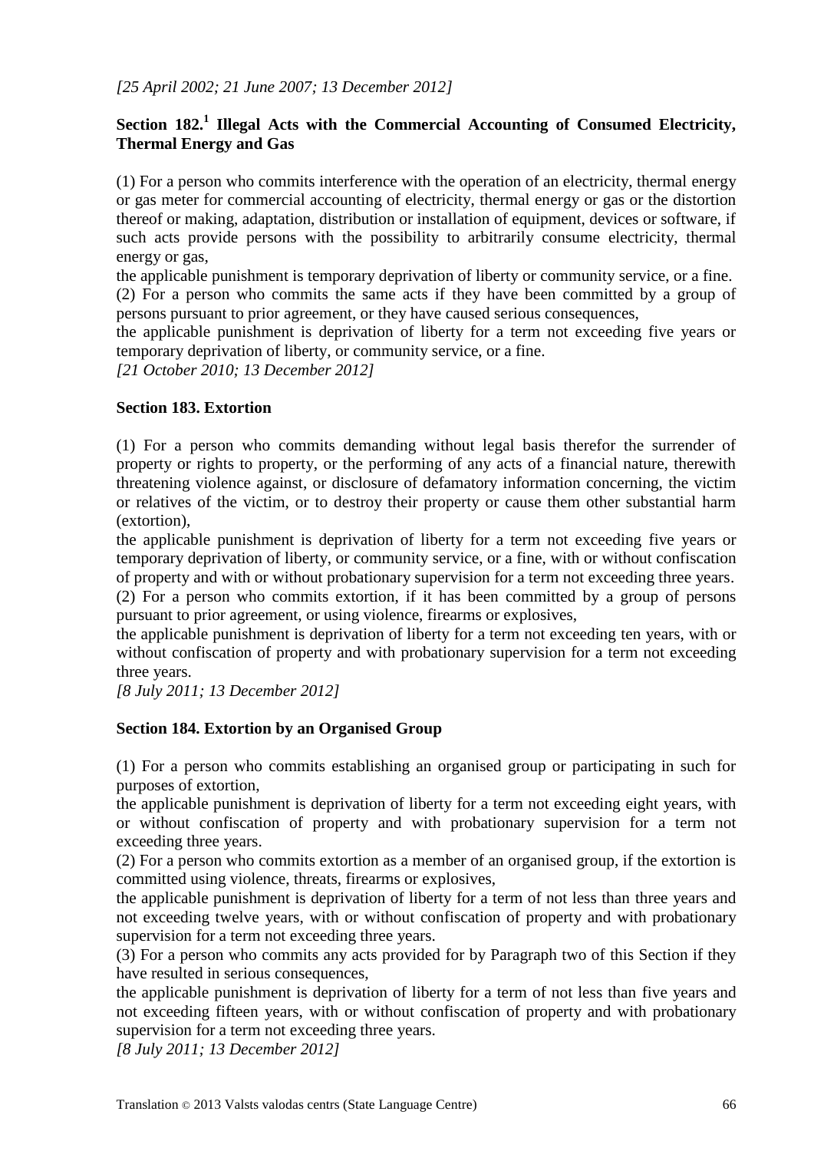# **Section 182.<sup>1</sup> Illegal Acts with the Commercial Accounting of Consumed Electricity, Thermal Energy and Gas**

(1) For a person who commits interference with the operation of an electricity, thermal energy or gas meter for commercial accounting of electricity, thermal energy or gas or the distortion thereof or making, adaptation, distribution or installation of equipment, devices or software, if such acts provide persons with the possibility to arbitrarily consume electricity, thermal energy or gas,

the applicable punishment is temporary deprivation of liberty or community service, or a fine. (2) For a person who commits the same acts if they have been committed by a group of persons pursuant to prior agreement, or they have caused serious consequences,

the applicable punishment is deprivation of liberty for a term not exceeding five years or temporary deprivation of liberty, or community service, or a fine.

*[21 October 2010; 13 December 2012]*

### **Section 183. Extortion**

(1) For a person who commits demanding without legal basis therefor the surrender of property or rights to property, or the performing of any acts of a financial nature, therewith threatening violence against, or disclosure of defamatory information concerning, the victim or relatives of the victim, or to destroy their property or cause them other substantial harm (extortion),

the applicable punishment is deprivation of liberty for a term not exceeding five years or temporary deprivation of liberty, or community service, or a fine, with or without confiscation of property and with or without probationary supervision for a term not exceeding three years.

(2) For a person who commits extortion, if it has been committed by a group of persons pursuant to prior agreement, or using violence, firearms or explosives,

the applicable punishment is deprivation of liberty for a term not exceeding ten years, with or without confiscation of property and with probationary supervision for a term not exceeding three years.

*[8 July 2011; 13 December 2012]*

## **Section 184. Extortion by an Organised Group**

(1) For a person who commits establishing an organised group or participating in such for purposes of extortion,

the applicable punishment is deprivation of liberty for a term not exceeding eight years, with or without confiscation of property and with probationary supervision for a term not exceeding three years.

(2) For a person who commits extortion as a member of an organised group, if the extortion is committed using violence, threats, firearms or explosives,

the applicable punishment is deprivation of liberty for a term of not less than three years and not exceeding twelve years, with or without confiscation of property and with probationary supervision for a term not exceeding three years.

(3) For a person who commits any acts provided for by Paragraph two of this Section if they have resulted in serious consequences,

the applicable punishment is deprivation of liberty for a term of not less than five years and not exceeding fifteen years, with or without confiscation of property and with probationary supervision for a term not exceeding three years.

*[8 July 2011; 13 December 2012]*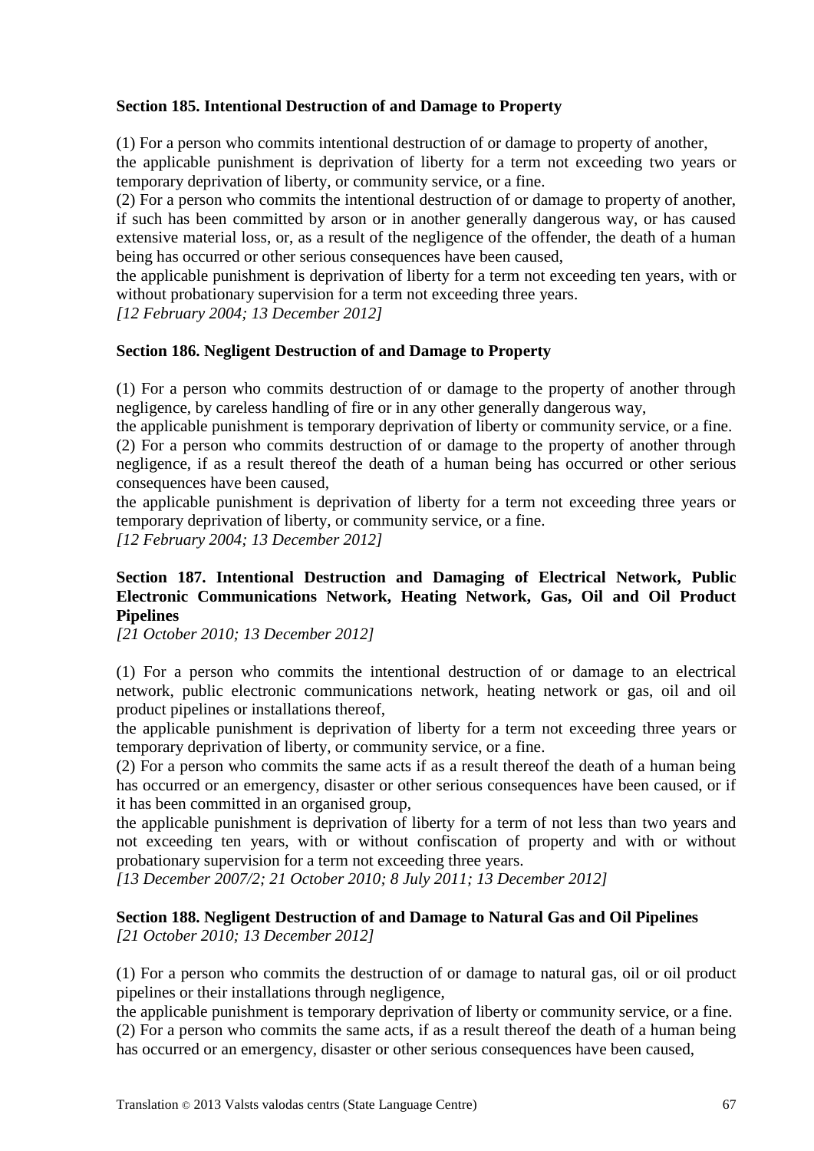### **Section 185. Intentional Destruction of and Damage to Property**

(1) For a person who commits intentional destruction of or damage to property of another,

the applicable punishment is deprivation of liberty for a term not exceeding two years or temporary deprivation of liberty, or community service, or a fine.

(2) For a person who commits the intentional destruction of or damage to property of another, if such has been committed by arson or in another generally dangerous way, or has caused extensive material loss, or, as a result of the negligence of the offender, the death of a human being has occurred or other serious consequences have been caused,

the applicable punishment is deprivation of liberty for a term not exceeding ten years, with or without probationary supervision for a term not exceeding three years.

*[12 February 2004; 13 December 2012]*

### **Section 186. Negligent Destruction of and Damage to Property**

(1) For a person who commits destruction of or damage to the property of another through negligence, by careless handling of fire or in any other generally dangerous way,

the applicable punishment is temporary deprivation of liberty or community service, or a fine.

(2) For a person who commits destruction of or damage to the property of another through negligence, if as a result thereof the death of a human being has occurred or other serious consequences have been caused,

the applicable punishment is deprivation of liberty for a term not exceeding three years or temporary deprivation of liberty, or community service, or a fine.

*[12 February 2004; 13 December 2012]*

# **Section 187. Intentional Destruction and Damaging of Electrical Network, Public Electronic Communications Network, Heating Network, Gas, Oil and Oil Product Pipelines**

*[21 October 2010; 13 December 2012]*

(1) For a person who commits the intentional destruction of or damage to an electrical network, public electronic communications network, heating network or gas, oil and oil product pipelines or installations thereof,

the applicable punishment is deprivation of liberty for a term not exceeding three years or temporary deprivation of liberty, or community service, or a fine.

(2) For a person who commits the same acts if as a result thereof the death of a human being has occurred or an emergency, disaster or other serious consequences have been caused, or if it has been committed in an organised group,

the applicable punishment is deprivation of liberty for a term of not less than two years and not exceeding ten years, with or without confiscation of property and with or without probationary supervision for a term not exceeding three years.

*[13 December 2007/2; 21 October 2010; 8 July 2011; 13 December 2012]*

# **Section 188. Negligent Destruction of and Damage to Natural Gas and Oil Pipelines**

*[21 October 2010; 13 December 2012]*

(1) For a person who commits the destruction of or damage to natural gas, oil or oil product pipelines or their installations through negligence,

the applicable punishment is temporary deprivation of liberty or community service, or a fine. (2) For a person who commits the same acts, if as a result thereof the death of a human being has occurred or an emergency, disaster or other serious consequences have been caused,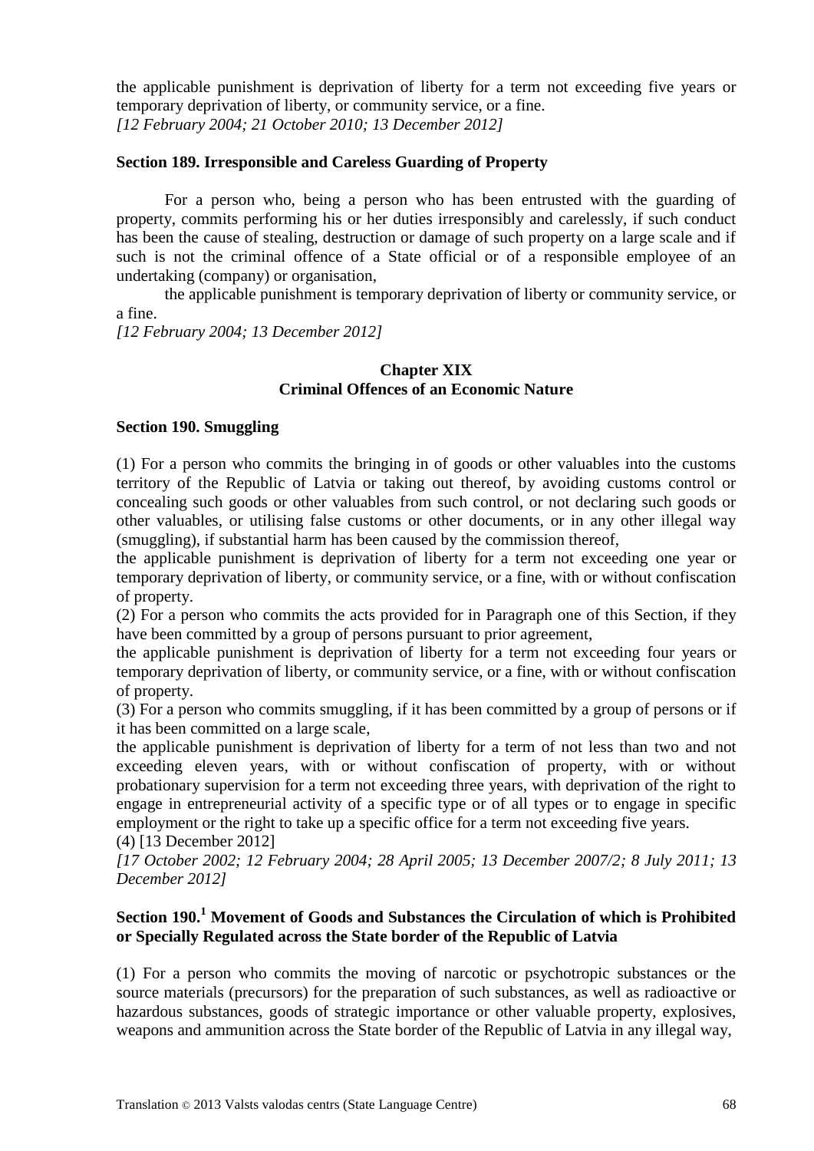the applicable punishment is deprivation of liberty for a term not exceeding five years or temporary deprivation of liberty, or community service, or a fine. *[12 February 2004; 21 October 2010; 13 December 2012]*

#### **Section 189. Irresponsible and Careless Guarding of Property**

For a person who, being a person who has been entrusted with the guarding of property, commits performing his or her duties irresponsibly and carelessly, if such conduct has been the cause of stealing, destruction or damage of such property on a large scale and if such is not the criminal offence of a State official or of a responsible employee of an undertaking (company) or organisation,

the applicable punishment is temporary deprivation of liberty or community service, or a fine.

*[12 February 2004; 13 December 2012]*

### **Chapter XIX Criminal Offences of an Economic Nature**

#### **Section 190. Smuggling**

(1) For a person who commits the bringing in of goods or other valuables into the customs territory of the Republic of Latvia or taking out thereof, by avoiding customs control or concealing such goods or other valuables from such control, or not declaring such goods or other valuables, or utilising false customs or other documents, or in any other illegal way (smuggling), if substantial harm has been caused by the commission thereof,

the applicable punishment is deprivation of liberty for a term not exceeding one year or temporary deprivation of liberty, or community service, or a fine, with or without confiscation of property.

(2) For a person who commits the acts provided for in Paragraph one of this Section, if they have been committed by a group of persons pursuant to prior agreement,

the applicable punishment is deprivation of liberty for a term not exceeding four years or temporary deprivation of liberty, or community service, or a fine, with or without confiscation of property.

(3) For a person who commits smuggling, if it has been committed by a group of persons or if it has been committed on a large scale,

the applicable punishment is deprivation of liberty for a term of not less than two and not exceeding eleven years, with or without confiscation of property, with or without probationary supervision for a term not exceeding three years, with deprivation of the right to engage in entrepreneurial activity of a specific type or of all types or to engage in specific employment or the right to take up a specific office for a term not exceeding five years.

(4) [13 December 2012]

*[17 October 2002; 12 February 2004; 28 April 2005; 13 December 2007/2; 8 July 2011; 13 December 2012]*

### **Section 190.<sup>1</sup> Movement of Goods and Substances the Circulation of which is Prohibited or Specially Regulated across the State border of the Republic of Latvia**

(1) For a person who commits the moving of narcotic or psychotropic substances or the source materials (precursors) for the preparation of such substances, as well as radioactive or hazardous substances, goods of strategic importance or other valuable property, explosives, weapons and ammunition across the State border of the Republic of Latvia in any illegal way,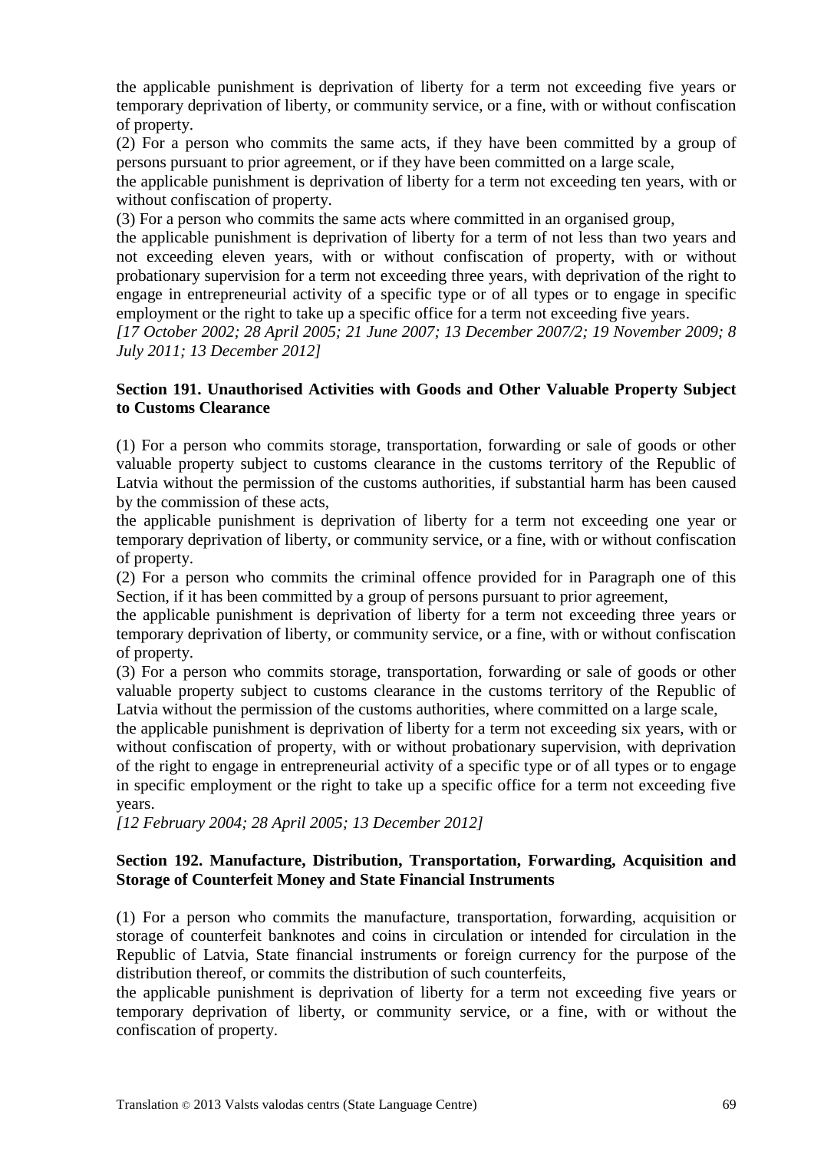the applicable punishment is deprivation of liberty for a term not exceeding five years or temporary deprivation of liberty, or community service, or a fine, with or without confiscation of property.

(2) For a person who commits the same acts, if they have been committed by a group of persons pursuant to prior agreement, or if they have been committed on a large scale,

the applicable punishment is deprivation of liberty for a term not exceeding ten years, with or without confiscation of property.

(3) For a person who commits the same acts where committed in an organised group,

the applicable punishment is deprivation of liberty for a term of not less than two years and not exceeding eleven years, with or without confiscation of property, with or without probationary supervision for a term not exceeding three years, with deprivation of the right to engage in entrepreneurial activity of a specific type or of all types or to engage in specific employment or the right to take up a specific office for a term not exceeding five years.

*[17 October 2002; 28 April 2005; 21 June 2007; 13 December 2007/2; 19 November 2009; 8 July 2011; 13 December 2012]*

### **Section 191. Unauthorised Activities with Goods and Other Valuable Property Subject to Customs Clearance**

(1) For a person who commits storage, transportation, forwarding or sale of goods or other valuable property subject to customs clearance in the customs territory of the Republic of Latvia without the permission of the customs authorities, if substantial harm has been caused by the commission of these acts,

the applicable punishment is deprivation of liberty for a term not exceeding one year or temporary deprivation of liberty, or community service, or a fine, with or without confiscation of property.

(2) For a person who commits the criminal offence provided for in Paragraph one of this Section, if it has been committed by a group of persons pursuant to prior agreement,

the applicable punishment is deprivation of liberty for a term not exceeding three years or temporary deprivation of liberty, or community service, or a fine, with or without confiscation of property.

(3) For a person who commits storage, transportation, forwarding or sale of goods or other valuable property subject to customs clearance in the customs territory of the Republic of Latvia without the permission of the customs authorities, where committed on a large scale,

the applicable punishment is deprivation of liberty for a term not exceeding six years, with or without confiscation of property, with or without probationary supervision, with deprivation of the right to engage in entrepreneurial activity of a specific type or of all types or to engage in specific employment or the right to take up a specific office for a term not exceeding five years.

*[12 February 2004; 28 April 2005; 13 December 2012]*

## **Section 192. Manufacture, Distribution, Transportation, Forwarding, Acquisition and Storage of Counterfeit Money and State Financial Instruments**

(1) For a person who commits the manufacture, transportation, forwarding, acquisition or storage of counterfeit banknotes and coins in circulation or intended for circulation in the Republic of Latvia, State financial instruments or foreign currency for the purpose of the distribution thereof, or commits the distribution of such counterfeits,

the applicable punishment is deprivation of liberty for a term not exceeding five years or temporary deprivation of liberty, or community service, or a fine, with or without the confiscation of property.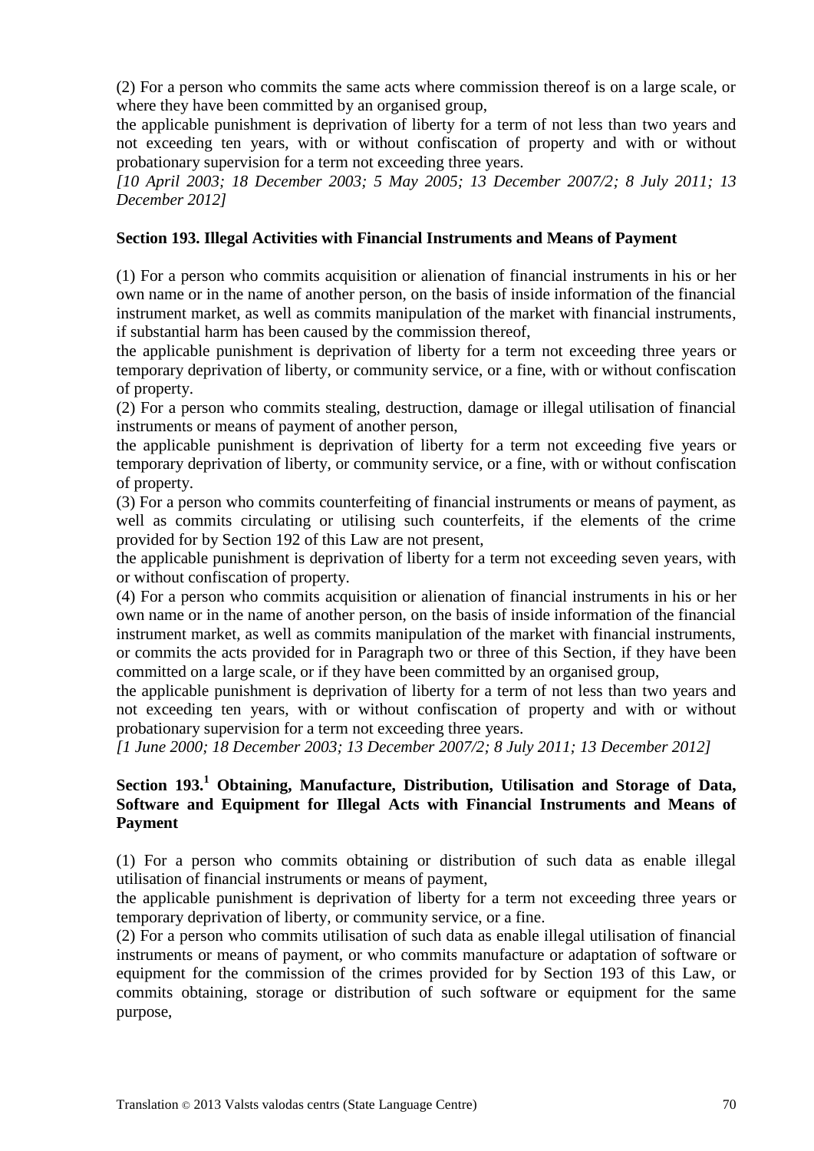(2) For a person who commits the same acts where commission thereof is on a large scale, or where they have been committed by an organised group,

the applicable punishment is deprivation of liberty for a term of not less than two years and not exceeding ten years, with or without confiscation of property and with or without probationary supervision for a term not exceeding three years.

*[10 April 2003; 18 December 2003; 5 May 2005; 13 December 2007/2; 8 July 2011; 13 December 2012]*

### **Section 193. Illegal Activities with Financial Instruments and Means of Payment**

(1) For a person who commits acquisition or alienation of financial instruments in his or her own name or in the name of another person, on the basis of inside information of the financial instrument market, as well as commits manipulation of the market with financial instruments, if substantial harm has been caused by the commission thereof,

the applicable punishment is deprivation of liberty for a term not exceeding three years or temporary deprivation of liberty, or community service, or a fine, with or without confiscation of property.

(2) For a person who commits stealing, destruction, damage or illegal utilisation of financial instruments or means of payment of another person,

the applicable punishment is deprivation of liberty for a term not exceeding five years or temporary deprivation of liberty, or community service, or a fine, with or without confiscation of property.

(3) For a person who commits counterfeiting of financial instruments or means of payment, as well as commits circulating or utilising such counterfeits, if the elements of the crime provided for by Section 192 of this Law are not present,

the applicable punishment is deprivation of liberty for a term not exceeding seven years, with or without confiscation of property.

(4) For a person who commits acquisition or alienation of financial instruments in his or her own name or in the name of another person, on the basis of inside information of the financial instrument market, as well as commits manipulation of the market with financial instruments, or commits the acts provided for in Paragraph two or three of this Section, if they have been committed on a large scale, or if they have been committed by an organised group,

the applicable punishment is deprivation of liberty for a term of not less than two years and not exceeding ten years, with or without confiscation of property and with or without probationary supervision for a term not exceeding three years.

*[1 June 2000; 18 December 2003; 13 December 2007/2; 8 July 2011; 13 December 2012]*

# **Section 193.<sup>1</sup> Obtaining, Manufacture, Distribution, Utilisation and Storage of Data, Software and Equipment for Illegal Acts with Financial Instruments and Means of Payment**

(1) For a person who commits obtaining or distribution of such data as enable illegal utilisation of financial instruments or means of payment,

the applicable punishment is deprivation of liberty for a term not exceeding three years or temporary deprivation of liberty, or community service, or a fine.

(2) For a person who commits utilisation of such data as enable illegal utilisation of financial instruments or means of payment, or who commits manufacture or adaptation of software or equipment for the commission of the crimes provided for by Section 193 of this Law, or commits obtaining, storage or distribution of such software or equipment for the same purpose,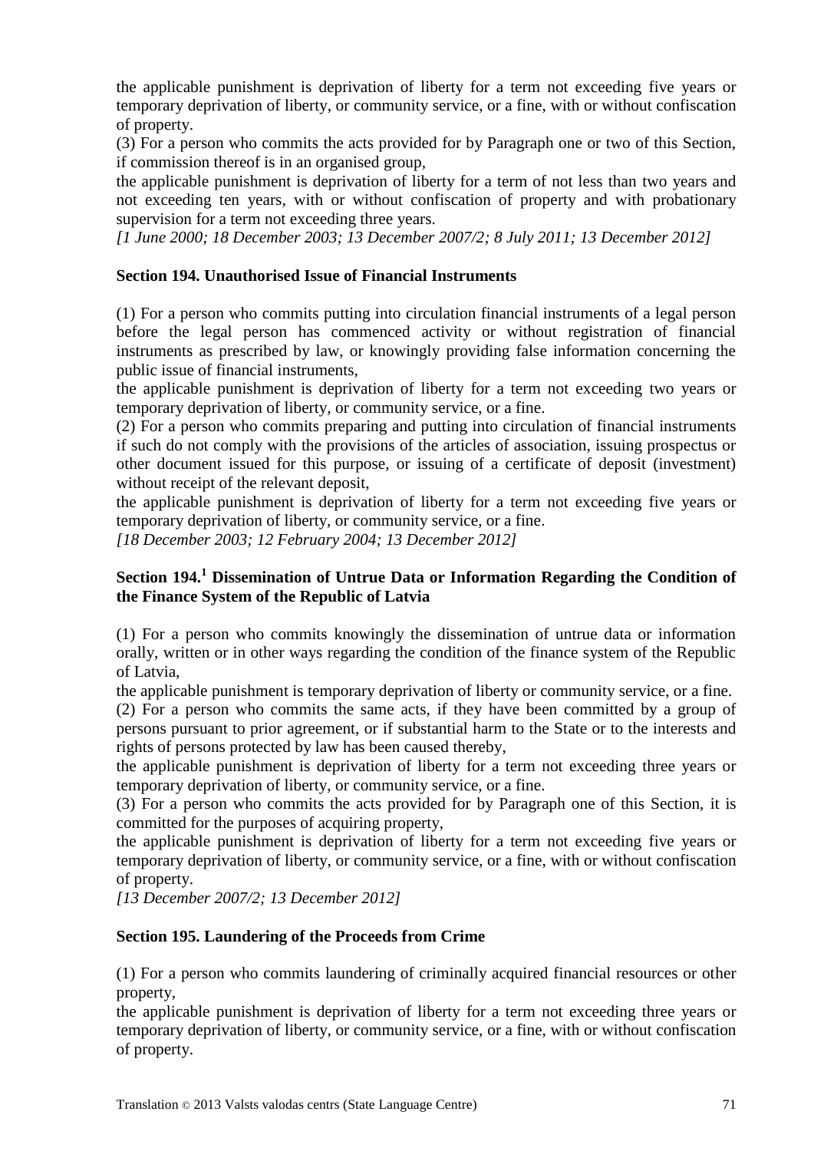the applicable punishment is deprivation of liberty for a term not exceeding five years or temporary deprivation of liberty, or community service, or a fine, with or without confiscation of property.

(3) For a person who commits the acts provided for by Paragraph one or two of this Section, if commission thereof is in an organised group,

the applicable punishment is deprivation of liberty for a term of not less than two years and not exceeding ten years, with or without confiscation of property and with probationary supervision for a term not exceeding three years.

*[1 June 2000; 18 December 2003; 13 December 2007/2; 8 July 2011; 13 December 2012]*

### **Section 194. Unauthorised Issue of Financial Instruments**

(1) For a person who commits putting into circulation financial instruments of a legal person before the legal person has commenced activity or without registration of financial instruments as prescribed by law, or knowingly providing false information concerning the public issue of financial instruments,

the applicable punishment is deprivation of liberty for a term not exceeding two years or temporary deprivation of liberty, or community service, or a fine.

(2) For a person who commits preparing and putting into circulation of financial instruments if such do not comply with the provisions of the articles of association, issuing prospectus or other document issued for this purpose, or issuing of a certificate of deposit (investment) without receipt of the relevant deposit,

the applicable punishment is deprivation of liberty for a term not exceeding five years or temporary deprivation of liberty, or community service, or a fine.

*[18 December 2003; 12 February 2004; 13 December 2012]*

### **Section 194.<sup>1</sup> Dissemination of Untrue Data or Information Regarding the Condition of the Finance System of the Republic of Latvia**

(1) For a person who commits knowingly the dissemination of untrue data or information orally, written or in other ways regarding the condition of the finance system of the Republic of Latvia,

the applicable punishment is temporary deprivation of liberty or community service, or a fine.

(2) For a person who commits the same acts, if they have been committed by a group of persons pursuant to prior agreement, or if substantial harm to the State or to the interests and rights of persons protected by law has been caused thereby,

the applicable punishment is deprivation of liberty for a term not exceeding three years or temporary deprivation of liberty, or community service, or a fine.

(3) For a person who commits the acts provided for by Paragraph one of this Section, it is committed for the purposes of acquiring property,

the applicable punishment is deprivation of liberty for a term not exceeding five years or temporary deprivation of liberty, or community service, or a fine, with or without confiscation of property.

*[13 December 2007/2; 13 December 2012]*

#### **Section 195. Laundering of the Proceeds from Crime**

(1) For a person who commits laundering of criminally acquired financial resources or other property,

the applicable punishment is deprivation of liberty for a term not exceeding three years or temporary deprivation of liberty, or community service, or a fine, with or without confiscation of property.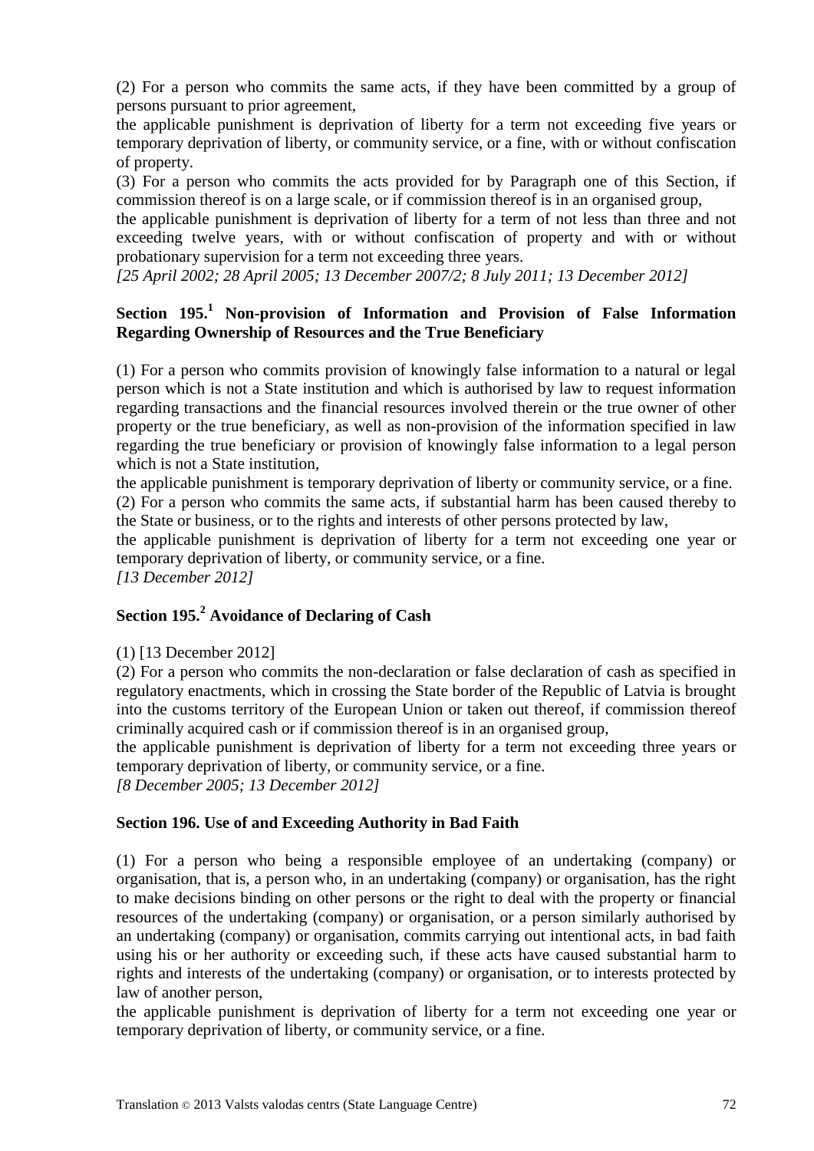(2) For a person who commits the same acts, if they have been committed by a group of persons pursuant to prior agreement,

the applicable punishment is deprivation of liberty for a term not exceeding five years or temporary deprivation of liberty, or community service, or a fine, with or without confiscation of property.

(3) For a person who commits the acts provided for by Paragraph one of this Section, if commission thereof is on a large scale, or if commission thereof is in an organised group,

the applicable punishment is deprivation of liberty for a term of not less than three and not exceeding twelve years, with or without confiscation of property and with or without probationary supervision for a term not exceeding three years.

*[25 April 2002; 28 April 2005; 13 December 2007/2; 8 July 2011; 13 December 2012]*

# **Section 195.<sup>1</sup> Non-provision of Information and Provision of False Information Regarding Ownership of Resources and the True Beneficiary**

(1) For a person who commits provision of knowingly false information to a natural or legal person which is not a State institution and which is authorised by law to request information regarding transactions and the financial resources involved therein or the true owner of other property or the true beneficiary, as well as non-provision of the information specified in law regarding the true beneficiary or provision of knowingly false information to a legal person which is not a State institution.

the applicable punishment is temporary deprivation of liberty or community service, or a fine. (2) For a person who commits the same acts, if substantial harm has been caused thereby to

the State or business, or to the rights and interests of other persons protected by law,

the applicable punishment is deprivation of liberty for a term not exceeding one year or temporary deprivation of liberty, or community service, or a fine.

*[13 December 2012]*

# **Section 195.<sup>2</sup> Avoidance of Declaring of Cash**

#### (1) [13 December 2012]

(2) For a person who commits the non-declaration or false declaration of cash as specified in regulatory enactments, which in crossing the State border of the Republic of Latvia is brought into the customs territory of the European Union or taken out thereof, if commission thereof criminally acquired cash or if commission thereof is in an organised group,

the applicable punishment is deprivation of liberty for a term not exceeding three years or temporary deprivation of liberty, or community service, or a fine.

*[8 December 2005; 13 December 2012]*

## **Section 196. Use of and Exceeding Authority in Bad Faith**

(1) For a person who being a responsible employee of an undertaking (company) or organisation, that is, a person who, in an undertaking (company) or organisation, has the right to make decisions binding on other persons or the right to deal with the property or financial resources of the undertaking (company) or organisation, or a person similarly authorised by an undertaking (company) or organisation, commits carrying out intentional acts, in bad faith using his or her authority or exceeding such, if these acts have caused substantial harm to rights and interests of the undertaking (company) or organisation, or to interests protected by law of another person,

the applicable punishment is deprivation of liberty for a term not exceeding one year or temporary deprivation of liberty, or community service, or a fine.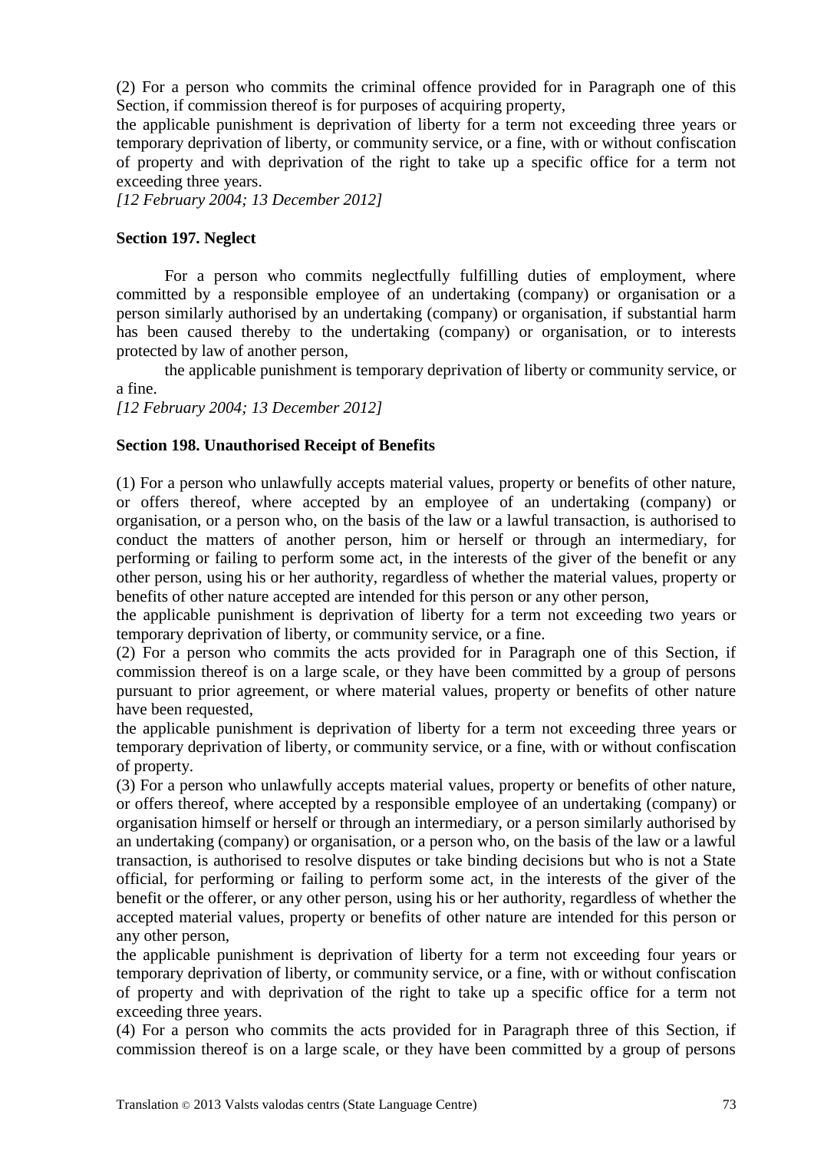(2) For a person who commits the criminal offence provided for in Paragraph one of this Section, if commission thereof is for purposes of acquiring property,

the applicable punishment is deprivation of liberty for a term not exceeding three years or temporary deprivation of liberty, or community service, or a fine, with or without confiscation of property and with deprivation of the right to take up a specific office for a term not exceeding three years.

*[12 February 2004; 13 December 2012]*

#### **Section 197. Neglect**

For a person who commits neglectfully fulfilling duties of employment, where committed by a responsible employee of an undertaking (company) or organisation or a person similarly authorised by an undertaking (company) or organisation, if substantial harm has been caused thereby to the undertaking (company) or organisation, or to interests protected by law of another person,

the applicable punishment is temporary deprivation of liberty or community service, or a fine.

*[12 February 2004; 13 December 2012]*

#### **Section 198. Unauthorised Receipt of Benefits**

(1) For a person who unlawfully accepts material values, property or benefits of other nature, or offers thereof, where accepted by an employee of an undertaking (company) or organisation, or a person who, on the basis of the law or a lawful transaction, is authorised to conduct the matters of another person, him or herself or through an intermediary, for performing or failing to perform some act, in the interests of the giver of the benefit or any other person, using his or her authority, regardless of whether the material values, property or benefits of other nature accepted are intended for this person or any other person,

the applicable punishment is deprivation of liberty for a term not exceeding two years or temporary deprivation of liberty, or community service, or a fine.

(2) For a person who commits the acts provided for in Paragraph one of this Section, if commission thereof is on a large scale, or they have been committed by a group of persons pursuant to prior agreement, or where material values, property or benefits of other nature have been requested,

the applicable punishment is deprivation of liberty for a term not exceeding three years or temporary deprivation of liberty, or community service, or a fine, with or without confiscation of property.

(3) For a person who unlawfully accepts material values, property or benefits of other nature, or offers thereof, where accepted by a responsible employee of an undertaking (company) or organisation himself or herself or through an intermediary, or a person similarly authorised by an undertaking (company) or organisation, or a person who, on the basis of the law or a lawful transaction, is authorised to resolve disputes or take binding decisions but who is not a State official, for performing or failing to perform some act, in the interests of the giver of the benefit or the offerer, or any other person, using his or her authority, regardless of whether the accepted material values, property or benefits of other nature are intended for this person or any other person,

the applicable punishment is deprivation of liberty for a term not exceeding four years or temporary deprivation of liberty, or community service, or a fine, with or without confiscation of property and with deprivation of the right to take up a specific office for a term not exceeding three years.

(4) For a person who commits the acts provided for in Paragraph three of this Section, if commission thereof is on a large scale, or they have been committed by a group of persons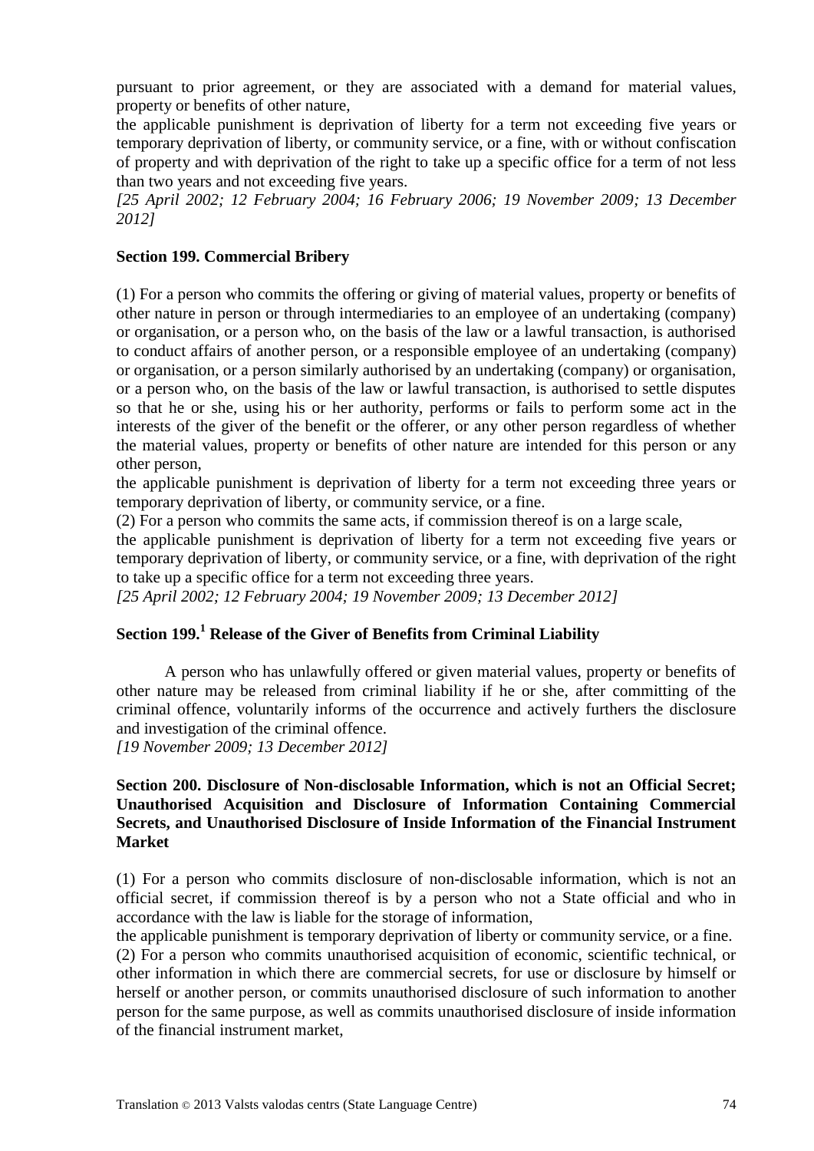pursuant to prior agreement, or they are associated with a demand for material values, property or benefits of other nature,

the applicable punishment is deprivation of liberty for a term not exceeding five years or temporary deprivation of liberty, or community service, or a fine, with or without confiscation of property and with deprivation of the right to take up a specific office for a term of not less than two years and not exceeding five years.

*[25 April 2002; 12 February 2004; 16 February 2006; 19 November 2009; 13 December 2012]*

#### **Section 199. Commercial Bribery**

(1) For a person who commits the offering or giving of material values, property or benefits of other nature in person or through intermediaries to an employee of an undertaking (company) or organisation, or a person who, on the basis of the law or a lawful transaction, is authorised to conduct affairs of another person, or a responsible employee of an undertaking (company) or organisation, or a person similarly authorised by an undertaking (company) or organisation, or a person who, on the basis of the law or lawful transaction, is authorised to settle disputes so that he or she, using his or her authority, performs or fails to perform some act in the interests of the giver of the benefit or the offerer, or any other person regardless of whether the material values, property or benefits of other nature are intended for this person or any other person,

the applicable punishment is deprivation of liberty for a term not exceeding three years or temporary deprivation of liberty, or community service, or a fine.

(2) For a person who commits the same acts, if commission thereof is on a large scale,

the applicable punishment is deprivation of liberty for a term not exceeding five years or temporary deprivation of liberty, or community service, or a fine, with deprivation of the right to take up a specific office for a term not exceeding three years.

*[25 April 2002; 12 February 2004; 19 November 2009; 13 December 2012]*

### **Section 199.<sup>1</sup> Release of the Giver of Benefits from Criminal Liability**

A person who has unlawfully offered or given material values, property or benefits of other nature may be released from criminal liability if he or she, after committing of the criminal offence, voluntarily informs of the occurrence and actively furthers the disclosure and investigation of the criminal offence.

*[19 November 2009; 13 December 2012]*

#### **Section 200. Disclosure of Non-disclosable Information, which is not an Official Secret; Unauthorised Acquisition and Disclosure of Information Containing Commercial Secrets, and Unauthorised Disclosure of Inside Information of the Financial Instrument Market**

(1) For a person who commits disclosure of non-disclosable information, which is not an official secret, if commission thereof is by a person who not a State official and who in accordance with the law is liable for the storage of information,

the applicable punishment is temporary deprivation of liberty or community service, or a fine.

(2) For a person who commits unauthorised acquisition of economic, scientific technical, or other information in which there are commercial secrets, for use or disclosure by himself or herself or another person, or commits unauthorised disclosure of such information to another person for the same purpose, as well as commits unauthorised disclosure of inside information of the financial instrument market,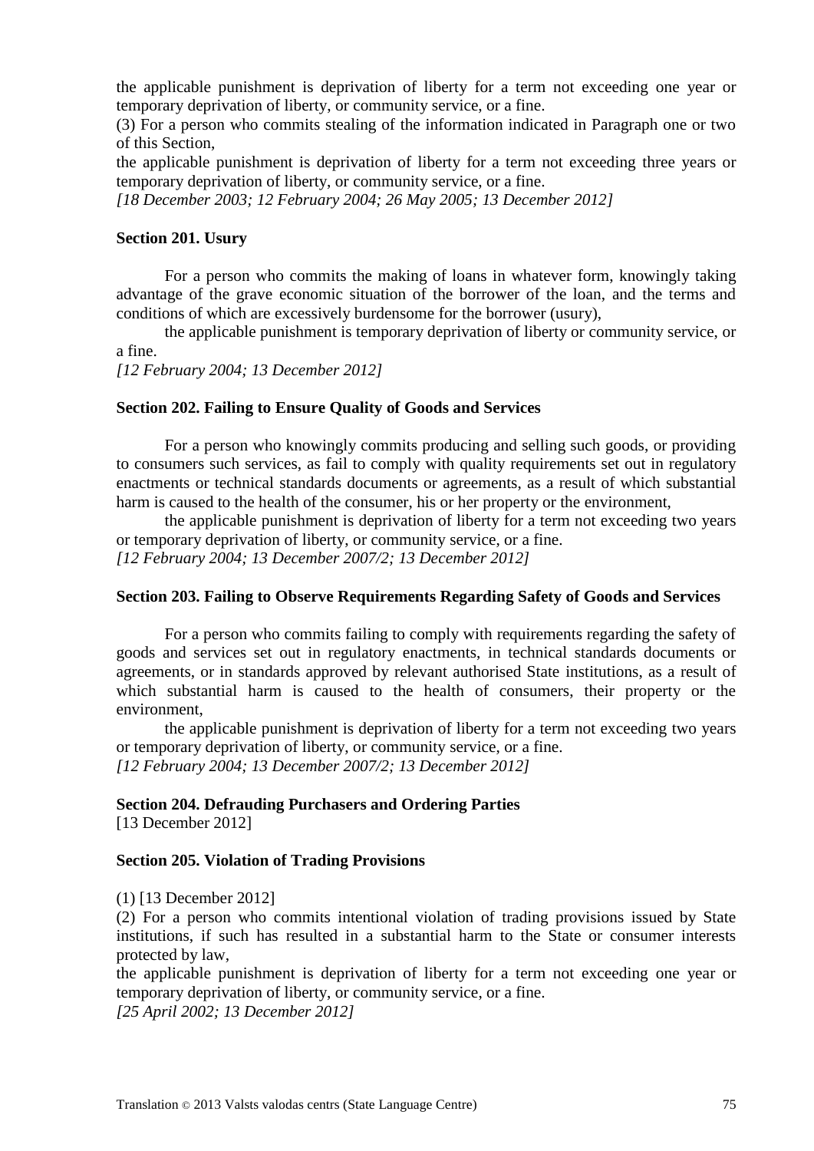the applicable punishment is deprivation of liberty for a term not exceeding one year or temporary deprivation of liberty, or community service, or a fine.

(3) For a person who commits stealing of the information indicated in Paragraph one or two of this Section,

the applicable punishment is deprivation of liberty for a term not exceeding three years or temporary deprivation of liberty, or community service, or a fine.

*[18 December 2003; 12 February 2004; 26 May 2005; 13 December 2012]*

#### **Section 201. Usury**

For a person who commits the making of loans in whatever form, knowingly taking advantage of the grave economic situation of the borrower of the loan, and the terms and conditions of which are excessively burdensome for the borrower (usury),

the applicable punishment is temporary deprivation of liberty or community service, or a fine.

*[12 February 2004; 13 December 2012]*

#### **Section 202. Failing to Ensure Quality of Goods and Services**

For a person who knowingly commits producing and selling such goods, or providing to consumers such services, as fail to comply with quality requirements set out in regulatory enactments or technical standards documents or agreements, as a result of which substantial harm is caused to the health of the consumer, his or her property or the environment,

the applicable punishment is deprivation of liberty for a term not exceeding two years or temporary deprivation of liberty, or community service, or a fine. *[12 February 2004; 13 December 2007/2; 13 December 2012]*

#### **Section 203. Failing to Observe Requirements Regarding Safety of Goods and Services**

For a person who commits failing to comply with requirements regarding the safety of goods and services set out in regulatory enactments, in technical standards documents or agreements, or in standards approved by relevant authorised State institutions, as a result of which substantial harm is caused to the health of consumers, their property or the environment,

the applicable punishment is deprivation of liberty for a term not exceeding two years or temporary deprivation of liberty, or community service, or a fine. *[12 February 2004; 13 December 2007/2; 13 December 2012]*

#### **Section 204. Defrauding Purchasers and Ordering Parties**

[13 December 2012]

#### **Section 205. Violation of Trading Provisions**

(1) [13 December 2012]

(2) For a person who commits intentional violation of trading provisions issued by State institutions, if such has resulted in a substantial harm to the State or consumer interests protected by law,

the applicable punishment is deprivation of liberty for a term not exceeding one year or temporary deprivation of liberty, or community service, or a fine.

*[25 April 2002; 13 December 2012]*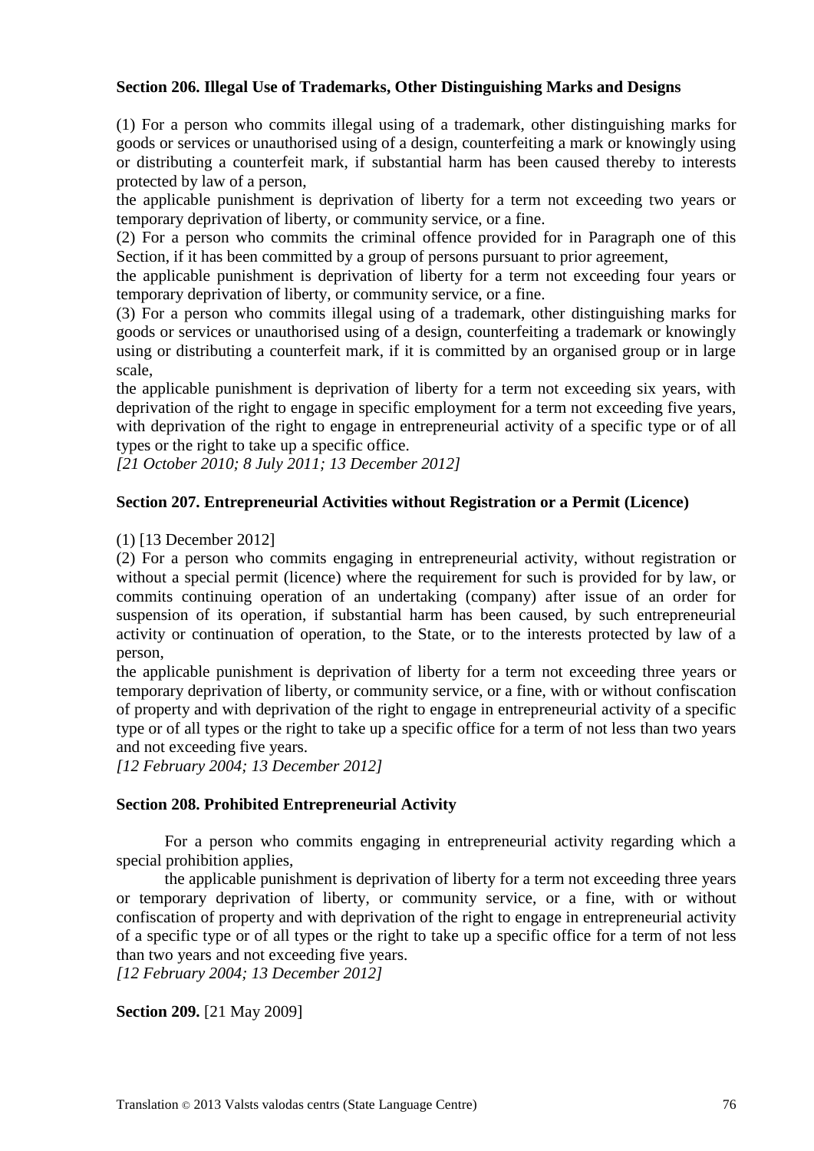#### **Section 206. Illegal Use of Trademarks, Other Distinguishing Marks and Designs**

(1) For a person who commits illegal using of a trademark, other distinguishing marks for goods or services or unauthorised using of a design, counterfeiting a mark or knowingly using or distributing a counterfeit mark, if substantial harm has been caused thereby to interests protected by law of a person,

the applicable punishment is deprivation of liberty for a term not exceeding two years or temporary deprivation of liberty, or community service, or a fine.

(2) For a person who commits the criminal offence provided for in Paragraph one of this Section, if it has been committed by a group of persons pursuant to prior agreement,

the applicable punishment is deprivation of liberty for a term not exceeding four years or temporary deprivation of liberty, or community service, or a fine.

(3) For a person who commits illegal using of a trademark, other distinguishing marks for goods or services or unauthorised using of a design, counterfeiting a trademark or knowingly using or distributing a counterfeit mark, if it is committed by an organised group or in large scale,

the applicable punishment is deprivation of liberty for a term not exceeding six years, with deprivation of the right to engage in specific employment for a term not exceeding five years, with deprivation of the right to engage in entrepreneurial activity of a specific type or of all types or the right to take up a specific office.

*[21 October 2010; 8 July 2011; 13 December 2012]*

#### **Section 207. Entrepreneurial Activities without Registration or a Permit (Licence)**

(1) [13 December 2012]

(2) For a person who commits engaging in entrepreneurial activity, without registration or without a special permit (licence) where the requirement for such is provided for by law, or commits continuing operation of an undertaking (company) after issue of an order for suspension of its operation, if substantial harm has been caused, by such entrepreneurial activity or continuation of operation, to the State, or to the interests protected by law of a person,

the applicable punishment is deprivation of liberty for a term not exceeding three years or temporary deprivation of liberty, or community service, or a fine, with or without confiscation of property and with deprivation of the right to engage in entrepreneurial activity of a specific type or of all types or the right to take up a specific office for a term of not less than two years and not exceeding five years.

*[12 February 2004; 13 December 2012]*

#### **Section 208. Prohibited Entrepreneurial Activity**

For a person who commits engaging in entrepreneurial activity regarding which a special prohibition applies,

the applicable punishment is deprivation of liberty for a term not exceeding three years or temporary deprivation of liberty, or community service, or a fine, with or without confiscation of property and with deprivation of the right to engage in entrepreneurial activity of a specific type or of all types or the right to take up a specific office for a term of not less than two years and not exceeding five years.

*[12 February 2004; 13 December 2012]*

**Section 209.** [21 May 2009]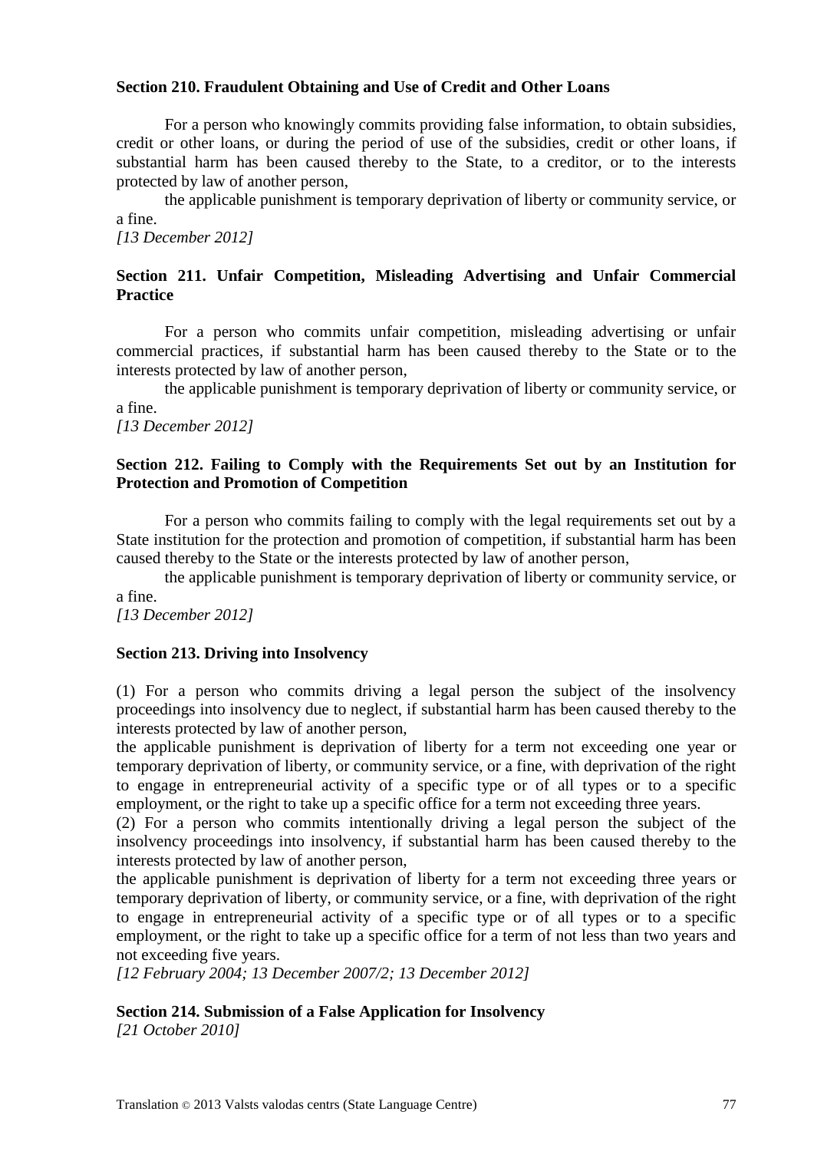#### **Section 210. Fraudulent Obtaining and Use of Credit and Other Loans**

For a person who knowingly commits providing false information, to obtain subsidies, credit or other loans, or during the period of use of the subsidies, credit or other loans, if substantial harm has been caused thereby to the State, to a creditor, or to the interests protected by law of another person,

the applicable punishment is temporary deprivation of liberty or community service, or a fine.

*[13 December 2012]*

#### **Section 211. Unfair Competition, Misleading Advertising and Unfair Commercial Practice**

For a person who commits unfair competition, misleading advertising or unfair commercial practices, if substantial harm has been caused thereby to the State or to the interests protected by law of another person,

the applicable punishment is temporary deprivation of liberty or community service, or a fine.

*[13 December 2012]*

#### **Section 212. Failing to Comply with the Requirements Set out by an Institution for Protection and Promotion of Competition**

For a person who commits failing to comply with the legal requirements set out by a State institution for the protection and promotion of competition, if substantial harm has been caused thereby to the State or the interests protected by law of another person,

the applicable punishment is temporary deprivation of liberty or community service, or a fine.

*[13 December 2012]*

#### **Section 213. Driving into Insolvency**

(1) For a person who commits driving a legal person the subject of the insolvency proceedings into insolvency due to neglect, if substantial harm has been caused thereby to the interests protected by law of another person,

the applicable punishment is deprivation of liberty for a term not exceeding one year or temporary deprivation of liberty, or community service, or a fine, with deprivation of the right to engage in entrepreneurial activity of a specific type or of all types or to a specific employment, or the right to take up a specific office for a term not exceeding three years.

(2) For a person who commits intentionally driving a legal person the subject of the insolvency proceedings into insolvency, if substantial harm has been caused thereby to the interests protected by law of another person,

the applicable punishment is deprivation of liberty for a term not exceeding three years or temporary deprivation of liberty, or community service, or a fine, with deprivation of the right to engage in entrepreneurial activity of a specific type or of all types or to a specific employment, or the right to take up a specific office for a term of not less than two years and not exceeding five years.

*[12 February 2004; 13 December 2007/2; 13 December 2012]*

#### **Section 214. Submission of a False Application for Insolvency**

*[21 October 2010]*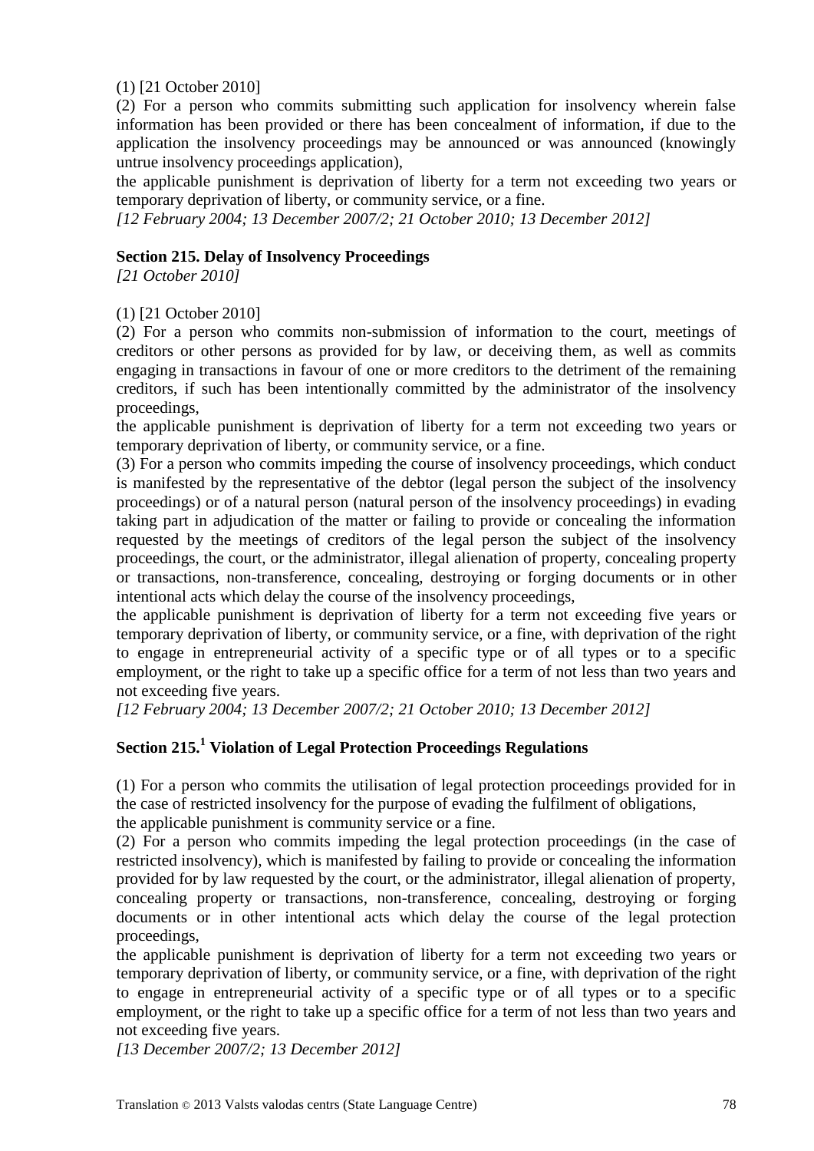(1) [21 October 2010]

(2) For a person who commits submitting such application for insolvency wherein false information has been provided or there has been concealment of information, if due to the application the insolvency proceedings may be announced or was announced (knowingly untrue insolvency proceedings application),

the applicable punishment is deprivation of liberty for a term not exceeding two years or temporary deprivation of liberty, or community service, or a fine.

*[12 February 2004; 13 December 2007/2; 21 October 2010; 13 December 2012]*

#### **Section 215. Delay of Insolvency Proceedings**

*[21 October 2010]*

#### (1) [21 October 2010]

(2) For a person who commits non-submission of information to the court, meetings of creditors or other persons as provided for by law, or deceiving them, as well as commits engaging in transactions in favour of one or more creditors to the detriment of the remaining creditors, if such has been intentionally committed by the administrator of the insolvency proceedings,

the applicable punishment is deprivation of liberty for a term not exceeding two years or temporary deprivation of liberty, or community service, or a fine.

(3) For a person who commits impeding the course of insolvency proceedings, which conduct is manifested by the representative of the debtor (legal person the subject of the insolvency proceedings) or of a natural person (natural person of the insolvency proceedings) in evading taking part in adjudication of the matter or failing to provide or concealing the information requested by the meetings of creditors of the legal person the subject of the insolvency proceedings, the court, or the administrator, illegal alienation of property, concealing property or transactions, non-transference, concealing, destroying or forging documents or in other intentional acts which delay the course of the insolvency proceedings,

the applicable punishment is deprivation of liberty for a term not exceeding five years or temporary deprivation of liberty, or community service, or a fine, with deprivation of the right to engage in entrepreneurial activity of a specific type or of all types or to a specific employment, or the right to take up a specific office for a term of not less than two years and not exceeding five years.

*[12 February 2004; 13 December 2007/2; 21 October 2010; 13 December 2012]*

# **Section 215.<sup>1</sup> Violation of Legal Protection Proceedings Regulations**

(1) For a person who commits the utilisation of legal protection proceedings provided for in the case of restricted insolvency for the purpose of evading the fulfilment of obligations,

the applicable punishment is community service or a fine.

(2) For a person who commits impeding the legal protection proceedings (in the case of restricted insolvency), which is manifested by failing to provide or concealing the information provided for by law requested by the court, or the administrator, illegal alienation of property, concealing property or transactions, non-transference, concealing, destroying or forging documents or in other intentional acts which delay the course of the legal protection proceedings,

the applicable punishment is deprivation of liberty for a term not exceeding two years or temporary deprivation of liberty, or community service, or a fine, with deprivation of the right to engage in entrepreneurial activity of a specific type or of all types or to a specific employment, or the right to take up a specific office for a term of not less than two years and not exceeding five years.

*[13 December 2007/2; 13 December 2012]*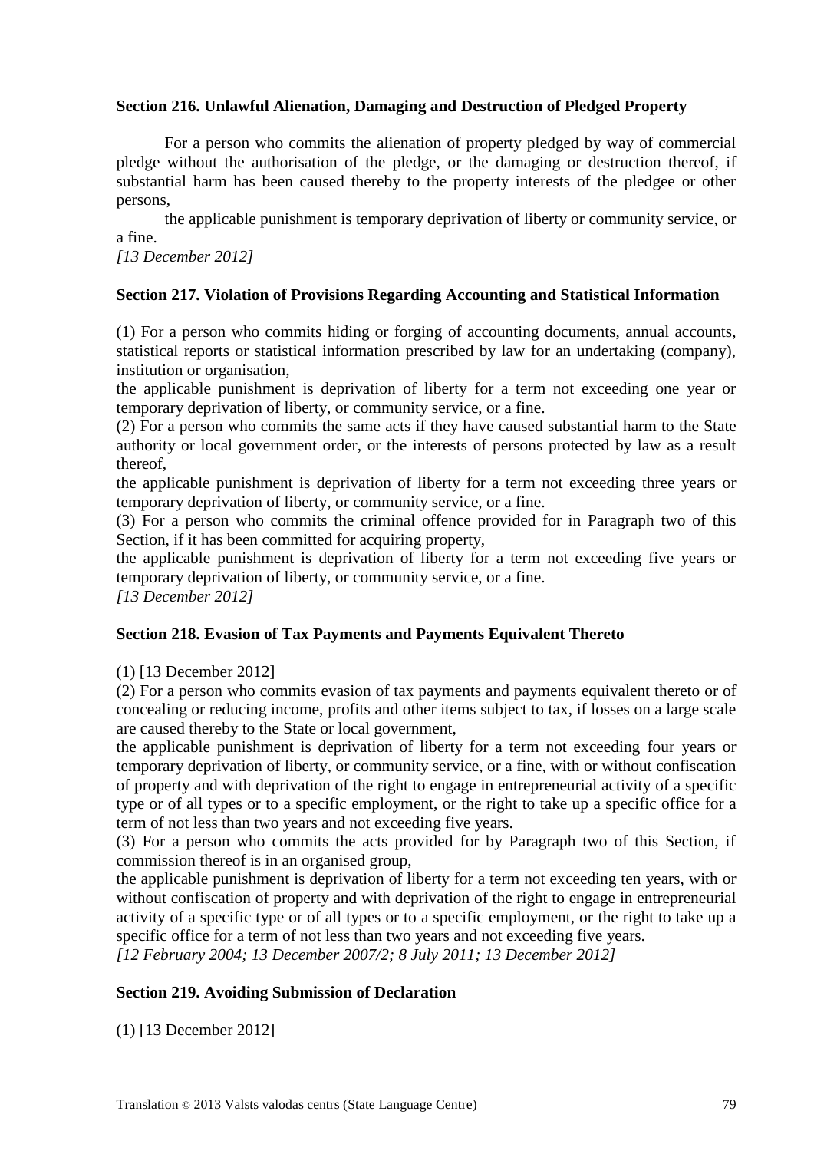#### **Section 216. Unlawful Alienation, Damaging and Destruction of Pledged Property**

For a person who commits the alienation of property pledged by way of commercial pledge without the authorisation of the pledge, or the damaging or destruction thereof, if substantial harm has been caused thereby to the property interests of the pledgee or other persons,

the applicable punishment is temporary deprivation of liberty or community service, or a fine.

*[13 December 2012]*

#### **Section 217. Violation of Provisions Regarding Accounting and Statistical Information**

(1) For a person who commits hiding or forging of accounting documents, annual accounts, statistical reports or statistical information prescribed by law for an undertaking (company), institution or organisation,

the applicable punishment is deprivation of liberty for a term not exceeding one year or temporary deprivation of liberty, or community service, or a fine.

(2) For a person who commits the same acts if they have caused substantial harm to the State authority or local government order, or the interests of persons protected by law as a result thereof,

the applicable punishment is deprivation of liberty for a term not exceeding three years or temporary deprivation of liberty, or community service, or a fine.

(3) For a person who commits the criminal offence provided for in Paragraph two of this Section, if it has been committed for acquiring property,

the applicable punishment is deprivation of liberty for a term not exceeding five years or temporary deprivation of liberty, or community service, or a fine.

*[13 December 2012]*

#### **Section 218. Evasion of Tax Payments and Payments Equivalent Thereto**

(1) [13 December 2012]

(2) For a person who commits evasion of tax payments and payments equivalent thereto or of concealing or reducing income, profits and other items subject to tax, if losses on a large scale are caused thereby to the State or local government,

the applicable punishment is deprivation of liberty for a term not exceeding four years or temporary deprivation of liberty, or community service, or a fine, with or without confiscation of property and with deprivation of the right to engage in entrepreneurial activity of a specific type or of all types or to a specific employment, or the right to take up a specific office for a term of not less than two years and not exceeding five years.

(3) For a person who commits the acts provided for by Paragraph two of this Section, if commission thereof is in an organised group,

the applicable punishment is deprivation of liberty for a term not exceeding ten years, with or without confiscation of property and with deprivation of the right to engage in entrepreneurial activity of a specific type or of all types or to a specific employment, or the right to take up a specific office for a term of not less than two years and not exceeding five years.

*[12 February 2004; 13 December 2007/2; 8 July 2011; 13 December 2012]*

#### **Section 219. Avoiding Submission of Declaration**

(1) [13 December 2012]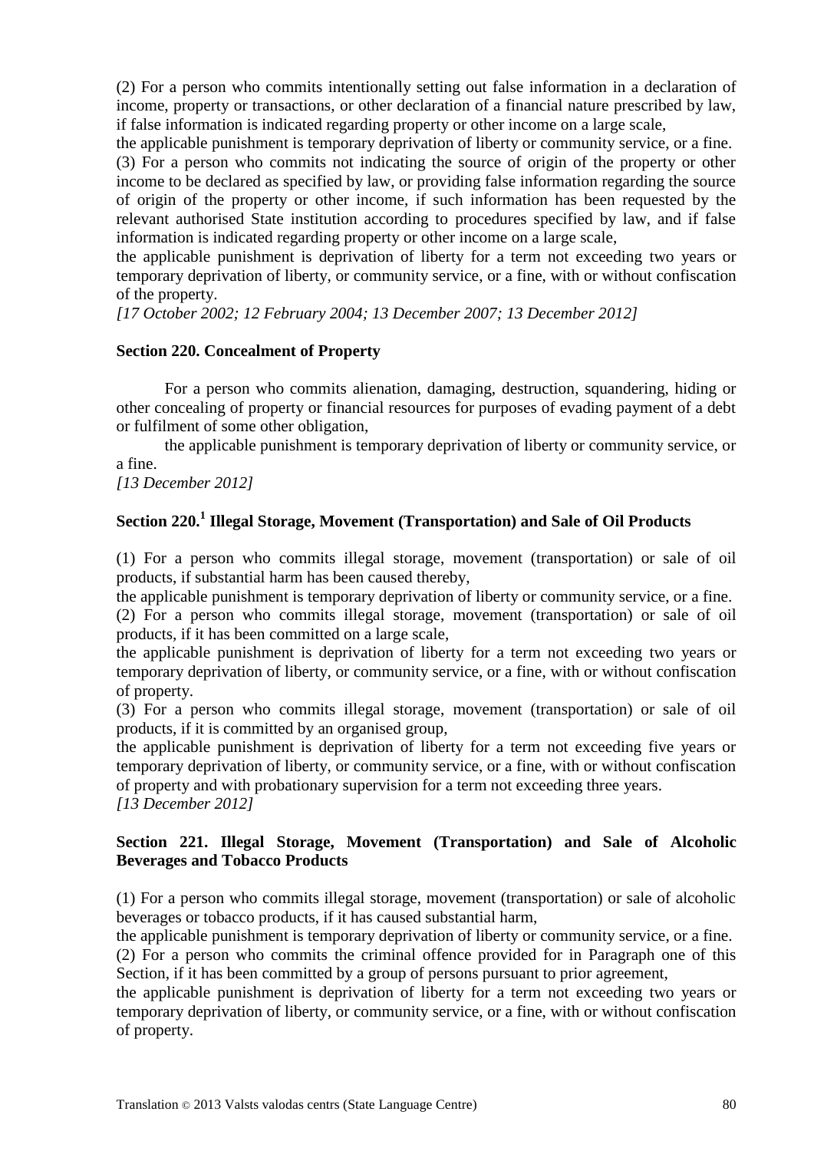(2) For a person who commits intentionally setting out false information in a declaration of income, property or transactions, or other declaration of a financial nature prescribed by law, if false information is indicated regarding property or other income on a large scale,

the applicable punishment is temporary deprivation of liberty or community service, or a fine.

(3) For a person who commits not indicating the source of origin of the property or other income to be declared as specified by law, or providing false information regarding the source of origin of the property or other income, if such information has been requested by the relevant authorised State institution according to procedures specified by law, and if false information is indicated regarding property or other income on a large scale,

the applicable punishment is deprivation of liberty for a term not exceeding two years or temporary deprivation of liberty, or community service, or a fine, with or without confiscation of the property.

*[17 October 2002; 12 February 2004; 13 December 2007; 13 December 2012]*

#### **Section 220. Concealment of Property**

For a person who commits alienation, damaging, destruction, squandering, hiding or other concealing of property or financial resources for purposes of evading payment of a debt or fulfilment of some other obligation,

the applicable punishment is temporary deprivation of liberty or community service, or a fine.

*[13 December 2012]*

# **Section 220.<sup>1</sup> Illegal Storage, Movement (Transportation) and Sale of Oil Products**

(1) For a person who commits illegal storage, movement (transportation) or sale of oil products, if substantial harm has been caused thereby,

the applicable punishment is temporary deprivation of liberty or community service, or a fine.

(2) For a person who commits illegal storage, movement (transportation) or sale of oil products, if it has been committed on a large scale,

the applicable punishment is deprivation of liberty for a term not exceeding two years or temporary deprivation of liberty, or community service, or a fine, with or without confiscation of property.

(3) For a person who commits illegal storage, movement (transportation) or sale of oil products, if it is committed by an organised group,

the applicable punishment is deprivation of liberty for a term not exceeding five years or temporary deprivation of liberty, or community service, or a fine, with or without confiscation of property and with probationary supervision for a term not exceeding three years.

*[13 December 2012]*

#### **Section 221. Illegal Storage, Movement (Transportation) and Sale of Alcoholic Beverages and Tobacco Products**

(1) For a person who commits illegal storage, movement (transportation) or sale of alcoholic beverages or tobacco products, if it has caused substantial harm,

the applicable punishment is temporary deprivation of liberty or community service, or a fine. (2) For a person who commits the criminal offence provided for in Paragraph one of this Section, if it has been committed by a group of persons pursuant to prior agreement,

the applicable punishment is deprivation of liberty for a term not exceeding two years or temporary deprivation of liberty, or community service, or a fine, with or without confiscation of property.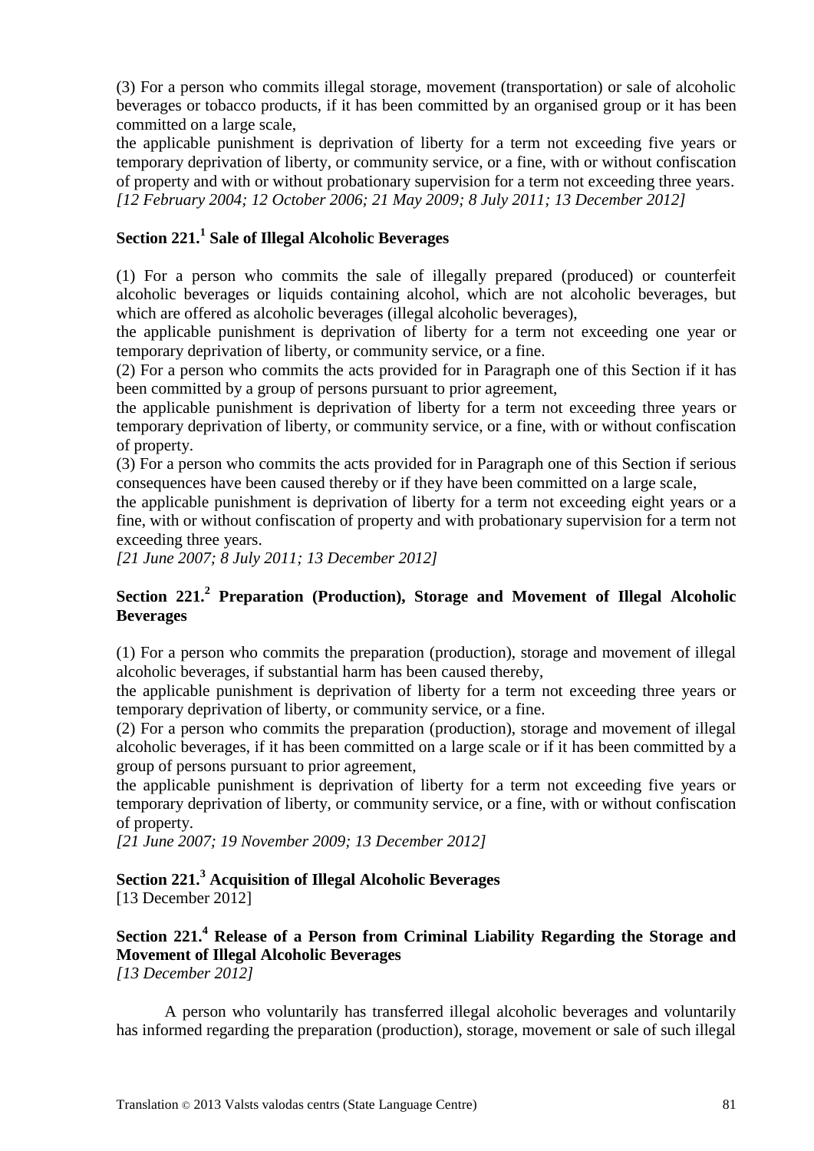(3) For a person who commits illegal storage, movement (transportation) or sale of alcoholic beverages or tobacco products, if it has been committed by an organised group or it has been committed on a large scale,

the applicable punishment is deprivation of liberty for a term not exceeding five years or temporary deprivation of liberty, or community service, or a fine, with or without confiscation of property and with or without probationary supervision for a term not exceeding three years. *[12 February 2004; 12 October 2006; 21 May 2009; 8 July 2011; 13 December 2012]*

# **Section 221.<sup>1</sup> Sale of Illegal Alcoholic Beverages**

(1) For a person who commits the sale of illegally prepared (produced) or counterfeit alcoholic beverages or liquids containing alcohol, which are not alcoholic beverages, but which are offered as alcoholic beverages (illegal alcoholic beverages),

the applicable punishment is deprivation of liberty for a term not exceeding one year or temporary deprivation of liberty, or community service, or a fine.

(2) For a person who commits the acts provided for in Paragraph one of this Section if it has been committed by a group of persons pursuant to prior agreement,

the applicable punishment is deprivation of liberty for a term not exceeding three years or temporary deprivation of liberty, or community service, or a fine, with or without confiscation of property.

(3) For a person who commits the acts provided for in Paragraph one of this Section if serious consequences have been caused thereby or if they have been committed on a large scale,

the applicable punishment is deprivation of liberty for a term not exceeding eight years or a fine, with or without confiscation of property and with probationary supervision for a term not exceeding three years.

*[21 June 2007; 8 July 2011; 13 December 2012]*

### **Section 221.<sup>2</sup> Preparation (Production), Storage and Movement of Illegal Alcoholic Beverages**

(1) For a person who commits the preparation (production), storage and movement of illegal alcoholic beverages, if substantial harm has been caused thereby,

the applicable punishment is deprivation of liberty for a term not exceeding three years or temporary deprivation of liberty, or community service, or a fine.

(2) For a person who commits the preparation (production), storage and movement of illegal alcoholic beverages, if it has been committed on a large scale or if it has been committed by a group of persons pursuant to prior agreement,

the applicable punishment is deprivation of liberty for a term not exceeding five years or temporary deprivation of liberty, or community service, or a fine, with or without confiscation of property.

*[21 June 2007; 19 November 2009; 13 December 2012]*

# **Section 221.<sup>3</sup> Acquisition of Illegal Alcoholic Beverages**

[13 December 2012]

**Section 221.<sup>4</sup> Release of a Person from Criminal Liability Regarding the Storage and Movement of Illegal Alcoholic Beverages** *[13 December 2012]*

A person who voluntarily has transferred illegal alcoholic beverages and voluntarily has informed regarding the preparation (production), storage, movement or sale of such illegal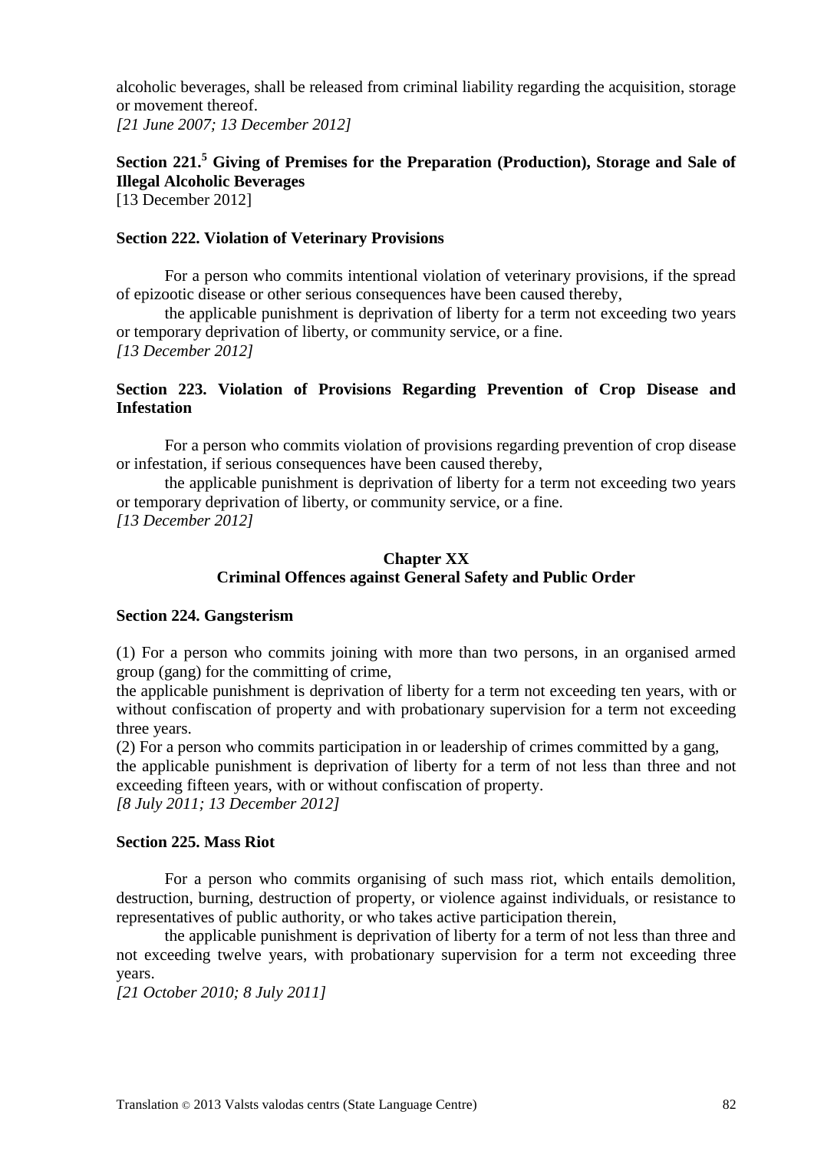alcoholic beverages, shall be released from criminal liability regarding the acquisition, storage or movement thereof. *[21 June 2007; 13 December 2012]*

# **Section 221.<sup>5</sup> Giving of Premises for the Preparation (Production), Storage and Sale of Illegal Alcoholic Beverages**

[13 December 2012]

#### **Section 222. Violation of Veterinary Provisions**

For a person who commits intentional violation of veterinary provisions, if the spread of epizootic disease or other serious consequences have been caused thereby,

the applicable punishment is deprivation of liberty for a term not exceeding two years or temporary deprivation of liberty, or community service, or a fine. *[13 December 2012]*

#### **Section 223. Violation of Provisions Regarding Prevention of Crop Disease and Infestation**

For a person who commits violation of provisions regarding prevention of crop disease or infestation, if serious consequences have been caused thereby,

the applicable punishment is deprivation of liberty for a term not exceeding two years or temporary deprivation of liberty, or community service, or a fine. *[13 December 2012]*

#### **Chapter XX Criminal Offences against General Safety and Public Order**

#### **Section 224. Gangsterism**

(1) For a person who commits joining with more than two persons, in an organised armed group (gang) for the committing of crime,

the applicable punishment is deprivation of liberty for a term not exceeding ten years, with or without confiscation of property and with probationary supervision for a term not exceeding three years.

(2) For a person who commits participation in or leadership of crimes committed by a gang,

the applicable punishment is deprivation of liberty for a term of not less than three and not exceeding fifteen years, with or without confiscation of property.

*[8 July 2011; 13 December 2012]*

#### **Section 225. Mass Riot**

For a person who commits organising of such mass riot, which entails demolition, destruction, burning, destruction of property, or violence against individuals, or resistance to representatives of public authority, or who takes active participation therein,

the applicable punishment is deprivation of liberty for a term of not less than three and not exceeding twelve years, with probationary supervision for a term not exceeding three years.

*[21 October 2010; 8 July 2011]*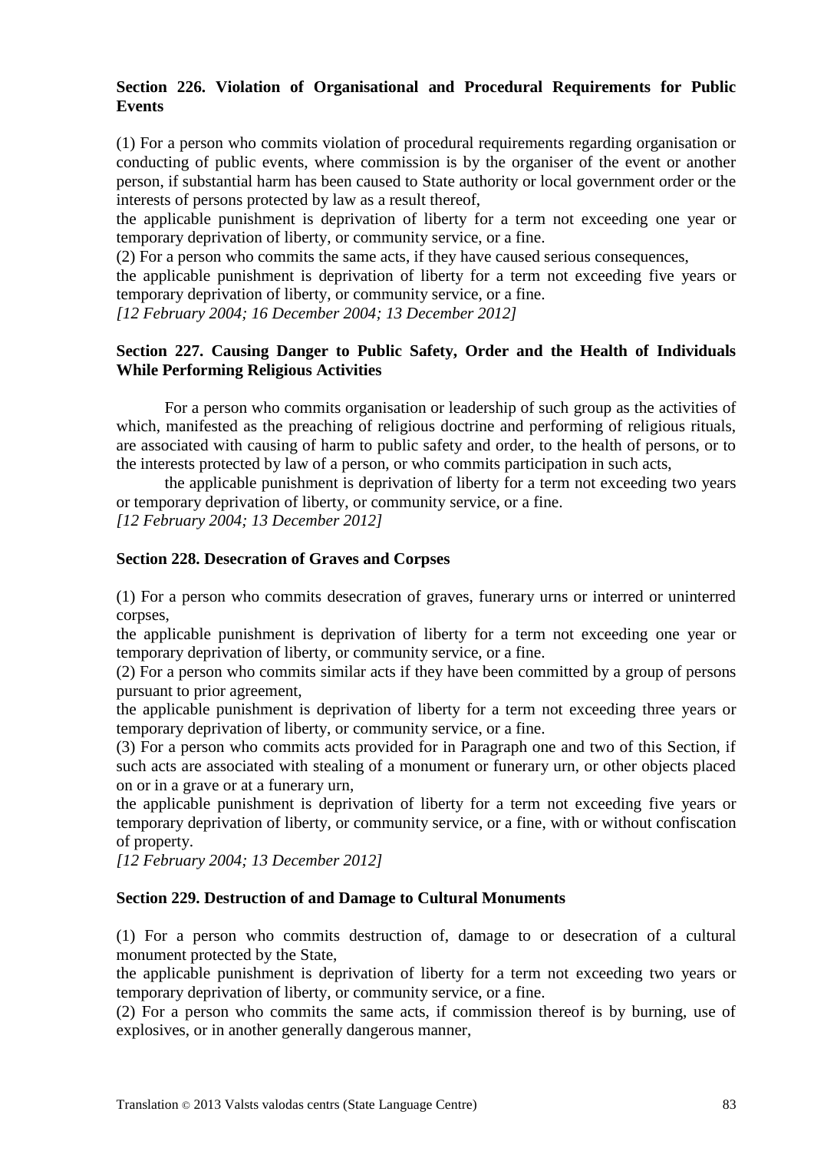#### **Section 226. Violation of Organisational and Procedural Requirements for Public Events**

(1) For a person who commits violation of procedural requirements regarding organisation or conducting of public events, where commission is by the organiser of the event or another person, if substantial harm has been caused to State authority or local government order or the interests of persons protected by law as a result thereof,

the applicable punishment is deprivation of liberty for a term not exceeding one year or temporary deprivation of liberty, or community service, or a fine.

(2) For a person who commits the same acts, if they have caused serious consequences,

the applicable punishment is deprivation of liberty for a term not exceeding five years or temporary deprivation of liberty, or community service, or a fine.

*[12 February 2004; 16 December 2004; 13 December 2012]*

#### **Section 227. Causing Danger to Public Safety, Order and the Health of Individuals While Performing Religious Activities**

For a person who commits organisation or leadership of such group as the activities of which, manifested as the preaching of religious doctrine and performing of religious rituals, are associated with causing of harm to public safety and order, to the health of persons, or to the interests protected by law of a person, or who commits participation in such acts,

the applicable punishment is deprivation of liberty for a term not exceeding two years or temporary deprivation of liberty, or community service, or a fine. *[12 February 2004; 13 December 2012]*

### **Section 228. Desecration of Graves and Corpses**

(1) For a person who commits desecration of graves, funerary urns or interred or uninterred corpses,

the applicable punishment is deprivation of liberty for a term not exceeding one year or temporary deprivation of liberty, or community service, or a fine.

(2) For a person who commits similar acts if they have been committed by a group of persons pursuant to prior agreement,

the applicable punishment is deprivation of liberty for a term not exceeding three years or temporary deprivation of liberty, or community service, or a fine.

(3) For a person who commits acts provided for in Paragraph one and two of this Section, if such acts are associated with stealing of a monument or funerary urn, or other objects placed on or in a grave or at a funerary urn,

the applicable punishment is deprivation of liberty for a term not exceeding five years or temporary deprivation of liberty, or community service, or a fine, with or without confiscation of property.

*[12 February 2004; 13 December 2012]*

#### **Section 229. Destruction of and Damage to Cultural Monuments**

(1) For a person who commits destruction of, damage to or desecration of a cultural monument protected by the State,

the applicable punishment is deprivation of liberty for a term not exceeding two years or temporary deprivation of liberty, or community service, or a fine.

(2) For a person who commits the same acts, if commission thereof is by burning, use of explosives, or in another generally dangerous manner,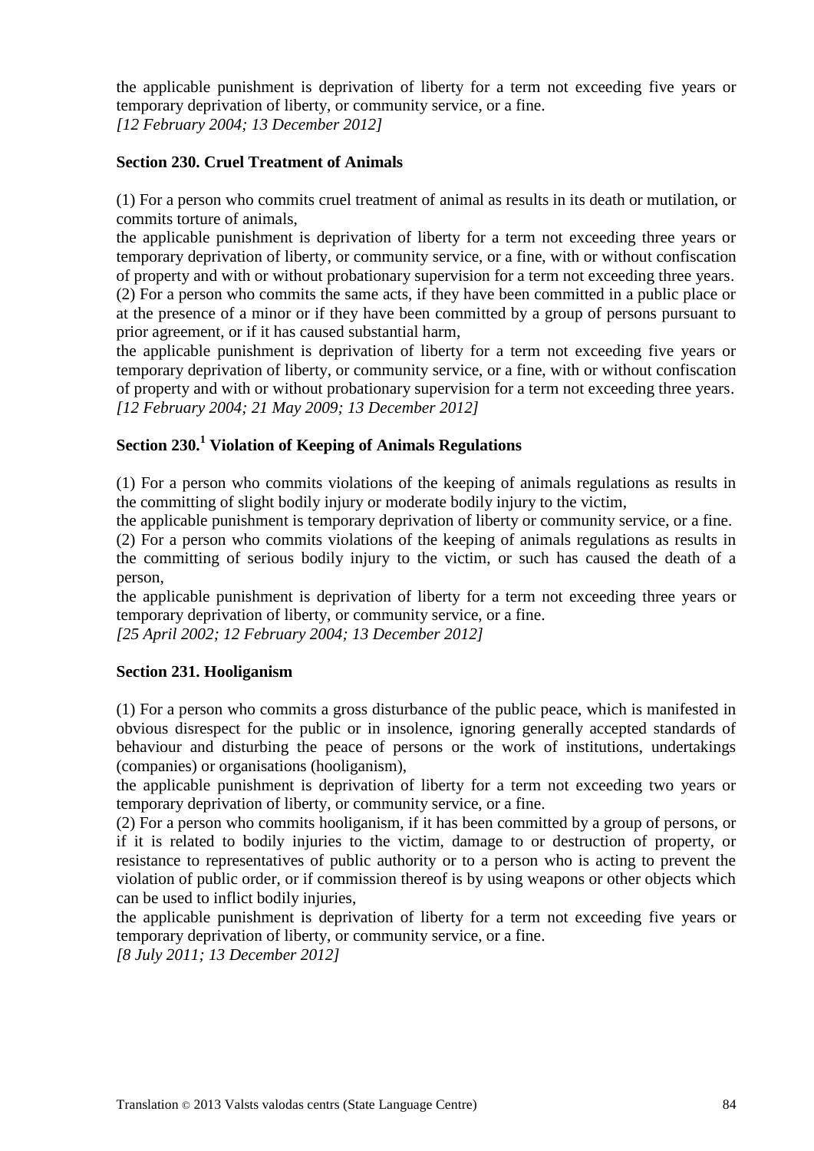the applicable punishment is deprivation of liberty for a term not exceeding five years or temporary deprivation of liberty, or community service, or a fine. *[12 February 2004; 13 December 2012]*

#### **Section 230. Cruel Treatment of Animals**

(1) For a person who commits cruel treatment of animal as results in its death or mutilation, or commits torture of animals,

the applicable punishment is deprivation of liberty for a term not exceeding three years or temporary deprivation of liberty, or community service, or a fine, with or without confiscation of property and with or without probationary supervision for a term not exceeding three years. (2) For a person who commits the same acts, if they have been committed in a public place or at the presence of a minor or if they have been committed by a group of persons pursuant to

prior agreement, or if it has caused substantial harm,

the applicable punishment is deprivation of liberty for a term not exceeding five years or temporary deprivation of liberty, or community service, or a fine, with or without confiscation of property and with or without probationary supervision for a term not exceeding three years. *[12 February 2004; 21 May 2009; 13 December 2012]*

# **Section 230.<sup>1</sup> Violation of Keeping of Animals Regulations**

(1) For a person who commits violations of the keeping of animals regulations as results in the committing of slight bodily injury or moderate bodily injury to the victim,

the applicable punishment is temporary deprivation of liberty or community service, or a fine.

(2) For a person who commits violations of the keeping of animals regulations as results in the committing of serious bodily injury to the victim, or such has caused the death of a person,

the applicable punishment is deprivation of liberty for a term not exceeding three years or temporary deprivation of liberty, or community service, or a fine.

*[25 April 2002; 12 February 2004; 13 December 2012]*

#### **Section 231. Hooliganism**

(1) For a person who commits a gross disturbance of the public peace, which is manifested in obvious disrespect for the public or in insolence, ignoring generally accepted standards of behaviour and disturbing the peace of persons or the work of institutions, undertakings (companies) or organisations (hooliganism),

the applicable punishment is deprivation of liberty for a term not exceeding two years or temporary deprivation of liberty, or community service, or a fine.

(2) For a person who commits hooliganism, if it has been committed by a group of persons, or if it is related to bodily injuries to the victim, damage to or destruction of property, or resistance to representatives of public authority or to a person who is acting to prevent the violation of public order, or if commission thereof is by using weapons or other objects which can be used to inflict bodily injuries,

the applicable punishment is deprivation of liberty for a term not exceeding five years or temporary deprivation of liberty, or community service, or a fine.

*[8 July 2011; 13 December 2012]*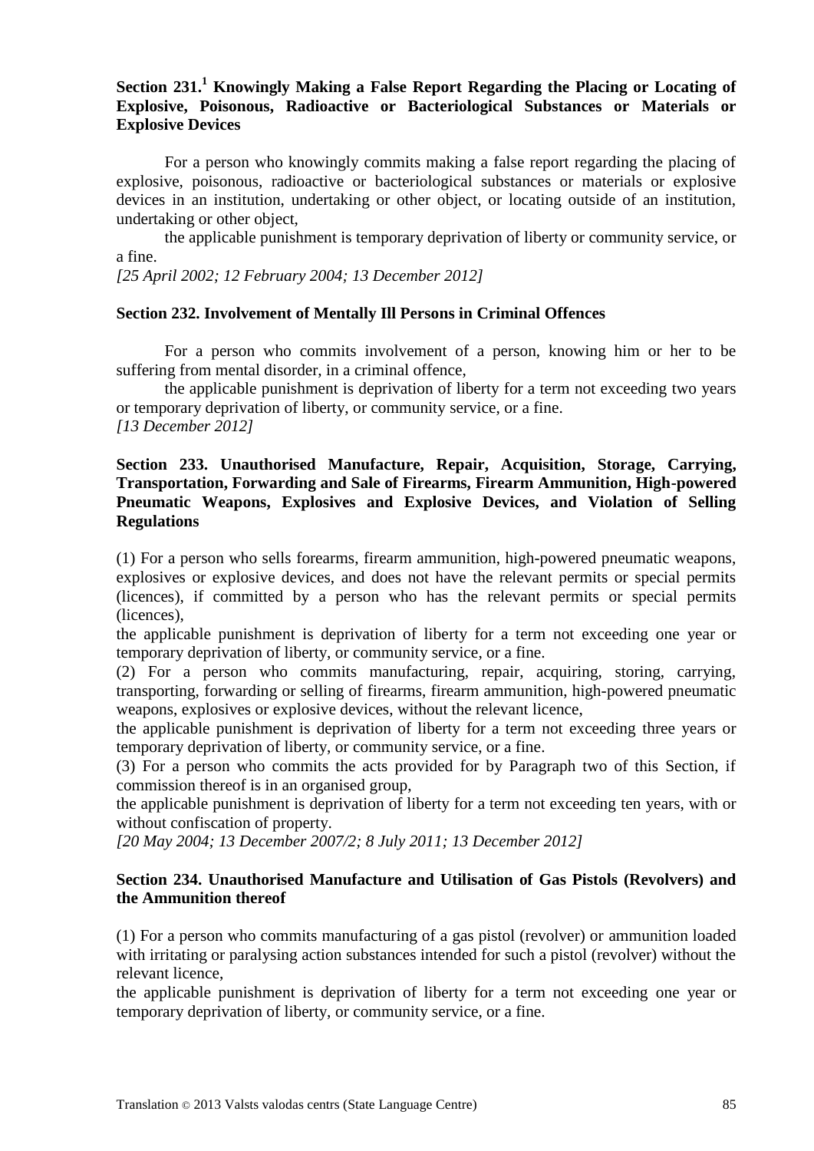#### **Section 231.<sup>1</sup> Knowingly Making a False Report Regarding the Placing or Locating of Explosive, Poisonous, Radioactive or Bacteriological Substances or Materials or Explosive Devices**

For a person who knowingly commits making a false report regarding the placing of explosive, poisonous, radioactive or bacteriological substances or materials or explosive devices in an institution, undertaking or other object, or locating outside of an institution, undertaking or other object,

the applicable punishment is temporary deprivation of liberty or community service, or a fine.

*[25 April 2002; 12 February 2004; 13 December 2012]*

#### **Section 232. Involvement of Mentally Ill Persons in Criminal Offences**

For a person who commits involvement of a person, knowing him or her to be suffering from mental disorder, in a criminal offence,

the applicable punishment is deprivation of liberty for a term not exceeding two years or temporary deprivation of liberty, or community service, or a fine. *[13 December 2012]*

#### **Section 233. Unauthorised Manufacture, Repair, Acquisition, Storage, Carrying, Transportation, Forwarding and Sale of Firearms, Firearm Ammunition, High-powered Pneumatic Weapons, Explosives and Explosive Devices, and Violation of Selling Regulations**

(1) For a person who sells forearms, firearm ammunition, high-powered pneumatic weapons, explosives or explosive devices, and does not have the relevant permits or special permits (licences), if committed by a person who has the relevant permits or special permits (licences),

the applicable punishment is deprivation of liberty for a term not exceeding one year or temporary deprivation of liberty, or community service, or a fine.

(2) For a person who commits manufacturing, repair, acquiring, storing, carrying, transporting, forwarding or selling of firearms, firearm ammunition, high-powered pneumatic weapons, explosives or explosive devices, without the relevant licence,

the applicable punishment is deprivation of liberty for a term not exceeding three years or temporary deprivation of liberty, or community service, or a fine.

(3) For a person who commits the acts provided for by Paragraph two of this Section, if commission thereof is in an organised group,

the applicable punishment is deprivation of liberty for a term not exceeding ten years, with or without confiscation of property.

*[20 May 2004; 13 December 2007/2; 8 July 2011; 13 December 2012]*

#### **Section 234. Unauthorised Manufacture and Utilisation of Gas Pistols (Revolvers) and the Ammunition thereof**

(1) For a person who commits manufacturing of a gas pistol (revolver) or ammunition loaded with irritating or paralysing action substances intended for such a pistol (revolver) without the relevant licence,

the applicable punishment is deprivation of liberty for a term not exceeding one year or temporary deprivation of liberty, or community service, or a fine.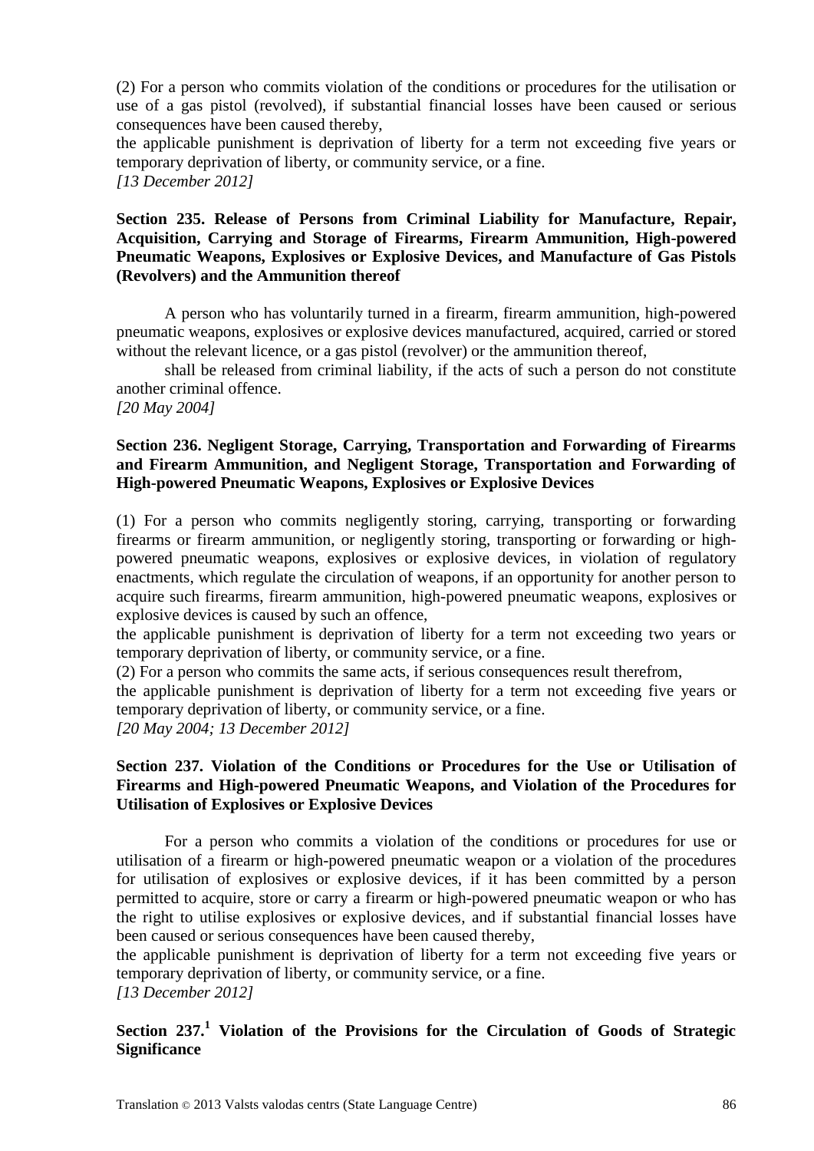(2) For a person who commits violation of the conditions or procedures for the utilisation or use of a gas pistol (revolved), if substantial financial losses have been caused or serious consequences have been caused thereby,

the applicable punishment is deprivation of liberty for a term not exceeding five years or temporary deprivation of liberty, or community service, or a fine. *[13 December 2012]*

#### **Section 235. Release of Persons from Criminal Liability for Manufacture, Repair, Acquisition, Carrying and Storage of Firearms, Firearm Ammunition, High-powered Pneumatic Weapons, Explosives or Explosive Devices, and Manufacture of Gas Pistols (Revolvers) and the Ammunition thereof**

A person who has voluntarily turned in a firearm, firearm ammunition, high-powered pneumatic weapons, explosives or explosive devices manufactured, acquired, carried or stored without the relevant licence, or a gas pistol (revolver) or the ammunition thereof,

shall be released from criminal liability, if the acts of such a person do not constitute another criminal offence.

*[20 May 2004]*

#### **Section 236. Negligent Storage, Carrying, Transportation and Forwarding of Firearms and Firearm Ammunition, and Negligent Storage, Transportation and Forwarding of High-powered Pneumatic Weapons, Explosives or Explosive Devices**

(1) For a person who commits negligently storing, carrying, transporting or forwarding firearms or firearm ammunition, or negligently storing, transporting or forwarding or highpowered pneumatic weapons, explosives or explosive devices, in violation of regulatory enactments, which regulate the circulation of weapons, if an opportunity for another person to acquire such firearms, firearm ammunition, high-powered pneumatic weapons, explosives or explosive devices is caused by such an offence,

the applicable punishment is deprivation of liberty for a term not exceeding two years or temporary deprivation of liberty, or community service, or a fine.

(2) For a person who commits the same acts, if serious consequences result therefrom,

the applicable punishment is deprivation of liberty for a term not exceeding five years or temporary deprivation of liberty, or community service, or a fine.

*[20 May 2004; 13 December 2012]*

#### **Section 237. Violation of the Conditions or Procedures for the Use or Utilisation of Firearms and High-powered Pneumatic Weapons, and Violation of the Procedures for Utilisation of Explosives or Explosive Devices**

For a person who commits a violation of the conditions or procedures for use or utilisation of a firearm or high-powered pneumatic weapon or a violation of the procedures for utilisation of explosives or explosive devices, if it has been committed by a person permitted to acquire, store or carry a firearm or high-powered pneumatic weapon or who has the right to utilise explosives or explosive devices, and if substantial financial losses have been caused or serious consequences have been caused thereby,

the applicable punishment is deprivation of liberty for a term not exceeding five years or temporary deprivation of liberty, or community service, or a fine.

*[13 December 2012]*

#### **Section 237.<sup>1</sup> Violation of the Provisions for the Circulation of Goods of Strategic Significance**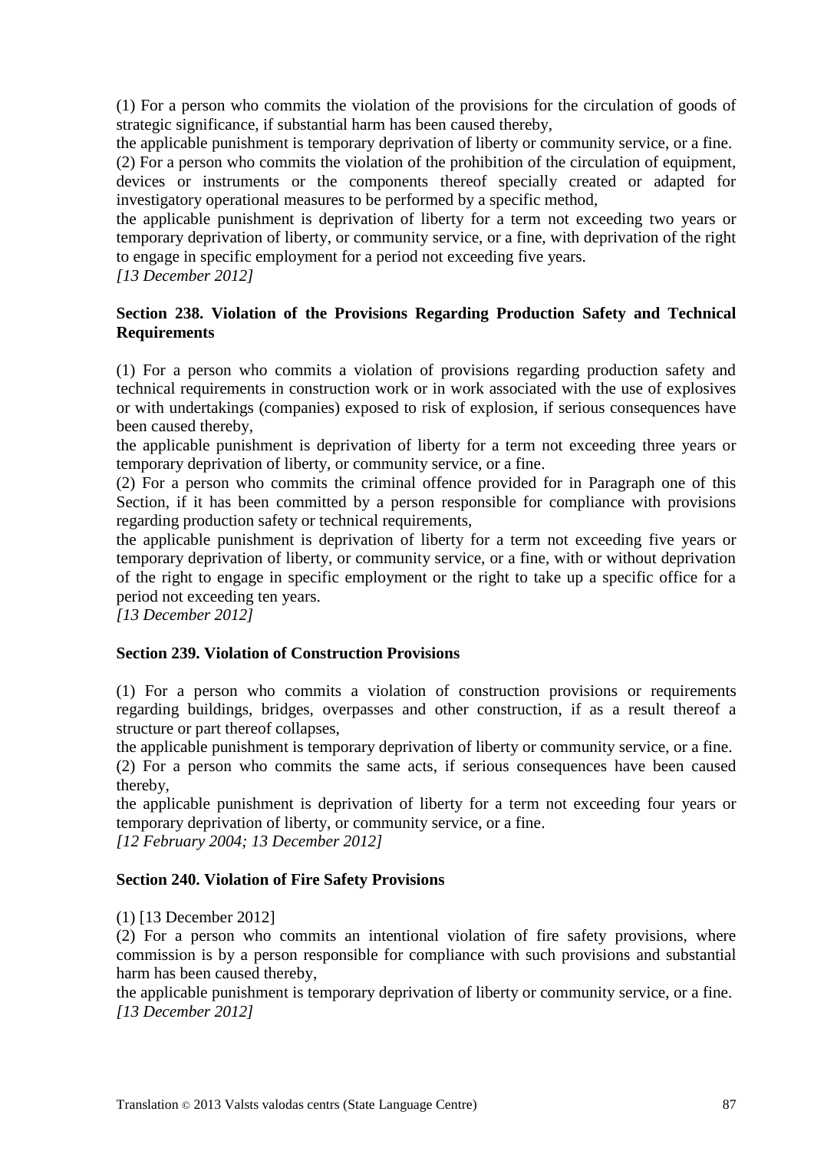(1) For a person who commits the violation of the provisions for the circulation of goods of strategic significance, if substantial harm has been caused thereby,

the applicable punishment is temporary deprivation of liberty or community service, or a fine.

(2) For a person who commits the violation of the prohibition of the circulation of equipment, devices or instruments or the components thereof specially created or adapted for investigatory operational measures to be performed by a specific method,

the applicable punishment is deprivation of liberty for a term not exceeding two years or temporary deprivation of liberty, or community service, or a fine, with deprivation of the right to engage in specific employment for a period not exceeding five years.

*[13 December 2012]*

#### **Section 238. Violation of the Provisions Regarding Production Safety and Technical Requirements**

(1) For a person who commits a violation of provisions regarding production safety and technical requirements in construction work or in work associated with the use of explosives or with undertakings (companies) exposed to risk of explosion, if serious consequences have been caused thereby,

the applicable punishment is deprivation of liberty for a term not exceeding three years or temporary deprivation of liberty, or community service, or a fine.

(2) For a person who commits the criminal offence provided for in Paragraph one of this Section, if it has been committed by a person responsible for compliance with provisions regarding production safety or technical requirements,

the applicable punishment is deprivation of liberty for a term not exceeding five years or temporary deprivation of liberty, or community service, or a fine, with or without deprivation of the right to engage in specific employment or the right to take up a specific office for a period not exceeding ten years.

*[13 December 2012]*

#### **Section 239. Violation of Construction Provisions**

(1) For a person who commits a violation of construction provisions or requirements regarding buildings, bridges, overpasses and other construction, if as a result thereof a structure or part thereof collapses,

the applicable punishment is temporary deprivation of liberty or community service, or a fine.

(2) For a person who commits the same acts, if serious consequences have been caused thereby,

the applicable punishment is deprivation of liberty for a term not exceeding four years or temporary deprivation of liberty, or community service, or a fine.

*[12 February 2004; 13 December 2012]*

#### **Section 240. Violation of Fire Safety Provisions**

(1) [13 December 2012]

(2) For a person who commits an intentional violation of fire safety provisions, where commission is by a person responsible for compliance with such provisions and substantial harm has been caused thereby,

the applicable punishment is temporary deprivation of liberty or community service, or a fine. *[13 December 2012]*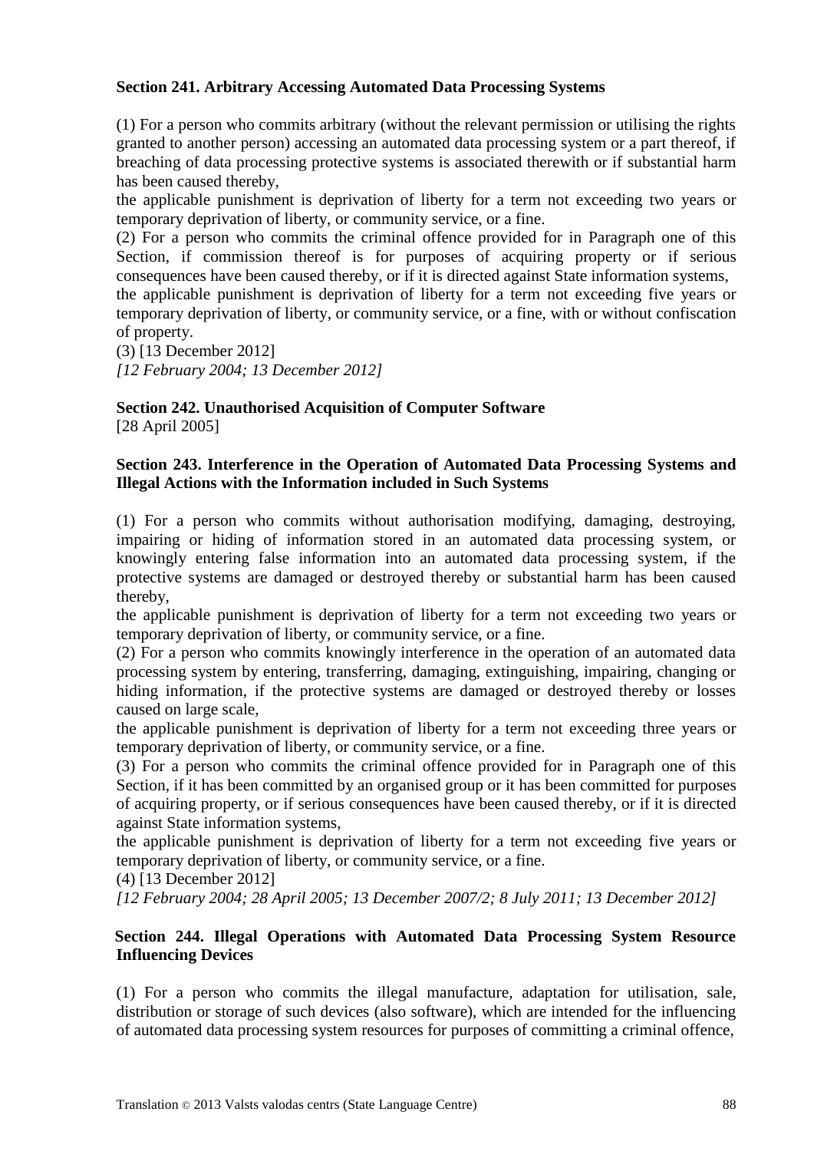#### **Section 241. Arbitrary Accessing Automated Data Processing Systems**

(1) For a person who commits arbitrary (without the relevant permission or utilising the rights granted to another person) accessing an automated data processing system or a part thereof, if breaching of data processing protective systems is associated therewith or if substantial harm has been caused thereby,

the applicable punishment is deprivation of liberty for a term not exceeding two years or temporary deprivation of liberty, or community service, or a fine.

(2) For a person who commits the criminal offence provided for in Paragraph one of this Section, if commission thereof is for purposes of acquiring property or if serious consequences have been caused thereby, or if it is directed against State information systems,

the applicable punishment is deprivation of liberty for a term not exceeding five years or temporary deprivation of liberty, or community service, or a fine, with or without confiscation of property.

(3) [13 December 2012] *[12 February 2004; 13 December 2012]*

**Section 242. Unauthorised Acquisition of Computer Software** [28 April 2005]

#### **Section 243. Interference in the Operation of Automated Data Processing Systems and Illegal Actions with the Information included in Such Systems**

(1) For a person who commits without authorisation modifying, damaging, destroying, impairing or hiding of information stored in an automated data processing system, or knowingly entering false information into an automated data processing system, if the protective systems are damaged or destroyed thereby or substantial harm has been caused thereby,

the applicable punishment is deprivation of liberty for a term not exceeding two years or temporary deprivation of liberty, or community service, or a fine.

(2) For a person who commits knowingly interference in the operation of an automated data processing system by entering, transferring, damaging, extinguishing, impairing, changing or hiding information, if the protective systems are damaged or destroyed thereby or losses caused on large scale,

the applicable punishment is deprivation of liberty for a term not exceeding three years or temporary deprivation of liberty, or community service, or a fine.

(3) For a person who commits the criminal offence provided for in Paragraph one of this Section, if it has been committed by an organised group or it has been committed for purposes of acquiring property, or if serious consequences have been caused thereby, or if it is directed against State information systems,

the applicable punishment is deprivation of liberty for a term not exceeding five years or temporary deprivation of liberty, or community service, or a fine.

(4) [13 December 2012]

*[12 February 2004; 28 April 2005; 13 December 2007/2; 8 July 2011; 13 December 2012]*

#### **Section 244. Illegal Operations with Automated Data Processing System Resource Influencing Devices**

(1) For a person who commits the illegal manufacture, adaptation for utilisation, sale, distribution or storage of such devices (also software), which are intended for the influencing of automated data processing system resources for purposes of committing a criminal offence,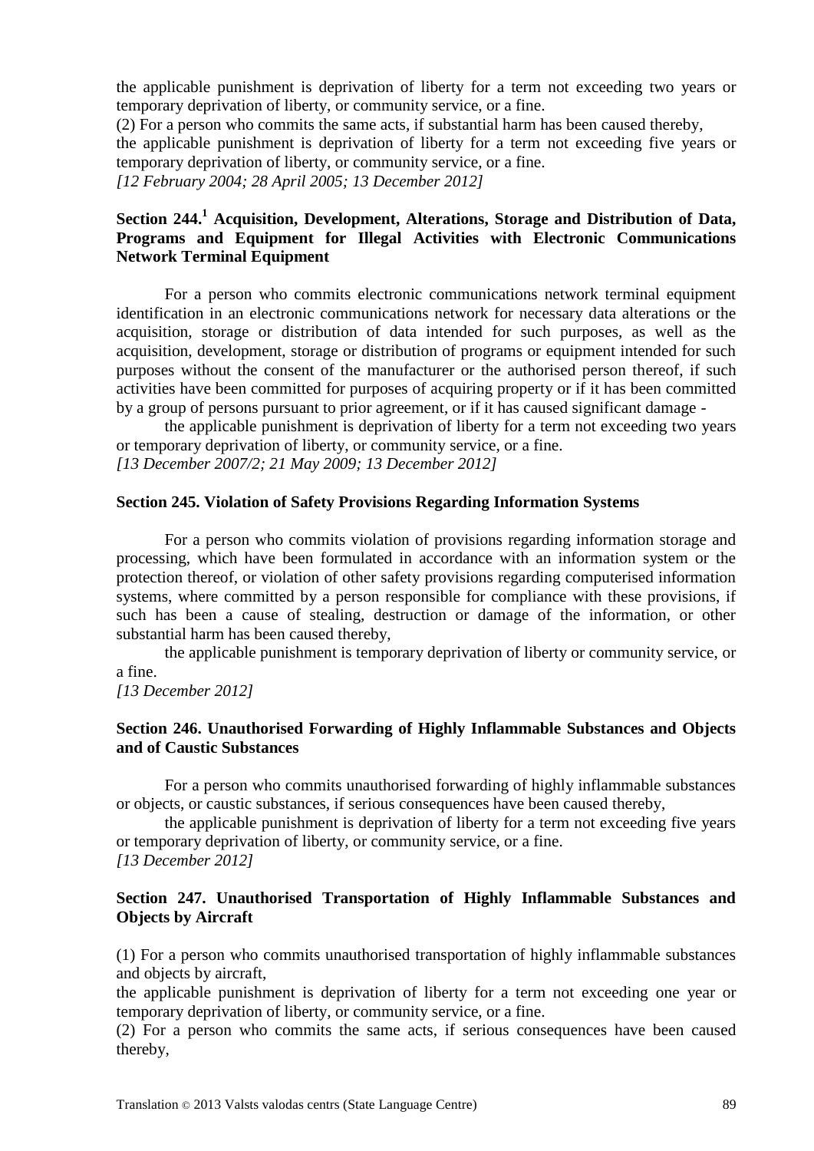the applicable punishment is deprivation of liberty for a term not exceeding two years or temporary deprivation of liberty, or community service, or a fine.

(2) For a person who commits the same acts, if substantial harm has been caused thereby,

the applicable punishment is deprivation of liberty for a term not exceeding five years or temporary deprivation of liberty, or community service, or a fine.

*[12 February 2004; 28 April 2005; 13 December 2012]*

#### **Section 244.<sup>1</sup> Acquisition, Development, Alterations, Storage and Distribution of Data, Programs and Equipment for Illegal Activities with Electronic Communications Network Terminal Equipment**

For a person who commits electronic communications network terminal equipment identification in an electronic communications network for necessary data alterations or the acquisition, storage or distribution of data intended for such purposes, as well as the acquisition, development, storage or distribution of programs or equipment intended for such purposes without the consent of the manufacturer or the authorised person thereof, if such activities have been committed for purposes of acquiring property or if it has been committed by a group of persons pursuant to prior agreement, or if it has caused significant damage -

the applicable punishment is deprivation of liberty for a term not exceeding two years or temporary deprivation of liberty, or community service, or a fine. *[13 December 2007/2; 21 May 2009; 13 December 2012]*

#### **Section 245. Violation of Safety Provisions Regarding Information Systems**

For a person who commits violation of provisions regarding information storage and processing, which have been formulated in accordance with an information system or the protection thereof, or violation of other safety provisions regarding computerised information systems, where committed by a person responsible for compliance with these provisions, if such has been a cause of stealing, destruction or damage of the information, or other substantial harm has been caused thereby,

the applicable punishment is temporary deprivation of liberty or community service, or a fine.

*[13 December 2012]*

#### **Section 246. Unauthorised Forwarding of Highly Inflammable Substances and Objects and of Caustic Substances**

For a person who commits unauthorised forwarding of highly inflammable substances or objects, or caustic substances, if serious consequences have been caused thereby,

the applicable punishment is deprivation of liberty for a term not exceeding five years or temporary deprivation of liberty, or community service, or a fine. *[13 December 2012]*

#### **Section 247. Unauthorised Transportation of Highly Inflammable Substances and Objects by Aircraft**

(1) For a person who commits unauthorised transportation of highly inflammable substances and objects by aircraft,

the applicable punishment is deprivation of liberty for a term not exceeding one year or temporary deprivation of liberty, or community service, or a fine.

(2) For a person who commits the same acts, if serious consequences have been caused thereby,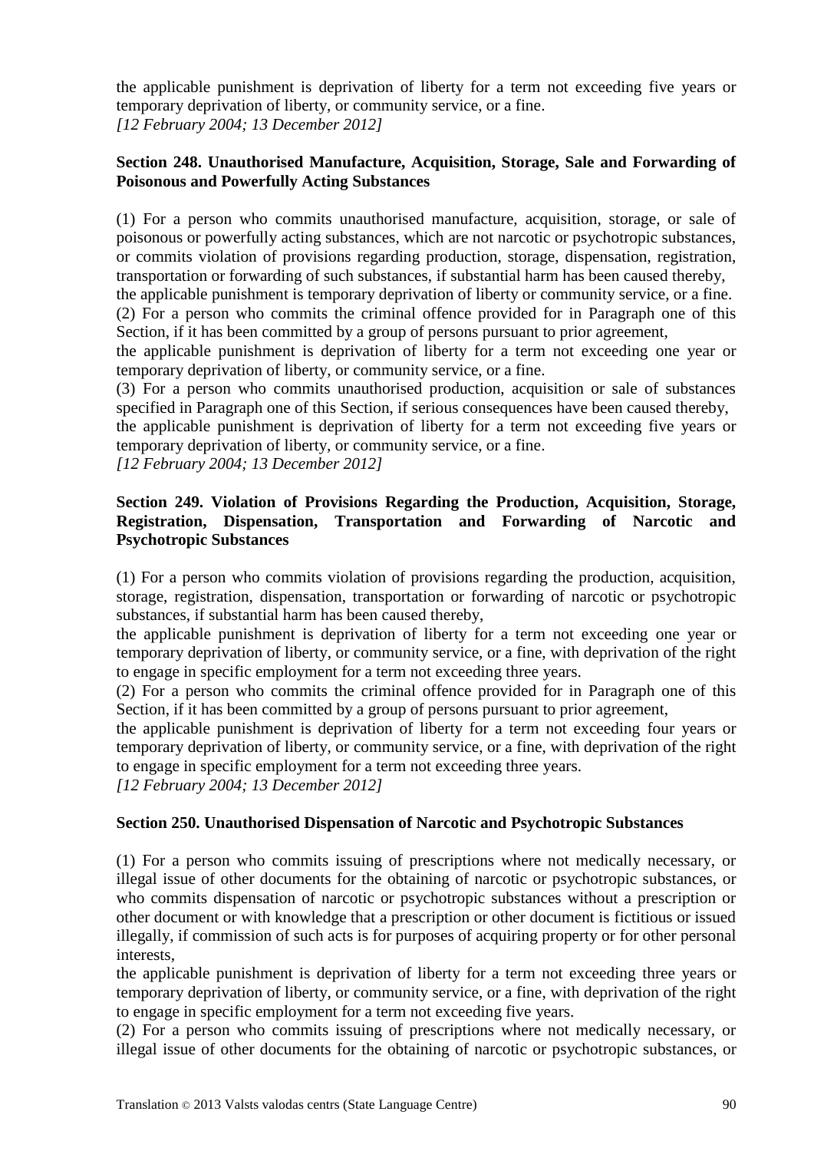the applicable punishment is deprivation of liberty for a term not exceeding five years or temporary deprivation of liberty, or community service, or a fine. *[12 February 2004; 13 December 2012]*

#### **Section 248. Unauthorised Manufacture, Acquisition, Storage, Sale and Forwarding of Poisonous and Powerfully Acting Substances**

(1) For a person who commits unauthorised manufacture, acquisition, storage, or sale of poisonous or powerfully acting substances, which are not narcotic or psychotropic substances, or commits violation of provisions regarding production, storage, dispensation, registration, transportation or forwarding of such substances, if substantial harm has been caused thereby,

the applicable punishment is temporary deprivation of liberty or community service, or a fine. (2) For a person who commits the criminal offence provided for in Paragraph one of this Section, if it has been committed by a group of persons pursuant to prior agreement,

the applicable punishment is deprivation of liberty for a term not exceeding one year or temporary deprivation of liberty, or community service, or a fine.

(3) For a person who commits unauthorised production, acquisition or sale of substances specified in Paragraph one of this Section, if serious consequences have been caused thereby,

the applicable punishment is deprivation of liberty for a term not exceeding five years or temporary deprivation of liberty, or community service, or a fine.

*[12 February 2004; 13 December 2012]*

#### **Section 249. Violation of Provisions Regarding the Production, Acquisition, Storage, Registration, Dispensation, Transportation and Forwarding of Narcotic and Psychotropic Substances**

(1) For a person who commits violation of provisions regarding the production, acquisition, storage, registration, dispensation, transportation or forwarding of narcotic or psychotropic substances, if substantial harm has been caused thereby,

the applicable punishment is deprivation of liberty for a term not exceeding one year or temporary deprivation of liberty, or community service, or a fine, with deprivation of the right to engage in specific employment for a term not exceeding three years.

(2) For a person who commits the criminal offence provided for in Paragraph one of this Section, if it has been committed by a group of persons pursuant to prior agreement,

the applicable punishment is deprivation of liberty for a term not exceeding four years or temporary deprivation of liberty, or community service, or a fine, with deprivation of the right to engage in specific employment for a term not exceeding three years.

*[12 February 2004; 13 December 2012]*

#### **Section 250. Unauthorised Dispensation of Narcotic and Psychotropic Substances**

(1) For a person who commits issuing of prescriptions where not medically necessary, or illegal issue of other documents for the obtaining of narcotic or psychotropic substances, or who commits dispensation of narcotic or psychotropic substances without a prescription or other document or with knowledge that a prescription or other document is fictitious or issued illegally, if commission of such acts is for purposes of acquiring property or for other personal interests,

the applicable punishment is deprivation of liberty for a term not exceeding three years or temporary deprivation of liberty, or community service, or a fine, with deprivation of the right to engage in specific employment for a term not exceeding five years.

(2) For a person who commits issuing of prescriptions where not medically necessary, or illegal issue of other documents for the obtaining of narcotic or psychotropic substances, or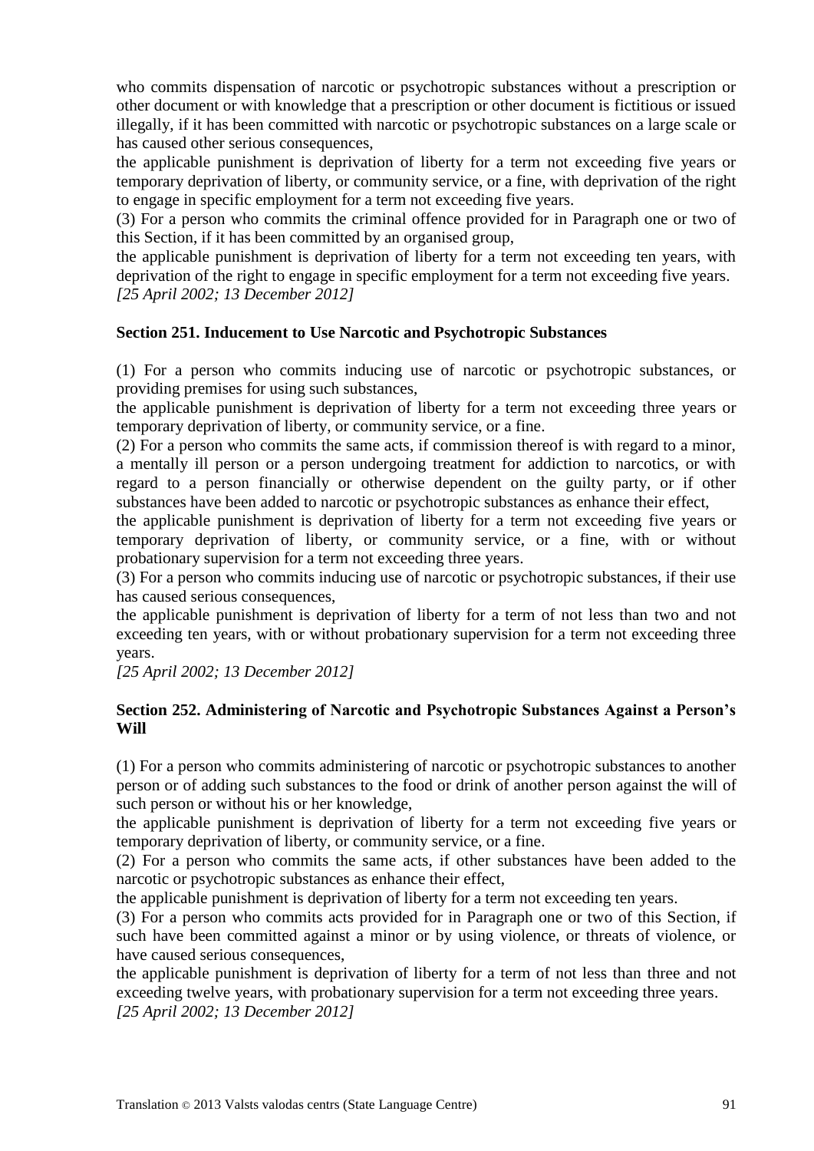who commits dispensation of narcotic or psychotropic substances without a prescription or other document or with knowledge that a prescription or other document is fictitious or issued illegally, if it has been committed with narcotic or psychotropic substances on a large scale or has caused other serious consequences,

the applicable punishment is deprivation of liberty for a term not exceeding five years or temporary deprivation of liberty, or community service, or a fine, with deprivation of the right to engage in specific employment for a term not exceeding five years.

(3) For a person who commits the criminal offence provided for in Paragraph one or two of this Section, if it has been committed by an organised group,

the applicable punishment is deprivation of liberty for a term not exceeding ten years, with deprivation of the right to engage in specific employment for a term not exceeding five years. *[25 April 2002; 13 December 2012]*

### **Section 251. Inducement to Use Narcotic and Psychotropic Substances**

(1) For a person who commits inducing use of narcotic or psychotropic substances, or providing premises for using such substances,

the applicable punishment is deprivation of liberty for a term not exceeding three years or temporary deprivation of liberty, or community service, or a fine.

(2) For a person who commits the same acts, if commission thereof is with regard to a minor, a mentally ill person or a person undergoing treatment for addiction to narcotics, or with regard to a person financially or otherwise dependent on the guilty party, or if other substances have been added to narcotic or psychotropic substances as enhance their effect,

the applicable punishment is deprivation of liberty for a term not exceeding five years or temporary deprivation of liberty, or community service, or a fine, with or without probationary supervision for a term not exceeding three years.

(3) For a person who commits inducing use of narcotic or psychotropic substances, if their use has caused serious consequences,

the applicable punishment is deprivation of liberty for a term of not less than two and not exceeding ten years, with or without probationary supervision for a term not exceeding three years.

*[25 April 2002; 13 December 2012]*

#### **Section 252. Administering of Narcotic and Psychotropic Substances Against a Person's Will**

(1) For a person who commits administering of narcotic or psychotropic substances to another person or of adding such substances to the food or drink of another person against the will of such person or without his or her knowledge,

the applicable punishment is deprivation of liberty for a term not exceeding five years or temporary deprivation of liberty, or community service, or a fine.

(2) For a person who commits the same acts, if other substances have been added to the narcotic or psychotropic substances as enhance their effect,

the applicable punishment is deprivation of liberty for a term not exceeding ten years.

(3) For a person who commits acts provided for in Paragraph one or two of this Section, if such have been committed against a minor or by using violence, or threats of violence, or have caused serious consequences,

the applicable punishment is deprivation of liberty for a term of not less than three and not exceeding twelve years, with probationary supervision for a term not exceeding three years. *[25 April 2002; 13 December 2012]*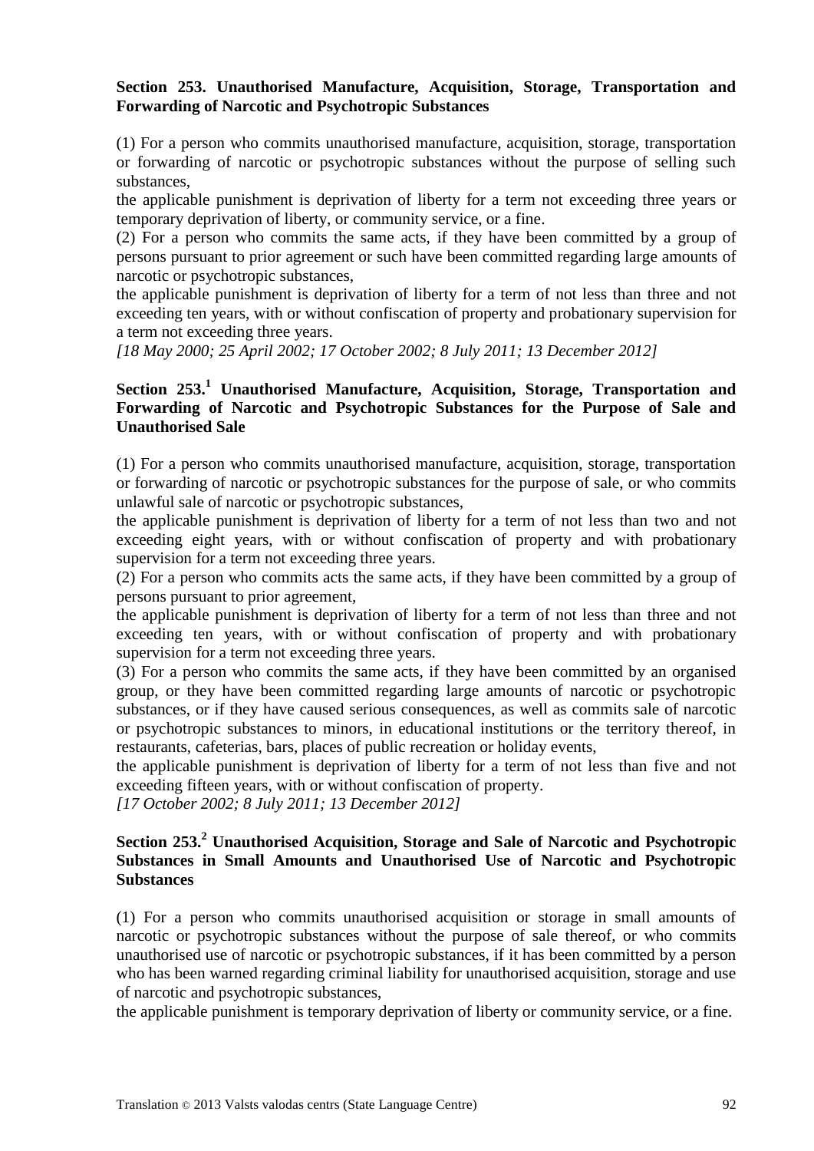#### **Section 253. Unauthorised Manufacture, Acquisition, Storage, Transportation and Forwarding of Narcotic and Psychotropic Substances**

(1) For a person who commits unauthorised manufacture, acquisition, storage, transportation or forwarding of narcotic or psychotropic substances without the purpose of selling such substances,

the applicable punishment is deprivation of liberty for a term not exceeding three years or temporary deprivation of liberty, or community service, or a fine.

(2) For a person who commits the same acts, if they have been committed by a group of persons pursuant to prior agreement or such have been committed regarding large amounts of narcotic or psychotropic substances,

the applicable punishment is deprivation of liberty for a term of not less than three and not exceeding ten years, with or without confiscation of property and probationary supervision for a term not exceeding three years.

*[18 May 2000; 25 April 2002; 17 October 2002; 8 July 2011; 13 December 2012]*

#### **Section 253.<sup>1</sup> Unauthorised Manufacture, Acquisition, Storage, Transportation and Forwarding of Narcotic and Psychotropic Substances for the Purpose of Sale and Unauthorised Sale**

(1) For a person who commits unauthorised manufacture, acquisition, storage, transportation or forwarding of narcotic or psychotropic substances for the purpose of sale, or who commits unlawful sale of narcotic or psychotropic substances,

the applicable punishment is deprivation of liberty for a term of not less than two and not exceeding eight years, with or without confiscation of property and with probationary supervision for a term not exceeding three years.

(2) For a person who commits acts the same acts, if they have been committed by a group of persons pursuant to prior agreement,

the applicable punishment is deprivation of liberty for a term of not less than three and not exceeding ten years, with or without confiscation of property and with probationary supervision for a term not exceeding three years.

(3) For a person who commits the same acts, if they have been committed by an organised group, or they have been committed regarding large amounts of narcotic or psychotropic substances, or if they have caused serious consequences, as well as commits sale of narcotic or psychotropic substances to minors, in educational institutions or the territory thereof, in restaurants, cafeterias, bars, places of public recreation or holiday events,

the applicable punishment is deprivation of liberty for a term of not less than five and not exceeding fifteen years, with or without confiscation of property.

*[17 October 2002; 8 July 2011; 13 December 2012]*

#### **Section 253.<sup>2</sup> Unauthorised Acquisition, Storage and Sale of Narcotic and Psychotropic Substances in Small Amounts and Unauthorised Use of Narcotic and Psychotropic Substances**

(1) For a person who commits unauthorised acquisition or storage in small amounts of narcotic or psychotropic substances without the purpose of sale thereof, or who commits unauthorised use of narcotic or psychotropic substances, if it has been committed by a person who has been warned regarding criminal liability for unauthorised acquisition, storage and use of narcotic and psychotropic substances,

the applicable punishment is temporary deprivation of liberty or community service, or a fine.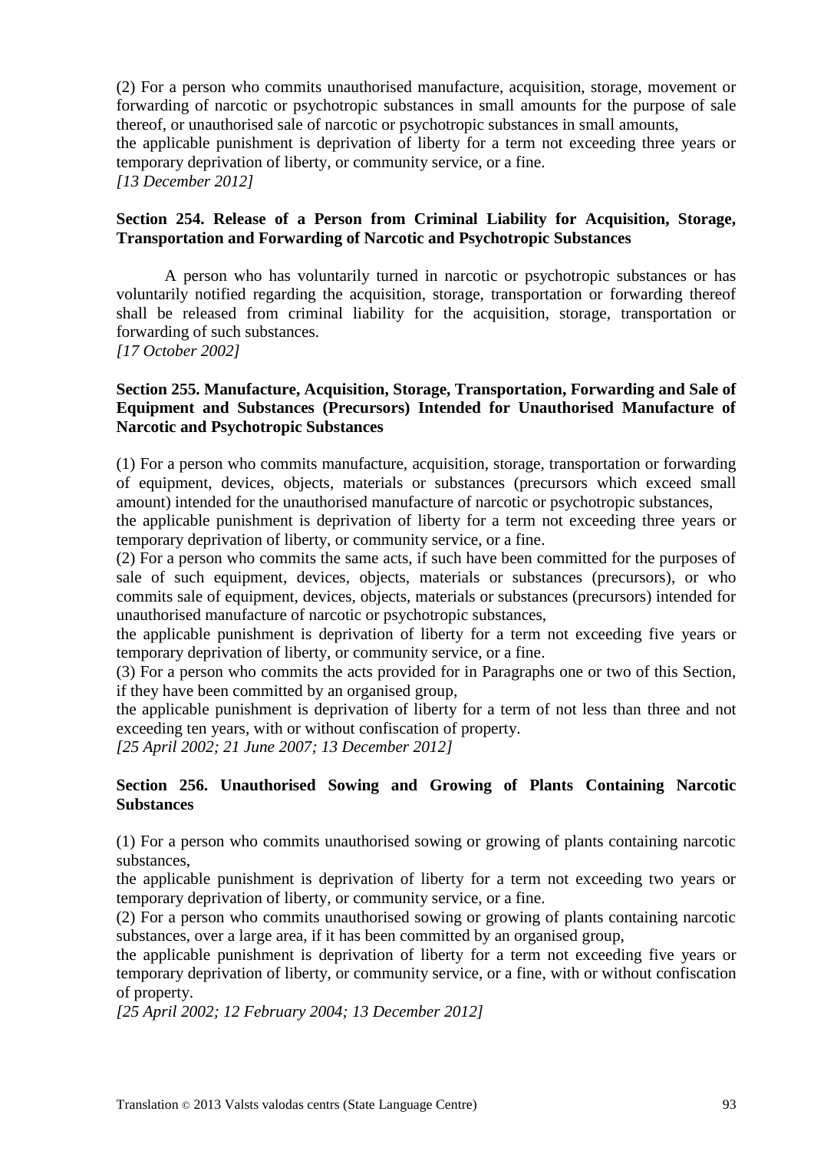(2) For a person who commits unauthorised manufacture, acquisition, storage, movement or forwarding of narcotic or psychotropic substances in small amounts for the purpose of sale thereof, or unauthorised sale of narcotic or psychotropic substances in small amounts, the applicable punishment is deprivation of liberty for a term not exceeding three years or temporary deprivation of liberty, or community service, or a fine. *[13 December 2012]*

#### **Section 254. Release of a Person from Criminal Liability for Acquisition, Storage, Transportation and Forwarding of Narcotic and Psychotropic Substances**

A person who has voluntarily turned in narcotic or psychotropic substances or has voluntarily notified regarding the acquisition, storage, transportation or forwarding thereof shall be released from criminal liability for the acquisition, storage, transportation or forwarding of such substances.

*[17 October 2002]*

#### **Section 255. Manufacture, Acquisition, Storage, Transportation, Forwarding and Sale of Equipment and Substances (Precursors) Intended for Unauthorised Manufacture of Narcotic and Psychotropic Substances**

(1) For a person who commits manufacture, acquisition, storage, transportation or forwarding of equipment, devices, objects, materials or substances (precursors which exceed small amount) intended for the unauthorised manufacture of narcotic or psychotropic substances,

the applicable punishment is deprivation of liberty for a term not exceeding three years or temporary deprivation of liberty, or community service, or a fine.

(2) For a person who commits the same acts, if such have been committed for the purposes of sale of such equipment, devices, objects, materials or substances (precursors), or who commits sale of equipment, devices, objects, materials or substances (precursors) intended for unauthorised manufacture of narcotic or psychotropic substances,

the applicable punishment is deprivation of liberty for a term not exceeding five years or temporary deprivation of liberty, or community service, or a fine.

(3) For a person who commits the acts provided for in Paragraphs one or two of this Section, if they have been committed by an organised group,

the applicable punishment is deprivation of liberty for a term of not less than three and not exceeding ten years, with or without confiscation of property.

*[25 April 2002; 21 June 2007; 13 December 2012]*

#### **Section 256. Unauthorised Sowing and Growing of Plants Containing Narcotic Substances**

(1) For a person who commits unauthorised sowing or growing of plants containing narcotic substances,

the applicable punishment is deprivation of liberty for a term not exceeding two years or temporary deprivation of liberty, or community service, or a fine.

(2) For a person who commits unauthorised sowing or growing of plants containing narcotic substances, over a large area, if it has been committed by an organised group,

the applicable punishment is deprivation of liberty for a term not exceeding five years or temporary deprivation of liberty, or community service, or a fine, with or without confiscation of property.

*[25 April 2002; 12 February 2004; 13 December 2012]*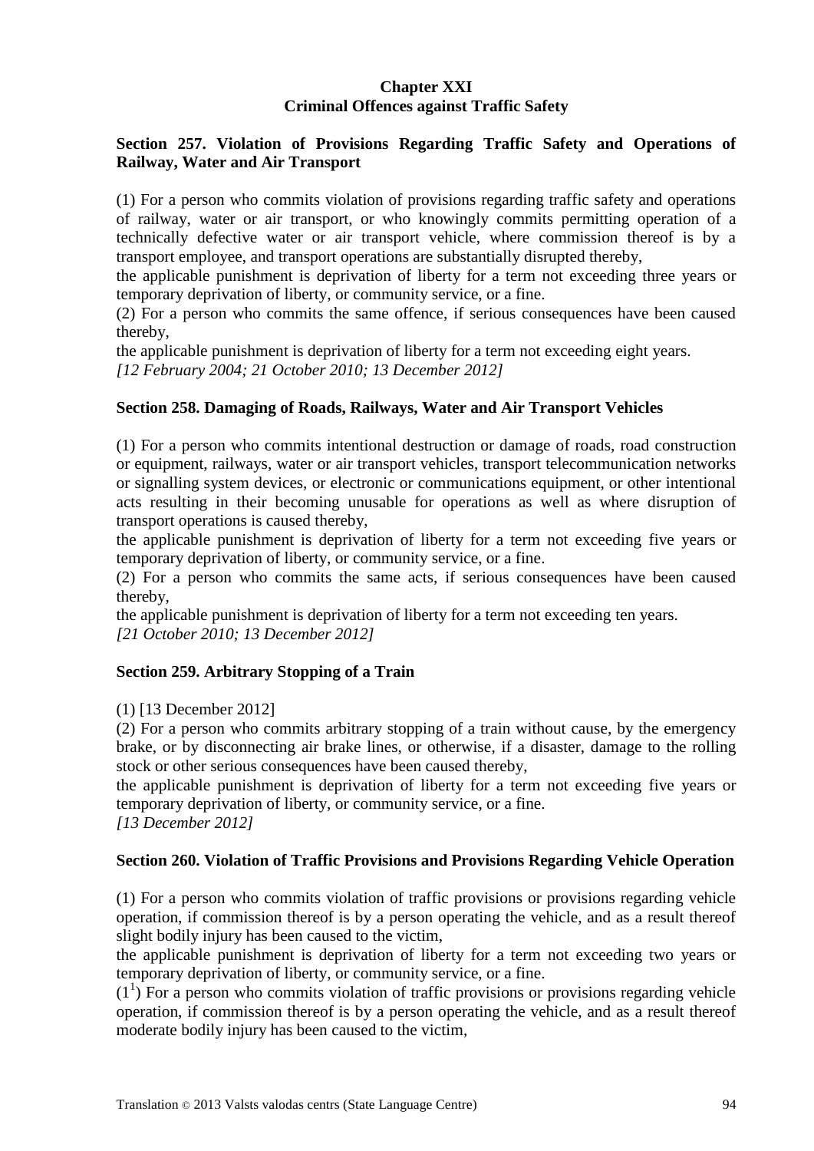#### **Chapter XXI Criminal Offences against Traffic Safety**

#### **Section 257. Violation of Provisions Regarding Traffic Safety and Operations of Railway, Water and Air Transport**

(1) For a person who commits violation of provisions regarding traffic safety and operations of railway, water or air transport, or who knowingly commits permitting operation of a technically defective water or air transport vehicle, where commission thereof is by a transport employee, and transport operations are substantially disrupted thereby,

the applicable punishment is deprivation of liberty for a term not exceeding three years or temporary deprivation of liberty, or community service, or a fine.

(2) For a person who commits the same offence, if serious consequences have been caused thereby,

the applicable punishment is deprivation of liberty for a term not exceeding eight years. *[12 February 2004; 21 October 2010; 13 December 2012]*

#### **Section 258. Damaging of Roads, Railways, Water and Air Transport Vehicles**

(1) For a person who commits intentional destruction or damage of roads, road construction or equipment, railways, water or air transport vehicles, transport telecommunication networks or signalling system devices, or electronic or communications equipment, or other intentional acts resulting in their becoming unusable for operations as well as where disruption of transport operations is caused thereby,

the applicable punishment is deprivation of liberty for a term not exceeding five years or temporary deprivation of liberty, or community service, or a fine.

(2) For a person who commits the same acts, if serious consequences have been caused thereby,

the applicable punishment is deprivation of liberty for a term not exceeding ten years. *[21 October 2010; 13 December 2012]*

#### **Section 259. Arbitrary Stopping of a Train**

(1) [13 December 2012]

(2) For a person who commits arbitrary stopping of a train without cause, by the emergency brake, or by disconnecting air brake lines, or otherwise, if a disaster, damage to the rolling stock or other serious consequences have been caused thereby,

the applicable punishment is deprivation of liberty for a term not exceeding five years or temporary deprivation of liberty, or community service, or a fine.

*[13 December 2012]*

#### **Section 260. Violation of Traffic Provisions and Provisions Regarding Vehicle Operation**

(1) For a person who commits violation of traffic provisions or provisions regarding vehicle operation, if commission thereof is by a person operating the vehicle, and as a result thereof slight bodily injury has been caused to the victim,

the applicable punishment is deprivation of liberty for a term not exceeding two years or temporary deprivation of liberty, or community service, or a fine.

 $(1<sup>1</sup>)$  For a person who commits violation of traffic provisions or provisions regarding vehicle operation, if commission thereof is by a person operating the vehicle, and as a result thereof moderate bodily injury has been caused to the victim,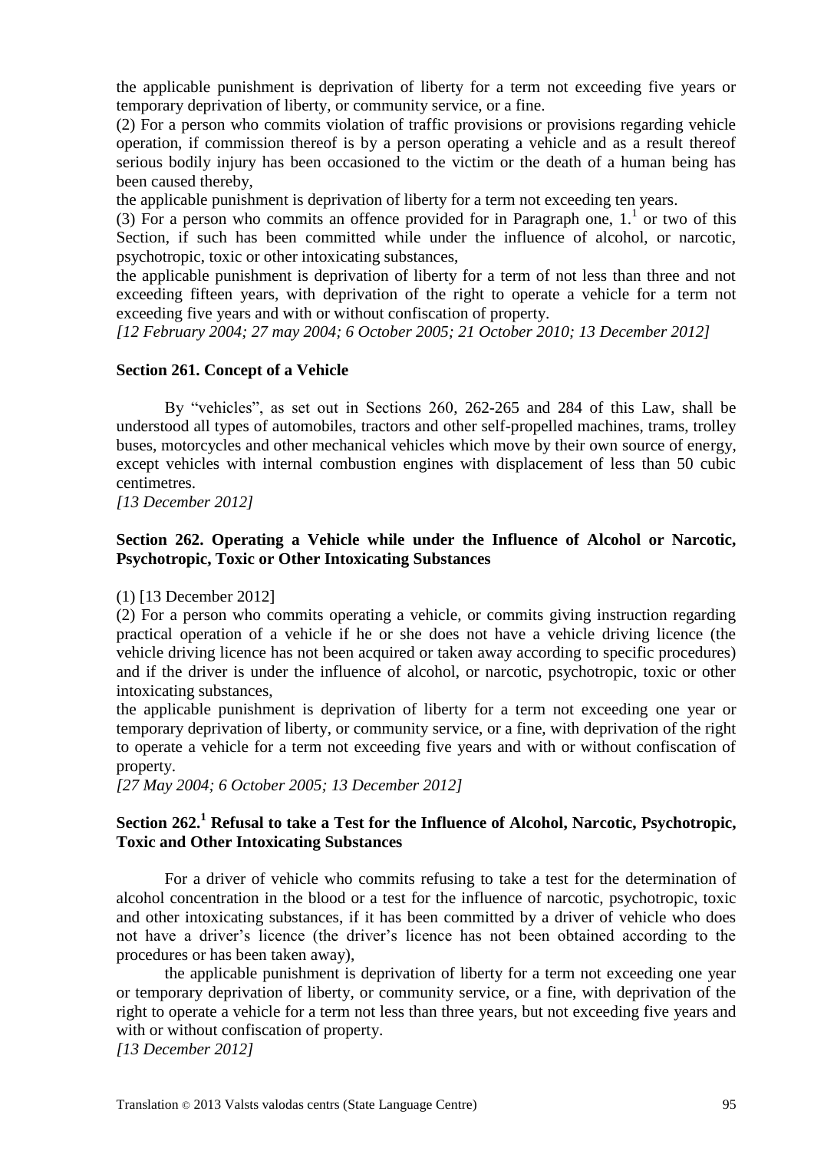the applicable punishment is deprivation of liberty for a term not exceeding five years or temporary deprivation of liberty, or community service, or a fine.

(2) For a person who commits violation of traffic provisions or provisions regarding vehicle operation, if commission thereof is by a person operating a vehicle and as a result thereof serious bodily injury has been occasioned to the victim or the death of a human being has been caused thereby,

the applicable punishment is deprivation of liberty for a term not exceeding ten years.

(3) For a person who commits an offence provided for in Paragraph one,  $1.^1$  or two of this Section, if such has been committed while under the influence of alcohol, or narcotic, psychotropic, toxic or other intoxicating substances,

the applicable punishment is deprivation of liberty for a term of not less than three and not exceeding fifteen years, with deprivation of the right to operate a vehicle for a term not exceeding five years and with or without confiscation of property.

*[12 February 2004; 27 may 2004; 6 October 2005; 21 October 2010; 13 December 2012]*

#### **Section 261. Concept of a Vehicle**

By "vehicles", as set out in Sections 260, 262-265 and 284 of this Law, shall be understood all types of automobiles, tractors and other self-propelled machines, trams, trolley buses, motorcycles and other mechanical vehicles which move by their own source of energy, except vehicles with internal combustion engines with displacement of less than 50 cubic centimetres.

*[13 December 2012]*

#### **Section 262. Operating a Vehicle while under the Influence of Alcohol or Narcotic, Psychotropic, Toxic or Other Intoxicating Substances**

(1) [13 December 2012]

(2) For a person who commits operating a vehicle, or commits giving instruction regarding practical operation of a vehicle if he or she does not have a vehicle driving licence (the vehicle driving licence has not been acquired or taken away according to specific procedures) and if the driver is under the influence of alcohol, or narcotic, psychotropic, toxic or other intoxicating substances,

the applicable punishment is deprivation of liberty for a term not exceeding one year or temporary deprivation of liberty, or community service, or a fine, with deprivation of the right to operate a vehicle for a term not exceeding five years and with or without confiscation of property.

*[27 May 2004; 6 October 2005; 13 December 2012]*

#### **Section 262.<sup>1</sup> Refusal to take a Test for the Influence of Alcohol, Narcotic, Psychotropic, Toxic and Other Intoxicating Substances**

For a driver of vehicle who commits refusing to take a test for the determination of alcohol concentration in the blood or a test for the influence of narcotic, psychotropic, toxic and other intoxicating substances, if it has been committed by a driver of vehicle who does not have a driver's licence (the driver's licence has not been obtained according to the procedures or has been taken away),

the applicable punishment is deprivation of liberty for a term not exceeding one year or temporary deprivation of liberty, or community service, or a fine, with deprivation of the right to operate a vehicle for a term not less than three years, but not exceeding five years and with or without confiscation of property.

*[13 December 2012]*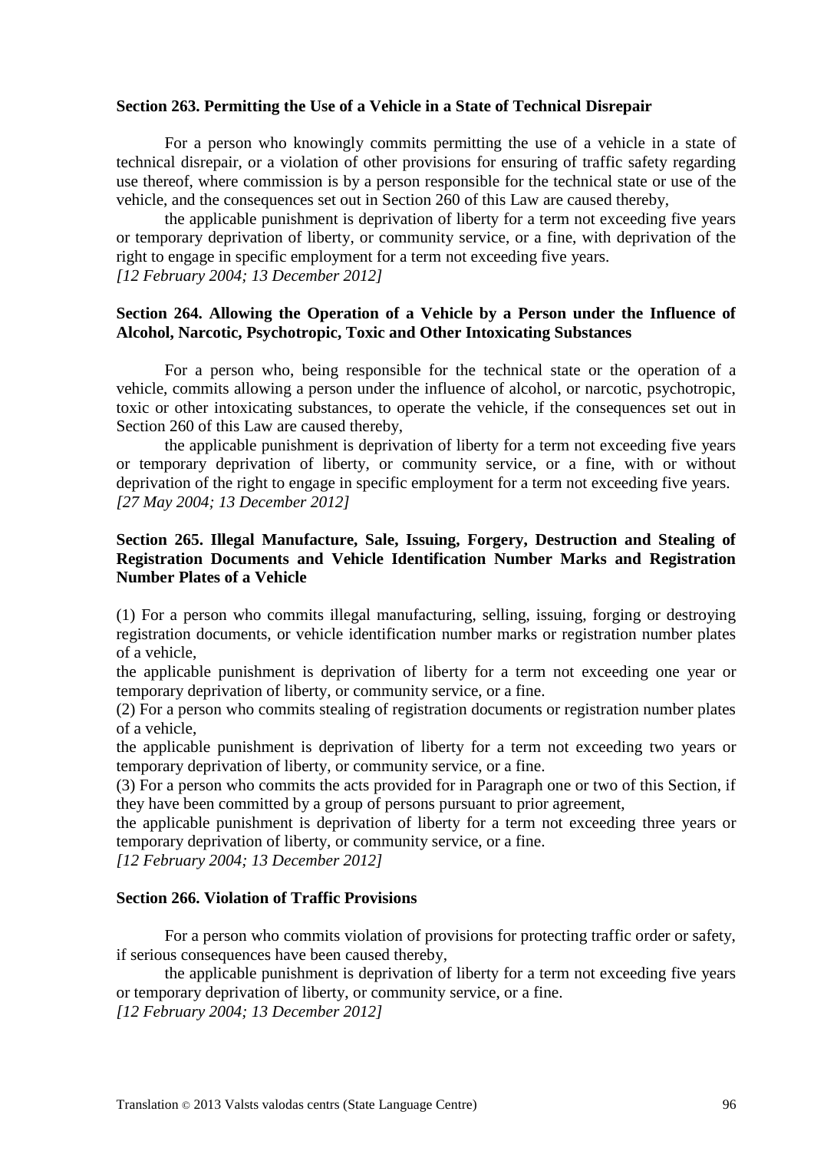#### **Section 263. Permitting the Use of a Vehicle in a State of Technical Disrepair**

For a person who knowingly commits permitting the use of a vehicle in a state of technical disrepair, or a violation of other provisions for ensuring of traffic safety regarding use thereof, where commission is by a person responsible for the technical state or use of the vehicle, and the consequences set out in Section 260 of this Law are caused thereby,

the applicable punishment is deprivation of liberty for a term not exceeding five years or temporary deprivation of liberty, or community service, or a fine, with deprivation of the right to engage in specific employment for a term not exceeding five years. *[12 February 2004; 13 December 2012]*

#### **Section 264. Allowing the Operation of a Vehicle by a Person under the Influence of Alcohol, Narcotic, Psychotropic, Toxic and Other Intoxicating Substances**

For a person who, being responsible for the technical state or the operation of a vehicle, commits allowing a person under the influence of alcohol, or narcotic, psychotropic, toxic or other intoxicating substances, to operate the vehicle, if the consequences set out in Section 260 of this Law are caused thereby,

the applicable punishment is deprivation of liberty for a term not exceeding five years or temporary deprivation of liberty, or community service, or a fine, with or without deprivation of the right to engage in specific employment for a term not exceeding five years. *[27 May 2004; 13 December 2012]*

#### **Section 265. Illegal Manufacture, Sale, Issuing, Forgery, Destruction and Stealing of Registration Documents and Vehicle Identification Number Marks and Registration Number Plates of a Vehicle**

(1) For a person who commits illegal manufacturing, selling, issuing, forging or destroying registration documents, or vehicle identification number marks or registration number plates of a vehicle,

the applicable punishment is deprivation of liberty for a term not exceeding one year or temporary deprivation of liberty, or community service, or a fine.

(2) For a person who commits stealing of registration documents or registration number plates of a vehicle,

the applicable punishment is deprivation of liberty for a term not exceeding two years or temporary deprivation of liberty, or community service, or a fine.

(3) For a person who commits the acts provided for in Paragraph one or two of this Section, if they have been committed by a group of persons pursuant to prior agreement,

the applicable punishment is deprivation of liberty for a term not exceeding three years or temporary deprivation of liberty, or community service, or a fine.

*[12 February 2004; 13 December 2012]*

#### **Section 266. Violation of Traffic Provisions**

For a person who commits violation of provisions for protecting traffic order or safety, if serious consequences have been caused thereby,

the applicable punishment is deprivation of liberty for a term not exceeding five years or temporary deprivation of liberty, or community service, or a fine. *[12 February 2004; 13 December 2012]*

Translation © 2013 Valsts valodas centrs (State Language Centre) 96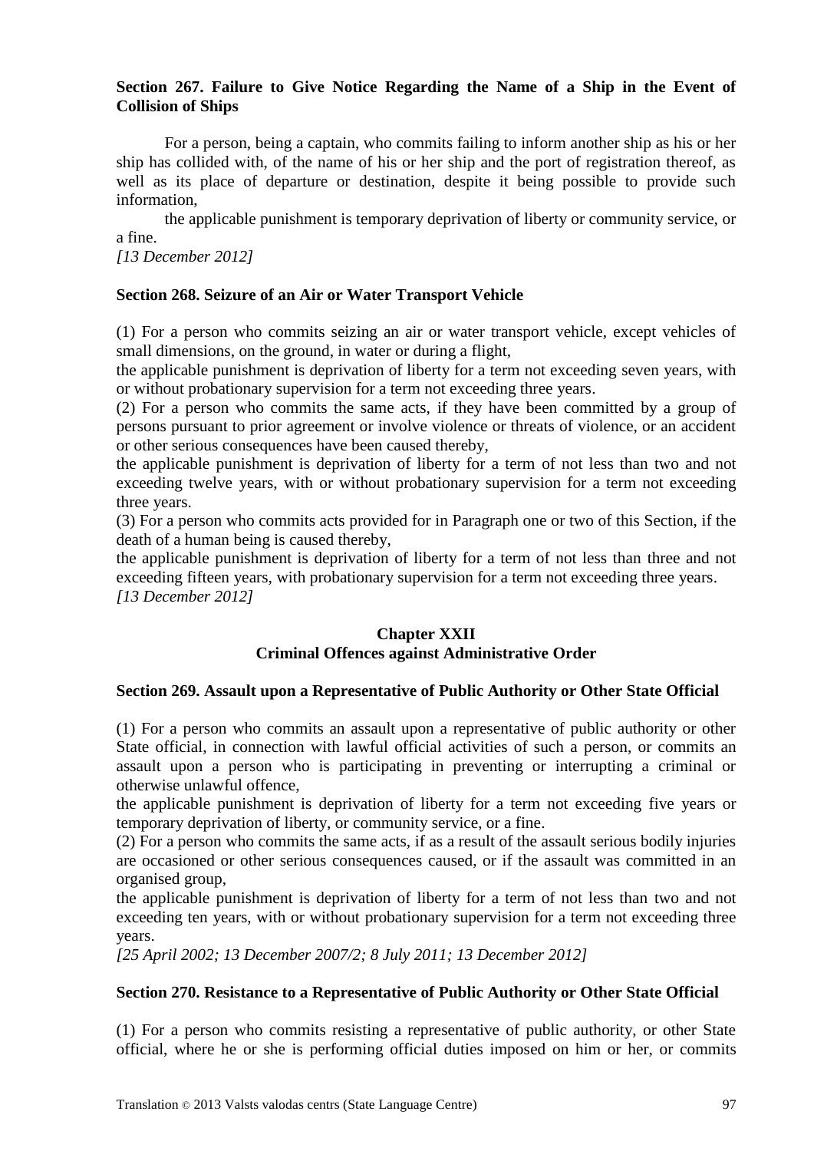#### **Section 267. Failure to Give Notice Regarding the Name of a Ship in the Event of Collision of Ships**

For a person, being a captain, who commits failing to inform another ship as his or her ship has collided with, of the name of his or her ship and the port of registration thereof, as well as its place of departure or destination, despite it being possible to provide such information,

the applicable punishment is temporary deprivation of liberty or community service, or a fine.

*[13 December 2012]*

#### **Section 268. Seizure of an Air or Water Transport Vehicle**

(1) For a person who commits seizing an air or water transport vehicle, except vehicles of small dimensions, on the ground, in water or during a flight,

the applicable punishment is deprivation of liberty for a term not exceeding seven years, with or without probationary supervision for a term not exceeding three years.

(2) For a person who commits the same acts, if they have been committed by a group of persons pursuant to prior agreement or involve violence or threats of violence, or an accident or other serious consequences have been caused thereby,

the applicable punishment is deprivation of liberty for a term of not less than two and not exceeding twelve years, with or without probationary supervision for a term not exceeding three years.

(3) For a person who commits acts provided for in Paragraph one or two of this Section, if the death of a human being is caused thereby,

the applicable punishment is deprivation of liberty for a term of not less than three and not exceeding fifteen years, with probationary supervision for a term not exceeding three years. *[13 December 2012]*

#### **Chapter XXII Criminal Offences against Administrative Order**

#### **Section 269. Assault upon a Representative of Public Authority or Other State Official**

(1) For a person who commits an assault upon a representative of public authority or other State official, in connection with lawful official activities of such a person, or commits an assault upon a person who is participating in preventing or interrupting a criminal or otherwise unlawful offence,

the applicable punishment is deprivation of liberty for a term not exceeding five years or temporary deprivation of liberty, or community service, or a fine.

(2) For a person who commits the same acts, if as a result of the assault serious bodily injuries are occasioned or other serious consequences caused, or if the assault was committed in an organised group,

the applicable punishment is deprivation of liberty for a term of not less than two and not exceeding ten years, with or without probationary supervision for a term not exceeding three years.

*[25 April 2002; 13 December 2007/2; 8 July 2011; 13 December 2012]*

#### **Section 270. Resistance to a Representative of Public Authority or Other State Official**

(1) For a person who commits resisting a representative of public authority, or other State official, where he or she is performing official duties imposed on him or her, or commits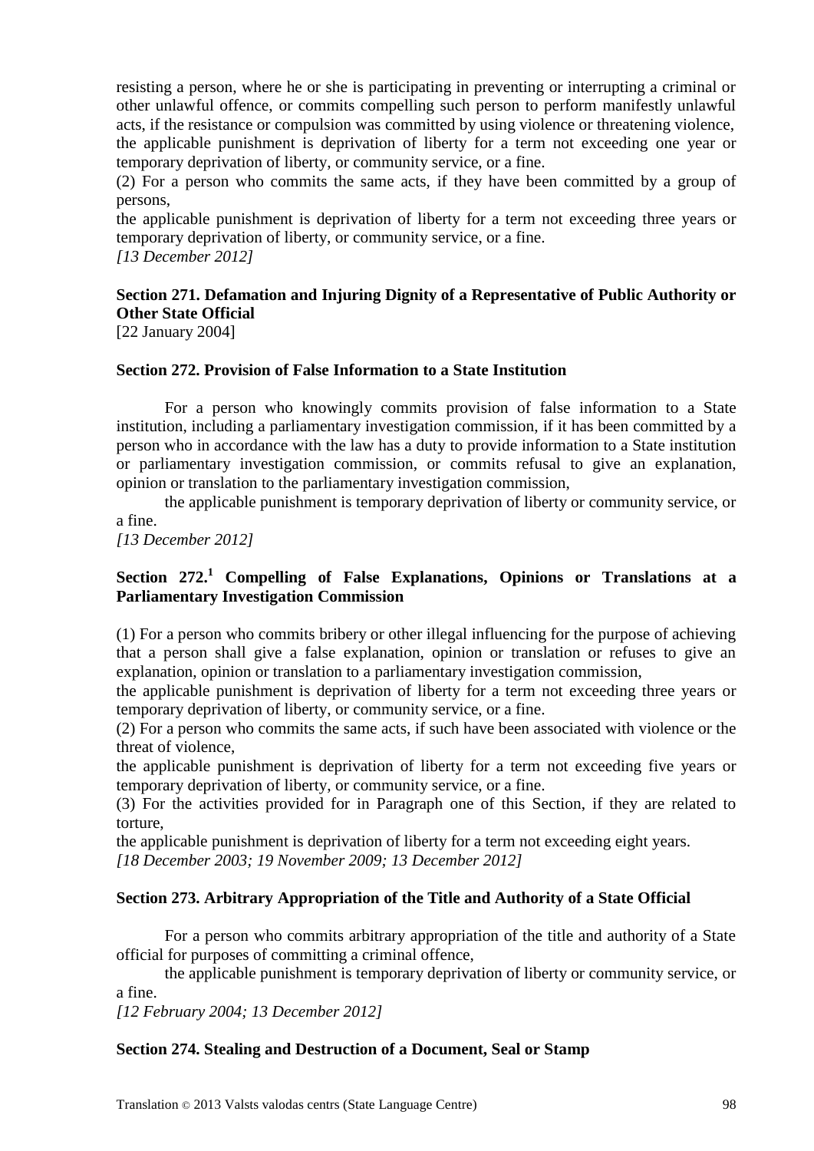resisting a person, where he or she is participating in preventing or interrupting a criminal or other unlawful offence, or commits compelling such person to perform manifestly unlawful acts, if the resistance or compulsion was committed by using violence or threatening violence, the applicable punishment is deprivation of liberty for a term not exceeding one year or temporary deprivation of liberty, or community service, or a fine.

(2) For a person who commits the same acts, if they have been committed by a group of persons,

the applicable punishment is deprivation of liberty for a term not exceeding three years or temporary deprivation of liberty, or community service, or a fine.

*[13 December 2012]*

# **Section 271. Defamation and Injuring Dignity of a Representative of Public Authority or Other State Official**

[22 January 2004]

#### **Section 272. Provision of False Information to a State Institution**

For a person who knowingly commits provision of false information to a State institution, including a parliamentary investigation commission, if it has been committed by a person who in accordance with the law has a duty to provide information to a State institution or parliamentary investigation commission, or commits refusal to give an explanation, opinion or translation to the parliamentary investigation commission,

the applicable punishment is temporary deprivation of liberty or community service, or a fine.

*[13 December 2012]*

#### **Section 272.<sup>1</sup> Compelling of False Explanations, Opinions or Translations at a Parliamentary Investigation Commission**

(1) For a person who commits bribery or other illegal influencing for the purpose of achieving that a person shall give a false explanation, opinion or translation or refuses to give an explanation, opinion or translation to a parliamentary investigation commission,

the applicable punishment is deprivation of liberty for a term not exceeding three years or temporary deprivation of liberty, or community service, or a fine.

(2) For a person who commits the same acts, if such have been associated with violence or the threat of violence,

the applicable punishment is deprivation of liberty for a term not exceeding five years or temporary deprivation of liberty, or community service, or a fine.

(3) For the activities provided for in Paragraph one of this Section, if they are related to torture,

the applicable punishment is deprivation of liberty for a term not exceeding eight years. *[18 December 2003; 19 November 2009; 13 December 2012]*

**Section 273. Arbitrary Appropriation of the Title and Authority of a State Official**

For a person who commits arbitrary appropriation of the title and authority of a State official for purposes of committing a criminal offence,

the applicable punishment is temporary deprivation of liberty or community service, or a fine.

*[12 February 2004; 13 December 2012]*

#### **Section 274. Stealing and Destruction of a Document, Seal or Stamp**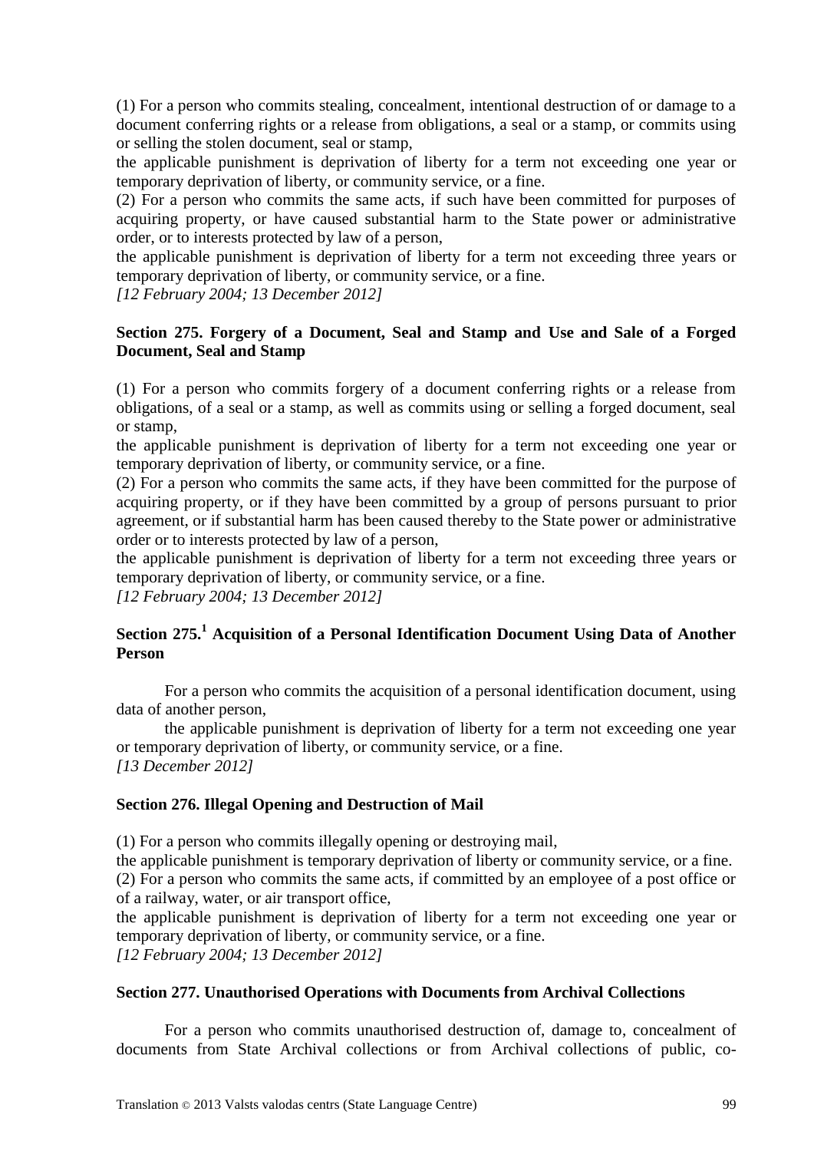(1) For a person who commits stealing, concealment, intentional destruction of or damage to a document conferring rights or a release from obligations, a seal or a stamp, or commits using or selling the stolen document, seal or stamp,

the applicable punishment is deprivation of liberty for a term not exceeding one year or temporary deprivation of liberty, or community service, or a fine.

(2) For a person who commits the same acts, if such have been committed for purposes of acquiring property, or have caused substantial harm to the State power or administrative order, or to interests protected by law of a person,

the applicable punishment is deprivation of liberty for a term not exceeding three years or temporary deprivation of liberty, or community service, or a fine.

*[12 February 2004; 13 December 2012]*

#### **Section 275. Forgery of a Document, Seal and Stamp and Use and Sale of a Forged Document, Seal and Stamp**

(1) For a person who commits forgery of a document conferring rights or a release from obligations, of a seal or a stamp, as well as commits using or selling a forged document, seal or stamp,

the applicable punishment is deprivation of liberty for a term not exceeding one year or temporary deprivation of liberty, or community service, or a fine.

(2) For a person who commits the same acts, if they have been committed for the purpose of acquiring property, or if they have been committed by a group of persons pursuant to prior agreement, or if substantial harm has been caused thereby to the State power or administrative order or to interests protected by law of a person,

the applicable punishment is deprivation of liberty for a term not exceeding three years or temporary deprivation of liberty, or community service, or a fine.

*[12 February 2004; 13 December 2012]*

### **Section 275.<sup>1</sup> Acquisition of a Personal Identification Document Using Data of Another Person**

For a person who commits the acquisition of a personal identification document, using data of another person,

the applicable punishment is deprivation of liberty for a term not exceeding one year or temporary deprivation of liberty, or community service, or a fine. *[13 December 2012]*

#### **Section 276. Illegal Opening and Destruction of Mail**

(1) For a person who commits illegally opening or destroying mail,

the applicable punishment is temporary deprivation of liberty or community service, or a fine. (2) For a person who commits the same acts, if committed by an employee of a post office or of a railway, water, or air transport office,

the applicable punishment is deprivation of liberty for a term not exceeding one year or temporary deprivation of liberty, or community service, or a fine.

*[12 February 2004; 13 December 2012]*

#### **Section 277. Unauthorised Operations with Documents from Archival Collections**

For a person who commits unauthorised destruction of, damage to, concealment of documents from State Archival collections or from Archival collections of public, co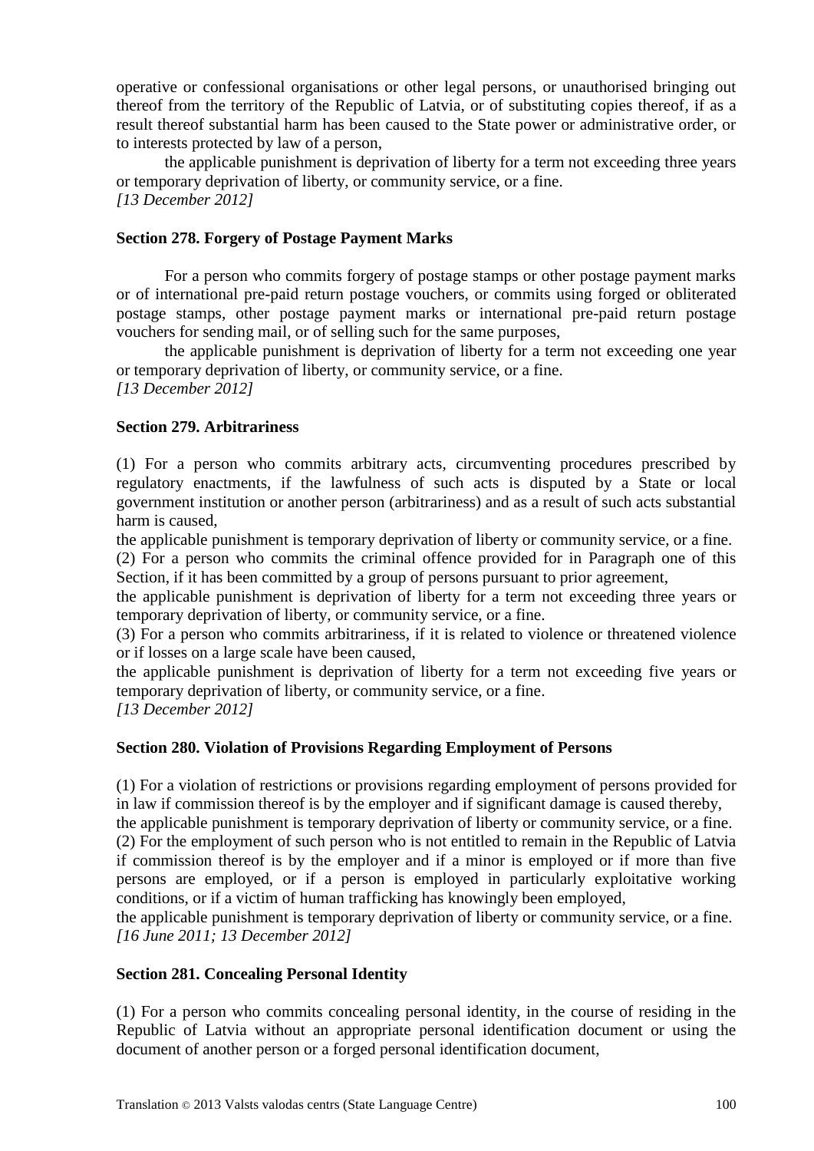operative or confessional organisations or other legal persons, or unauthorised bringing out thereof from the territory of the Republic of Latvia, or of substituting copies thereof, if as a result thereof substantial harm has been caused to the State power or administrative order, or to interests protected by law of a person,

the applicable punishment is deprivation of liberty for a term not exceeding three years or temporary deprivation of liberty, or community service, or a fine. *[13 December 2012]*

#### **Section 278. Forgery of Postage Payment Marks**

For a person who commits forgery of postage stamps or other postage payment marks or of international pre-paid return postage vouchers, or commits using forged or obliterated postage stamps, other postage payment marks or international pre-paid return postage vouchers for sending mail, or of selling such for the same purposes,

the applicable punishment is deprivation of liberty for a term not exceeding one year or temporary deprivation of liberty, or community service, or a fine. *[13 December 2012]*

#### **Section 279. Arbitrariness**

(1) For a person who commits arbitrary acts, circumventing procedures prescribed by regulatory enactments, if the lawfulness of such acts is disputed by a State or local government institution or another person (arbitrariness) and as a result of such acts substantial harm is caused,

the applicable punishment is temporary deprivation of liberty or community service, or a fine.

(2) For a person who commits the criminal offence provided for in Paragraph one of this Section, if it has been committed by a group of persons pursuant to prior agreement,

the applicable punishment is deprivation of liberty for a term not exceeding three years or temporary deprivation of liberty, or community service, or a fine.

(3) For a person who commits arbitrariness, if it is related to violence or threatened violence or if losses on a large scale have been caused,

the applicable punishment is deprivation of liberty for a term not exceeding five years or temporary deprivation of liberty, or community service, or a fine.

*[13 December 2012]*

#### **Section 280. Violation of Provisions Regarding Employment of Persons**

(1) For a violation of restrictions or provisions regarding employment of persons provided for in law if commission thereof is by the employer and if significant damage is caused thereby,

the applicable punishment is temporary deprivation of liberty or community service, or a fine. (2) For the employment of such person who is not entitled to remain in the Republic of Latvia if commission thereof is by the employer and if a minor is employed or if more than five persons are employed, or if a person is employed in particularly exploitative working conditions, or if a victim of human trafficking has knowingly been employed,

the applicable punishment is temporary deprivation of liberty or community service, or a fine. *[16 June 2011; 13 December 2012]*

#### **Section 281. Concealing Personal Identity**

(1) For a person who commits concealing personal identity, in the course of residing in the Republic of Latvia without an appropriate personal identification document or using the document of another person or a forged personal identification document,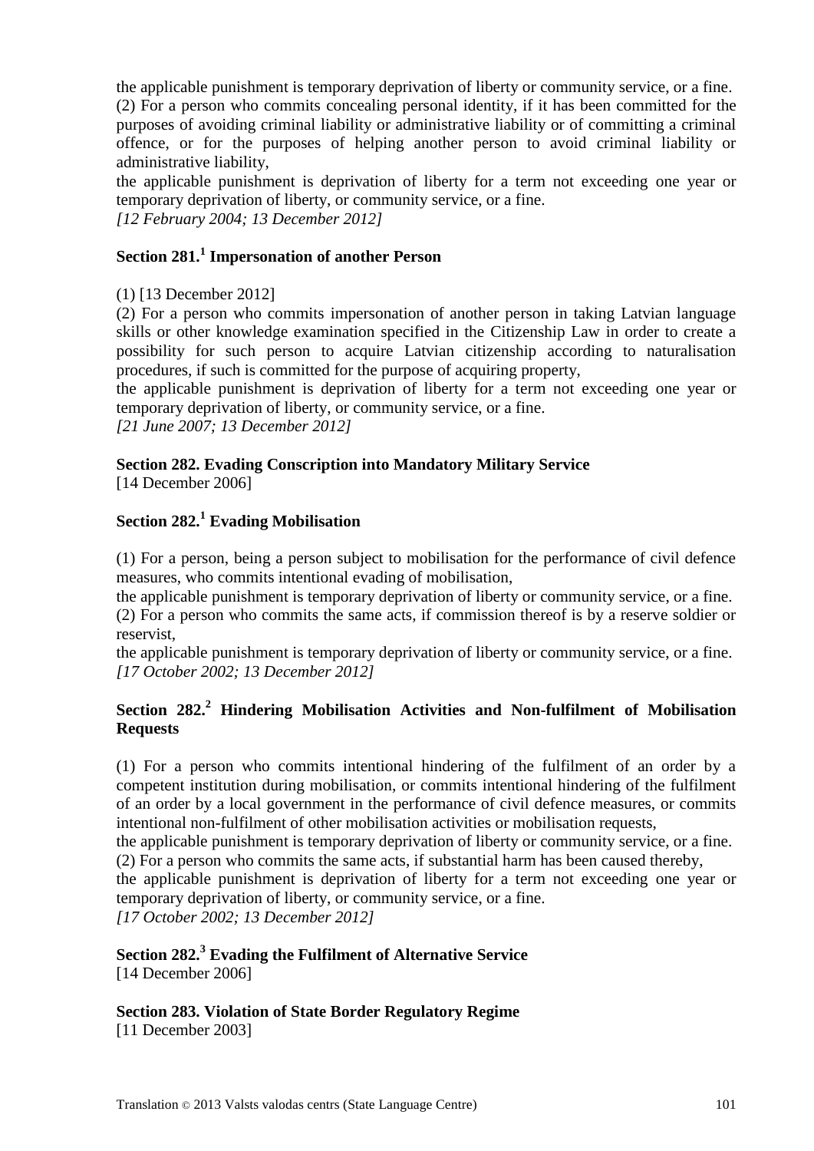the applicable punishment is temporary deprivation of liberty or community service, or a fine. (2) For a person who commits concealing personal identity, if it has been committed for the purposes of avoiding criminal liability or administrative liability or of committing a criminal offence, or for the purposes of helping another person to avoid criminal liability or administrative liability,

the applicable punishment is deprivation of liberty for a term not exceeding one year or temporary deprivation of liberty, or community service, or a fine. *[12 February 2004; 13 December 2012]*

### **Section 281.<sup>1</sup> Impersonation of another Person**

(1) [13 December 2012]

(2) For a person who commits impersonation of another person in taking Latvian language skills or other knowledge examination specified in the Citizenship Law in order to create a possibility for such person to acquire Latvian citizenship according to naturalisation procedures, if such is committed for the purpose of acquiring property,

the applicable punishment is deprivation of liberty for a term not exceeding one year or temporary deprivation of liberty, or community service, or a fine.

*[21 June 2007; 13 December 2012]*

### **Section 282. Evading Conscription into Mandatory Military Service**

[14 December 2006]

# **Section 282.<sup>1</sup> Evading Mobilisation**

(1) For a person, being a person subject to mobilisation for the performance of civil defence measures, who commits intentional evading of mobilisation,

the applicable punishment is temporary deprivation of liberty or community service, or a fine. (2) For a person who commits the same acts, if commission thereof is by a reserve soldier or reservist,

the applicable punishment is temporary deprivation of liberty or community service, or a fine. *[17 October 2002; 13 December 2012]*

#### **Section 282.<sup>2</sup> Hindering Mobilisation Activities and Non-fulfilment of Mobilisation Requests**

(1) For a person who commits intentional hindering of the fulfilment of an order by a competent institution during mobilisation, or commits intentional hindering of the fulfilment of an order by a local government in the performance of civil defence measures, or commits intentional non-fulfilment of other mobilisation activities or mobilisation requests,

the applicable punishment is temporary deprivation of liberty or community service, or a fine. (2) For a person who commits the same acts, if substantial harm has been caused thereby,

the applicable punishment is deprivation of liberty for a term not exceeding one year or temporary deprivation of liberty, or community service, or a fine.

*[17 October 2002; 13 December 2012]*

# **Section 282.<sup>3</sup> Evading the Fulfilment of Alternative Service**

[14 December 2006]

**Section 283. Violation of State Border Regulatory Regime** [11 December 2003]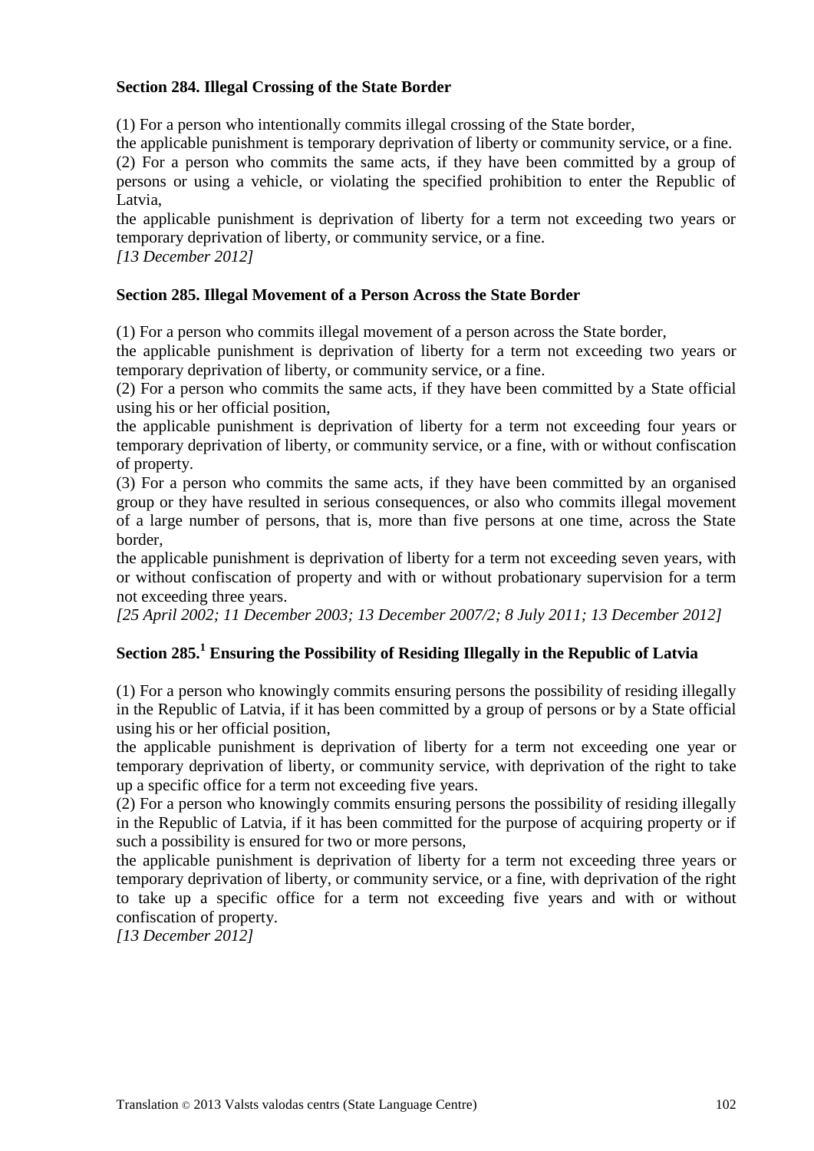#### **Section 284. Illegal Crossing of the State Border**

(1) For a person who intentionally commits illegal crossing of the State border,

the applicable punishment is temporary deprivation of liberty or community service, or a fine.

(2) For a person who commits the same acts, if they have been committed by a group of persons or using a vehicle, or violating the specified prohibition to enter the Republic of Latvia,

the applicable punishment is deprivation of liberty for a term not exceeding two years or temporary deprivation of liberty, or community service, or a fine.

*[13 December 2012]*

#### **Section 285. Illegal Movement of a Person Across the State Border**

(1) For a person who commits illegal movement of a person across the State border,

the applicable punishment is deprivation of liberty for a term not exceeding two years or temporary deprivation of liberty, or community service, or a fine.

(2) For a person who commits the same acts, if they have been committed by a State official using his or her official position,

the applicable punishment is deprivation of liberty for a term not exceeding four years or temporary deprivation of liberty, or community service, or a fine, with or without confiscation of property.

(3) For a person who commits the same acts, if they have been committed by an organised group or they have resulted in serious consequences, or also who commits illegal movement of a large number of persons, that is, more than five persons at one time, across the State border,

the applicable punishment is deprivation of liberty for a term not exceeding seven years, with or without confiscation of property and with or without probationary supervision for a term not exceeding three years.

*[25 April 2002; 11 December 2003; 13 December 2007/2; 8 July 2011; 13 December 2012]*

# **Section 285.<sup>1</sup> Ensuring the Possibility of Residing Illegally in the Republic of Latvia**

(1) For a person who knowingly commits ensuring persons the possibility of residing illegally in the Republic of Latvia, if it has been committed by a group of persons or by a State official using his or her official position,

the applicable punishment is deprivation of liberty for a term not exceeding one year or temporary deprivation of liberty, or community service, with deprivation of the right to take up a specific office for a term not exceeding five years.

(2) For a person who knowingly commits ensuring persons the possibility of residing illegally in the Republic of Latvia, if it has been committed for the purpose of acquiring property or if such a possibility is ensured for two or more persons,

the applicable punishment is deprivation of liberty for a term not exceeding three years or temporary deprivation of liberty, or community service, or a fine, with deprivation of the right to take up a specific office for a term not exceeding five years and with or without confiscation of property.

*[13 December 2012]*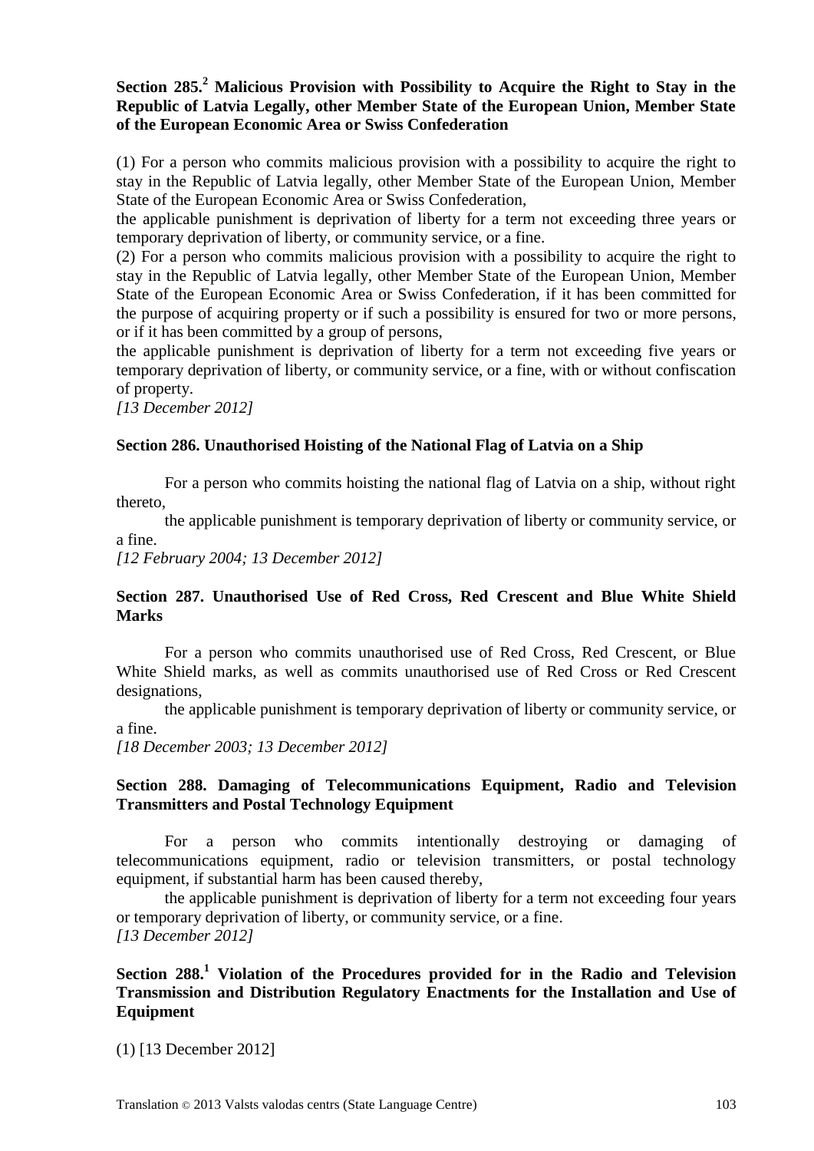**Section 285.<sup>2</sup> Malicious Provision with Possibility to Acquire the Right to Stay in the Republic of Latvia Legally, other Member State of the European Union, Member State of the European Economic Area or Swiss Confederation**

(1) For a person who commits malicious provision with a possibility to acquire the right to stay in the Republic of Latvia legally, other Member State of the European Union, Member State of the European Economic Area or Swiss Confederation,

the applicable punishment is deprivation of liberty for a term not exceeding three years or temporary deprivation of liberty, or community service, or a fine.

(2) For a person who commits malicious provision with a possibility to acquire the right to stay in the Republic of Latvia legally, other Member State of the European Union, Member State of the European Economic Area or Swiss Confederation, if it has been committed for the purpose of acquiring property or if such a possibility is ensured for two or more persons, or if it has been committed by a group of persons,

the applicable punishment is deprivation of liberty for a term not exceeding five years or temporary deprivation of liberty, or community service, or a fine, with or without confiscation of property.

*[13 December 2012]*

#### **Section 286. Unauthorised Hoisting of the National Flag of Latvia on a Ship**

For a person who commits hoisting the national flag of Latvia on a ship, without right thereto,

the applicable punishment is temporary deprivation of liberty or community service, or a fine.

*[12 February 2004; 13 December 2012]*

#### **Section 287. Unauthorised Use of Red Cross, Red Crescent and Blue White Shield Marks**

For a person who commits unauthorised use of Red Cross, Red Crescent, or Blue White Shield marks, as well as commits unauthorised use of Red Cross or Red Crescent designations,

the applicable punishment is temporary deprivation of liberty or community service, or a fine.

*[18 December 2003; 13 December 2012]*

#### **Section 288. Damaging of Telecommunications Equipment, Radio and Television Transmitters and Postal Technology Equipment**

For a person who commits intentionally destroying or damaging of telecommunications equipment, radio or television transmitters, or postal technology equipment, if substantial harm has been caused thereby,

the applicable punishment is deprivation of liberty for a term not exceeding four years or temporary deprivation of liberty, or community service, or a fine. *[13 December 2012]*

#### **Section 288.<sup>1</sup> Violation of the Procedures provided for in the Radio and Television Transmission and Distribution Regulatory Enactments for the Installation and Use of Equipment**

(1) [13 December 2012]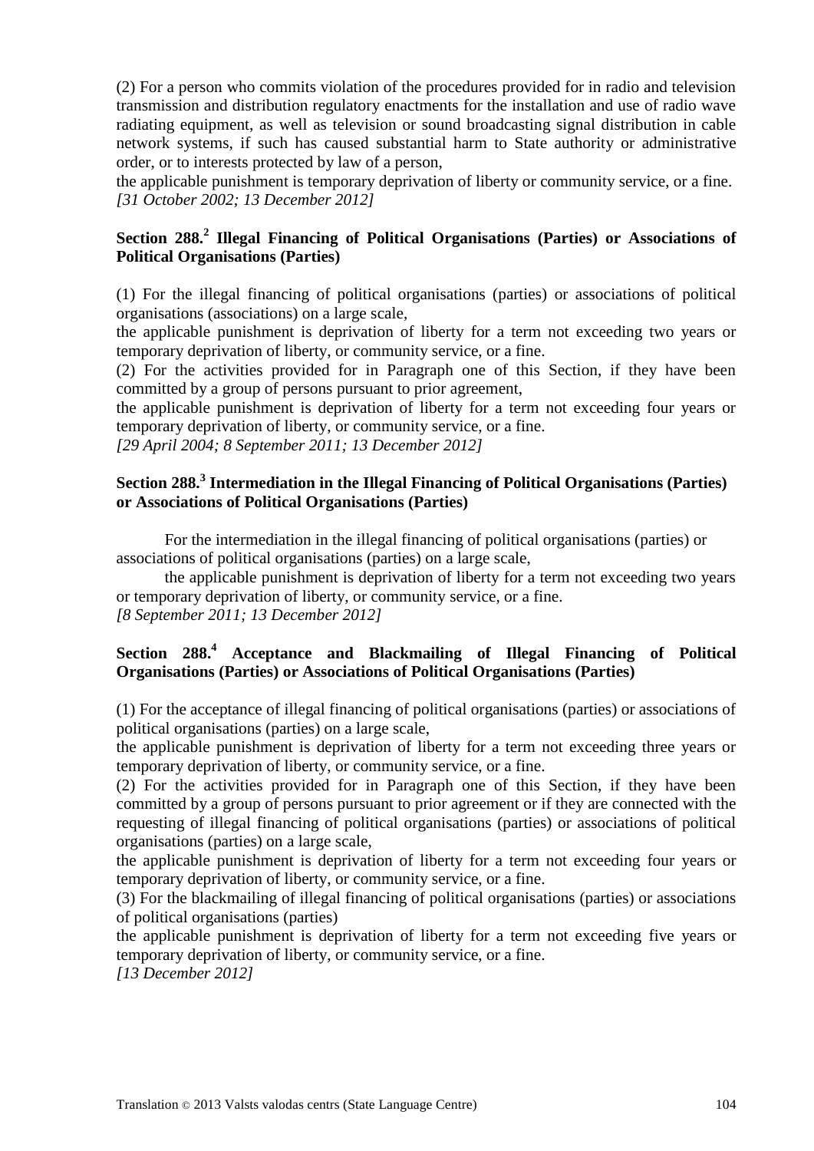(2) For a person who commits violation of the procedures provided for in radio and television transmission and distribution regulatory enactments for the installation and use of radio wave radiating equipment, as well as television or sound broadcasting signal distribution in cable network systems, if such has caused substantial harm to State authority or administrative order, or to interests protected by law of a person,

the applicable punishment is temporary deprivation of liberty or community service, or a fine. *[31 October 2002; 13 December 2012]*

### **Section 288.<sup>2</sup> Illegal Financing of Political Organisations (Parties) or Associations of Political Organisations (Parties)**

(1) For the illegal financing of political organisations (parties) or associations of political organisations (associations) on a large scale,

the applicable punishment is deprivation of liberty for a term not exceeding two years or temporary deprivation of liberty, or community service, or a fine.

(2) For the activities provided for in Paragraph one of this Section, if they have been committed by a group of persons pursuant to prior agreement,

the applicable punishment is deprivation of liberty for a term not exceeding four years or temporary deprivation of liberty, or community service, or a fine.

*[29 April 2004; 8 September 2011; 13 December 2012]*

#### **Section 288.<sup>3</sup> Intermediation in the Illegal Financing of Political Organisations (Parties) or Associations of Political Organisations (Parties)**

For the intermediation in the illegal financing of political organisations (parties) or associations of political organisations (parties) on a large scale,

the applicable punishment is deprivation of liberty for a term not exceeding two years or temporary deprivation of liberty, or community service, or a fine. *[8 September 2011; 13 December 2012]*

#### **Section 288.<sup>4</sup> Acceptance and Blackmailing of Illegal Financing of Political Organisations (Parties) or Associations of Political Organisations (Parties)**

(1) For the acceptance of illegal financing of political organisations (parties) or associations of political organisations (parties) on a large scale,

the applicable punishment is deprivation of liberty for a term not exceeding three years or temporary deprivation of liberty, or community service, or a fine.

(2) For the activities provided for in Paragraph one of this Section, if they have been committed by a group of persons pursuant to prior agreement or if they are connected with the requesting of illegal financing of political organisations (parties) or associations of political organisations (parties) on a large scale,

the applicable punishment is deprivation of liberty for a term not exceeding four years or temporary deprivation of liberty, or community service, or a fine.

(3) For the blackmailing of illegal financing of political organisations (parties) or associations of political organisations (parties)

the applicable punishment is deprivation of liberty for a term not exceeding five years or temporary deprivation of liberty, or community service, or a fine.

*[13 December 2012]*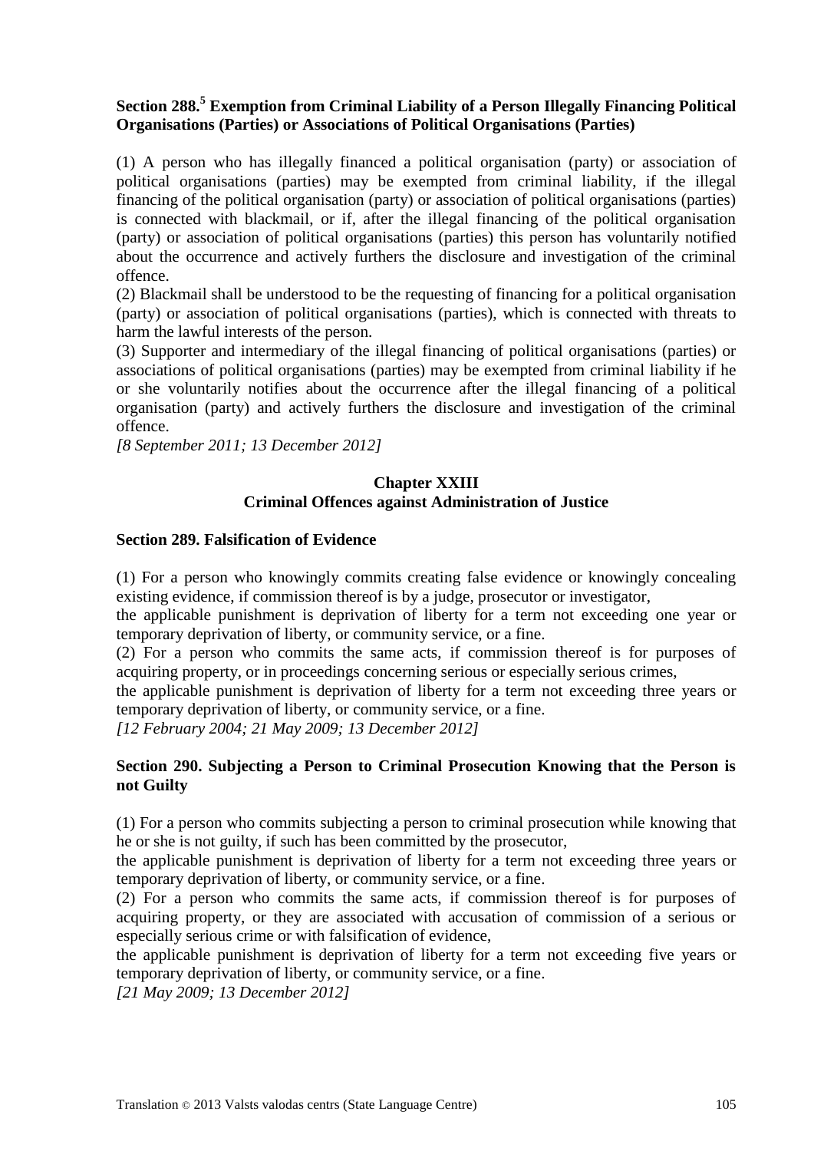#### **Section 288.<sup>5</sup> Exemption from Criminal Liability of a Person Illegally Financing Political Organisations (Parties) or Associations of Political Organisations (Parties)**

(1) A person who has illegally financed a political organisation (party) or association of political organisations (parties) may be exempted from criminal liability, if the illegal financing of the political organisation (party) or association of political organisations (parties) is connected with blackmail, or if, after the illegal financing of the political organisation (party) or association of political organisations (parties) this person has voluntarily notified about the occurrence and actively furthers the disclosure and investigation of the criminal offence.

(2) Blackmail shall be understood to be the requesting of financing for a political organisation (party) or association of political organisations (parties), which is connected with threats to harm the lawful interests of the person.

(3) Supporter and intermediary of the illegal financing of political organisations (parties) or associations of political organisations (parties) may be exempted from criminal liability if he or she voluntarily notifies about the occurrence after the illegal financing of a political organisation (party) and actively furthers the disclosure and investigation of the criminal offence.

*[8 September 2011; 13 December 2012]*

#### **Chapter XXIII Criminal Offences against Administration of Justice**

#### **Section 289. Falsification of Evidence**

(1) For a person who knowingly commits creating false evidence or knowingly concealing existing evidence, if commission thereof is by a judge, prosecutor or investigator,

the applicable punishment is deprivation of liberty for a term not exceeding one year or temporary deprivation of liberty, or community service, or a fine.

(2) For a person who commits the same acts, if commission thereof is for purposes of acquiring property, or in proceedings concerning serious or especially serious crimes,

the applicable punishment is deprivation of liberty for a term not exceeding three years or temporary deprivation of liberty, or community service, or a fine.

*[12 February 2004; 21 May 2009; 13 December 2012]*

#### **Section 290. Subjecting a Person to Criminal Prosecution Knowing that the Person is not Guilty**

(1) For a person who commits subjecting a person to criminal prosecution while knowing that he or she is not guilty, if such has been committed by the prosecutor,

the applicable punishment is deprivation of liberty for a term not exceeding three years or temporary deprivation of liberty, or community service, or a fine.

(2) For a person who commits the same acts, if commission thereof is for purposes of acquiring property, or they are associated with accusation of commission of a serious or especially serious crime or with falsification of evidence,

the applicable punishment is deprivation of liberty for a term not exceeding five years or temporary deprivation of liberty, or community service, or a fine.

*[21 May 2009; 13 December 2012]*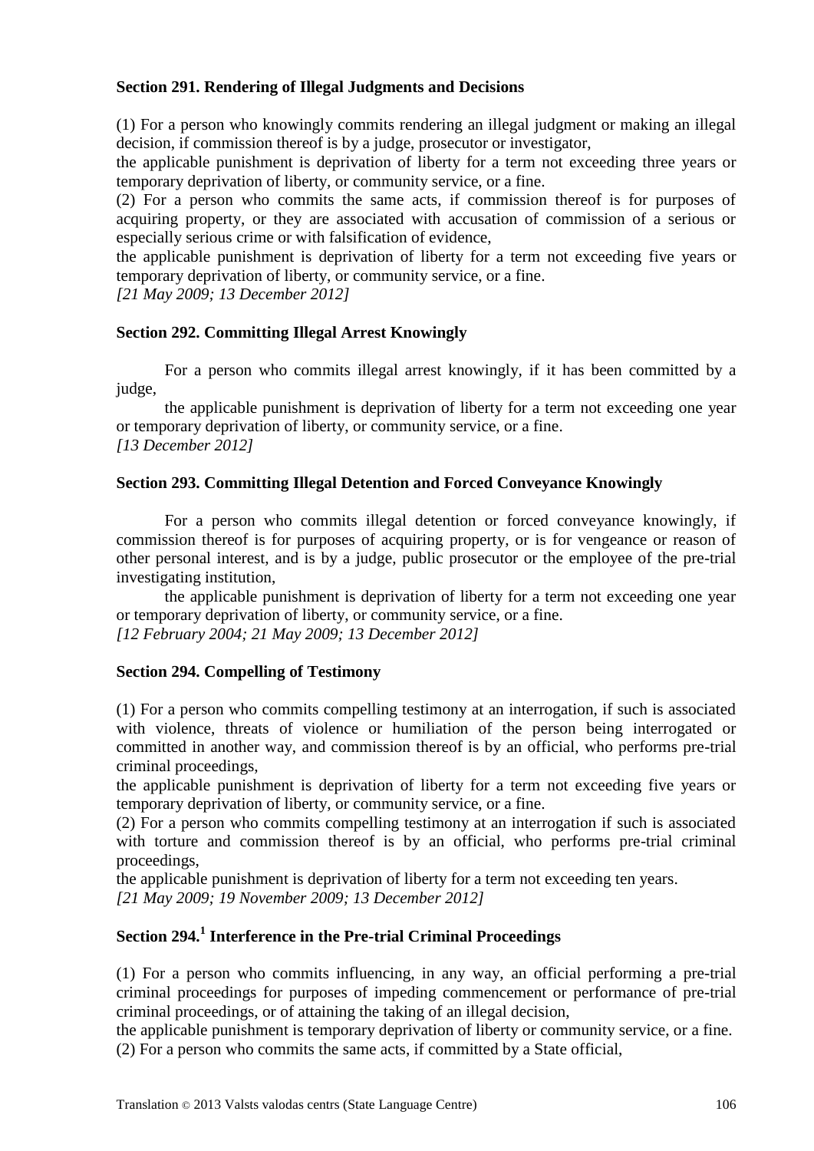#### **Section 291. Rendering of Illegal Judgments and Decisions**

(1) For a person who knowingly commits rendering an illegal judgment or making an illegal decision, if commission thereof is by a judge, prosecutor or investigator,

the applicable punishment is deprivation of liberty for a term not exceeding three years or temporary deprivation of liberty, or community service, or a fine.

(2) For a person who commits the same acts, if commission thereof is for purposes of acquiring property, or they are associated with accusation of commission of a serious or especially serious crime or with falsification of evidence,

the applicable punishment is deprivation of liberty for a term not exceeding five years or temporary deprivation of liberty, or community service, or a fine.

*[21 May 2009; 13 December 2012]*

#### **Section 292. Committing Illegal Arrest Knowingly**

For a person who commits illegal arrest knowingly, if it has been committed by a judge,

the applicable punishment is deprivation of liberty for a term not exceeding one year or temporary deprivation of liberty, or community service, or a fine. *[13 December 2012]*

#### **Section 293. Committing Illegal Detention and Forced Conveyance Knowingly**

For a person who commits illegal detention or forced conveyance knowingly, if commission thereof is for purposes of acquiring property, or is for vengeance or reason of other personal interest, and is by a judge, public prosecutor or the employee of the pre-trial investigating institution,

the applicable punishment is deprivation of liberty for a term not exceeding one year or temporary deprivation of liberty, or community service, or a fine. *[12 February 2004; 21 May 2009; 13 December 2012]*

#### **Section 294. Compelling of Testimony**

(1) For a person who commits compelling testimony at an interrogation, if such is associated with violence, threats of violence or humiliation of the person being interrogated or committed in another way, and commission thereof is by an official, who performs pre-trial criminal proceedings,

the applicable punishment is deprivation of liberty for a term not exceeding five years or temporary deprivation of liberty, or community service, or a fine.

(2) For a person who commits compelling testimony at an interrogation if such is associated with torture and commission thereof is by an official, who performs pre-trial criminal proceedings,

the applicable punishment is deprivation of liberty for a term not exceeding ten years.

*[21 May 2009; 19 November 2009; 13 December 2012]*

# **Section 294.<sup>1</sup> Interference in the Pre-trial Criminal Proceedings**

(1) For a person who commits influencing, in any way, an official performing a pre-trial criminal proceedings for purposes of impeding commencement or performance of pre-trial criminal proceedings, or of attaining the taking of an illegal decision,

the applicable punishment is temporary deprivation of liberty or community service, or a fine. (2) For a person who commits the same acts, if committed by a State official,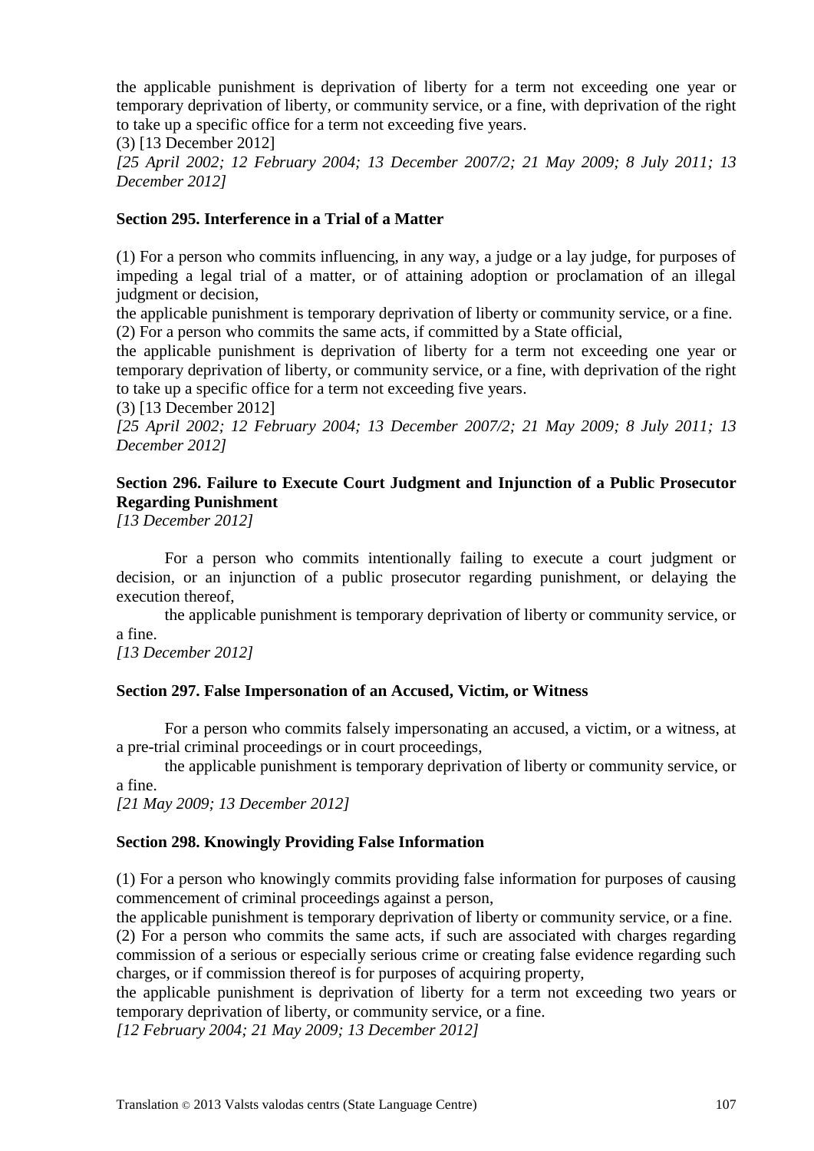the applicable punishment is deprivation of liberty for a term not exceeding one year or temporary deprivation of liberty, or community service, or a fine, with deprivation of the right to take up a specific office for a term not exceeding five years.

(3) [13 December 2012]

*[25 April 2002; 12 February 2004; 13 December 2007/2; 21 May 2009; 8 July 2011; 13 December 2012]*

#### **Section 295. Interference in a Trial of a Matter**

(1) For a person who commits influencing, in any way, a judge or a lay judge, for purposes of impeding a legal trial of a matter, or of attaining adoption or proclamation of an illegal judgment or decision.

the applicable punishment is temporary deprivation of liberty or community service, or a fine. (2) For a person who commits the same acts, if committed by a State official,

the applicable punishment is deprivation of liberty for a term not exceeding one year or temporary deprivation of liberty, or community service, or a fine, with deprivation of the right to take up a specific office for a term not exceeding five years.

(3) [13 December 2012] *[25 April 2002; 12 February 2004; 13 December 2007/2; 21 May 2009; 8 July 2011; 13 December 2012]*

# **Section 296. Failure to Execute Court Judgment and Injunction of a Public Prosecutor Regarding Punishment**

*[13 December 2012]*

For a person who commits intentionally failing to execute a court judgment or decision, or an injunction of a public prosecutor regarding punishment, or delaying the execution thereof,

the applicable punishment is temporary deprivation of liberty or community service, or a fine.

*[13 December 2012]*

#### **Section 297. False Impersonation of an Accused, Victim, or Witness**

For a person who commits falsely impersonating an accused, a victim, or a witness, at a pre-trial criminal proceedings or in court proceedings,

the applicable punishment is temporary deprivation of liberty or community service, or a fine.

*[21 May 2009; 13 December 2012]*

#### **Section 298. Knowingly Providing False Information**

(1) For a person who knowingly commits providing false information for purposes of causing commencement of criminal proceedings against a person,

the applicable punishment is temporary deprivation of liberty or community service, or a fine. (2) For a person who commits the same acts, if such are associated with charges regarding commission of a serious or especially serious crime or creating false evidence regarding such charges, or if commission thereof is for purposes of acquiring property,

the applicable punishment is deprivation of liberty for a term not exceeding two years or temporary deprivation of liberty, or community service, or a fine.

*[12 February 2004; 21 May 2009; 13 December 2012]*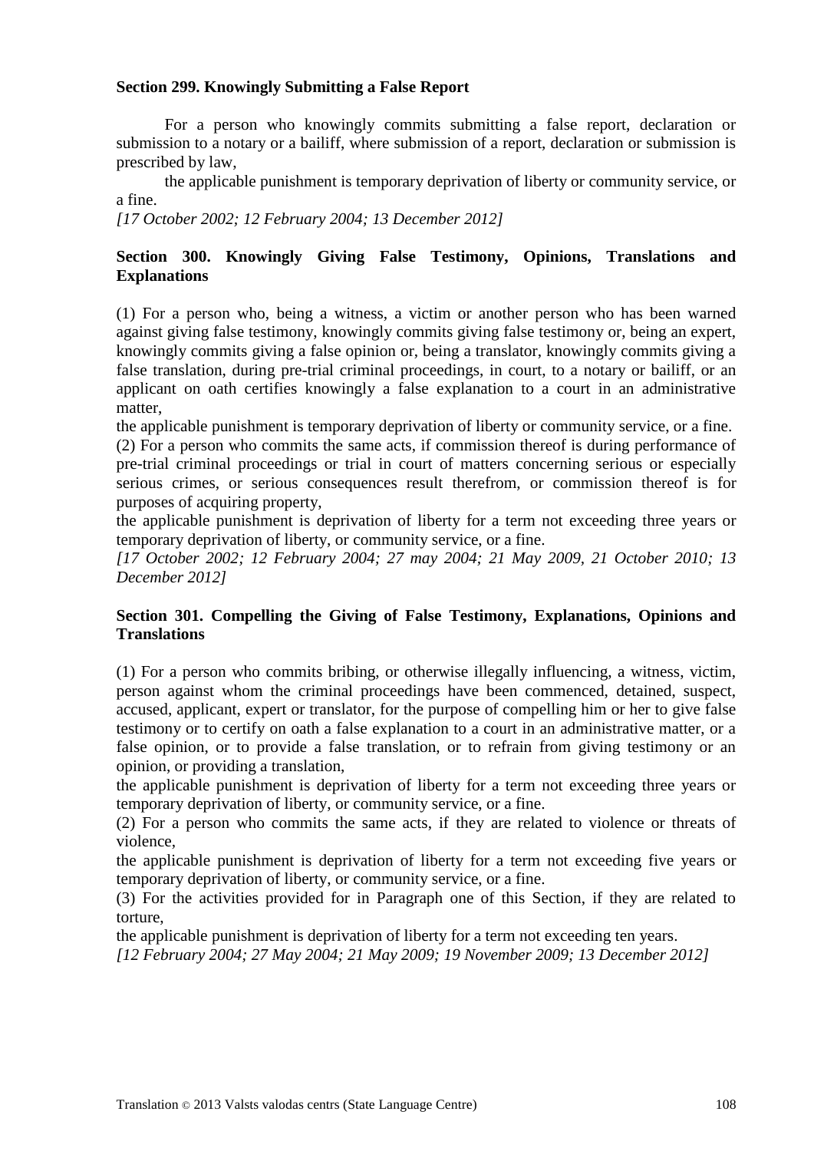#### **Section 299. Knowingly Submitting a False Report**

For a person who knowingly commits submitting a false report, declaration or submission to a notary or a bailiff, where submission of a report, declaration or submission is prescribed by law,

the applicable punishment is temporary deprivation of liberty or community service, or a fine.

*[17 October 2002; 12 February 2004; 13 December 2012]*

#### **Section 300. Knowingly Giving False Testimony, Opinions, Translations and Explanations**

(1) For a person who, being a witness, a victim or another person who has been warned against giving false testimony, knowingly commits giving false testimony or, being an expert, knowingly commits giving a false opinion or, being a translator, knowingly commits giving a false translation, during pre-trial criminal proceedings, in court, to a notary or bailiff, or an applicant on oath certifies knowingly a false explanation to a court in an administrative matter,

the applicable punishment is temporary deprivation of liberty or community service, or a fine.

(2) For a person who commits the same acts, if commission thereof is during performance of pre-trial criminal proceedings or trial in court of matters concerning serious or especially serious crimes, or serious consequences result therefrom, or commission thereof is for purposes of acquiring property,

the applicable punishment is deprivation of liberty for a term not exceeding three years or temporary deprivation of liberty, or community service, or a fine.

*[17 October 2002; 12 February 2004; 27 may 2004; 21 May 2009, 21 October 2010; 13 December 2012]*

#### **Section 301. Compelling the Giving of False Testimony, Explanations, Opinions and Translations**

(1) For a person who commits bribing, or otherwise illegally influencing, a witness, victim, person against whom the criminal proceedings have been commenced, detained, suspect, accused, applicant, expert or translator, for the purpose of compelling him or her to give false testimony or to certify on oath a false explanation to a court in an administrative matter, or a false opinion, or to provide a false translation, or to refrain from giving testimony or an opinion, or providing a translation,

the applicable punishment is deprivation of liberty for a term not exceeding three years or temporary deprivation of liberty, or community service, or a fine.

(2) For a person who commits the same acts, if they are related to violence or threats of violence,

the applicable punishment is deprivation of liberty for a term not exceeding five years or temporary deprivation of liberty, or community service, or a fine.

(3) For the activities provided for in Paragraph one of this Section, if they are related to torture,

the applicable punishment is deprivation of liberty for a term not exceeding ten years.

*[12 February 2004; 27 May 2004; 21 May 2009; 19 November 2009; 13 December 2012]*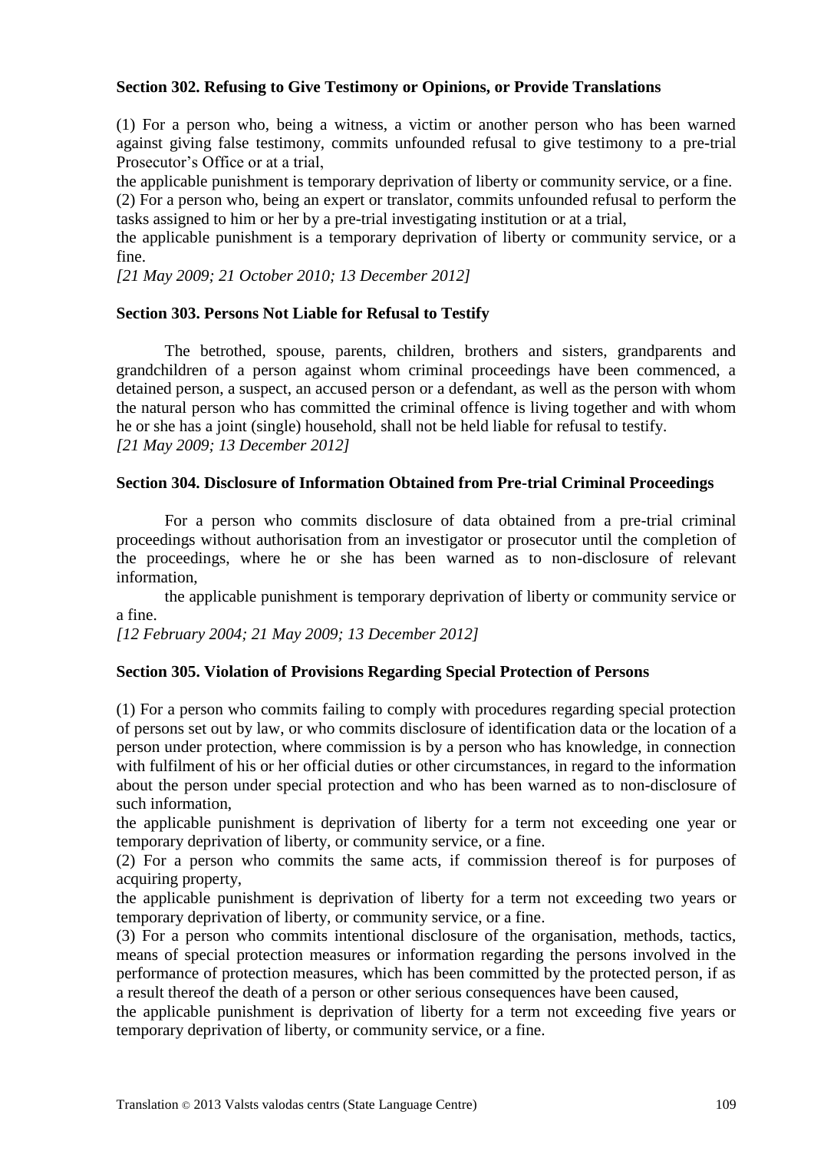#### **Section 302. Refusing to Give Testimony or Opinions, or Provide Translations**

(1) For a person who, being a witness, a victim or another person who has been warned against giving false testimony, commits unfounded refusal to give testimony to a pre-trial Prosecutor's Office or at a trial,

the applicable punishment is temporary deprivation of liberty or community service, or a fine.

(2) For a person who, being an expert or translator, commits unfounded refusal to perform the tasks assigned to him or her by a pre-trial investigating institution or at a trial,

the applicable punishment is a temporary deprivation of liberty or community service, or a fine.

*[21 May 2009; 21 October 2010; 13 December 2012]*

# **Section 303. Persons Not Liable for Refusal to Testify**

The betrothed, spouse, parents, children, brothers and sisters, grandparents and grandchildren of a person against whom criminal proceedings have been commenced, a detained person, a suspect, an accused person or a defendant, as well as the person with whom the natural person who has committed the criminal offence is living together and with whom he or she has a joint (single) household, shall not be held liable for refusal to testify. *[21 May 2009; 13 December 2012]*

#### **Section 304. Disclosure of Information Obtained from Pre-trial Criminal Proceedings**

For a person who commits disclosure of data obtained from a pre-trial criminal proceedings without authorisation from an investigator or prosecutor until the completion of the proceedings, where he or she has been warned as to non-disclosure of relevant information,

the applicable punishment is temporary deprivation of liberty or community service or a fine.

*[12 February 2004; 21 May 2009; 13 December 2012]*

#### **Section 305. Violation of Provisions Regarding Special Protection of Persons**

(1) For a person who commits failing to comply with procedures regarding special protection of persons set out by law, or who commits disclosure of identification data or the location of a person under protection, where commission is by a person who has knowledge, in connection with fulfilment of his or her official duties or other circumstances, in regard to the information about the person under special protection and who has been warned as to non-disclosure of such information,

the applicable punishment is deprivation of liberty for a term not exceeding one year or temporary deprivation of liberty, or community service, or a fine.

(2) For a person who commits the same acts, if commission thereof is for purposes of acquiring property,

the applicable punishment is deprivation of liberty for a term not exceeding two years or temporary deprivation of liberty, or community service, or a fine.

(3) For a person who commits intentional disclosure of the organisation, methods, tactics, means of special protection measures or information regarding the persons involved in the performance of protection measures, which has been committed by the protected person, if as a result thereof the death of a person or other serious consequences have been caused,

the applicable punishment is deprivation of liberty for a term not exceeding five years or temporary deprivation of liberty, or community service, or a fine.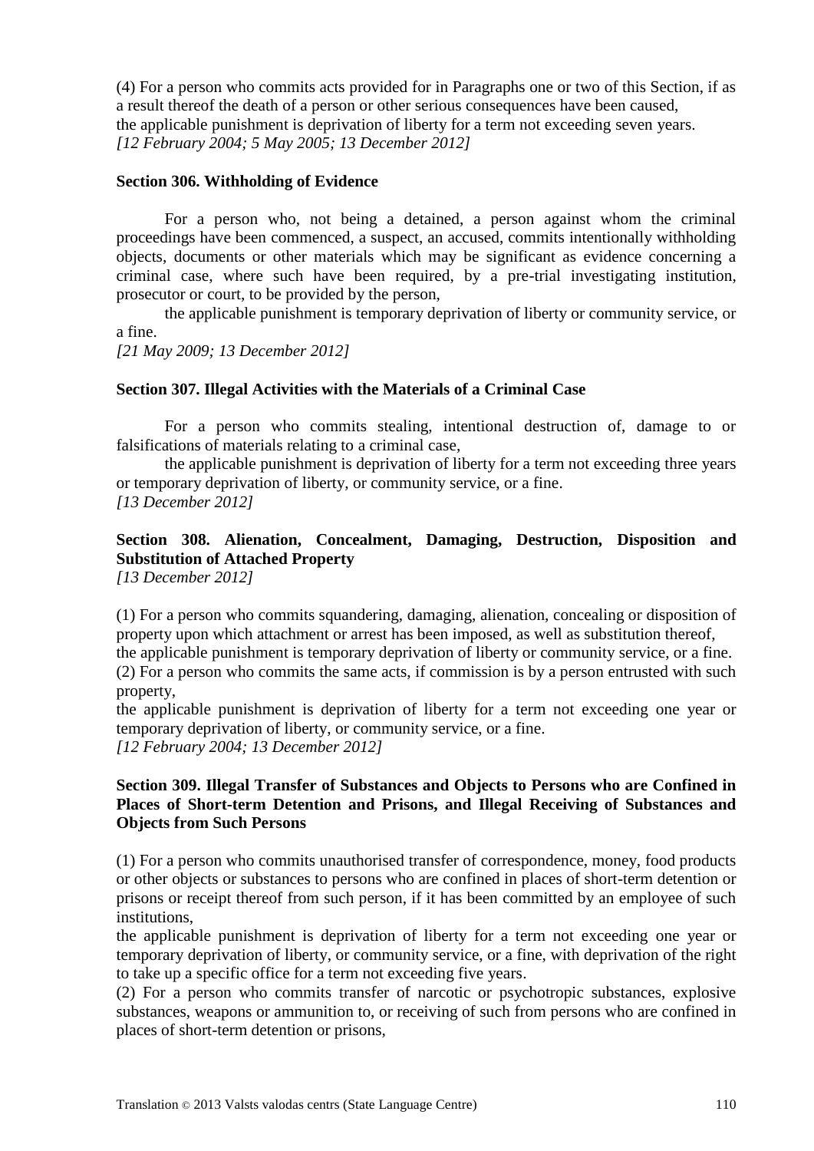(4) For a person who commits acts provided for in Paragraphs one or two of this Section, if as a result thereof the death of a person or other serious consequences have been caused, the applicable punishment is deprivation of liberty for a term not exceeding seven years. *[12 February 2004; 5 May 2005; 13 December 2012]*

#### **Section 306. Withholding of Evidence**

For a person who, not being a detained, a person against whom the criminal proceedings have been commenced, a suspect, an accused, commits intentionally withholding objects, documents or other materials which may be significant as evidence concerning a criminal case, where such have been required, by a pre-trial investigating institution, prosecutor or court, to be provided by the person,

the applicable punishment is temporary deprivation of liberty or community service, or a fine.

*[21 May 2009; 13 December 2012]*

#### **Section 307. Illegal Activities with the Materials of a Criminal Case**

For a person who commits stealing, intentional destruction of, damage to or falsifications of materials relating to a criminal case,

the applicable punishment is deprivation of liberty for a term not exceeding three years or temporary deprivation of liberty, or community service, or a fine. *[13 December 2012]*

# **Section 308. Alienation, Concealment, Damaging, Destruction, Disposition and Substitution of Attached Property**

*[13 December 2012]*

(1) For a person who commits squandering, damaging, alienation, concealing or disposition of property upon which attachment or arrest has been imposed, as well as substitution thereof,

the applicable punishment is temporary deprivation of liberty or community service, or a fine. (2) For a person who commits the same acts, if commission is by a person entrusted with such

property,

the applicable punishment is deprivation of liberty for a term not exceeding one year or temporary deprivation of liberty, or community service, or a fine. *[12 February 2004; 13 December 2012]*

# **Section 309. Illegal Transfer of Substances and Objects to Persons who are Confined in Places of Short-term Detention and Prisons, and Illegal Receiving of Substances and Objects from Such Persons**

(1) For a person who commits unauthorised transfer of correspondence, money, food products or other objects or substances to persons who are confined in places of short-term detention or prisons or receipt thereof from such person, if it has been committed by an employee of such institutions,

the applicable punishment is deprivation of liberty for a term not exceeding one year or temporary deprivation of liberty, or community service, or a fine, with deprivation of the right to take up a specific office for a term not exceeding five years.

(2) For a person who commits transfer of narcotic or psychotropic substances, explosive substances, weapons or ammunition to, or receiving of such from persons who are confined in places of short-term detention or prisons,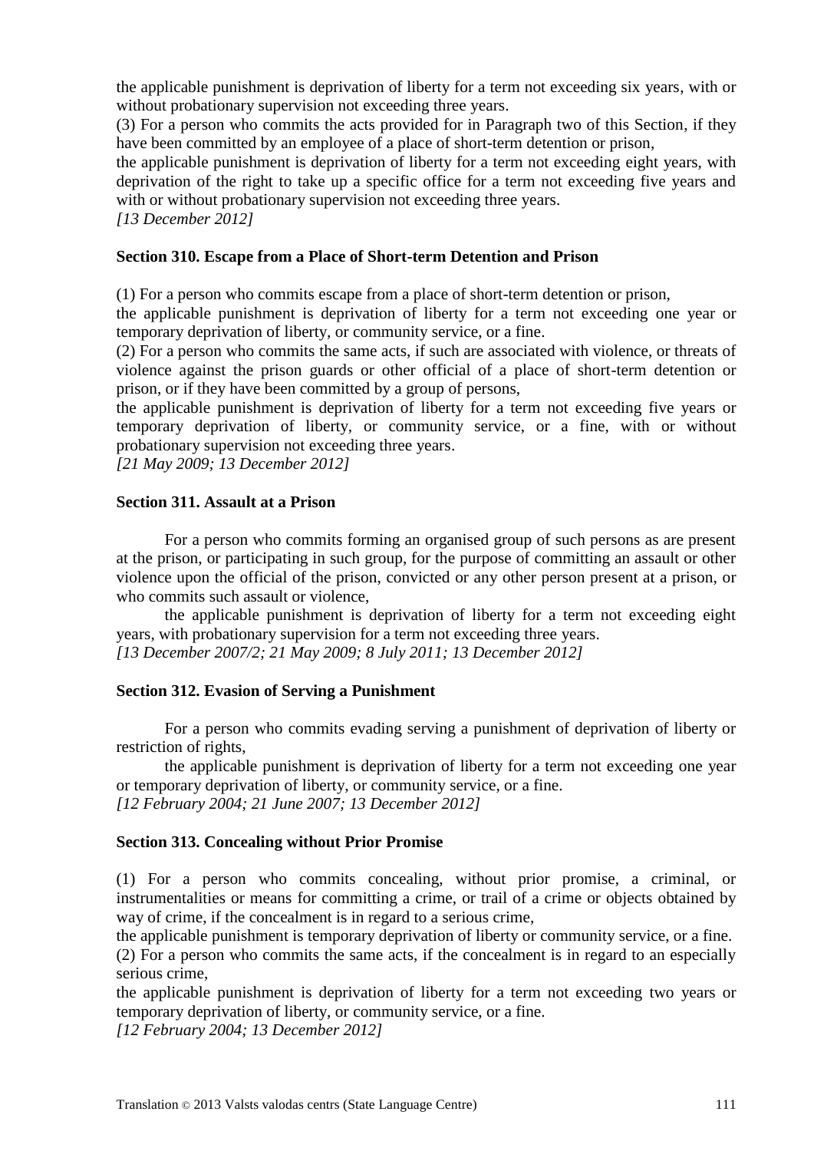the applicable punishment is deprivation of liberty for a term not exceeding six years, with or without probationary supervision not exceeding three years.

(3) For a person who commits the acts provided for in Paragraph two of this Section, if they have been committed by an employee of a place of short-term detention or prison,

the applicable punishment is deprivation of liberty for a term not exceeding eight years, with deprivation of the right to take up a specific office for a term not exceeding five years and with or without probationary supervision not exceeding three years.

*[13 December 2012]*

#### **Section 310. Escape from a Place of Short-term Detention and Prison**

(1) For a person who commits escape from a place of short-term detention or prison,

the applicable punishment is deprivation of liberty for a term not exceeding one year or temporary deprivation of liberty, or community service, or a fine.

(2) For a person who commits the same acts, if such are associated with violence, or threats of violence against the prison guards or other official of a place of short-term detention or prison, or if they have been committed by a group of persons,

the applicable punishment is deprivation of liberty for a term not exceeding five years or temporary deprivation of liberty, or community service, or a fine, with or without probationary supervision not exceeding three years.

*[21 May 2009; 13 December 2012]*

#### **Section 311. Assault at a Prison**

For a person who commits forming an organised group of such persons as are present at the prison, or participating in such group, for the purpose of committing an assault or other violence upon the official of the prison, convicted or any other person present at a prison, or who commits such assault or violence,

the applicable punishment is deprivation of liberty for a term not exceeding eight years, with probationary supervision for a term not exceeding three years. *[13 December 2007/2; 21 May 2009; 8 July 2011; 13 December 2012]*

#### **Section 312. Evasion of Serving a Punishment**

For a person who commits evading serving a punishment of deprivation of liberty or restriction of rights,

the applicable punishment is deprivation of liberty for a term not exceeding one year or temporary deprivation of liberty, or community service, or a fine. *[12 February 2004; 21 June 2007; 13 December 2012]*

**Section 313. Concealing without Prior Promise**

(1) For a person who commits concealing, without prior promise, a criminal, or instrumentalities or means for committing a crime, or trail of a crime or objects obtained by way of crime, if the concealment is in regard to a serious crime,

the applicable punishment is temporary deprivation of liberty or community service, or a fine. (2) For a person who commits the same acts, if the concealment is in regard to an especially serious crime,

the applicable punishment is deprivation of liberty for a term not exceeding two years or temporary deprivation of liberty, or community service, or a fine.

*[12 February 2004; 13 December 2012]*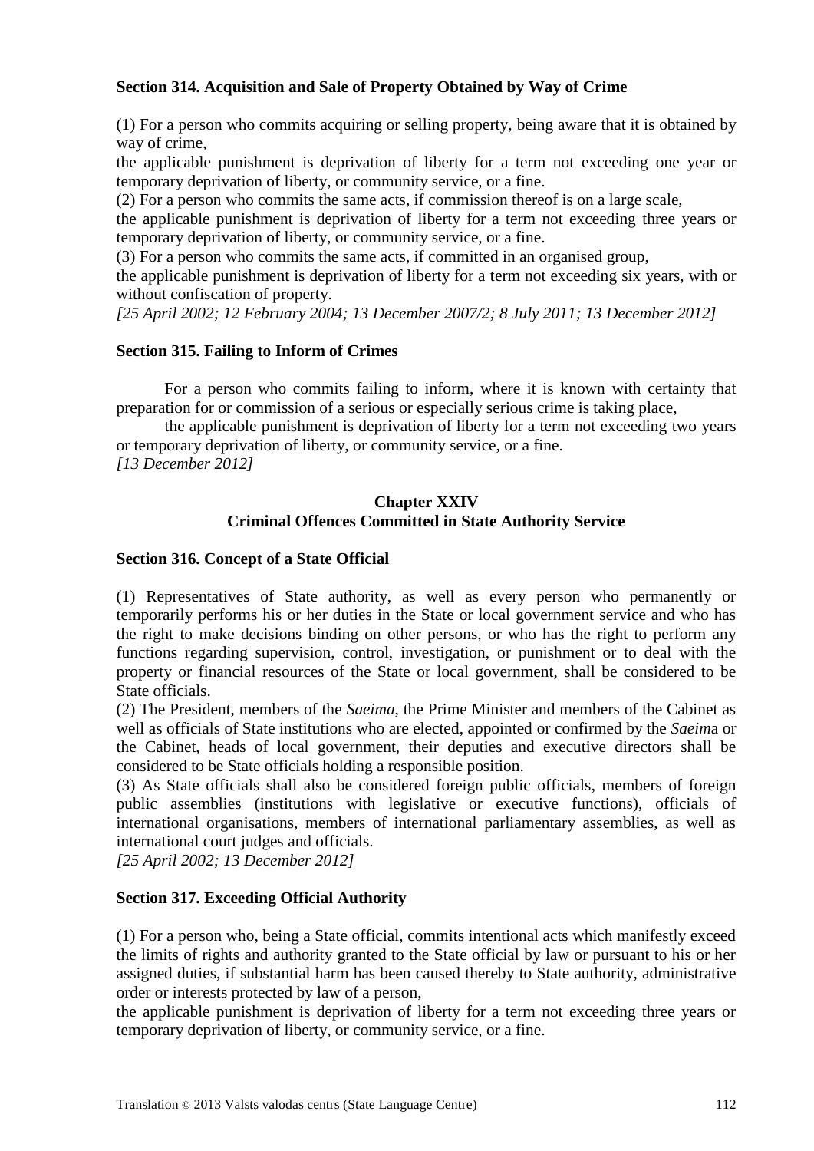# **Section 314. Acquisition and Sale of Property Obtained by Way of Crime**

(1) For a person who commits acquiring or selling property, being aware that it is obtained by way of crime,

the applicable punishment is deprivation of liberty for a term not exceeding one year or temporary deprivation of liberty, or community service, or a fine.

(2) For a person who commits the same acts, if commission thereof is on a large scale,

the applicable punishment is deprivation of liberty for a term not exceeding three years or temporary deprivation of liberty, or community service, or a fine.

(3) For a person who commits the same acts, if committed in an organised group,

the applicable punishment is deprivation of liberty for a term not exceeding six years, with or without confiscation of property.

*[25 April 2002; 12 February 2004; 13 December 2007/2; 8 July 2011; 13 December 2012]*

# **Section 315. Failing to Inform of Crimes**

For a person who commits failing to inform, where it is known with certainty that preparation for or commission of a serious or especially serious crime is taking place,

the applicable punishment is deprivation of liberty for a term not exceeding two years or temporary deprivation of liberty, or community service, or a fine. *[13 December 2012]*

# **Chapter XXIV Criminal Offences Committed in State Authority Service**

# **Section 316. Concept of a State Official**

(1) Representatives of State authority, as well as every person who permanently or temporarily performs his or her duties in the State or local government service and who has the right to make decisions binding on other persons, or who has the right to perform any functions regarding supervision, control, investigation, or punishment or to deal with the property or financial resources of the State or local government, shall be considered to be State officials.

(2) The President, members of the *Saeima*, the Prime Minister and members of the Cabinet as well as officials of State institutions who are elected, appointed or confirmed by the *Saeim*a or the Cabinet, heads of local government, their deputies and executive directors shall be considered to be State officials holding a responsible position.

(3) As State officials shall also be considered foreign public officials, members of foreign public assemblies (institutions with legislative or executive functions), officials of international organisations, members of international parliamentary assemblies, as well as international court judges and officials.

*[25 April 2002; 13 December 2012]*

#### **Section 317. Exceeding Official Authority**

(1) For a person who, being a State official, commits intentional acts which manifestly exceed the limits of rights and authority granted to the State official by law or pursuant to his or her assigned duties, if substantial harm has been caused thereby to State authority, administrative order or interests protected by law of a person,

the applicable punishment is deprivation of liberty for a term not exceeding three years or temporary deprivation of liberty, or community service, or a fine.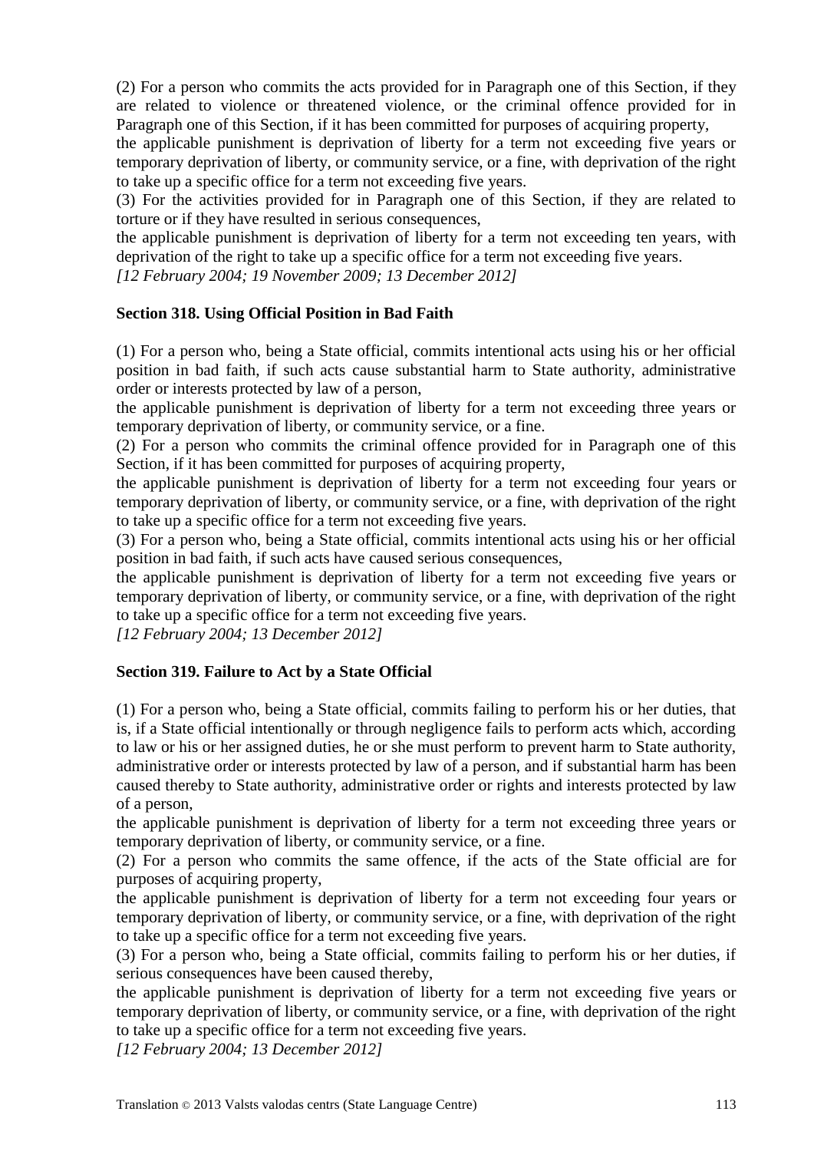(2) For a person who commits the acts provided for in Paragraph one of this Section, if they are related to violence or threatened violence, or the criminal offence provided for in Paragraph one of this Section, if it has been committed for purposes of acquiring property,

the applicable punishment is deprivation of liberty for a term not exceeding five years or temporary deprivation of liberty, or community service, or a fine, with deprivation of the right to take up a specific office for a term not exceeding five years.

(3) For the activities provided for in Paragraph one of this Section, if they are related to torture or if they have resulted in serious consequences,

the applicable punishment is deprivation of liberty for a term not exceeding ten years, with deprivation of the right to take up a specific office for a term not exceeding five years.

*[12 February 2004; 19 November 2009; 13 December 2012]*

# **Section 318. Using Official Position in Bad Faith**

(1) For a person who, being a State official, commits intentional acts using his or her official position in bad faith, if such acts cause substantial harm to State authority, administrative order or interests protected by law of a person,

the applicable punishment is deprivation of liberty for a term not exceeding three years or temporary deprivation of liberty, or community service, or a fine.

(2) For a person who commits the criminal offence provided for in Paragraph one of this Section, if it has been committed for purposes of acquiring property,

the applicable punishment is deprivation of liberty for a term not exceeding four years or temporary deprivation of liberty, or community service, or a fine, with deprivation of the right to take up a specific office for a term not exceeding five years.

(3) For a person who, being a State official, commits intentional acts using his or her official position in bad faith, if such acts have caused serious consequences,

the applicable punishment is deprivation of liberty for a term not exceeding five years or temporary deprivation of liberty, or community service, or a fine, with deprivation of the right to take up a specific office for a term not exceeding five years.

*[12 February 2004; 13 December 2012]*

# **Section 319. Failure to Act by a State Official**

(1) For a person who, being a State official, commits failing to perform his or her duties, that is, if a State official intentionally or through negligence fails to perform acts which, according to law or his or her assigned duties, he or she must perform to prevent harm to State authority, administrative order or interests protected by law of a person, and if substantial harm has been caused thereby to State authority, administrative order or rights and interests protected by law of a person,

the applicable punishment is deprivation of liberty for a term not exceeding three years or temporary deprivation of liberty, or community service, or a fine.

(2) For a person who commits the same offence, if the acts of the State official are for purposes of acquiring property,

the applicable punishment is deprivation of liberty for a term not exceeding four years or temporary deprivation of liberty, or community service, or a fine, with deprivation of the right to take up a specific office for a term not exceeding five years.

(3) For a person who, being a State official, commits failing to perform his or her duties, if serious consequences have been caused thereby,

the applicable punishment is deprivation of liberty for a term not exceeding five years or temporary deprivation of liberty, or community service, or a fine, with deprivation of the right to take up a specific office for a term not exceeding five years.

*[12 February 2004; 13 December 2012]*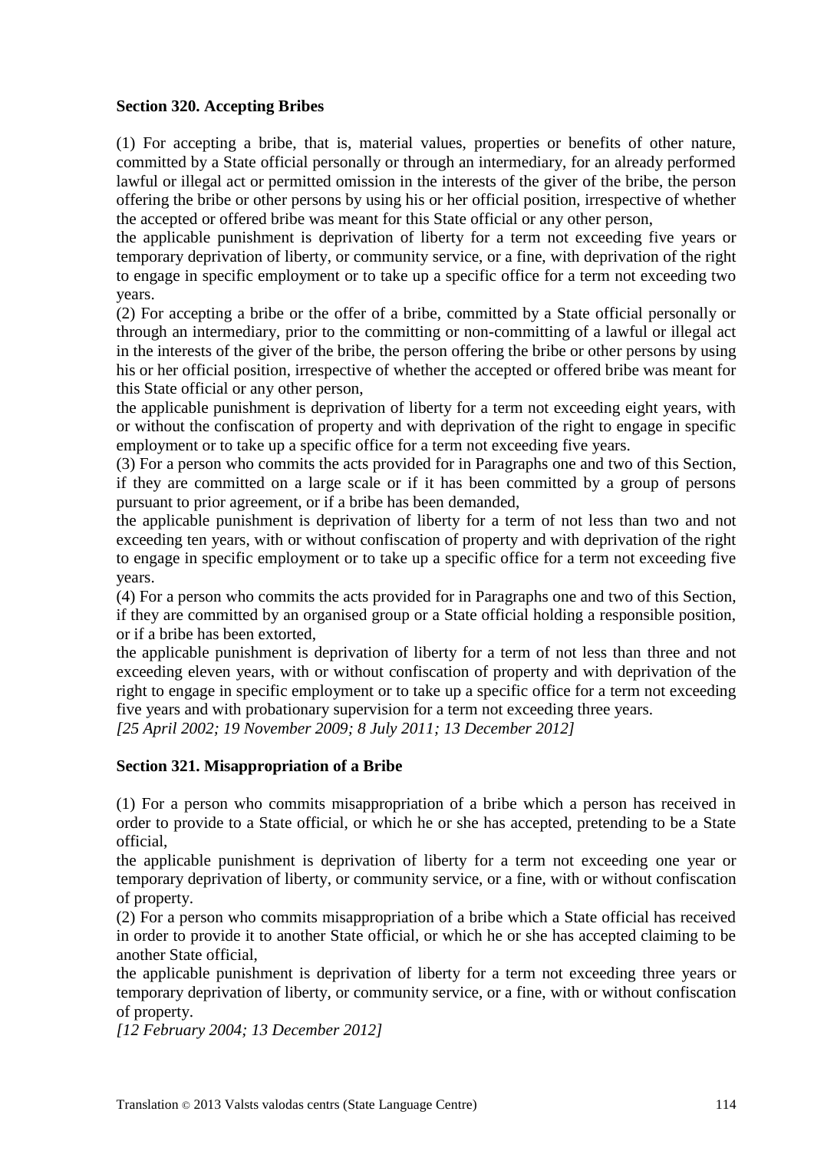# **Section 320. Accepting Bribes**

(1) For accepting a bribe, that is, material values, properties or benefits of other nature, committed by a State official personally or through an intermediary, for an already performed lawful or illegal act or permitted omission in the interests of the giver of the bribe, the person offering the bribe or other persons by using his or her official position, irrespective of whether the accepted or offered bribe was meant for this State official or any other person,

the applicable punishment is deprivation of liberty for a term not exceeding five years or temporary deprivation of liberty, or community service, or a fine, with deprivation of the right to engage in specific employment or to take up a specific office for a term not exceeding two years.

(2) For accepting a bribe or the offer of a bribe, committed by a State official personally or through an intermediary, prior to the committing or non-committing of a lawful or illegal act in the interests of the giver of the bribe, the person offering the bribe or other persons by using his or her official position, irrespective of whether the accepted or offered bribe was meant for this State official or any other person,

the applicable punishment is deprivation of liberty for a term not exceeding eight years, with or without the confiscation of property and with deprivation of the right to engage in specific employment or to take up a specific office for a term not exceeding five years.

(3) For a person who commits the acts provided for in Paragraphs one and two of this Section, if they are committed on a large scale or if it has been committed by a group of persons pursuant to prior agreement, or if a bribe has been demanded,

the applicable punishment is deprivation of liberty for a term of not less than two and not exceeding ten years, with or without confiscation of property and with deprivation of the right to engage in specific employment or to take up a specific office for a term not exceeding five years.

(4) For a person who commits the acts provided for in Paragraphs one and two of this Section, if they are committed by an organised group or a State official holding a responsible position, or if a bribe has been extorted,

the applicable punishment is deprivation of liberty for a term of not less than three and not exceeding eleven years, with or without confiscation of property and with deprivation of the right to engage in specific employment or to take up a specific office for a term not exceeding five years and with probationary supervision for a term not exceeding three years.

*[25 April 2002; 19 November 2009; 8 July 2011; 13 December 2012]*

# **Section 321. Misappropriation of a Bribe**

(1) For a person who commits misappropriation of a bribe which a person has received in order to provide to a State official, or which he or she has accepted, pretending to be a State official,

the applicable punishment is deprivation of liberty for a term not exceeding one year or temporary deprivation of liberty, or community service, or a fine, with or without confiscation of property.

(2) For a person who commits misappropriation of a bribe which a State official has received in order to provide it to another State official, or which he or she has accepted claiming to be another State official,

the applicable punishment is deprivation of liberty for a term not exceeding three years or temporary deprivation of liberty, or community service, or a fine, with or without confiscation of property.

*[12 February 2004; 13 December 2012]*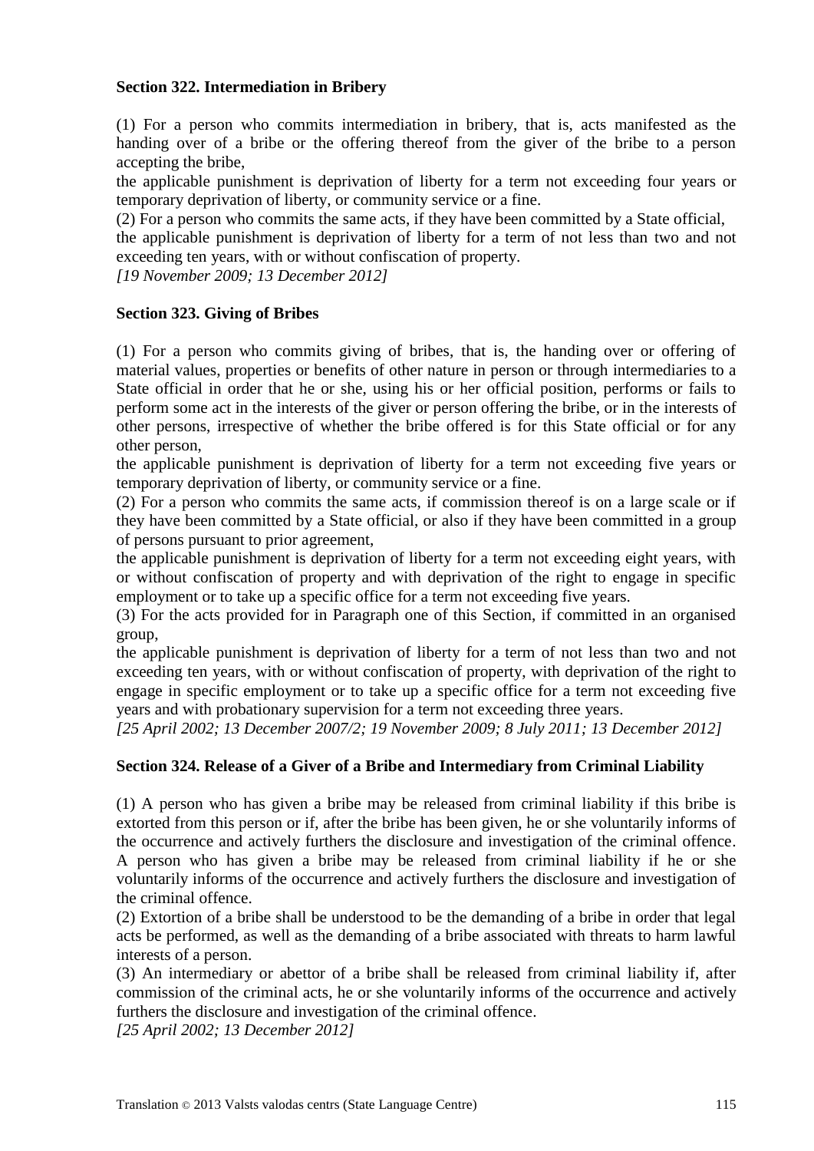# **Section 322. Intermediation in Bribery**

(1) For a person who commits intermediation in bribery, that is, acts manifested as the handing over of a bribe or the offering thereof from the giver of the bribe to a person accepting the bribe,

the applicable punishment is deprivation of liberty for a term not exceeding four years or temporary deprivation of liberty, or community service or a fine.

(2) For a person who commits the same acts, if they have been committed by a State official,

the applicable punishment is deprivation of liberty for a term of not less than two and not exceeding ten years, with or without confiscation of property.

*[19 November 2009; 13 December 2012]*

# **Section 323. Giving of Bribes**

(1) For a person who commits giving of bribes, that is, the handing over or offering of material values, properties or benefits of other nature in person or through intermediaries to a State official in order that he or she, using his or her official position, performs or fails to perform some act in the interests of the giver or person offering the bribe, or in the interests of other persons, irrespective of whether the bribe offered is for this State official or for any other person,

the applicable punishment is deprivation of liberty for a term not exceeding five years or temporary deprivation of liberty, or community service or a fine.

(2) For a person who commits the same acts, if commission thereof is on a large scale or if they have been committed by a State official, or also if they have been committed in a group of persons pursuant to prior agreement,

the applicable punishment is deprivation of liberty for a term not exceeding eight years, with or without confiscation of property and with deprivation of the right to engage in specific employment or to take up a specific office for a term not exceeding five years.

(3) For the acts provided for in Paragraph one of this Section, if committed in an organised group,

the applicable punishment is deprivation of liberty for a term of not less than two and not exceeding ten years, with or without confiscation of property, with deprivation of the right to engage in specific employment or to take up a specific office for a term not exceeding five years and with probationary supervision for a term not exceeding three years.

*[25 April 2002; 13 December 2007/2; 19 November 2009; 8 July 2011; 13 December 2012]*

# **Section 324. Release of a Giver of a Bribe and Intermediary from Criminal Liability**

(1) A person who has given a bribe may be released from criminal liability if this bribe is extorted from this person or if, after the bribe has been given, he or she voluntarily informs of the occurrence and actively furthers the disclosure and investigation of the criminal offence. A person who has given a bribe may be released from criminal liability if he or she voluntarily informs of the occurrence and actively furthers the disclosure and investigation of the criminal offence.

(2) Extortion of a bribe shall be understood to be the demanding of a bribe in order that legal acts be performed, as well as the demanding of a bribe associated with threats to harm lawful interests of a person.

(3) An intermediary or abettor of a bribe shall be released from criminal liability if, after commission of the criminal acts, he or she voluntarily informs of the occurrence and actively furthers the disclosure and investigation of the criminal offence.

*[25 April 2002; 13 December 2012]*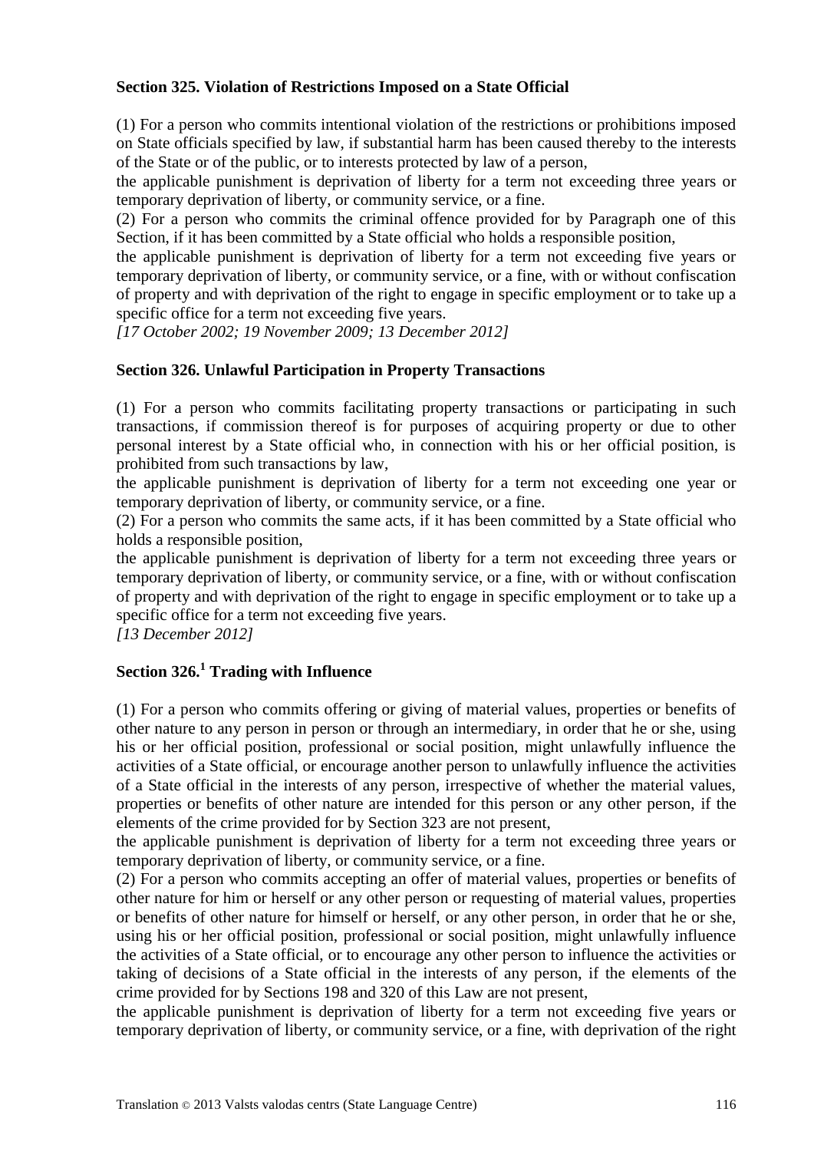# **Section 325. Violation of Restrictions Imposed on a State Official**

(1) For a person who commits intentional violation of the restrictions or prohibitions imposed on State officials specified by law, if substantial harm has been caused thereby to the interests of the State or of the public, or to interests protected by law of a person,

the applicable punishment is deprivation of liberty for a term not exceeding three years or temporary deprivation of liberty, or community service, or a fine.

(2) For a person who commits the criminal offence provided for by Paragraph one of this Section, if it has been committed by a State official who holds a responsible position,

the applicable punishment is deprivation of liberty for a term not exceeding five years or temporary deprivation of liberty, or community service, or a fine, with or without confiscation of property and with deprivation of the right to engage in specific employment or to take up a specific office for a term not exceeding five years.

*[17 October 2002; 19 November 2009; 13 December 2012]*

# **Section 326. Unlawful Participation in Property Transactions**

(1) For a person who commits facilitating property transactions or participating in such transactions, if commission thereof is for purposes of acquiring property or due to other personal interest by a State official who, in connection with his or her official position, is prohibited from such transactions by law,

the applicable punishment is deprivation of liberty for a term not exceeding one year or temporary deprivation of liberty, or community service, or a fine.

(2) For a person who commits the same acts, if it has been committed by a State official who holds a responsible position,

the applicable punishment is deprivation of liberty for a term not exceeding three years or temporary deprivation of liberty, or community service, or a fine, with or without confiscation of property and with deprivation of the right to engage in specific employment or to take up a specific office for a term not exceeding five years.

*[13 December 2012]*

# **Section 326.<sup>1</sup> Trading with Influence**

(1) For a person who commits offering or giving of material values, properties or benefits of other nature to any person in person or through an intermediary, in order that he or she, using his or her official position, professional or social position, might unlawfully influence the activities of a State official, or encourage another person to unlawfully influence the activities of a State official in the interests of any person, irrespective of whether the material values, properties or benefits of other nature are intended for this person or any other person, if the elements of the crime provided for by Section 323 are not present,

the applicable punishment is deprivation of liberty for a term not exceeding three years or temporary deprivation of liberty, or community service, or a fine.

(2) For a person who commits accepting an offer of material values, properties or benefits of other nature for him or herself or any other person or requesting of material values, properties or benefits of other nature for himself or herself, or any other person, in order that he or she, using his or her official position, professional or social position, might unlawfully influence the activities of a State official, or to encourage any other person to influence the activities or taking of decisions of a State official in the interests of any person, if the elements of the crime provided for by Sections 198 and 320 of this Law are not present,

the applicable punishment is deprivation of liberty for a term not exceeding five years or temporary deprivation of liberty, or community service, or a fine, with deprivation of the right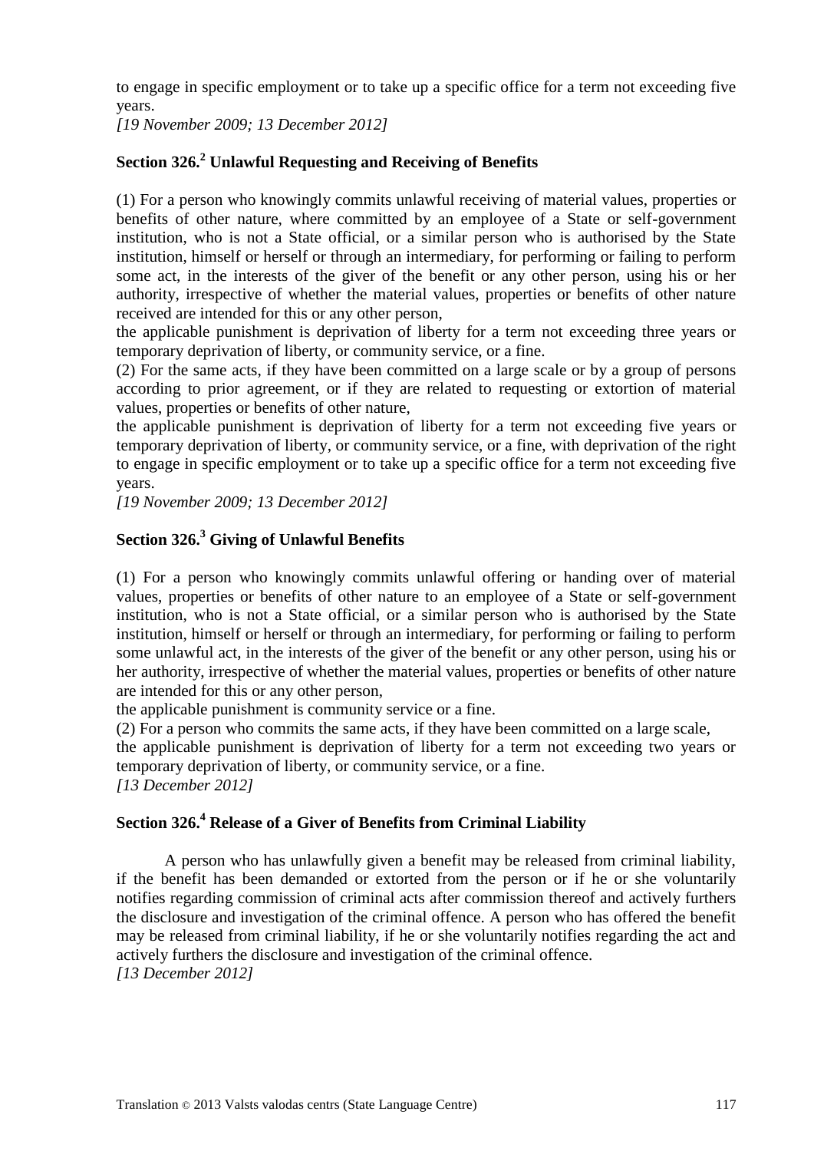to engage in specific employment or to take up a specific office for a term not exceeding five years.

*[19 November 2009; 13 December 2012]*

# **Section 326.<sup>2</sup> Unlawful Requesting and Receiving of Benefits**

(1) For a person who knowingly commits unlawful receiving of material values, properties or benefits of other nature, where committed by an employee of a State or self-government institution, who is not a State official, or a similar person who is authorised by the State institution, himself or herself or through an intermediary, for performing or failing to perform some act, in the interests of the giver of the benefit or any other person, using his or her authority, irrespective of whether the material values, properties or benefits of other nature received are intended for this or any other person,

the applicable punishment is deprivation of liberty for a term not exceeding three years or temporary deprivation of liberty, or community service, or a fine.

(2) For the same acts, if they have been committed on a large scale or by a group of persons according to prior agreement, or if they are related to requesting or extortion of material values, properties or benefits of other nature,

the applicable punishment is deprivation of liberty for a term not exceeding five years or temporary deprivation of liberty, or community service, or a fine, with deprivation of the right to engage in specific employment or to take up a specific office for a term not exceeding five years.

*[19 November 2009; 13 December 2012]*

# **Section 326.<sup>3</sup> Giving of Unlawful Benefits**

(1) For a person who knowingly commits unlawful offering or handing over of material values, properties or benefits of other nature to an employee of a State or self-government institution, who is not a State official, or a similar person who is authorised by the State institution, himself or herself or through an intermediary, for performing or failing to perform some unlawful act, in the interests of the giver of the benefit or any other person, using his or her authority, irrespective of whether the material values, properties or benefits of other nature are intended for this or any other person,

the applicable punishment is community service or a fine.

(2) For a person who commits the same acts, if they have been committed on a large scale,

the applicable punishment is deprivation of liberty for a term not exceeding two years or temporary deprivation of liberty, or community service, or a fine.

*[13 December 2012]*

# **Section 326.<sup>4</sup> Release of a Giver of Benefits from Criminal Liability**

A person who has unlawfully given a benefit may be released from criminal liability, if the benefit has been demanded or extorted from the person or if he or she voluntarily notifies regarding commission of criminal acts after commission thereof and actively furthers the disclosure and investigation of the criminal offence. A person who has offered the benefit may be released from criminal liability, if he or she voluntarily notifies regarding the act and actively furthers the disclosure and investigation of the criminal offence. *[13 December 2012]*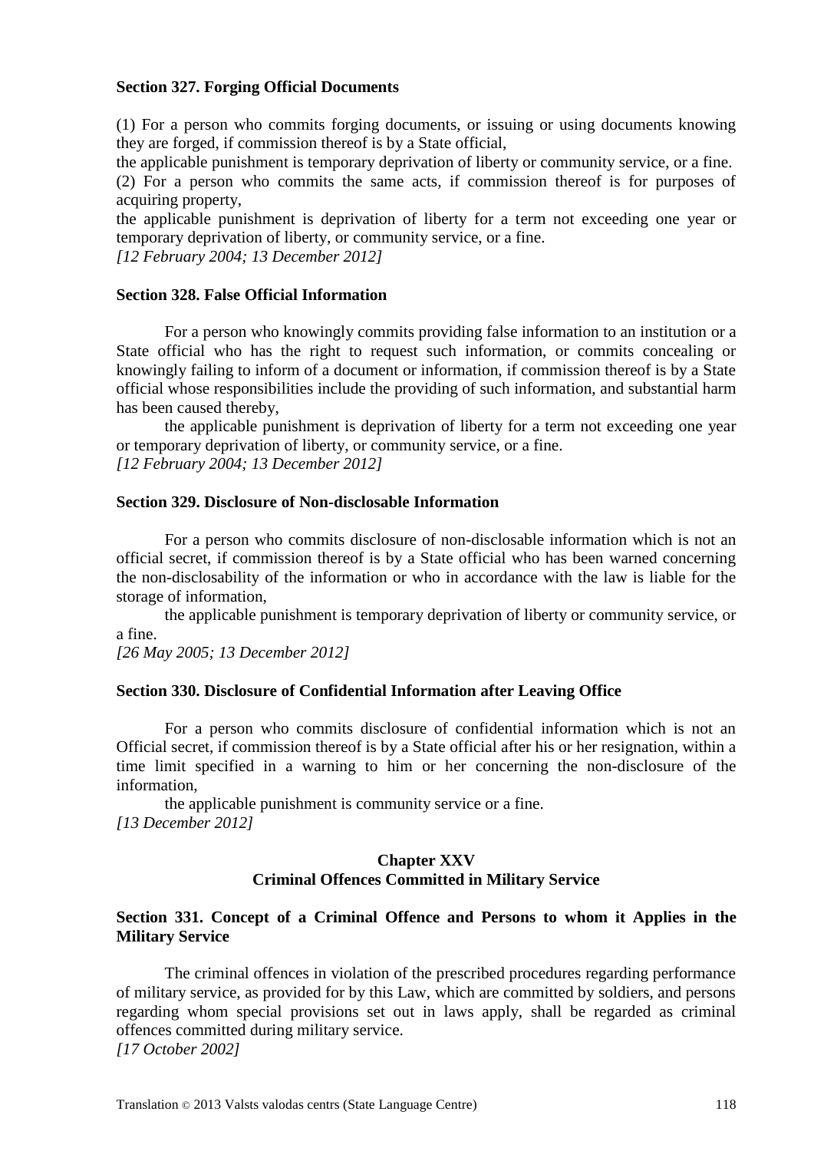#### **Section 327. Forging Official Documents**

(1) For a person who commits forging documents, or issuing or using documents knowing they are forged, if commission thereof is by a State official,

the applicable punishment is temporary deprivation of liberty or community service, or a fine.

(2) For a person who commits the same acts, if commission thereof is for purposes of acquiring property,

the applicable punishment is deprivation of liberty for a term not exceeding one year or temporary deprivation of liberty, or community service, or a fine.

*[12 February 2004; 13 December 2012]*

#### **Section 328. False Official Information**

For a person who knowingly commits providing false information to an institution or a State official who has the right to request such information, or commits concealing or knowingly failing to inform of a document or information, if commission thereof is by a State official whose responsibilities include the providing of such information, and substantial harm has been caused thereby,

the applicable punishment is deprivation of liberty for a term not exceeding one year or temporary deprivation of liberty, or community service, or a fine. *[12 February 2004; 13 December 2012]*

#### **Section 329. Disclosure of Non-disclosable Information**

For a person who commits disclosure of non-disclosable information which is not an official secret, if commission thereof is by a State official who has been warned concerning the non-disclosability of the information or who in accordance with the law is liable for the storage of information,

the applicable punishment is temporary deprivation of liberty or community service, or a fine.

*[26 May 2005; 13 December 2012]*

#### **Section 330. Disclosure of Confidential Information after Leaving Office**

For a person who commits disclosure of confidential information which is not an Official secret, if commission thereof is by a State official after his or her resignation, within a time limit specified in a warning to him or her concerning the non-disclosure of the information,

the applicable punishment is community service or a fine. *[13 December 2012]*

# **Chapter XXV Criminal Offences Committed in Military Service**

#### **Section 331. Concept of a Criminal Offence and Persons to whom it Applies in the Military Service**

The criminal offences in violation of the prescribed procedures regarding performance of military service, as provided for by this Law, which are committed by soldiers, and persons regarding whom special provisions set out in laws apply, shall be regarded as criminal offences committed during military service. *[17 October 2002]*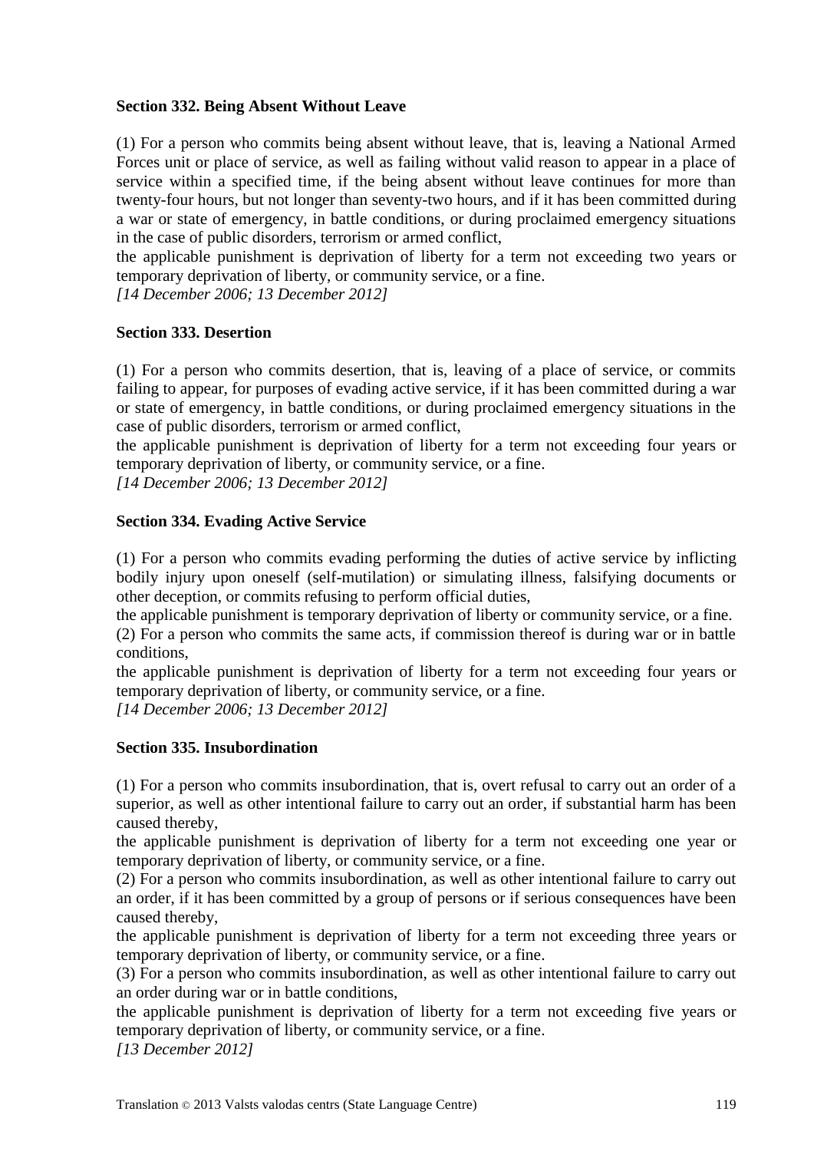# **Section 332. Being Absent Without Leave**

(1) For a person who commits being absent without leave, that is, leaving a National Armed Forces unit or place of service, as well as failing without valid reason to appear in a place of service within a specified time, if the being absent without leave continues for more than twenty-four hours, but not longer than seventy-two hours, and if it has been committed during a war or state of emergency, in battle conditions, or during proclaimed emergency situations in the case of public disorders, terrorism or armed conflict,

the applicable punishment is deprivation of liberty for a term not exceeding two years or temporary deprivation of liberty, or community service, or a fine.

*[14 December 2006; 13 December 2012]*

# **Section 333. Desertion**

(1) For a person who commits desertion, that is, leaving of a place of service, or commits failing to appear, for purposes of evading active service, if it has been committed during a war or state of emergency, in battle conditions, or during proclaimed emergency situations in the case of public disorders, terrorism or armed conflict,

the applicable punishment is deprivation of liberty for a term not exceeding four years or temporary deprivation of liberty, or community service, or a fine.

*[14 December 2006; 13 December 2012]*

# **Section 334. Evading Active Service**

(1) For a person who commits evading performing the duties of active service by inflicting bodily injury upon oneself (self-mutilation) or simulating illness, falsifying documents or other deception, or commits refusing to perform official duties,

the applicable punishment is temporary deprivation of liberty or community service, or a fine. (2) For a person who commits the same acts, if commission thereof is during war or in battle conditions,

the applicable punishment is deprivation of liberty for a term not exceeding four years or temporary deprivation of liberty, or community service, or a fine.

*[14 December 2006; 13 December 2012]*

# **Section 335. Insubordination**

(1) For a person who commits insubordination, that is, overt refusal to carry out an order of a superior, as well as other intentional failure to carry out an order, if substantial harm has been caused thereby,

the applicable punishment is deprivation of liberty for a term not exceeding one year or temporary deprivation of liberty, or community service, or a fine.

(2) For a person who commits insubordination, as well as other intentional failure to carry out an order, if it has been committed by a group of persons or if serious consequences have been caused thereby,

the applicable punishment is deprivation of liberty for a term not exceeding three years or temporary deprivation of liberty, or community service, or a fine.

(3) For a person who commits insubordination, as well as other intentional failure to carry out an order during war or in battle conditions,

the applicable punishment is deprivation of liberty for a term not exceeding five years or temporary deprivation of liberty, or community service, or a fine.

*[13 December 2012]*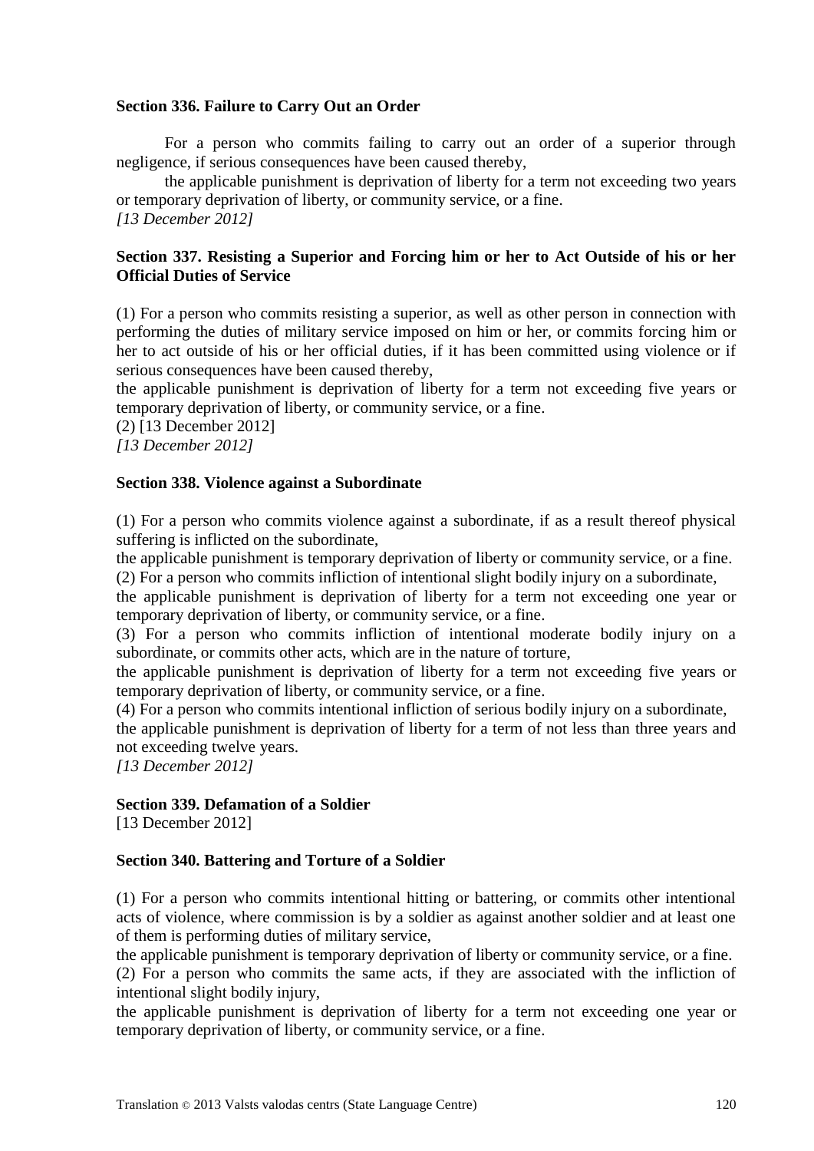#### **Section 336. Failure to Carry Out an Order**

For a person who commits failing to carry out an order of a superior through negligence, if serious consequences have been caused thereby,

the applicable punishment is deprivation of liberty for a term not exceeding two years or temporary deprivation of liberty, or community service, or a fine. *[13 December 2012]*

#### **Section 337. Resisting a Superior and Forcing him or her to Act Outside of his or her Official Duties of Service**

(1) For a person who commits resisting a superior, as well as other person in connection with performing the duties of military service imposed on him or her, or commits forcing him or her to act outside of his or her official duties, if it has been committed using violence or if serious consequences have been caused thereby,

the applicable punishment is deprivation of liberty for a term not exceeding five years or temporary deprivation of liberty, or community service, or a fine.

(2) [13 December 2012]

*[13 December 2012]*

#### **Section 338. Violence against a Subordinate**

(1) For a person who commits violence against a subordinate, if as a result thereof physical suffering is inflicted on the subordinate,

the applicable punishment is temporary deprivation of liberty or community service, or a fine. (2) For a person who commits infliction of intentional slight bodily injury on a subordinate,

the applicable punishment is deprivation of liberty for a term not exceeding one year or temporary deprivation of liberty, or community service, or a fine.

(3) For a person who commits infliction of intentional moderate bodily injury on a subordinate, or commits other acts, which are in the nature of torture,

the applicable punishment is deprivation of liberty for a term not exceeding five years or temporary deprivation of liberty, or community service, or a fine.

(4) For a person who commits intentional infliction of serious bodily injury on a subordinate,

the applicable punishment is deprivation of liberty for a term of not less than three years and not exceeding twelve years.

*[13 December 2012]*

#### **Section 339. Defamation of a Soldier**

[13 December 2012]

#### **Section 340. Battering and Torture of a Soldier**

(1) For a person who commits intentional hitting or battering, or commits other intentional acts of violence, where commission is by a soldier as against another soldier and at least one of them is performing duties of military service,

the applicable punishment is temporary deprivation of liberty or community service, or a fine. (2) For a person who commits the same acts, if they are associated with the infliction of intentional slight bodily injury,

the applicable punishment is deprivation of liberty for a term not exceeding one year or temporary deprivation of liberty, or community service, or a fine.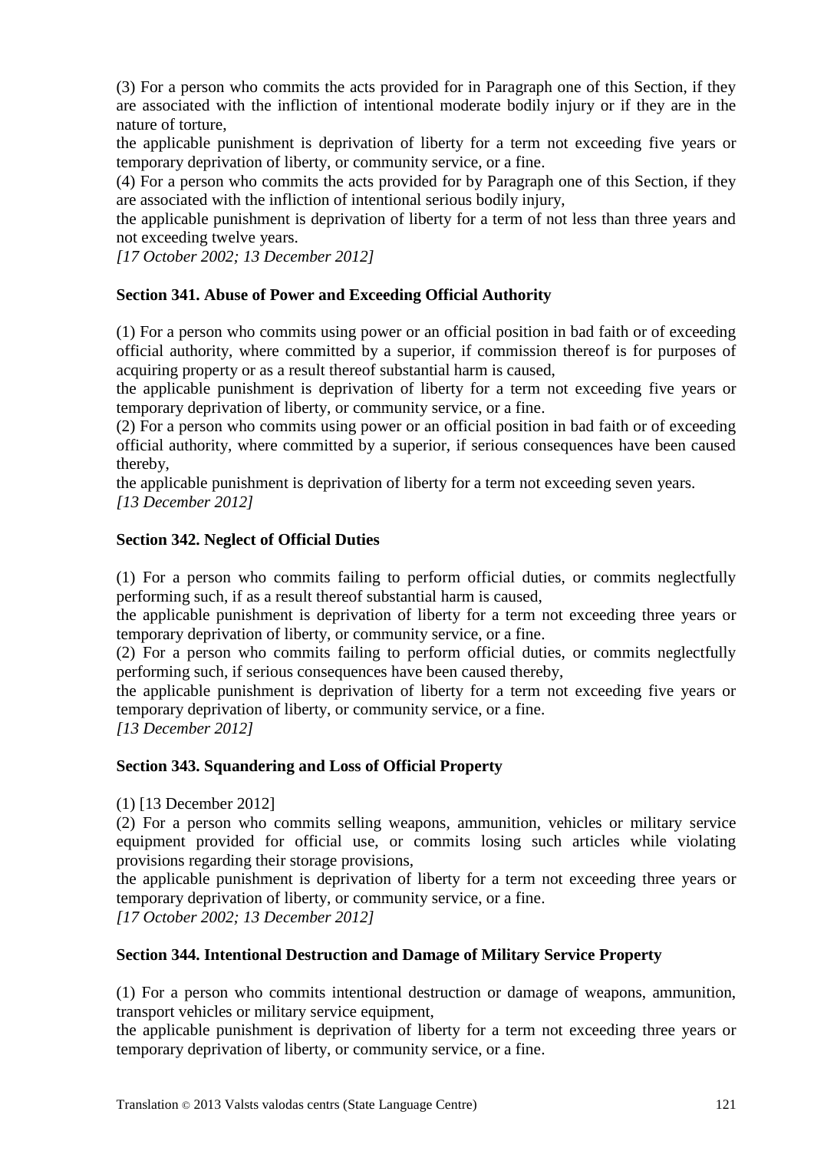(3) For a person who commits the acts provided for in Paragraph one of this Section, if they are associated with the infliction of intentional moderate bodily injury or if they are in the nature of torture,

the applicable punishment is deprivation of liberty for a term not exceeding five years or temporary deprivation of liberty, or community service, or a fine.

(4) For a person who commits the acts provided for by Paragraph one of this Section, if they are associated with the infliction of intentional serious bodily injury,

the applicable punishment is deprivation of liberty for a term of not less than three years and not exceeding twelve years.

*[17 October 2002; 13 December 2012]*

# **Section 341. Abuse of Power and Exceeding Official Authority**

(1) For a person who commits using power or an official position in bad faith or of exceeding official authority, where committed by a superior, if commission thereof is for purposes of acquiring property or as a result thereof substantial harm is caused,

the applicable punishment is deprivation of liberty for a term not exceeding five years or temporary deprivation of liberty, or community service, or a fine.

(2) For a person who commits using power or an official position in bad faith or of exceeding official authority, where committed by a superior, if serious consequences have been caused thereby,

the applicable punishment is deprivation of liberty for a term not exceeding seven years. *[13 December 2012]*

# **Section 342. Neglect of Official Duties**

(1) For a person who commits failing to perform official duties, or commits neglectfully performing such, if as a result thereof substantial harm is caused,

the applicable punishment is deprivation of liberty for a term not exceeding three years or temporary deprivation of liberty, or community service, or a fine.

(2) For a person who commits failing to perform official duties, or commits neglectfully performing such, if serious consequences have been caused thereby,

the applicable punishment is deprivation of liberty for a term not exceeding five years or temporary deprivation of liberty, or community service, or a fine.

*[13 December 2012]*

#### **Section 343. Squandering and Loss of Official Property**

(1) [13 December 2012]

(2) For a person who commits selling weapons, ammunition, vehicles or military service equipment provided for official use, or commits losing such articles while violating provisions regarding their storage provisions,

the applicable punishment is deprivation of liberty for a term not exceeding three years or temporary deprivation of liberty, or community service, or a fine.

*[17 October 2002; 13 December 2012]*

# **Section 344. Intentional Destruction and Damage of Military Service Property**

(1) For a person who commits intentional destruction or damage of weapons, ammunition, transport vehicles or military service equipment,

the applicable punishment is deprivation of liberty for a term not exceeding three years or temporary deprivation of liberty, or community service, or a fine.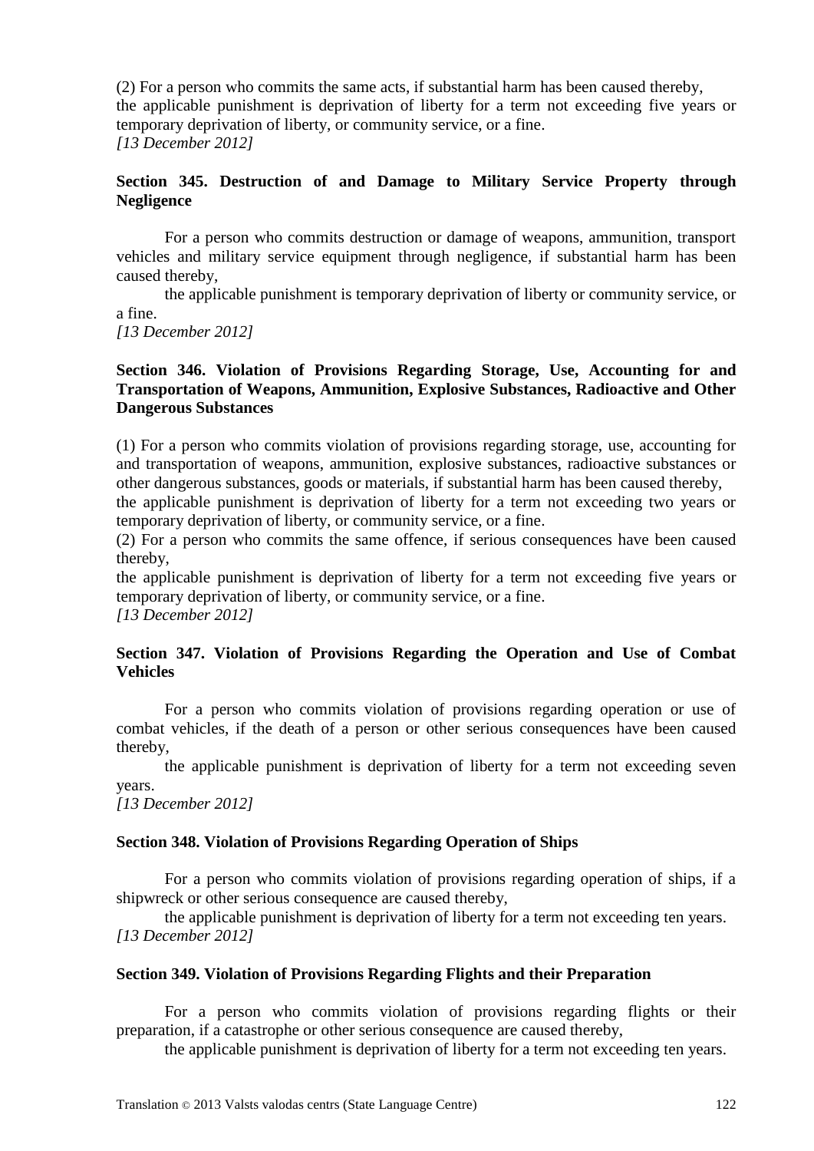(2) For a person who commits the same acts, if substantial harm has been caused thereby, the applicable punishment is deprivation of liberty for a term not exceeding five years or temporary deprivation of liberty, or community service, or a fine. *[13 December 2012]*

# **Section 345. Destruction of and Damage to Military Service Property through Negligence**

For a person who commits destruction or damage of weapons, ammunition, transport vehicles and military service equipment through negligence, if substantial harm has been caused thereby,

the applicable punishment is temporary deprivation of liberty or community service, or a fine.

*[13 December 2012]*

# **Section 346. Violation of Provisions Regarding Storage, Use, Accounting for and Transportation of Weapons, Ammunition, Explosive Substances, Radioactive and Other Dangerous Substances**

(1) For a person who commits violation of provisions regarding storage, use, accounting for and transportation of weapons, ammunition, explosive substances, radioactive substances or other dangerous substances, goods or materials, if substantial harm has been caused thereby,

the applicable punishment is deprivation of liberty for a term not exceeding two years or temporary deprivation of liberty, or community service, or a fine.

(2) For a person who commits the same offence, if serious consequences have been caused thereby,

the applicable punishment is deprivation of liberty for a term not exceeding five years or temporary deprivation of liberty, or community service, or a fine. *[13 December 2012]*

# **Section 347. Violation of Provisions Regarding the Operation and Use of Combat Vehicles**

For a person who commits violation of provisions regarding operation or use of combat vehicles, if the death of a person or other serious consequences have been caused thereby,

the applicable punishment is deprivation of liberty for a term not exceeding seven years.

*[13 December 2012]*

# **Section 348. Violation of Provisions Regarding Operation of Ships**

For a person who commits violation of provisions regarding operation of ships, if a shipwreck or other serious consequence are caused thereby,

the applicable punishment is deprivation of liberty for a term not exceeding ten years. *[13 December 2012]*

# **Section 349. Violation of Provisions Regarding Flights and their Preparation**

For a person who commits violation of provisions regarding flights or their preparation, if a catastrophe or other serious consequence are caused thereby,

the applicable punishment is deprivation of liberty for a term not exceeding ten years.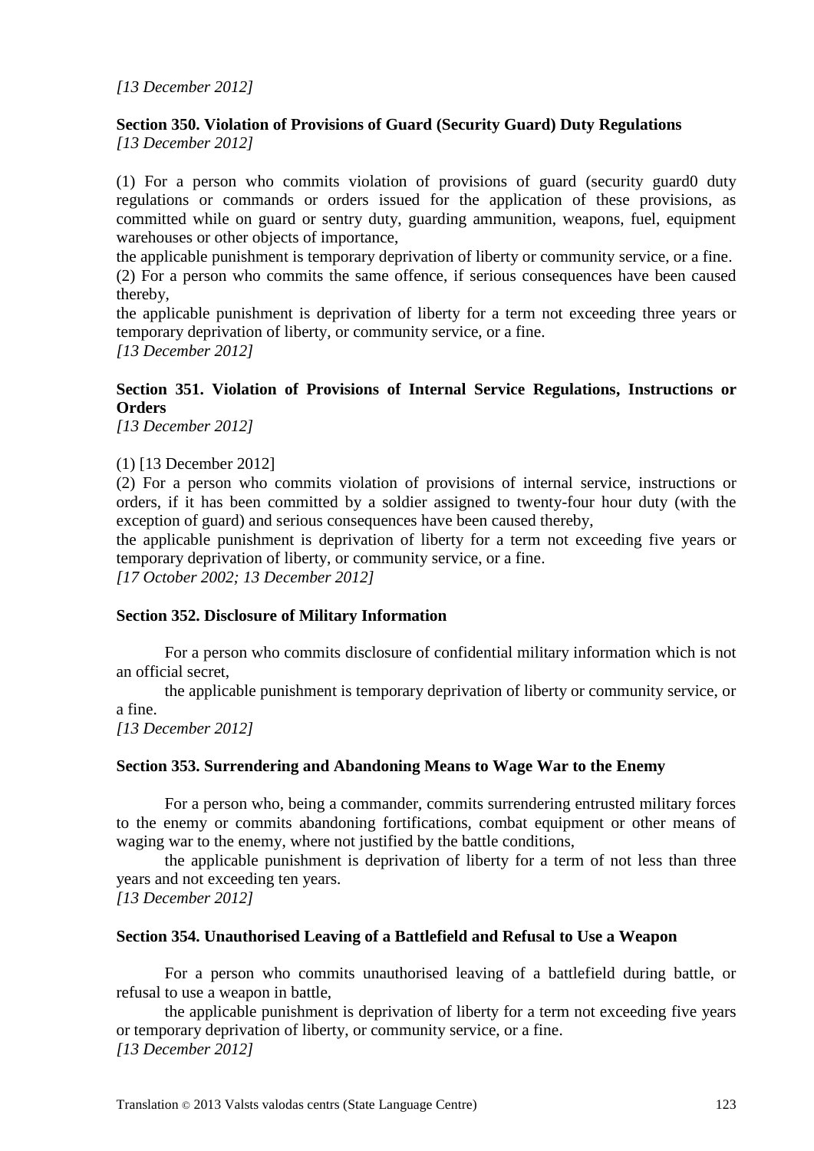# **Section 350. Violation of Provisions of Guard (Security Guard) Duty Regulations**

*[13 December 2012]*

(1) For a person who commits violation of provisions of guard (security guard0 duty regulations or commands or orders issued for the application of these provisions, as committed while on guard or sentry duty, guarding ammunition, weapons, fuel, equipment warehouses or other objects of importance,

the applicable punishment is temporary deprivation of liberty or community service, or a fine. (2) For a person who commits the same offence, if serious consequences have been caused thereby,

the applicable punishment is deprivation of liberty for a term not exceeding three years or temporary deprivation of liberty, or community service, or a fine. *[13 December 2012]*

# **Section 351. Violation of Provisions of Internal Service Regulations, Instructions or Orders**

*[13 December 2012]*

(1) [13 December 2012]

(2) For a person who commits violation of provisions of internal service, instructions or orders, if it has been committed by a soldier assigned to twenty-four hour duty (with the exception of guard) and serious consequences have been caused thereby,

the applicable punishment is deprivation of liberty for a term not exceeding five years or temporary deprivation of liberty, or community service, or a fine.

*[17 October 2002; 13 December 2012]*

#### **Section 352. Disclosure of Military Information**

For a person who commits disclosure of confidential military information which is not an official secret,

the applicable punishment is temporary deprivation of liberty or community service, or a fine.

*[13 December 2012]*

#### **Section 353. Surrendering and Abandoning Means to Wage War to the Enemy**

For a person who, being a commander, commits surrendering entrusted military forces to the enemy or commits abandoning fortifications, combat equipment or other means of waging war to the enemy, where not justified by the battle conditions,

the applicable punishment is deprivation of liberty for a term of not less than three years and not exceeding ten years.

*[13 December 2012]*

#### **Section 354. Unauthorised Leaving of a Battlefield and Refusal to Use a Weapon**

For a person who commits unauthorised leaving of a battlefield during battle, or refusal to use a weapon in battle,

the applicable punishment is deprivation of liberty for a term not exceeding five years or temporary deprivation of liberty, or community service, or a fine. *[13 December 2012]*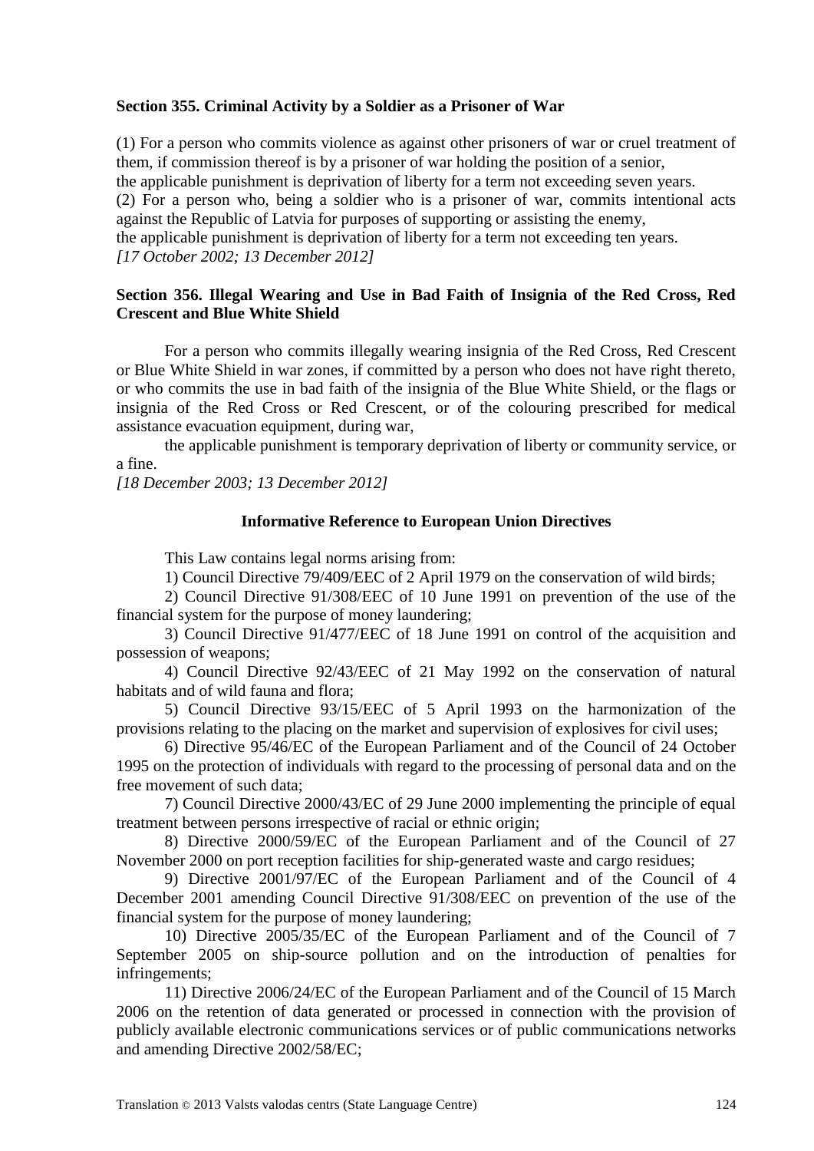#### **Section 355. Criminal Activity by a Soldier as a Prisoner of War**

(1) For a person who commits violence as against other prisoners of war or cruel treatment of them, if commission thereof is by a prisoner of war holding the position of a senior, the applicable punishment is deprivation of liberty for a term not exceeding seven years. (2) For a person who, being a soldier who is a prisoner of war, commits intentional acts against the Republic of Latvia for purposes of supporting or assisting the enemy, the applicable punishment is deprivation of liberty for a term not exceeding ten years. *[17 October 2002; 13 December 2012]*

#### **Section 356. Illegal Wearing and Use in Bad Faith of Insignia of the Red Cross, Red Crescent and Blue White Shield**

For a person who commits illegally wearing insignia of the Red Cross, Red Crescent or Blue White Shield in war zones, if committed by a person who does not have right thereto, or who commits the use in bad faith of the insignia of the Blue White Shield, or the flags or insignia of the Red Cross or Red Crescent, or of the colouring prescribed for medical assistance evacuation equipment, during war,

the applicable punishment is temporary deprivation of liberty or community service, or a fine.

*[18 December 2003; 13 December 2012]*

#### **Informative Reference to European Union Directives**

This Law contains legal norms arising from:

1) Council Directive 79/409/EEC of 2 April 1979 on the conservation of wild birds;

2) Council Directive 91/308/EEC of 10 June 1991 on prevention of the use of the financial system for the purpose of money laundering;

3) Council Directive 91/477/EEC of 18 June 1991 on control of the acquisition and possession of weapons;

4) Council Directive 92/43/EEC of 21 May 1992 on the conservation of natural habitats and of wild fauna and flora;

5) Council Directive 93/15/EEC of 5 April 1993 on the harmonization of the provisions relating to the placing on the market and supervision of explosives for civil uses;

6) Directive 95/46/EC of the European Parliament and of the Council of 24 October 1995 on the protection of individuals with regard to the processing of personal data and on the free movement of such data;

7) Council Directive 2000/43/EC of 29 June 2000 implementing the principle of equal treatment between persons irrespective of racial or ethnic origin;

8) Directive 2000/59/EC of the European Parliament and of the Council of 27 November 2000 on port reception facilities for ship-generated waste and cargo residues;

9) Directive 2001/97/EC of the European Parliament and of the Council of 4 December 2001 amending Council Directive 91/308/EEC on prevention of the use of the financial system for the purpose of money laundering;

10) Directive 2005/35/EC of the European Parliament and of the Council of 7 September 2005 on ship-source pollution and on the introduction of penalties for infringements;

11) Directive 2006/24/EC of the European Parliament and of the Council of 15 March 2006 on the retention of data generated or processed in connection with the provision of publicly available electronic communications services or of public communications networks and amending Directive 2002/58/EC;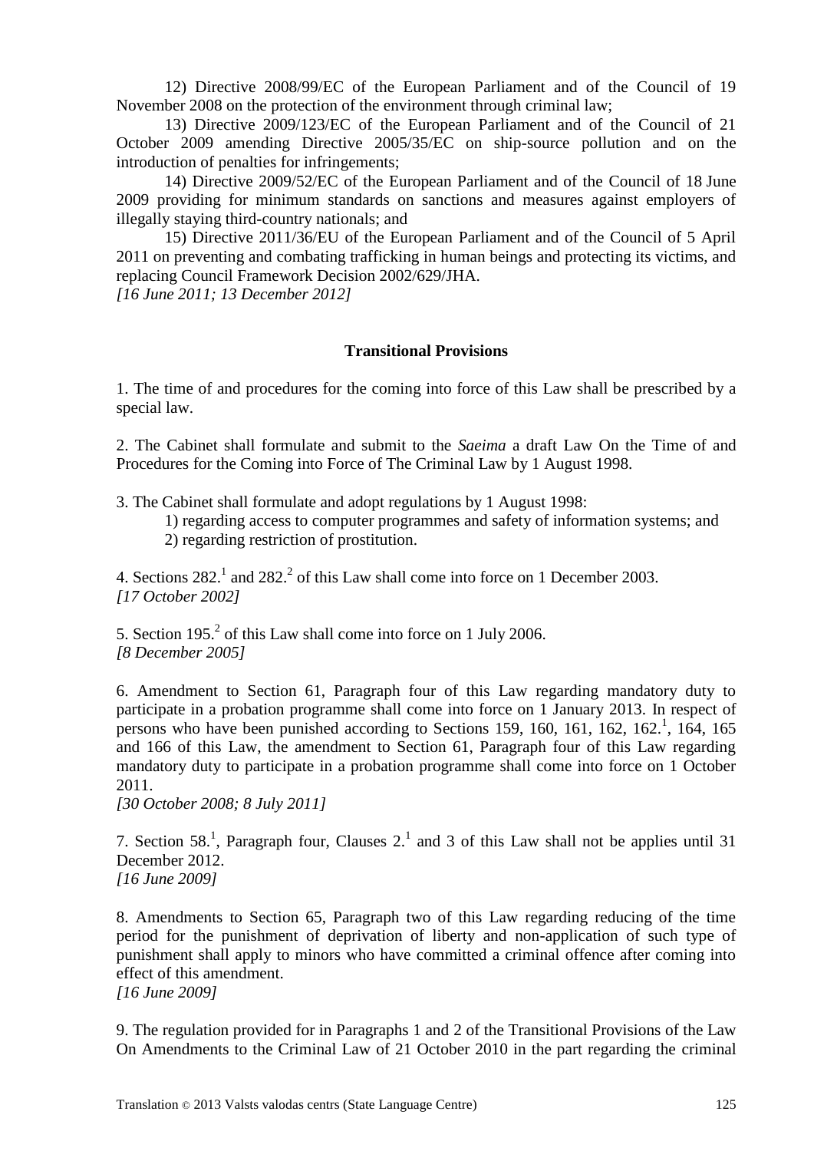12) Directive 2008/99/EC of the European Parliament and of the Council of 19 November 2008 on the protection of the environment through criminal law;

13) Directive 2009/123/EC of the European Parliament and of the Council of 21 October 2009 amending Directive 2005/35/EC on ship-source pollution and on the introduction of penalties for infringements;

14) Directive 2009/52/EC of the European Parliament and of the Council of 18 June 2009 providing for minimum standards on sanctions and measures against employers of illegally staying third-country nationals; and

15) Directive 2011/36/EU of the European Parliament and of the Council of 5 April 2011 on preventing and combating trafficking in human beings and protecting its victims, and replacing Council Framework Decision 2002/629/JHA.

*[16 June 2011; 13 December 2012]*

#### **Transitional Provisions**

1. The time of and procedures for the coming into force of this Law shall be prescribed by a special law.

2. The Cabinet shall formulate and submit to the *Saeima* a draft Law On the Time of and Procedures for the Coming into Force of The Criminal Law by 1 August 1998.

3. The Cabinet shall formulate and adopt regulations by 1 August 1998:

1) regarding access to computer programmes and safety of information systems; and 2) regarding restriction of prostitution.

4. Sections  $282<sup>1</sup>$  and  $282<sup>2</sup>$  of this Law shall come into force on 1 December 2003. *[17 October 2002]*

5. Section 195.<sup>2</sup> of this Law shall come into force on 1 July 2006. *[8 December 2005]*

6. Amendment to Section 61, Paragraph four of this Law regarding mandatory duty to participate in a probation programme shall come into force on 1 January 2013. In respect of persons who have been punished according to Sections 159, 160, 161, 162, 162.<sup>1</sup>, 164, 165 and 166 of this Law, the amendment to Section 61, Paragraph four of this Law regarding mandatory duty to participate in a probation programme shall come into force on 1 October 2011.

*[30 October 2008; 8 July 2011]*

7. Section 58.<sup>1</sup>, Paragraph four, Clauses 2.<sup>1</sup> and 3 of this Law shall not be applies until 31 December 2012. *[16 June 2009]*

8. Amendments to Section 65, Paragraph two of this Law regarding reducing of the time period for the punishment of deprivation of liberty and non-application of such type of punishment shall apply to minors who have committed a criminal offence after coming into effect of this amendment.

*[16 June 2009]*

9. The regulation provided for in Paragraphs 1 and 2 of the Transitional Provisions of the Law On Amendments to the Criminal Law of 21 October 2010 in the part regarding the criminal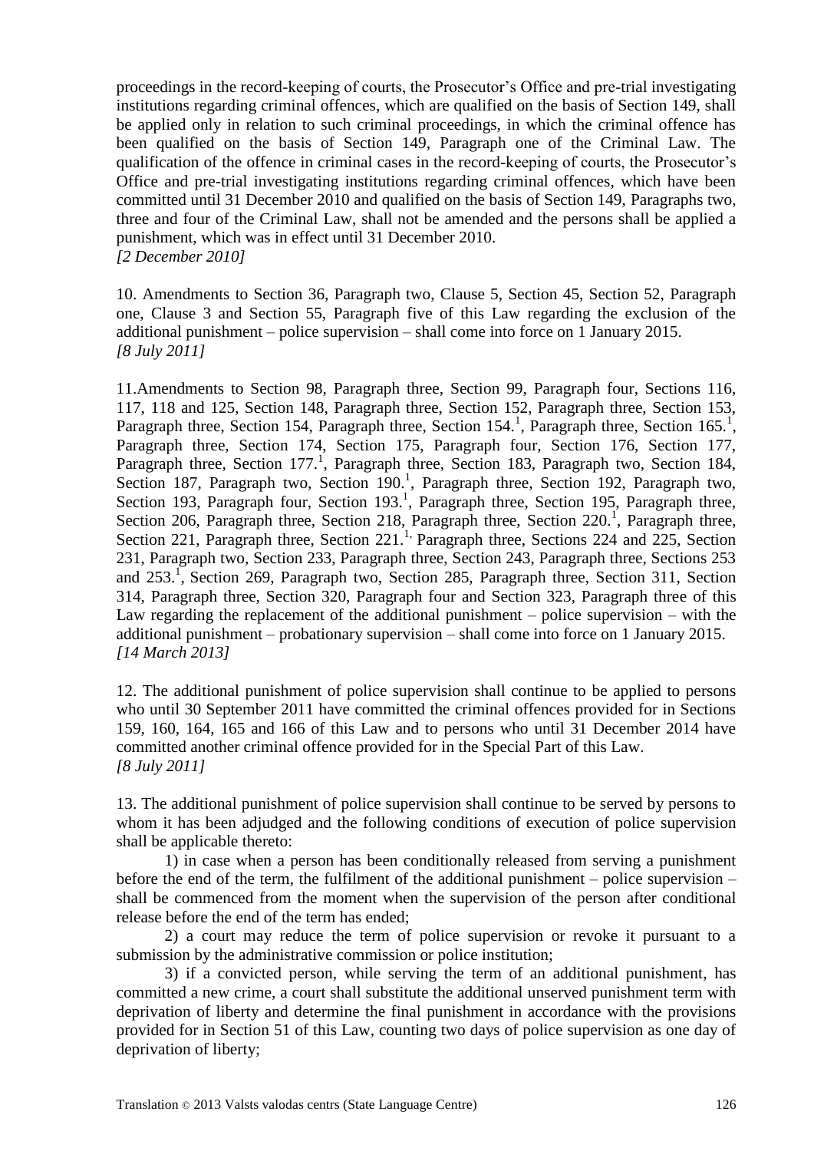proceedings in the record-keeping of courts, the Prosecutor's Office and pre-trial investigating institutions regarding criminal offences, which are qualified on the basis of Section 149, shall be applied only in relation to such criminal proceedings, in which the criminal offence has been qualified on the basis of Section 149, Paragraph one of the Criminal Law. The qualification of the offence in criminal cases in the record-keeping of courts, the Prosecutor's Office and pre-trial investigating institutions regarding criminal offences, which have been committed until 31 December 2010 and qualified on the basis of Section 149, Paragraphs two, three and four of the Criminal Law, shall not be amended and the persons shall be applied a punishment, which was in effect until 31 December 2010. *[2 December 2010]*

10. Amendments to Section 36, Paragraph two, Clause 5, Section 45, Section 52, Paragraph one, Clause 3 and Section 55, Paragraph five of this Law regarding the exclusion of the additional punishment – police supervision – shall come into force on 1 January 2015. *[8 July 2011]*

11.Amendments to Section 98, Paragraph three, Section 99, Paragraph four, Sections 116, 117, 118 and 125, Section 148, Paragraph three, Section 152, Paragraph three, Section 153, Paragraph three, Section 154, Paragraph three, Section 154.<sup>1</sup>, Paragraph three, Section 165.<sup>1</sup>, Paragraph three, Section 174, Section 175, Paragraph four, Section 176, Section 177, Paragraph three, Section 177.<sup>1</sup>, Paragraph three, Section 183, Paragraph two, Section 184, Section 187, Paragraph two, Section 190.<sup>1</sup>, Paragraph three, Section 192, Paragraph two, Section 193, Paragraph four, Section  $193<sup>1</sup>$ , Paragraph three, Section 195, Paragraph three, Section 206, Paragraph three, Section 218, Paragraph three, Section 220.<sup>1</sup>, Paragraph three, Section 221, Paragraph three, Section 221.<sup>1,</sup> Paragraph three, Sections 224 and 225, Section 231, Paragraph two, Section 233, Paragraph three, Section 243, Paragraph three, Sections 253 and 253.<sup>1</sup>, Section 269, Paragraph two, Section 285, Paragraph three, Section 311, Section 314, Paragraph three, Section 320, Paragraph four and Section 323, Paragraph three of this Law regarding the replacement of the additional punishment – police supervision – with the additional punishment – probationary supervision – shall come into force on 1 January 2015. *[14 March 2013]*

12. The additional punishment of police supervision shall continue to be applied to persons who until 30 September 2011 have committed the criminal offences provided for in Sections 159, 160, 164, 165 and 166 of this Law and to persons who until 31 December 2014 have committed another criminal offence provided for in the Special Part of this Law. *[8 July 2011]*

13. The additional punishment of police supervision shall continue to be served by persons to whom it has been adjudged and the following conditions of execution of police supervision shall be applicable thereto:

1) in case when a person has been conditionally released from serving a punishment before the end of the term, the fulfilment of the additional punishment – police supervision – shall be commenced from the moment when the supervision of the person after conditional release before the end of the term has ended;

2) a court may reduce the term of police supervision or revoke it pursuant to a submission by the administrative commission or police institution;

3) if a convicted person, while serving the term of an additional punishment, has committed a new crime, a court shall substitute the additional unserved punishment term with deprivation of liberty and determine the final punishment in accordance with the provisions provided for in Section 51 of this Law, counting two days of police supervision as one day of deprivation of liberty;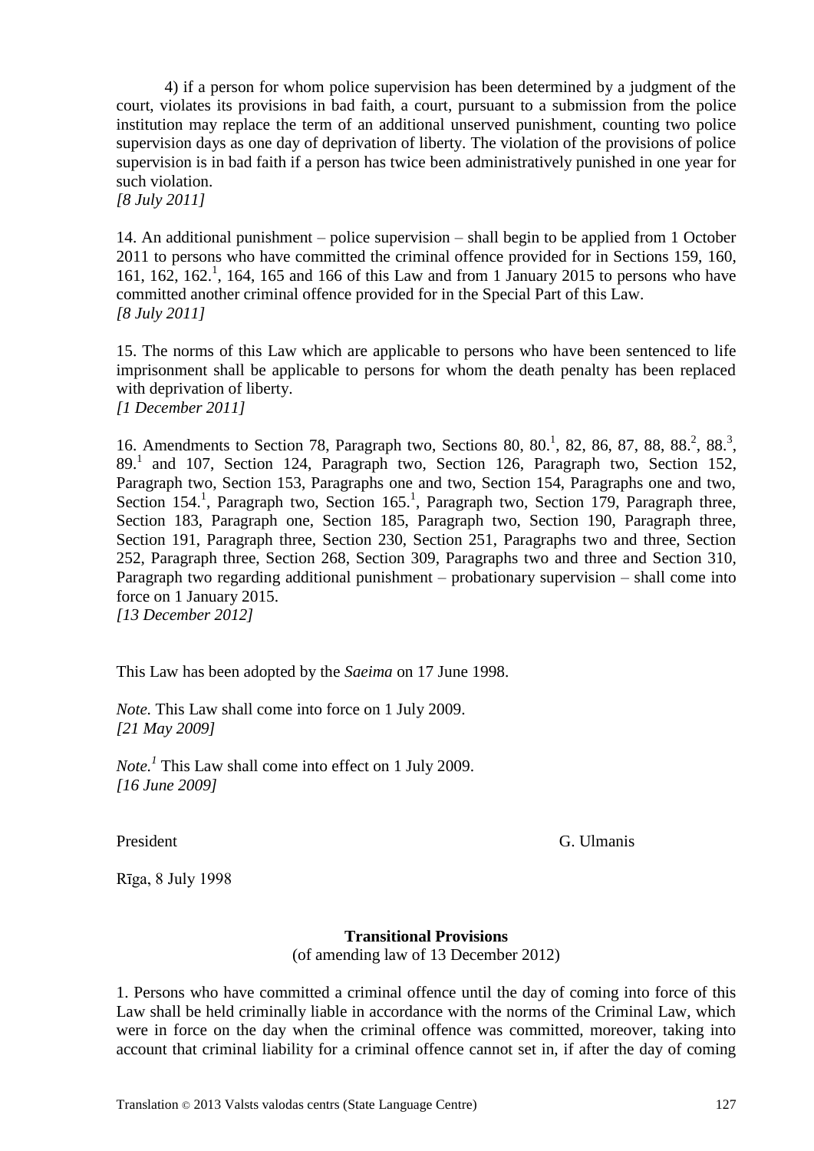4) if a person for whom police supervision has been determined by a judgment of the court, violates its provisions in bad faith, a court, pursuant to a submission from the police institution may replace the term of an additional unserved punishment, counting two police supervision days as one day of deprivation of liberty. The violation of the provisions of police supervision is in bad faith if a person has twice been administratively punished in one year for such violation.

*[8 July 2011]*

14. An additional punishment – police supervision – shall begin to be applied from 1 October 2011 to persons who have committed the criminal offence provided for in Sections 159, 160, 161, 162, 162. 1 , 164, 165 and 166 of this Law and from 1 January 2015 to persons who have committed another criminal offence provided for in the Special Part of this Law. *[8 July 2011]*

15. The norms of this Law which are applicable to persons who have been sentenced to life imprisonment shall be applicable to persons for whom the death penalty has been replaced with deprivation of liberty.

*[1 December 2011]*

16. Amendments to Section 78, Paragraph two, Sections 80, 80.<sup>1</sup>, 82, 86, 87, 88, 88.<sup>2</sup>, 88.<sup>3</sup>, 89.<sup>1</sup> and 107, Section 124, Paragraph two, Section 126, Paragraph two, Section 152, Paragraph two, Section 153, Paragraphs one and two, Section 154, Paragraphs one and two, Section 154.<sup>1</sup>, Paragraph two, Section 165.<sup>1</sup>, Paragraph two, Section 179, Paragraph three, Section 183, Paragraph one, Section 185, Paragraph two, Section 190, Paragraph three, Section 191, Paragraph three, Section 230, Section 251, Paragraphs two and three, Section 252, Paragraph three, Section 268, Section 309, Paragraphs two and three and Section 310, Paragraph two regarding additional punishment – probationary supervision – shall come into force on 1 January 2015. *[13 December 2012]*

This Law has been adopted by the *Saeima* on 17 June 1998.

*Note.* This Law shall come into force on 1 July 2009. *[21 May 2009]*

*Note.<sup>1</sup>* This Law shall come into effect on 1 July 2009. *[16 June 2009]*

President G. Ulmanis

Rīga, 8 July 1998

# **Transitional Provisions**

(of amending law of 13 December 2012)

1. Persons who have committed a criminal offence until the day of coming into force of this Law shall be held criminally liable in accordance with the norms of the Criminal Law, which were in force on the day when the criminal offence was committed, moreover, taking into account that criminal liability for a criminal offence cannot set in, if after the day of coming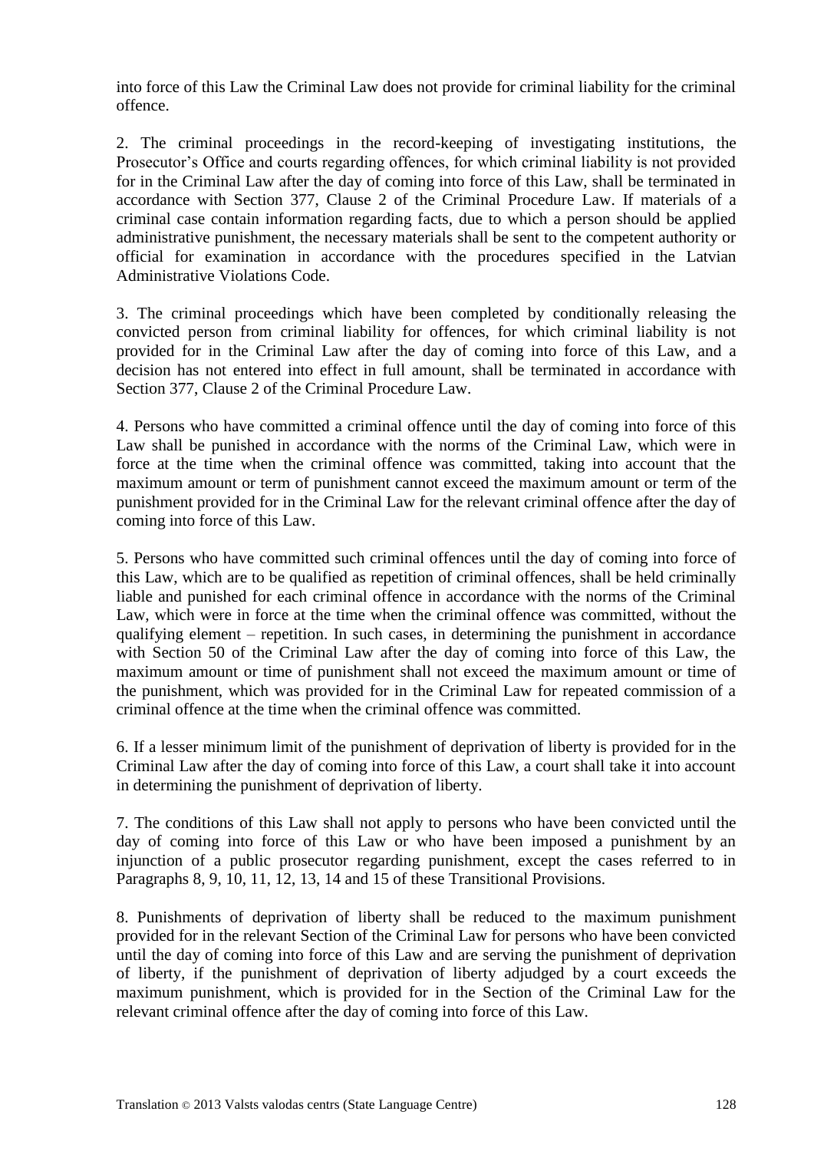into force of this Law the Criminal Law does not provide for criminal liability for the criminal offence.

2. The criminal proceedings in the record-keeping of investigating institutions, the Prosecutor's Office and courts regarding offences, for which criminal liability is not provided for in the Criminal Law after the day of coming into force of this Law, shall be terminated in accordance with Section 377, Clause 2 of the Criminal Procedure Law. If materials of a criminal case contain information regarding facts, due to which a person should be applied administrative punishment, the necessary materials shall be sent to the competent authority or official for examination in accordance with the procedures specified in the Latvian Administrative Violations Code.

3. The criminal proceedings which have been completed by conditionally releasing the convicted person from criminal liability for offences, for which criminal liability is not provided for in the Criminal Law after the day of coming into force of this Law, and a decision has not entered into effect in full amount, shall be terminated in accordance with Section 377, Clause 2 of the Criminal Procedure Law.

4. Persons who have committed a criminal offence until the day of coming into force of this Law shall be punished in accordance with the norms of the Criminal Law, which were in force at the time when the criminal offence was committed, taking into account that the maximum amount or term of punishment cannot exceed the maximum amount or term of the punishment provided for in the Criminal Law for the relevant criminal offence after the day of coming into force of this Law.

5. Persons who have committed such criminal offences until the day of coming into force of this Law, which are to be qualified as repetition of criminal offences, shall be held criminally liable and punished for each criminal offence in accordance with the norms of the Criminal Law, which were in force at the time when the criminal offence was committed, without the qualifying element – repetition. In such cases, in determining the punishment in accordance with Section 50 of the Criminal Law after the day of coming into force of this Law, the maximum amount or time of punishment shall not exceed the maximum amount or time of the punishment, which was provided for in the Criminal Law for repeated commission of a criminal offence at the time when the criminal offence was committed.

6. If a lesser minimum limit of the punishment of deprivation of liberty is provided for in the Criminal Law after the day of coming into force of this Law, a court shall take it into account in determining the punishment of deprivation of liberty.

7. The conditions of this Law shall not apply to persons who have been convicted until the day of coming into force of this Law or who have been imposed a punishment by an injunction of a public prosecutor regarding punishment, except the cases referred to in Paragraphs 8, 9, 10, 11, 12, 13, 14 and 15 of these Transitional Provisions.

8. Punishments of deprivation of liberty shall be reduced to the maximum punishment provided for in the relevant Section of the Criminal Law for persons who have been convicted until the day of coming into force of this Law and are serving the punishment of deprivation of liberty, if the punishment of deprivation of liberty adjudged by a court exceeds the maximum punishment, which is provided for in the Section of the Criminal Law for the relevant criminal offence after the day of coming into force of this Law.